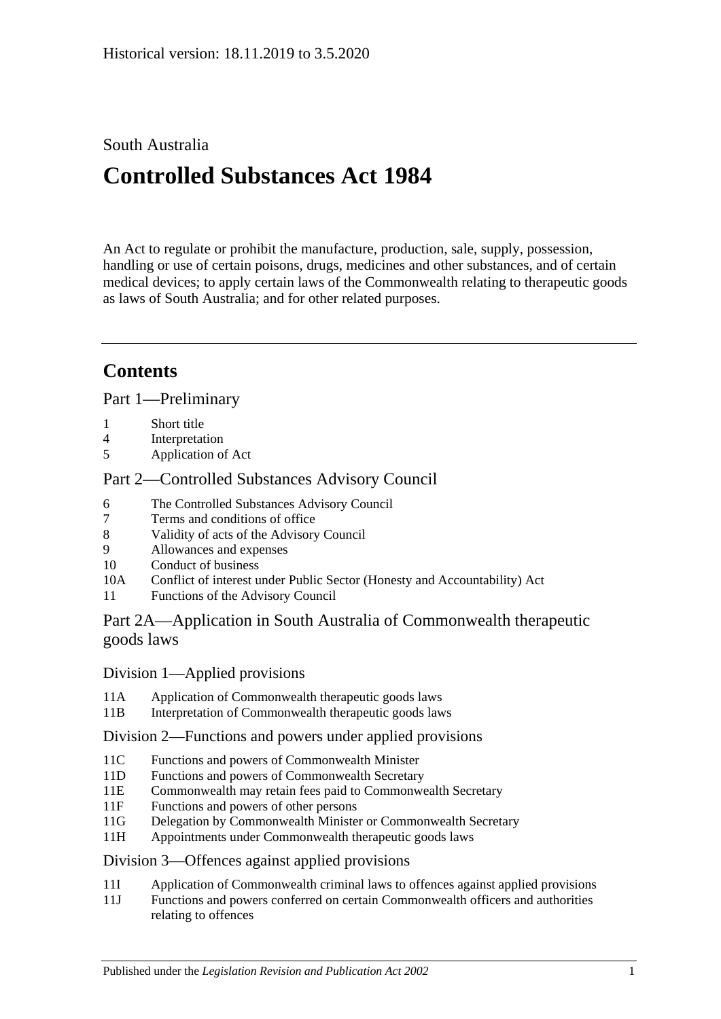## South Australia

# **Controlled Substances Act 1984**

An Act to regulate or prohibit the manufacture, production, sale, supply, possession, handling or use of certain poisons, drugs, medicines and other substances, and of certain medical devices; to apply certain laws of the Commonwealth relating to therapeutic goods as laws of South Australia; and for other related purposes.

## **Contents**

[Part 1—Preliminary](#page-5-0)

- 1 [Short title](#page-5-1)
- 4 [Interpretation](#page-5-2)
- 5 [Application of Act](#page-12-0)

## [Part 2—Controlled Substances Advisory Council](#page-12-1)

- 6 [The Controlled Substances Advisory Council](#page-12-2)
- 7 [Terms and conditions of office](#page-13-0)
- 8 [Validity of acts of the Advisory Council](#page-13-1)
- 9 [Allowances and expenses](#page-13-2)
- 10 [Conduct of business](#page-13-3)
- 10A Conflict of interest [under Public Sector \(Honesty and Accountability\) Act](#page-14-0)
- 11 [Functions of the Advisory Council](#page-14-1)

## [Part 2A—Application in South Australia of Commonwealth therapeutic](#page-15-0)  [goods laws](#page-15-0)

## Division [1—Applied provisions](#page-15-1)

- 11A [Application of Commonwealth therapeutic goods laws](#page-15-2)
- 11B [Interpretation of Commonwealth therapeutic goods laws](#page-15-3)

## Division [2—Functions and powers under applied provisions](#page-15-4)

- 11C [Functions and powers of Commonwealth Minister](#page-15-5)
- 11D [Functions and powers of Commonwealth Secretary](#page-16-0)
- 11E [Commonwealth may retain fees paid to Commonwealth Secretary](#page-16-1)
- 11F [Functions and powers of other persons](#page-16-2)
- 11G [Delegation by Commonwealth Minister or Commonwealth Secretary](#page-16-3)
- 11H [Appointments under Commonwealth therapeutic goods laws](#page-16-4)

## Division [3—Offences against applied provisions](#page-16-5)

- 11I [Application of Commonwealth criminal laws to offences against applied provisions](#page-16-6)
- 11J [Functions and powers conferred on certain Commonwealth officers and authorities](#page-17-0)  [relating to offences](#page-17-0)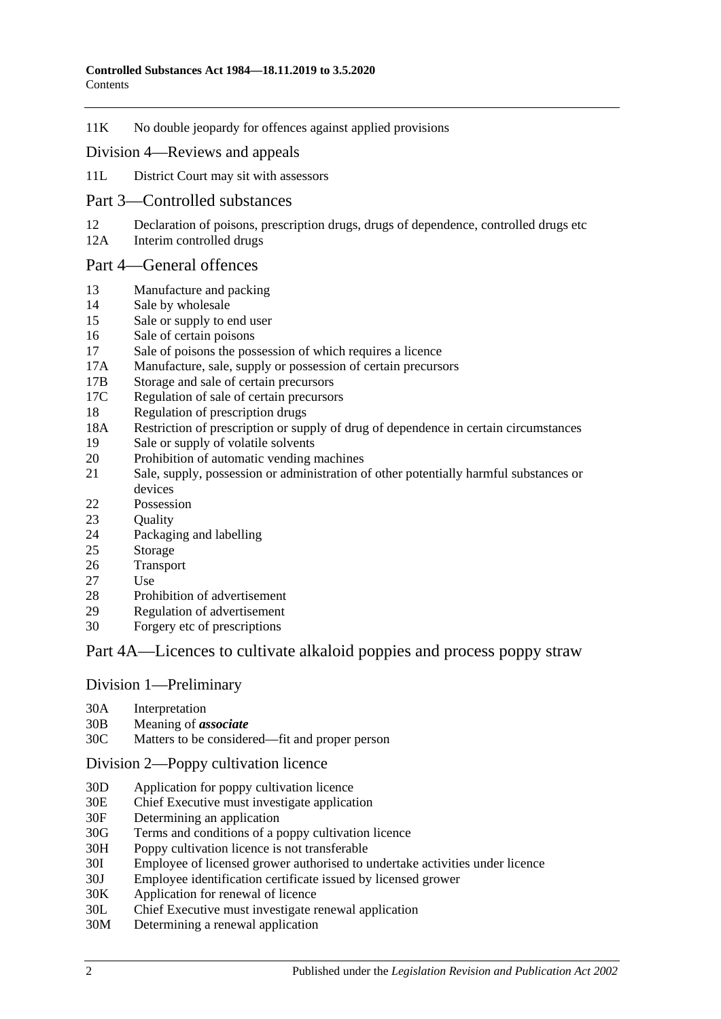11K [No double jeopardy for offences against applied provisions](#page-17-1)

#### Division [4—Reviews and appeals](#page-17-2)

- 11L [District Court may sit with assessors](#page-17-3)
- [Part 3—Controlled substances](#page-18-0)
- 12 [Declaration of poisons, prescription drugs, drugs of dependence, controlled drugs etc](#page-18-1)<br>12A Interim controlled drugs
- [Interim controlled drugs](#page-18-2)

#### [Part 4—General offences](#page-19-0)

- 13 [Manufacture and packing](#page-19-1)
- 14 [Sale by wholesale](#page-19-2)
- 15 [Sale or supply to end user](#page-20-0)
- 16 [Sale of certain poisons](#page-20-1)
- 17 [Sale of poisons the possession of which requires a licence](#page-20-2)
- 17A [Manufacture, sale, supply or possession of certain precursors](#page-20-3)
- 17B [Storage and sale of certain precursors](#page-21-0)
- 17C [Regulation of sale of certain precursors](#page-22-0)
- 18 [Regulation of prescription drugs](#page-23-0)
- 18A [Restriction of prescription or supply of drug of dependence in certain circumstances](#page-26-0)
- 19 [Sale or supply of volatile solvents](#page-28-0)
- 20 [Prohibition of automatic vending machines](#page-29-0)
- 21 [Sale, supply, possession or administration of other potentially harmful substances or](#page-29-1)  [devices](#page-29-1)
- 22 [Possession](#page-29-2)
- 23 Ouality
- 24 [Packaging and](#page-30-0) labelling
- 25 [Storage](#page-30-1)
- 26 [Transport](#page-30-2)
- 27 [Use](#page-30-3)
- 28 [Prohibition of advertisement](#page-30-4)
- 29 [Regulation of advertisement](#page-30-5)
- 30 Forgery [etc of prescriptions](#page-31-0)

## [Part 4A—Licences to cultivate alkaloid poppies and process poppy straw](#page-31-1)

#### Division [1—Preliminary](#page-31-2)

- 30A [Interpretation](#page-31-3)
- 30B [Meaning of](#page-33-0) *associate*
- 30C [Matters to be considered—fit and proper person](#page-34-0)

#### Division [2—Poppy cultivation licence](#page-36-0)

- 30D [Application for poppy cultivation licence](#page-36-1)
- 30E [Chief Executive must investigate application](#page-37-0)
- 30F [Determining an application](#page-37-1)
- 30G [Terms and conditions of a poppy cultivation licence](#page-38-0)
- 30H [Poppy cultivation licence is not transferable](#page-39-0)
- 30I [Employee of licensed grower authorised to undertake activities under licence](#page-39-1)
- 30J [Employee identification certificate issued by licensed grower](#page-39-2)
- 30K [Application for renewal of licence](#page-39-3)
- 30L [Chief Executive must investigate renewal application](#page-40-0)
- 30M [Determining a renewal application](#page-40-1)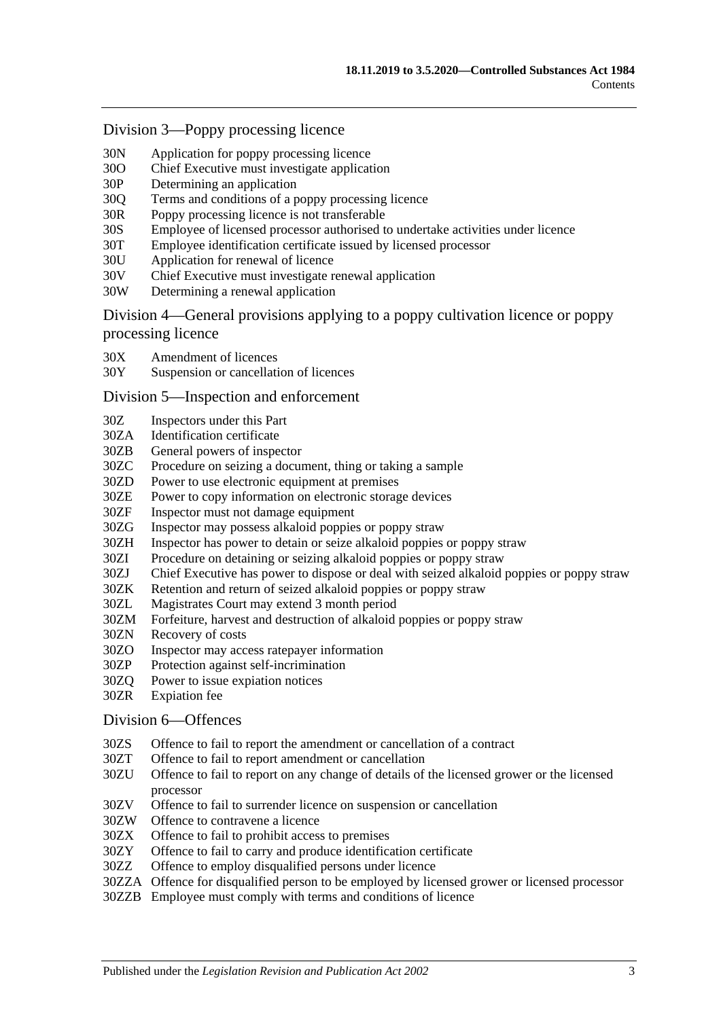#### Division [3—Poppy processing licence](#page-41-0)

- 30N [Application for poppy processing licence](#page-41-1)
- 30O [Chief Executive must investigate application](#page-42-0)
- 30P [Determining an application](#page-42-1)
- 30Q [Terms and conditions of a poppy processing licence](#page-43-0)
- 30R [Poppy processing licence is not transferable](#page-43-1)
- 30S [Employee of licensed processor authorised to undertake activities under licence](#page-44-0)
- 30T [Employee identification certificate issued by licensed processor](#page-44-1)
- 30U [Application for renewal of licence](#page-44-2)
- 30V [Chief Executive must investigate renewal application](#page-45-0)
- 30W [Determining a renewal application](#page-45-1)

Division [4—General provisions applying to a poppy cultivation licence or poppy](#page-46-0)  [processing licence](#page-46-0)

- 30X [Amendment of licences](#page-46-1)
- 30Y [Suspension or cancellation of licences](#page-46-2)

#### Division [5—Inspection and enforcement](#page-47-0)

- 30Z [Inspectors under this Part](#page-47-1)
- 30ZA [Identification certificate](#page-48-0)
- 30ZB [General powers of inspector](#page-48-1)
- 30ZC [Procedure on seizing a document, thing or taking a sample](#page-49-0)
- 30ZD [Power to use electronic equipment at premises](#page-49-1)
- 30ZE [Power to copy information on electronic storage devices](#page-50-0)
- 30ZF [Inspector must not damage equipment](#page-50-1)
- 30ZG [Inspector may possess alkaloid poppies or poppy straw](#page-50-2)
- 30ZH [Inspector has power to detain or seize alkaloid poppies or poppy straw](#page-50-3)
- 30ZI [Procedure on detaining or seizing alkaloid poppies or poppy straw](#page-50-4)
- 30ZJ [Chief Executive has power to dispose or deal with seized alkaloid poppies or poppy straw](#page-51-0)
- 30ZK [Retention and return of seized alkaloid poppies or poppy straw](#page-51-1)
- 30ZL [Magistrates Court may extend 3 month period](#page-52-0)
- 30ZM [Forfeiture, harvest and destruction of alkaloid poppies or poppy straw](#page-52-1)
- 30ZN [Recovery of costs](#page-53-0)
- 30ZO [Inspector may access ratepayer information](#page-53-1)
- 30ZP [Protection against self-incrimination](#page-53-2)
- 30ZQ [Power to issue expiation notices](#page-53-3)
- 30ZR [Expiation fee](#page-53-4)

#### Division [6—Offences](#page-54-0)

- 30ZS [Offence to fail to report the amendment or cancellation of a contract](#page-54-1)
- 30ZT [Offence to fail to report amendment or cancellation](#page-54-2)
- 30ZU [Offence to fail to report on any change of details of the licensed grower or the licensed](#page-54-3)  [processor](#page-54-3)
- 30ZV [Offence to fail to surrender licence on suspension or cancellation](#page-55-0)
- 30ZW [Offence to contravene a licence](#page-55-1)
- 30ZX [Offence to fail to prohibit access to premises](#page-55-2)
- 30ZY [Offence to fail to carry and produce identification certificate](#page-56-0)
- 30ZZ [Offence to employ disqualified persons under licence](#page-56-1)
- 30ZZA [Offence for disqualified person to be employed by licensed grower or licensed processor](#page-57-0)
- 30ZZB Employee [must comply with terms and conditions of licence](#page-57-1)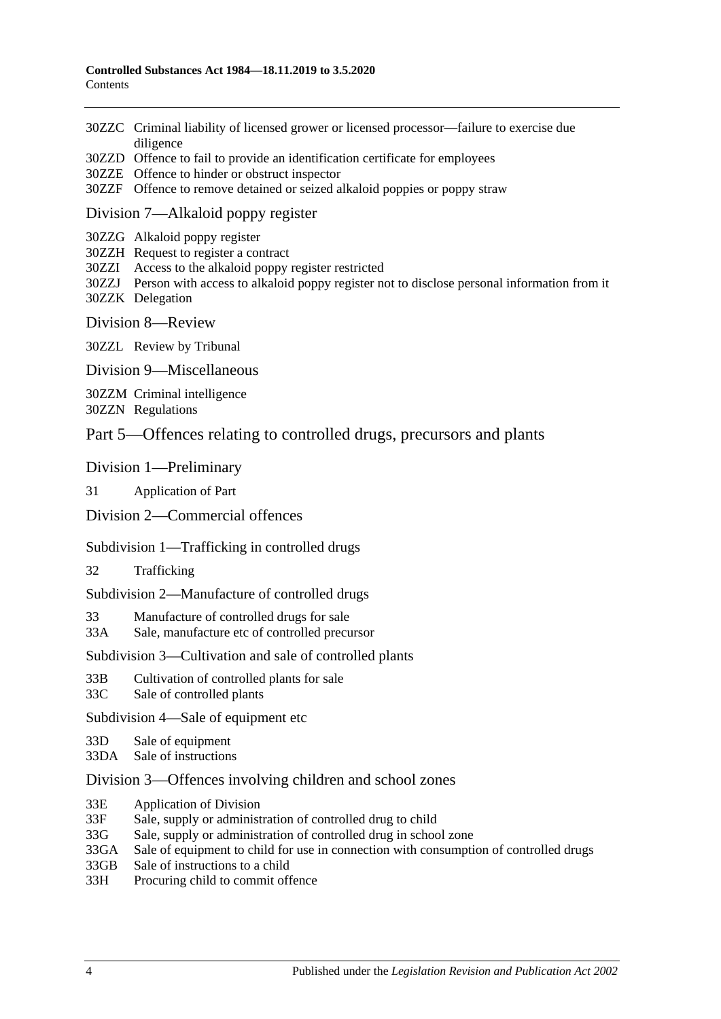- 30ZZC [Criminal liability of licensed grower or licensed processor—failure to exercise due](#page-58-0)  [diligence](#page-58-0)
- 30ZZD [Offence to fail to provide an identification certificate for employees](#page-58-1)
- 30ZZE [Offence to hinder or obstruct inspector](#page-58-2)
- 30ZZF [Offence to remove detained or seized alkaloid poppies or poppy straw](#page-59-0)

#### Division [7—Alkaloid poppy register](#page-59-1)

- 30ZZG [Alkaloid poppy register](#page-59-2)
- 30ZZH [Request to register a contract](#page-59-3)
- 30ZZI [Access to the alkaloid poppy register restricted](#page-60-0)
- 30ZZJ [Person with access to alkaloid poppy register not to disclose personal information from it](#page-60-1) 30ZZK [Delegation](#page-60-2)
- Division [8—Review](#page-61-0)

30ZZL [Review by Tribunal](#page-61-1)

Division [9—Miscellaneous](#page-61-2)

30ZZM [Criminal intelligence](#page-61-3)

30ZZN [Regulations](#page-62-0)

#### [Part 5—Offences relating to controlled drugs, precursors and plants](#page-63-0)

#### [Division 1—Preliminary](#page-63-1)

31 [Application of Part](#page-63-2)

#### [Division 2—Commercial offences](#page-65-0)

#### [Subdivision 1—Trafficking in controlled drugs](#page-65-1)

32 [Trafficking](#page-65-2)

[Subdivision 2—Manufacture of controlled drugs](#page-67-0)

33 [Manufacture of controlled drugs for sale](#page-67-1)

33A [Sale, manufacture etc of controlled precursor](#page-68-0)

#### [Subdivision 3—Cultivation and sale of controlled plants](#page-70-0)

- 33B [Cultivation of controlled plants for sale](#page-70-1)
- 33C [Sale of controlled plants](#page-71-0)

[Subdivision 4—Sale of equipment etc](#page-72-0)

- 33D [Sale of equipment](#page-72-1)
- 33DA [Sale of instructions](#page-72-2)

#### [Division 3—Offences involving children and school zones](#page-72-3)

- 33E [Application of Division](#page-72-4)
- 33F [Sale, supply or administration of controlled drug to child](#page-73-0)
- 33G [Sale, supply or administration of controlled drug in school zone](#page-73-1)
- 33GA [Sale of equipment to child for use in connection with consumption of controlled drugs](#page-73-2)
- 33GB [Sale of instructions to a child](#page-74-0)
- 33H [Procuring child to commit offence](#page-74-1)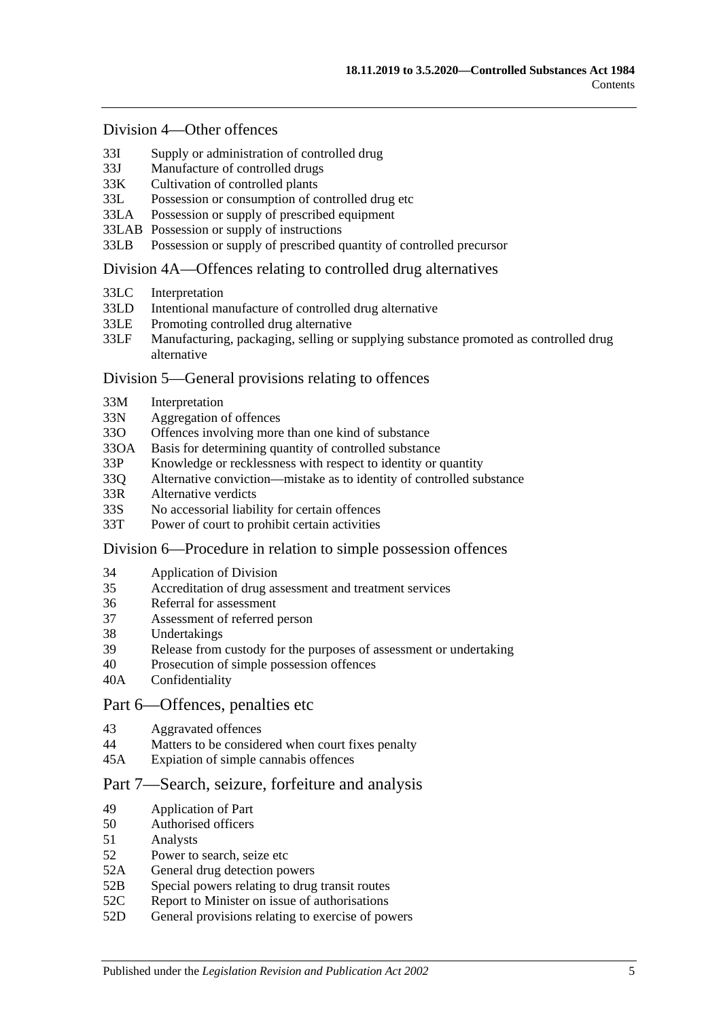#### [Division 4—Other offences](#page-74-2)

- 33I [Supply or administration of controlled drug](#page-74-3)
- 33J [Manufacture of controlled drugs](#page-75-0)
- 33K [Cultivation of controlled plants](#page-75-1)
- 33L [Possession or consumption of controlled drug etc](#page-76-0)
- 33LA [Possession or supply of prescribed equipment](#page-76-1)
- 33LAB [Possession or supply of instructions](#page-77-0)
- 33LB [Possession or supply of prescribed quantity of controlled precursor](#page-77-1)

#### [Division 4A—Offences relating to controlled drug alternatives](#page-78-0)

- 33LC [Interpretation](#page-78-1)
- 33LD [Intentional manufacture of controlled drug alternative](#page-79-0)
- 33LE [Promoting controlled drug alternative](#page-79-1)
- 33LF [Manufacturing, packaging, selling or supplying substance promoted as controlled drug](#page-80-0)  [alternative](#page-80-0)

#### [Division 5—General provisions relating to offences](#page-81-0)

- 33M [Interpretation](#page-81-1)
- 33N [Aggregation of offences](#page-81-2)
- 33O [Offences involving more than one kind of substance](#page-82-0)
- 33OA [Basis for determining quantity of controlled substance](#page-82-1)
- 33P [Knowledge or recklessness with respect to identity or quantity](#page-83-0)
- 33Q [Alternative conviction—mistake as to identity of controlled substance](#page-83-1)
- 33R [Alternative verdicts](#page-84-0)
- 33S [No accessorial liability for certain offences](#page-84-1)
- 33T [Power of court to prohibit certain activities](#page-84-2)

#### [Division 6—Procedure in relation to simple possession offences](#page-84-3)

- 34 [Application of Division](#page-84-4)
- 35 [Accreditation of drug assessment and treatment services](#page-85-0)
- 36 [Referral for assessment](#page-85-1)
- 37 [Assessment of referred person](#page-85-2)
- 38 [Undertakings](#page-87-0)
- 39 [Release from custody for the purposes of assessment or undertaking](#page-87-1)
- 40 [Prosecution of simple possession offences](#page-87-2)
- 40A [Confidentiality](#page-88-0)

#### [Part 6—Offences, penalties etc](#page-88-1)

- 43 [Aggravated offences](#page-88-2)
- 44 [Matters to be considered when court fixes penalty](#page-89-0)
- 45A [Expiation of simple cannabis offences](#page-90-0)

#### [Part 7—Search, seizure, forfeiture and analysis](#page-91-0)

- 49 [Application of Part](#page-91-1)
- 50 [Authorised officers](#page-91-2)
- 51 [Analysts](#page-91-3)
- 52 [Power to search, seize etc](#page-91-4)
- 52A [General drug detection powers](#page-93-0)
- 52B [Special powers relating to drug transit routes](#page-94-0)
- 52C [Report to Minister on issue of authorisations](#page-96-0)
- 52D [General provisions relating to exercise of powers](#page-96-1)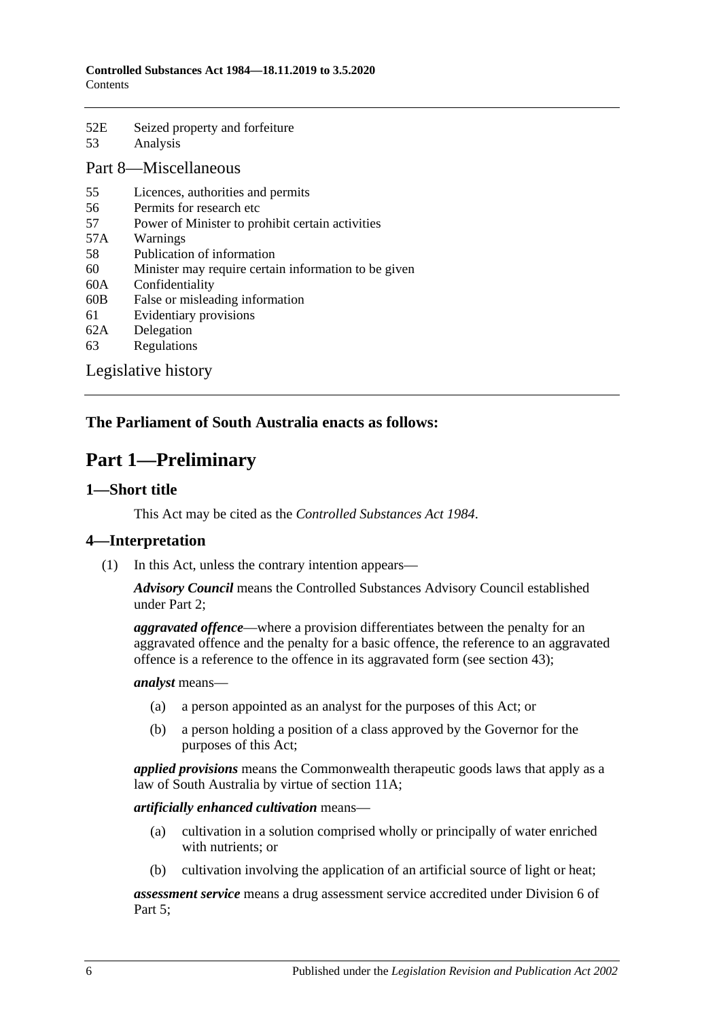| 52E | Seized property and forfeiture |
|-----|--------------------------------|
| 53  | Analysis                       |

## [Part 8—Miscellaneous](#page-99-0)

- 55 [Licences, authorities and permits](#page-99-1)
- 56 [Permits for research etc](#page-100-0)
- 57 [Power of Minister to prohibit certain activities](#page-100-1)
- 57A [Warnings](#page-101-0)
- 58 [Publication of information](#page-101-1)
- 60 [Minister may require certain information to be given](#page-102-0)
- 60A [Confidentiality](#page-102-1)
- 60B [False or misleading information](#page-103-0)
- 61 [Evidentiary provisions](#page-103-1)
- 62A [Delegation](#page-104-0)
- 63 [Regulations](#page-104-1)

[Legislative history](#page-107-0)

## <span id="page-5-0"></span>**The Parliament of South Australia enacts as follows:**

## **Part 1—Preliminary**

#### <span id="page-5-1"></span>**1—Short title**

This Act may be cited as the *Controlled Substances Act 1984*.

## <span id="page-5-2"></span>**4—Interpretation**

(1) In this Act, unless the contrary intention appears—

*Advisory Council* means the Controlled Substances Advisory Council established under [Part 2;](#page-12-1)

*aggravated offence*—where a provision differentiates between the penalty for an aggravated offence and the penalty for a basic offence, the reference to an aggravated offence is a reference to the offence in its aggravated form (see [section](#page-88-2) 43);

#### *analyst* means—

- (a) a person appointed as an analyst for the purposes of this Act; or
- (b) a person holding a position of a class approved by the Governor for the purposes of this Act;

*applied provisions* means the Commonwealth therapeutic goods laws that apply as a law of South Australia by virtue of [section](#page-15-2) 11A;

#### *artificially enhanced cultivation* means—

- (a) cultivation in a solution comprised wholly or principally of water enriched with nutrients; or
- (b) cultivation involving the application of an artificial source of light or heat;

*assessment service* means a drug assessment service accredited under [Division](#page-84-3) 6 of [Part 5;](#page-63-0)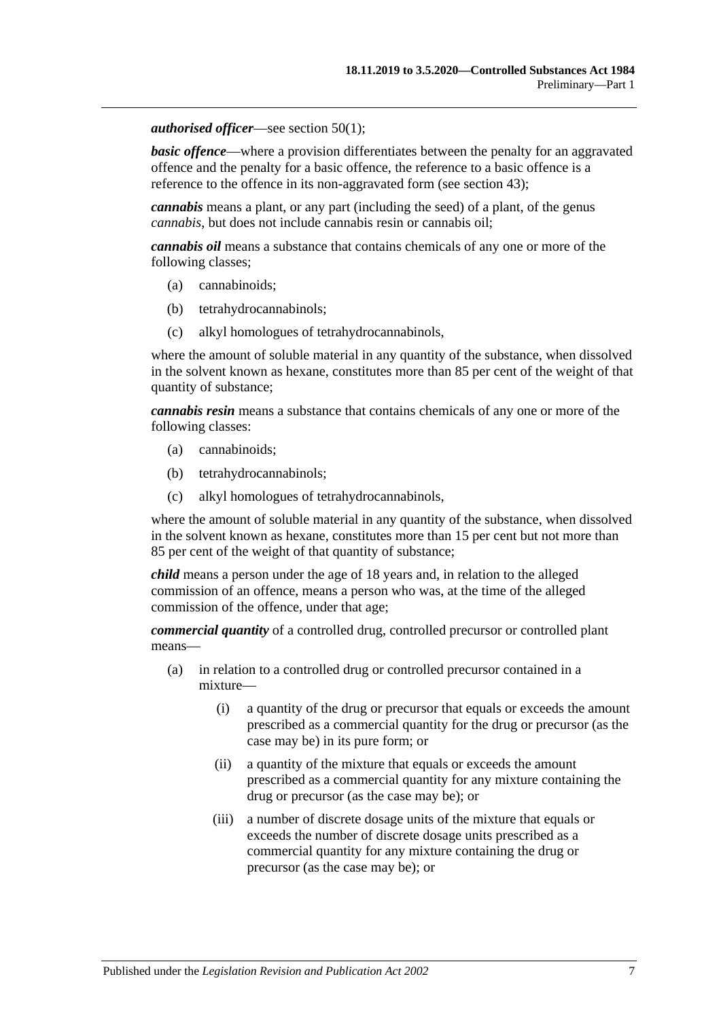#### *authorised officer*—see [section](#page-91-5) 50(1);

**basic offence—where a provision differentiates between the penalty for an aggravated** offence and the penalty for a basic offence, the reference to a basic offence is a reference to the offence in its non-aggravated form (see [section](#page-88-2) 43);

*cannabis* means a plant, or any part (including the seed) of a plant, of the genus *cannabis*, but does not include cannabis resin or cannabis oil;

*cannabis oil* means a substance that contains chemicals of any one or more of the following classes;

- (a) cannabinoids;
- (b) tetrahydrocannabinols;
- (c) alkyl homologues of tetrahydrocannabinols,

where the amount of soluble material in any quantity of the substance, when dissolved in the solvent known as hexane, constitutes more than 85 per cent of the weight of that quantity of substance;

*cannabis resin* means a substance that contains chemicals of any one or more of the following classes:

- (a) cannabinoids;
- (b) tetrahydrocannabinols;
- (c) alkyl homologues of tetrahydrocannabinols,

where the amount of soluble material in any quantity of the substance, when dissolved in the solvent known as hexane, constitutes more than 15 per cent but not more than 85 per cent of the weight of that quantity of substance;

*child* means a person under the age of 18 years and, in relation to the alleged commission of an offence, means a person who was, at the time of the alleged commission of the offence, under that age;

*commercial quantity* of a controlled drug, controlled precursor or controlled plant means—

- (a) in relation to a controlled drug or controlled precursor contained in a mixture—
	- (i) a quantity of the drug or precursor that equals or exceeds the amount prescribed as a commercial quantity for the drug or precursor (as the case may be) in its pure form; or
	- (ii) a quantity of the mixture that equals or exceeds the amount prescribed as a commercial quantity for any mixture containing the drug or precursor (as the case may be); or
	- (iii) a number of discrete dosage units of the mixture that equals or exceeds the number of discrete dosage units prescribed as a commercial quantity for any mixture containing the drug or precursor (as the case may be); or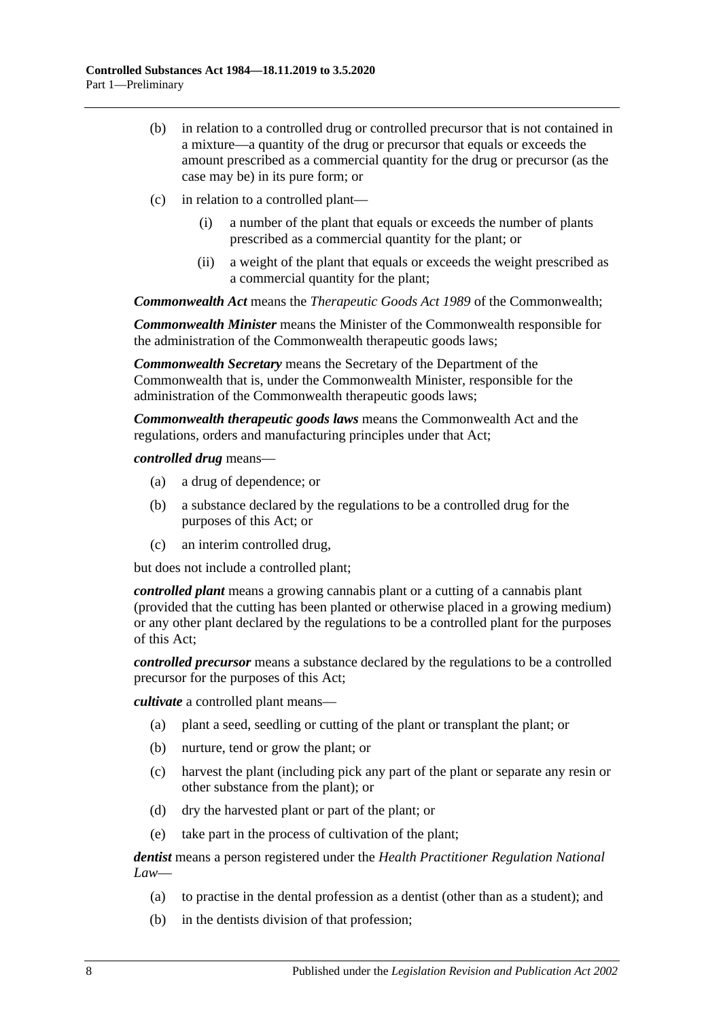- (b) in relation to a controlled drug or controlled precursor that is not contained in a mixture—a quantity of the drug or precursor that equals or exceeds the amount prescribed as a commercial quantity for the drug or precursor (as the case may be) in its pure form; or
- (c) in relation to a controlled plant—
	- (i) a number of the plant that equals or exceeds the number of plants prescribed as a commercial quantity for the plant; or
	- (ii) a weight of the plant that equals or exceeds the weight prescribed as a commercial quantity for the plant;

*Commonwealth Act* means the *Therapeutic Goods Act 1989* of the Commonwealth;

*Commonwealth Minister* means the Minister of the Commonwealth responsible for the administration of the Commonwealth therapeutic goods laws;

*Commonwealth Secretary* means the Secretary of the Department of the Commonwealth that is, under the Commonwealth Minister, responsible for the administration of the Commonwealth therapeutic goods laws;

*Commonwealth therapeutic goods laws* means the Commonwealth Act and the regulations, orders and manufacturing principles under that Act;

*controlled drug* means—

- (a) a drug of dependence; or
- (b) a substance declared by the regulations to be a controlled drug for the purposes of this Act; or
- (c) an interim controlled drug,

but does not include a controlled plant;

*controlled plant* means a growing cannabis plant or a cutting of a cannabis plant (provided that the cutting has been planted or otherwise placed in a growing medium) or any other plant declared by the regulations to be a controlled plant for the purposes of this Act;

*controlled precursor* means a substance declared by the regulations to be a controlled precursor for the purposes of this Act;

*cultivate* a controlled plant means—

- (a) plant a seed, seedling or cutting of the plant or transplant the plant; or
- (b) nurture, tend or grow the plant; or
- (c) harvest the plant (including pick any part of the plant or separate any resin or other substance from the plant); or
- (d) dry the harvested plant or part of the plant; or
- (e) take part in the process of cultivation of the plant;

*dentist* means a person registered under the *Health Practitioner Regulation National Law*—

- (a) to practise in the dental profession as a dentist (other than as a student); and
- (b) in the dentists division of that profession;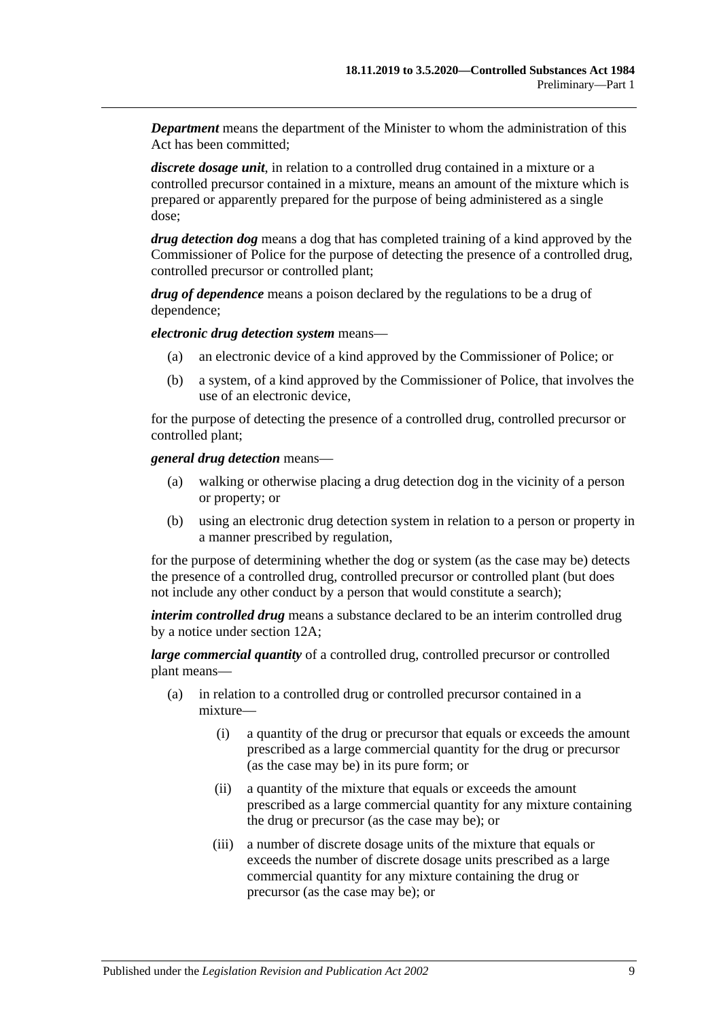*Department* means the department of the Minister to whom the administration of this Act has been committed;

*discrete dosage unit*, in relation to a controlled drug contained in a mixture or a controlled precursor contained in a mixture, means an amount of the mixture which is prepared or apparently prepared for the purpose of being administered as a single dose;

*drug detection dog* means a dog that has completed training of a kind approved by the Commissioner of Police for the purpose of detecting the presence of a controlled drug, controlled precursor or controlled plant;

*drug of dependence* means a poison declared by the regulations to be a drug of dependence;

*electronic drug detection system* means—

- (a) an electronic device of a kind approved by the Commissioner of Police; or
- (b) a system, of a kind approved by the Commissioner of Police, that involves the use of an electronic device,

for the purpose of detecting the presence of a controlled drug, controlled precursor or controlled plant;

*general drug detection* means—

- (a) walking or otherwise placing a drug detection dog in the vicinity of a person or property; or
- (b) using an electronic drug detection system in relation to a person or property in a manner prescribed by regulation,

for the purpose of determining whether the dog or system (as the case may be) detects the presence of a controlled drug, controlled precursor or controlled plant (but does not include any other conduct by a person that would constitute a search);

*interim controlled drug* means a substance declared to be an interim controlled drug by a notice under [section](#page-18-2) 12A;

*large commercial quantity* of a controlled drug, controlled precursor or controlled plant means—

- (a) in relation to a controlled drug or controlled precursor contained in a mixture—
	- (i) a quantity of the drug or precursor that equals or exceeds the amount prescribed as a large commercial quantity for the drug or precursor (as the case may be) in its pure form; or
	- (ii) a quantity of the mixture that equals or exceeds the amount prescribed as a large commercial quantity for any mixture containing the drug or precursor (as the case may be); or
	- (iii) a number of discrete dosage units of the mixture that equals or exceeds the number of discrete dosage units prescribed as a large commercial quantity for any mixture containing the drug or precursor (as the case may be); or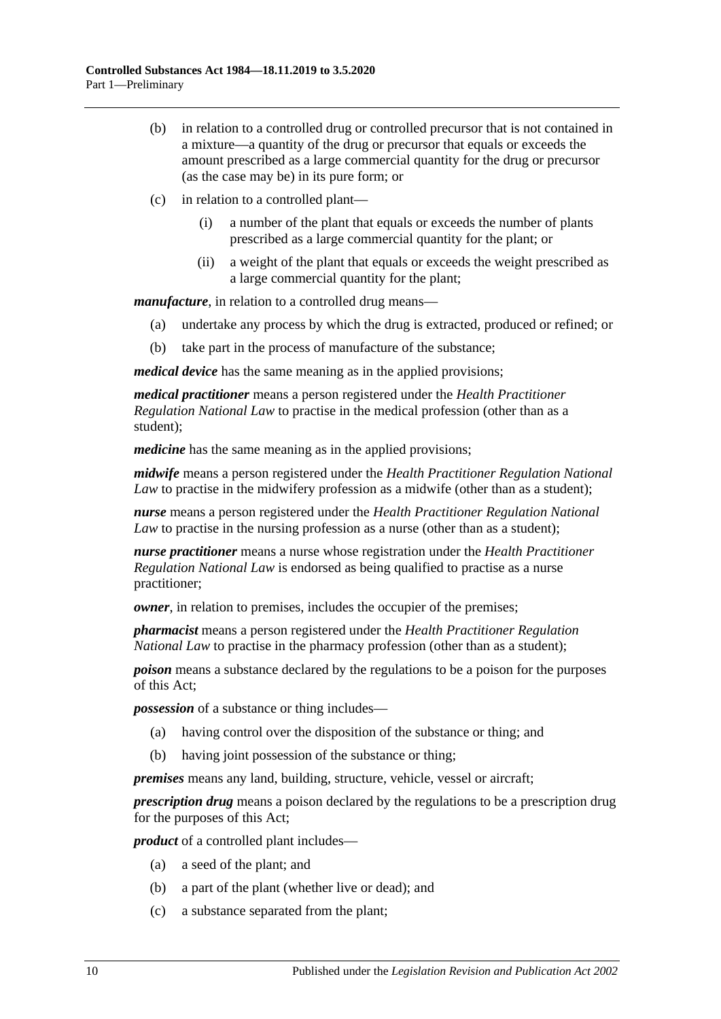- (b) in relation to a controlled drug or controlled precursor that is not contained in a mixture—a quantity of the drug or precursor that equals or exceeds the amount prescribed as a large commercial quantity for the drug or precursor (as the case may be) in its pure form; or
- (c) in relation to a controlled plant—
	- (i) a number of the plant that equals or exceeds the number of plants prescribed as a large commercial quantity for the plant; or
	- (ii) a weight of the plant that equals or exceeds the weight prescribed as a large commercial quantity for the plant;

*manufacture*, in relation to a controlled drug means—

- (a) undertake any process by which the drug is extracted, produced or refined; or
- (b) take part in the process of manufacture of the substance;

*medical device* has the same meaning as in the applied provisions;

*medical practitioner* means a person registered under the *Health Practitioner Regulation National Law* to practise in the medical profession (other than as a student);

*medicine* has the same meaning as in the applied provisions;

*midwife* means a person registered under the *Health Practitioner Regulation National Law* to practise in the midwifery profession as a midwife (other than as a student);

*nurse* means a person registered under the *Health Practitioner Regulation National Law* to practise in the nursing profession as a nurse (other than as a student);

*nurse practitioner* means a nurse whose registration under the *Health Practitioner Regulation National Law* is endorsed as being qualified to practise as a nurse practitioner;

*owner*, in relation to premises, includes the occupier of the premises;

*pharmacist* means a person registered under the *Health Practitioner Regulation National Law* to practise in the pharmacy profession (other than as a student);

*poison* means a substance declared by the regulations to be a poison for the purposes of this Act;

*possession* of a substance or thing includes—

- (a) having control over the disposition of the substance or thing; and
- (b) having joint possession of the substance or thing;

*premises* means any land, building, structure, vehicle, vessel or aircraft;

*prescription drug* means a poison declared by the regulations to be a prescription drug for the purposes of this Act;

*product* of a controlled plant includes—

- (a) a seed of the plant; and
- (b) a part of the plant (whether live or dead); and
- (c) a substance separated from the plant;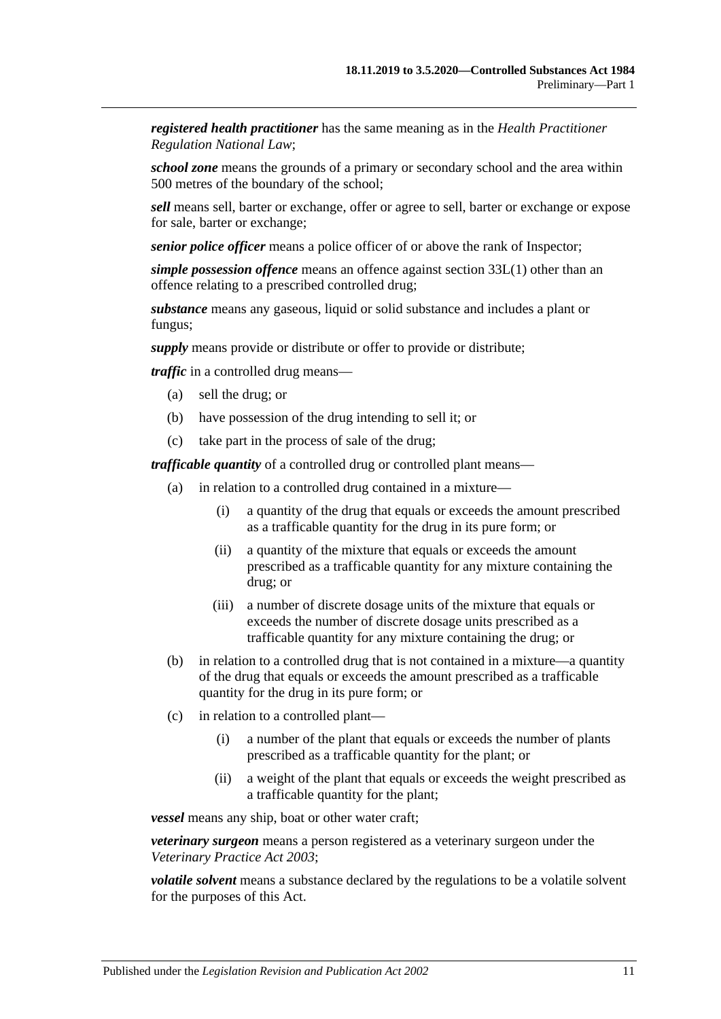*registered health practitioner* has the same meaning as in the *Health Practitioner Regulation National Law*;

*school zone* means the grounds of a primary or secondary school and the area within 500 metres of the boundary of the school;

*sell* means sell, barter or exchange, offer or agree to sell, barter or exchange or expose for sale, barter or exchange;

*senior police officer* means a police officer of or above the rank of Inspector;

*simple possession offence* means an offence against [section](#page-76-2) 33L(1) other than an offence relating to a prescribed controlled drug;

*substance* means any gaseous, liquid or solid substance and includes a plant or fungus;

*supply* means provide or distribute or offer to provide or distribute;

*traffic* in a controlled drug means—

- (a) sell the drug; or
- (b) have possession of the drug intending to sell it; or
- (c) take part in the process of sale of the drug;

*trafficable quantity* of a controlled drug or controlled plant means—

- (a) in relation to a controlled drug contained in a mixture—
	- (i) a quantity of the drug that equals or exceeds the amount prescribed as a trafficable quantity for the drug in its pure form; or
	- (ii) a quantity of the mixture that equals or exceeds the amount prescribed as a trafficable quantity for any mixture containing the drug; or
	- (iii) a number of discrete dosage units of the mixture that equals or exceeds the number of discrete dosage units prescribed as a trafficable quantity for any mixture containing the drug; or
- (b) in relation to a controlled drug that is not contained in a mixture—a quantity of the drug that equals or exceeds the amount prescribed as a trafficable quantity for the drug in its pure form; or
- (c) in relation to a controlled plant—
	- (i) a number of the plant that equals or exceeds the number of plants prescribed as a trafficable quantity for the plant; or
	- (ii) a weight of the plant that equals or exceeds the weight prescribed as a trafficable quantity for the plant;

*vessel* means any ship, boat or other water craft;

*veterinary surgeon* means a person registered as a veterinary surgeon under the *[Veterinary Practice Act](http://www.legislation.sa.gov.au/index.aspx?action=legref&type=act&legtitle=Veterinary%20Practice%20Act%202003) 2003*;

*volatile solvent* means a substance declared by the regulations to be a volatile solvent for the purposes of this Act.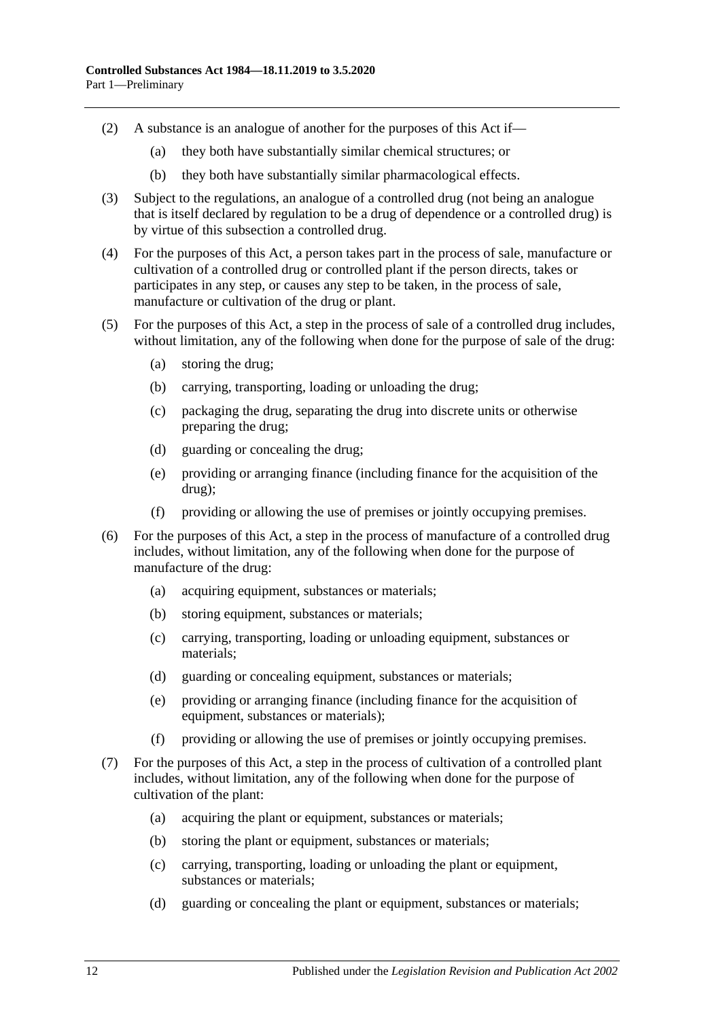- (2) A substance is an analogue of another for the purposes of this Act if—
	- (a) they both have substantially similar chemical structures; or
	- (b) they both have substantially similar pharmacological effects.
- (3) Subject to the regulations, an analogue of a controlled drug (not being an analogue that is itself declared by regulation to be a drug of dependence or a controlled drug) is by virtue of this subsection a controlled drug.
- (4) For the purposes of this Act, a person takes part in the process of sale, manufacture or cultivation of a controlled drug or controlled plant if the person directs, takes or participates in any step, or causes any step to be taken, in the process of sale, manufacture or cultivation of the drug or plant.
- (5) For the purposes of this Act, a step in the process of sale of a controlled drug includes, without limitation, any of the following when done for the purpose of sale of the drug:
	- (a) storing the drug;
	- (b) carrying, transporting, loading or unloading the drug;
	- (c) packaging the drug, separating the drug into discrete units or otherwise preparing the drug;
	- (d) guarding or concealing the drug;
	- (e) providing or arranging finance (including finance for the acquisition of the drug);
	- (f) providing or allowing the use of premises or jointly occupying premises.
- (6) For the purposes of this Act, a step in the process of manufacture of a controlled drug includes, without limitation, any of the following when done for the purpose of manufacture of the drug:
	- (a) acquiring equipment, substances or materials;
	- (b) storing equipment, substances or materials;
	- (c) carrying, transporting, loading or unloading equipment, substances or materials;
	- (d) guarding or concealing equipment, substances or materials;
	- (e) providing or arranging finance (including finance for the acquisition of equipment, substances or materials);
	- (f) providing or allowing the use of premises or jointly occupying premises.
- <span id="page-11-0"></span>(7) For the purposes of this Act, a step in the process of cultivation of a controlled plant includes, without limitation, any of the following when done for the purpose of cultivation of the plant:
	- (a) acquiring the plant or equipment, substances or materials;
	- (b) storing the plant or equipment, substances or materials;
	- (c) carrying, transporting, loading or unloading the plant or equipment, substances or materials;
	- (d) guarding or concealing the plant or equipment, substances or materials;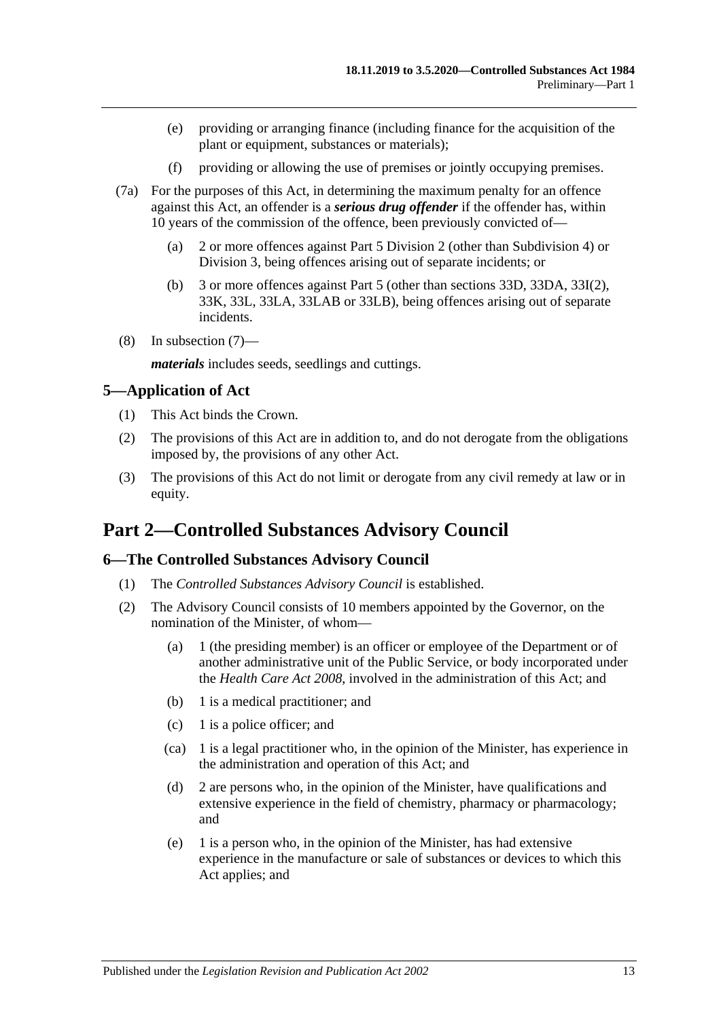- (e) providing or arranging finance (including finance for the acquisition of the plant or equipment, substances or materials);
- (f) providing or allowing the use of premises or jointly occupying premises.
- (7a) For the purposes of this Act, in determining the maximum penalty for an offence against this Act, an offender is a *serious drug offender* if the offender has, within 10 years of the commission of the offence, been previously convicted of—
	- (a) 2 or more offences against [Part 5 Division 2](#page-65-0) (other than [Subdivision 4\)](#page-72-0) or [Division 3,](#page-72-3) being offences arising out of separate incidents; or
	- (b) 3 or more offences against [Part 5](#page-63-0) (other than [sections](#page-72-1) 33D, [33DA,](#page-72-2) 33I(2), 33K, 33L, 33LA, 33LAB or 33LB), being offences arising out of separate incidents.
- (8) In [subsection](#page-11-0) (7)—

*materials* includes seeds, seedlings and cuttings.

#### <span id="page-12-0"></span>**5—Application of Act**

- (1) This Act binds the Crown.
- (2) The provisions of this Act are in addition to, and do not derogate from the obligations imposed by, the provisions of any other Act.
- (3) The provisions of this Act do not limit or derogate from any civil remedy at law or in equity.

## <span id="page-12-1"></span>**Part 2—Controlled Substances Advisory Council**

#### <span id="page-12-2"></span>**6—The Controlled Substances Advisory Council**

- (1) The *Controlled Substances Advisory Council* is established.
- (2) The Advisory Council consists of 10 members appointed by the Governor, on the nomination of the Minister, of whom—
	- (a) 1 (the presiding member) is an officer or employee of the Department or of another administrative unit of the Public Service, or body incorporated under the *[Health Care Act](http://www.legislation.sa.gov.au/index.aspx?action=legref&type=act&legtitle=Health%20Care%20Act%202008) 2008*, involved in the administration of this Act; and
	- (b) 1 is a medical practitioner; and
	- (c) 1 is a police officer; and
	- (ca) 1 is a legal practitioner who, in the opinion of the Minister, has experience in the administration and operation of this Act; and
	- (d) 2 are persons who, in the opinion of the Minister, have qualifications and extensive experience in the field of chemistry, pharmacy or pharmacology; and
	- (e) 1 is a person who, in the opinion of the Minister, has had extensive experience in the manufacture or sale of substances or devices to which this Act applies; and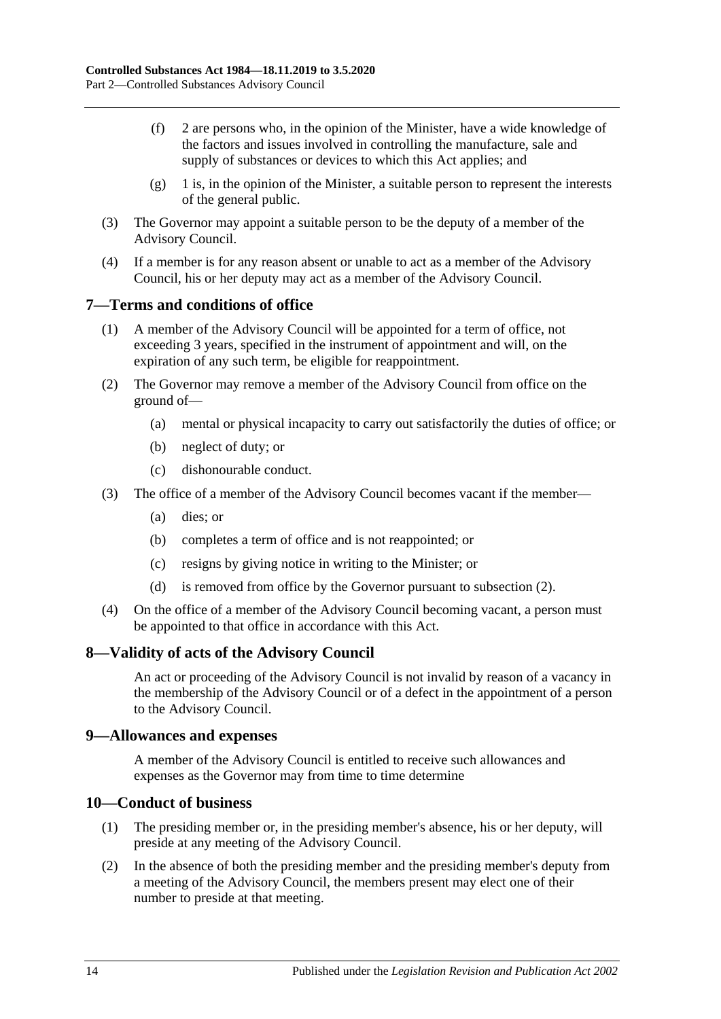- (f) 2 are persons who, in the opinion of the Minister, have a wide knowledge of the factors and issues involved in controlling the manufacture, sale and supply of substances or devices to which this Act applies; and
- $(g)$  1 is, in the opinion of the Minister, a suitable person to represent the interests of the general public.
- (3) The Governor may appoint a suitable person to be the deputy of a member of the Advisory Council.
- (4) If a member is for any reason absent or unable to act as a member of the Advisory Council, his or her deputy may act as a member of the Advisory Council.

## <span id="page-13-0"></span>**7—Terms and conditions of office**

- (1) A member of the Advisory Council will be appointed for a term of office, not exceeding 3 years, specified in the instrument of appointment and will, on the expiration of any such term, be eligible for reappointment.
- <span id="page-13-4"></span>(2) The Governor may remove a member of the Advisory Council from office on the ground of—
	- (a) mental or physical incapacity to carry out satisfactorily the duties of office; or
	- (b) neglect of duty; or
	- (c) dishonourable conduct.
- (3) The office of a member of the Advisory Council becomes vacant if the member—
	- (a) dies; or
	- (b) completes a term of office and is not reappointed; or
	- (c) resigns by giving notice in writing to the Minister; or
	- (d) is removed from office by the Governor pursuant to [subsection](#page-13-4) (2).
- (4) On the office of a member of the Advisory Council becoming vacant, a person must be appointed to that office in accordance with this Act.

#### <span id="page-13-1"></span>**8—Validity of acts of the Advisory Council**

An act or proceeding of the Advisory Council is not invalid by reason of a vacancy in the membership of the Advisory Council or of a defect in the appointment of a person to the Advisory Council.

#### <span id="page-13-2"></span>**9—Allowances and expenses**

A member of the Advisory Council is entitled to receive such allowances and expenses as the Governor may from time to time determine

#### <span id="page-13-3"></span>**10—Conduct of business**

- (1) The presiding member or, in the presiding member's absence, his or her deputy, will preside at any meeting of the Advisory Council.
- (2) In the absence of both the presiding member and the presiding member's deputy from a meeting of the Advisory Council, the members present may elect one of their number to preside at that meeting.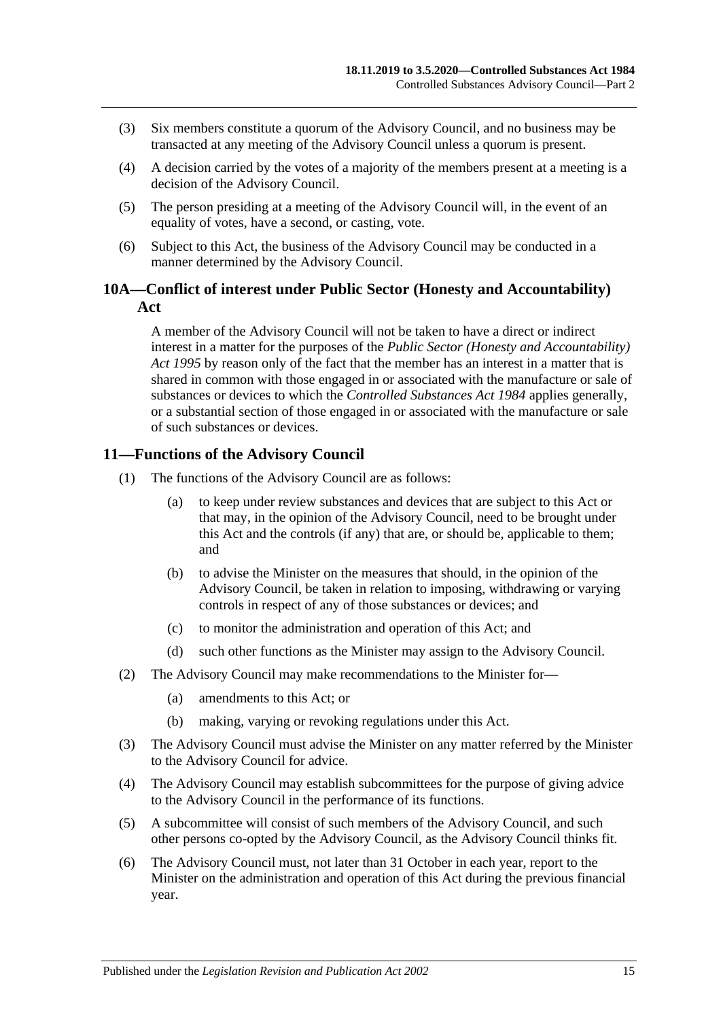- (3) Six members constitute a quorum of the Advisory Council, and no business may be transacted at any meeting of the Advisory Council unless a quorum is present.
- (4) A decision carried by the votes of a majority of the members present at a meeting is a decision of the Advisory Council.
- (5) The person presiding at a meeting of the Advisory Council will, in the event of an equality of votes, have a second, or casting, vote.
- (6) Subject to this Act, the business of the Advisory Council may be conducted in a manner determined by the Advisory Council.

## <span id="page-14-0"></span>**10A—Conflict of interest under Public Sector (Honesty and Accountability) Act**

A member of the Advisory Council will not be taken to have a direct or indirect interest in a matter for the purposes of the *[Public Sector \(Honesty](http://www.legislation.sa.gov.au/index.aspx?action=legref&type=act&legtitle=Public%20Sector%20(Honesty%20and%20Accountability)%20Act%201995) and Accountability) Act [1995](http://www.legislation.sa.gov.au/index.aspx?action=legref&type=act&legtitle=Public%20Sector%20(Honesty%20and%20Accountability)%20Act%201995)* by reason only of the fact that the member has an interest in a matter that is shared in common with those engaged in or associated with the manufacture or sale of substances or devices to which the *[Controlled Substances Act](http://www.legislation.sa.gov.au/index.aspx?action=legref&type=act&legtitle=Controlled%20Substances%20Act%201984) 1984* applies generally, or a substantial section of those engaged in or associated with the manufacture or sale of such substances or devices.

## <span id="page-14-1"></span>**11—Functions of the Advisory Council**

- (1) The functions of the Advisory Council are as follows:
	- (a) to keep under review substances and devices that are subject to this Act or that may, in the opinion of the Advisory Council, need to be brought under this Act and the controls (if any) that are, or should be, applicable to them; and
	- (b) to advise the Minister on the measures that should, in the opinion of the Advisory Council, be taken in relation to imposing, withdrawing or varying controls in respect of any of those substances or devices; and
	- (c) to monitor the administration and operation of this Act; and
	- (d) such other functions as the Minister may assign to the Advisory Council.
- (2) The Advisory Council may make recommendations to the Minister for—
	- (a) amendments to this Act; or
	- (b) making, varying or revoking regulations under this Act.
- (3) The Advisory Council must advise the Minister on any matter referred by the Minister to the Advisory Council for advice.
- (4) The Advisory Council may establish subcommittees for the purpose of giving advice to the Advisory Council in the performance of its functions.
- (5) A subcommittee will consist of such members of the Advisory Council, and such other persons co-opted by the Advisory Council, as the Advisory Council thinks fit.
- <span id="page-14-2"></span>(6) The Advisory Council must, not later than 31 October in each year, report to the Minister on the administration and operation of this Act during the previous financial year.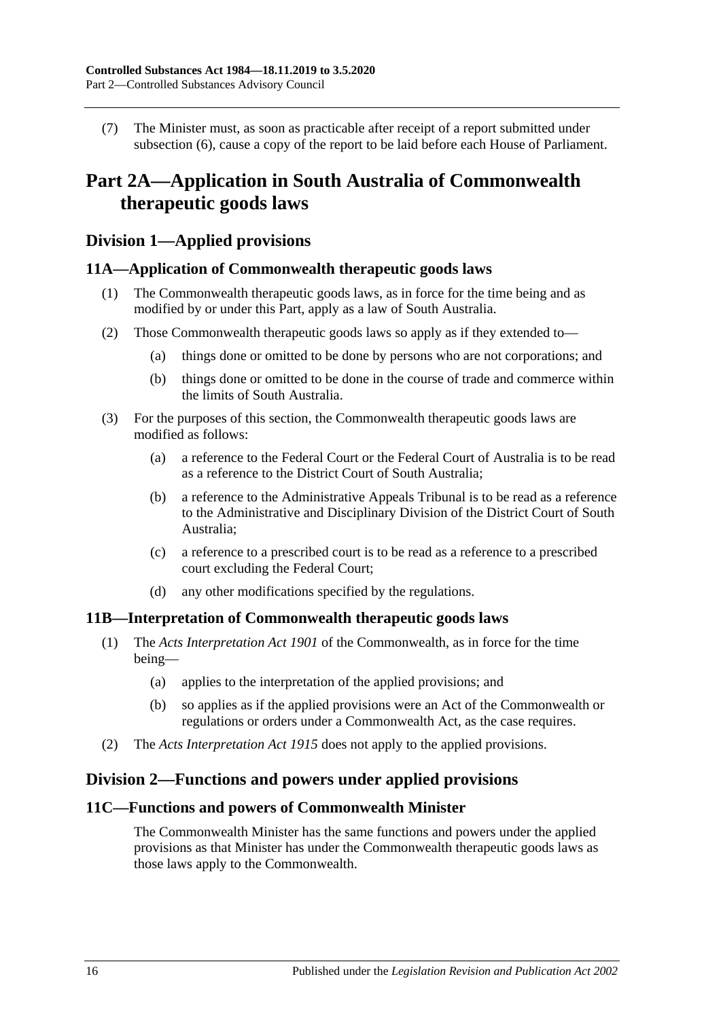(7) The Minister must, as soon as practicable after receipt of a report submitted under [subsection](#page-14-2) (6), cause a copy of the report to be laid before each House of Parliament.

## <span id="page-15-0"></span>**Part 2A—Application in South Australia of Commonwealth therapeutic goods laws**

## <span id="page-15-1"></span>**Division 1—Applied provisions**

## <span id="page-15-2"></span>**11A—Application of Commonwealth therapeutic goods laws**

- (1) The Commonwealth therapeutic goods laws, as in force for the time being and as modified by or under this Part, apply as a law of South Australia.
- (2) Those Commonwealth therapeutic goods laws so apply as if they extended to—
	- (a) things done or omitted to be done by persons who are not corporations; and
	- (b) things done or omitted to be done in the course of trade and commerce within the limits of South Australia.
- (3) For the purposes of this section, the Commonwealth therapeutic goods laws are modified as follows:
	- (a) a reference to the Federal Court or the Federal Court of Australia is to be read as a reference to the District Court of South Australia;
	- (b) a reference to the Administrative Appeals Tribunal is to be read as a reference to the Administrative and Disciplinary Division of the District Court of South Australia;
	- (c) a reference to a prescribed court is to be read as a reference to a prescribed court excluding the Federal Court;
	- (d) any other modifications specified by the regulations.

#### <span id="page-15-3"></span>**11B—Interpretation of Commonwealth therapeutic goods laws**

- (1) The *Acts Interpretation Act 1901* of the Commonwealth, as in force for the time being—
	- (a) applies to the interpretation of the applied provisions; and
	- (b) so applies as if the applied provisions were an Act of the Commonwealth or regulations or orders under a Commonwealth Act, as the case requires.
- (2) The *[Acts Interpretation Act](http://www.legislation.sa.gov.au/index.aspx?action=legref&type=act&legtitle=Acts%20Interpretation%20Act%201915) 1915* does not apply to the applied provisions.

## <span id="page-15-4"></span>**Division 2—Functions and powers under applied provisions**

### <span id="page-15-5"></span>**11C—Functions and powers of Commonwealth Minister**

The Commonwealth Minister has the same functions and powers under the applied provisions as that Minister has under the Commonwealth therapeutic goods laws as those laws apply to the Commonwealth.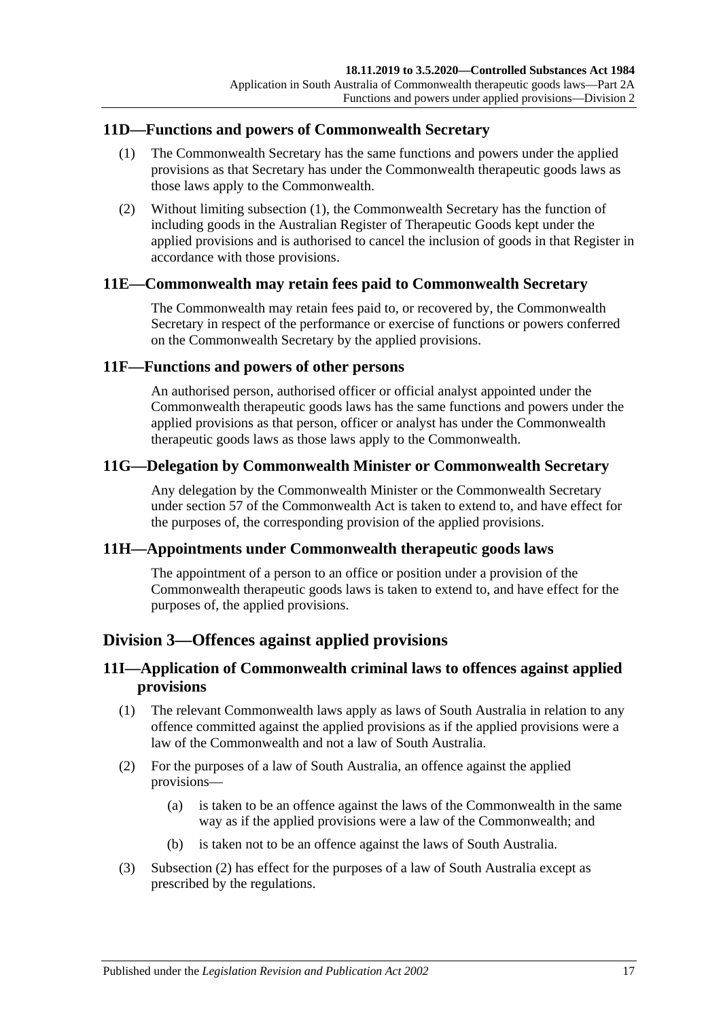## <span id="page-16-7"></span><span id="page-16-0"></span>**11D—Functions and powers of Commonwealth Secretary**

- (1) The Commonwealth Secretary has the same functions and powers under the applied provisions as that Secretary has under the Commonwealth therapeutic goods laws as those laws apply to the Commonwealth.
- (2) Without limiting [subsection](#page-16-7) (1), the Commonwealth Secretary has the function of including goods in the Australian Register of Therapeutic Goods kept under the applied provisions and is authorised to cancel the inclusion of goods in that Register in accordance with those provisions.

## <span id="page-16-1"></span>**11E—Commonwealth may retain fees paid to Commonwealth Secretary**

The Commonwealth may retain fees paid to, or recovered by, the Commonwealth Secretary in respect of the performance or exercise of functions or powers conferred on the Commonwealth Secretary by the applied provisions.

#### <span id="page-16-2"></span>**11F—Functions and powers of other persons**

An authorised person, authorised officer or official analyst appointed under the Commonwealth therapeutic goods laws has the same functions and powers under the applied provisions as that person, officer or analyst has under the Commonwealth therapeutic goods laws as those laws apply to the Commonwealth.

## <span id="page-16-3"></span>**11G—Delegation by Commonwealth Minister or Commonwealth Secretary**

Any delegation by the Commonwealth Minister or the Commonwealth Secretary under section 57 of the Commonwealth Act is taken to extend to, and have effect for the purposes of, the corresponding provision of the applied provisions.

#### <span id="page-16-4"></span>**11H—Appointments under Commonwealth therapeutic goods laws**

The appointment of a person to an office or position under a provision of the Commonwealth therapeutic goods laws is taken to extend to, and have effect for the purposes of, the applied provisions.

## <span id="page-16-5"></span>**Division 3—Offences against applied provisions**

## <span id="page-16-6"></span>**11I—Application of Commonwealth criminal laws to offences against applied provisions**

- (1) The relevant Commonwealth laws apply as laws of South Australia in relation to any offence committed against the applied provisions as if the applied provisions were a law of the Commonwealth and not a law of South Australia.
- <span id="page-16-8"></span>(2) For the purposes of a law of South Australia, an offence against the applied provisions—
	- (a) is taken to be an offence against the laws of the Commonwealth in the same way as if the applied provisions were a law of the Commonwealth; and
	- (b) is taken not to be an offence against the laws of South Australia.
- (3) [Subsection](#page-16-8) (2) has effect for the purposes of a law of South Australia except as prescribed by the regulations.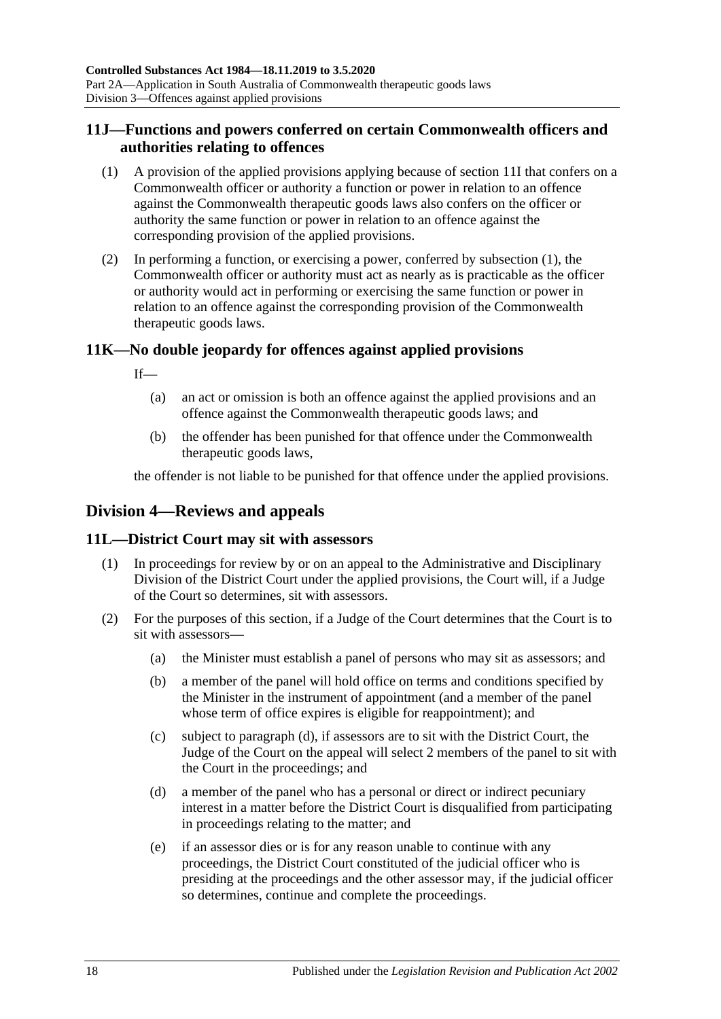## <span id="page-17-0"></span>**11J—Functions and powers conferred on certain Commonwealth officers and authorities relating to offences**

- <span id="page-17-4"></span>(1) A provision of the applied provisions applying because of [section](#page-16-6) 11I that confers on a Commonwealth officer or authority a function or power in relation to an offence against the Commonwealth therapeutic goods laws also confers on the officer or authority the same function or power in relation to an offence against the corresponding provision of the applied provisions.
- (2) In performing a function, or exercising a power, conferred by [subsection](#page-17-4) (1), the Commonwealth officer or authority must act as nearly as is practicable as the officer or authority would act in performing or exercising the same function or power in relation to an offence against the corresponding provision of the Commonwealth therapeutic goods laws.

## <span id="page-17-1"></span>**11K—No double jeopardy for offences against applied provisions**

If—

- (a) an act or omission is both an offence against the applied provisions and an offence against the Commonwealth therapeutic goods laws; and
- (b) the offender has been punished for that offence under the Commonwealth therapeutic goods laws,

the offender is not liable to be punished for that offence under the applied provisions.

## <span id="page-17-2"></span>**Division 4—Reviews and appeals**

## <span id="page-17-3"></span>**11L—District Court may sit with assessors**

- (1) In proceedings for review by or on an appeal to the Administrative and Disciplinary Division of the District Court under the applied provisions, the Court will, if a Judge of the Court so determines, sit with assessors.
- <span id="page-17-5"></span>(2) For the purposes of this section, if a Judge of the Court determines that the Court is to sit with assessors—
	- (a) the Minister must establish a panel of persons who may sit as assessors; and
	- (b) a member of the panel will hold office on terms and conditions specified by the Minister in the instrument of appointment (and a member of the panel whose term of office expires is eligible for reappointment); and
	- (c) subject to [paragraph](#page-17-5) (d), if assessors are to sit with the District Court, the Judge of the Court on the appeal will select 2 members of the panel to sit with the Court in the proceedings; and
	- (d) a member of the panel who has a personal or direct or indirect pecuniary interest in a matter before the District Court is disqualified from participating in proceedings relating to the matter; and
	- (e) if an assessor dies or is for any reason unable to continue with any proceedings, the District Court constituted of the judicial officer who is presiding at the proceedings and the other assessor may, if the judicial officer so determines, continue and complete the proceedings.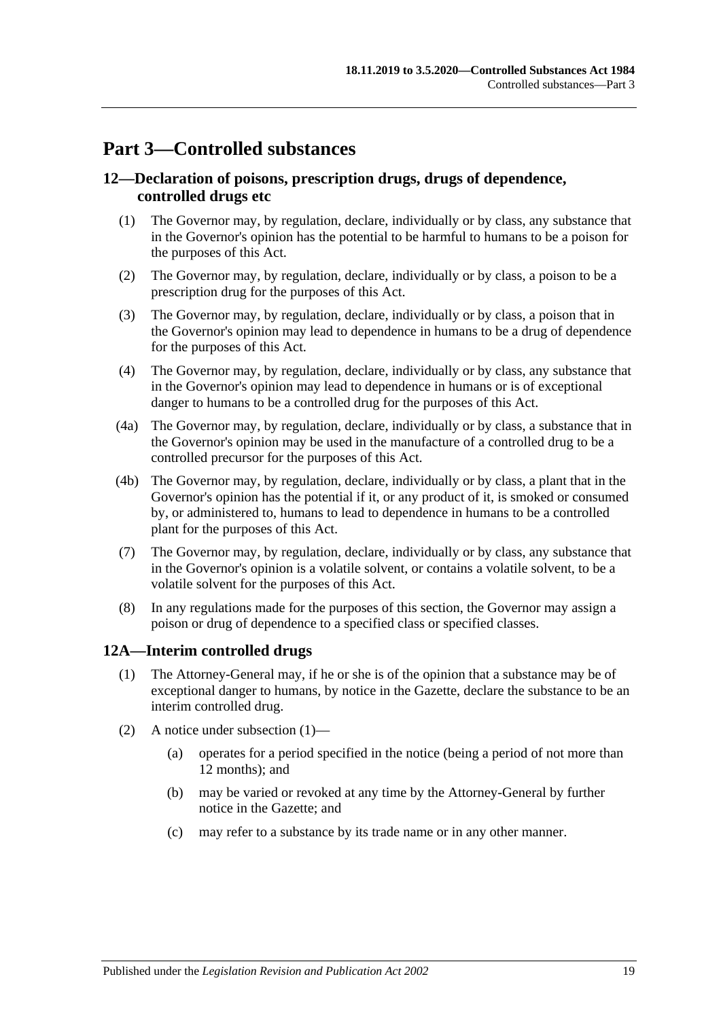## <span id="page-18-0"></span>**Part 3—Controlled substances**

## <span id="page-18-1"></span>**12—Declaration of poisons, prescription drugs, drugs of dependence, controlled drugs etc**

- (1) The Governor may, by regulation, declare, individually or by class, any substance that in the Governor's opinion has the potential to be harmful to humans to be a poison for the purposes of this Act.
- (2) The Governor may, by regulation, declare, individually or by class, a poison to be a prescription drug for the purposes of this Act.
- (3) The Governor may, by regulation, declare, individually or by class, a poison that in the Governor's opinion may lead to dependence in humans to be a drug of dependence for the purposes of this Act.
- (4) The Governor may, by regulation, declare, individually or by class, any substance that in the Governor's opinion may lead to dependence in humans or is of exceptional danger to humans to be a controlled drug for the purposes of this Act.
- (4a) The Governor may, by regulation, declare, individually or by class, a substance that in the Governor's opinion may be used in the manufacture of a controlled drug to be a controlled precursor for the purposes of this Act.
- (4b) The Governor may, by regulation, declare, individually or by class, a plant that in the Governor's opinion has the potential if it, or any product of it, is smoked or consumed by, or administered to, humans to lead to dependence in humans to be a controlled plant for the purposes of this Act.
- (7) The Governor may, by regulation, declare, individually or by class, any substance that in the Governor's opinion is a volatile solvent, or contains a volatile solvent, to be a volatile solvent for the purposes of this Act.
- (8) In any regulations made for the purposes of this section, the Governor may assign a poison or drug of dependence to a specified class or specified classes.

## <span id="page-18-3"></span><span id="page-18-2"></span>**12A—Interim controlled drugs**

- (1) The Attorney-General may, if he or she is of the opinion that a substance may be of exceptional danger to humans, by notice in the Gazette, declare the substance to be an interim controlled drug.
- (2) A notice under [subsection](#page-18-3) (1)—
	- (a) operates for a period specified in the notice (being a period of not more than 12 months); and
	- (b) may be varied or revoked at any time by the Attorney-General by further notice in the Gazette; and
	- (c) may refer to a substance by its trade name or in any other manner.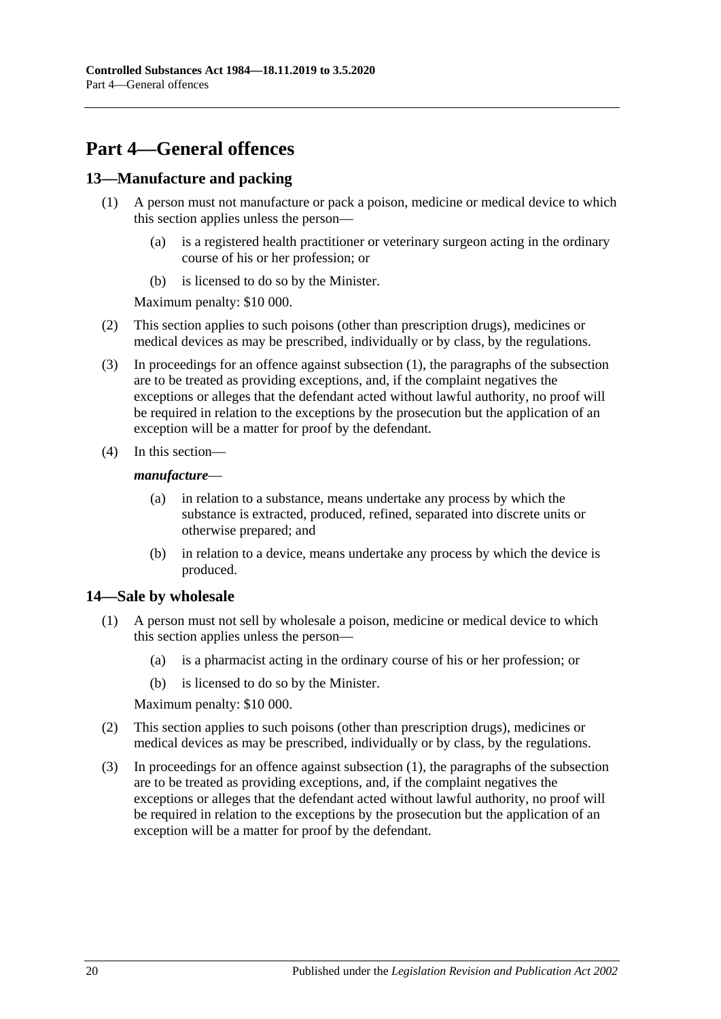## <span id="page-19-0"></span>**Part 4—General offences**

## <span id="page-19-3"></span><span id="page-19-1"></span>**13—Manufacture and packing**

- (1) A person must not manufacture or pack a poison, medicine or medical device to which this section applies unless the person—
	- (a) is a registered health practitioner or veterinary surgeon acting in the ordinary course of his or her profession; or
	- (b) is licensed to do so by the Minister.

Maximum penalty: \$10 000.

- (2) This section applies to such poisons (other than prescription drugs), medicines or medical devices as may be prescribed, individually or by class, by the regulations.
- (3) In proceedings for an offence against [subsection](#page-19-3) (1), the paragraphs of the subsection are to be treated as providing exceptions, and, if the complaint negatives the exceptions or alleges that the defendant acted without lawful authority, no proof will be required in relation to the exceptions by the prosecution but the application of an exception will be a matter for proof by the defendant.
- (4) In this section—

#### *manufacture*—

- (a) in relation to a substance, means undertake any process by which the substance is extracted, produced, refined, separated into discrete units or otherwise prepared; and
- (b) in relation to a device, means undertake any process by which the device is produced.

## <span id="page-19-4"></span><span id="page-19-2"></span>**14—Sale by wholesale**

- (1) A person must not sell by wholesale a poison, medicine or medical device to which this section applies unless the person—
	- (a) is a pharmacist acting in the ordinary course of his or her profession; or
	- (b) is licensed to do so by the Minister.

Maximum penalty: \$10 000.

- (2) This section applies to such poisons (other than prescription drugs), medicines or medical devices as may be prescribed, individually or by class, by the regulations.
- (3) In proceedings for an offence against [subsection](#page-19-4) (1), the paragraphs of the subsection are to be treated as providing exceptions, and, if the complaint negatives the exceptions or alleges that the defendant acted without lawful authority, no proof will be required in relation to the exceptions by the prosecution but the application of an exception will be a matter for proof by the defendant.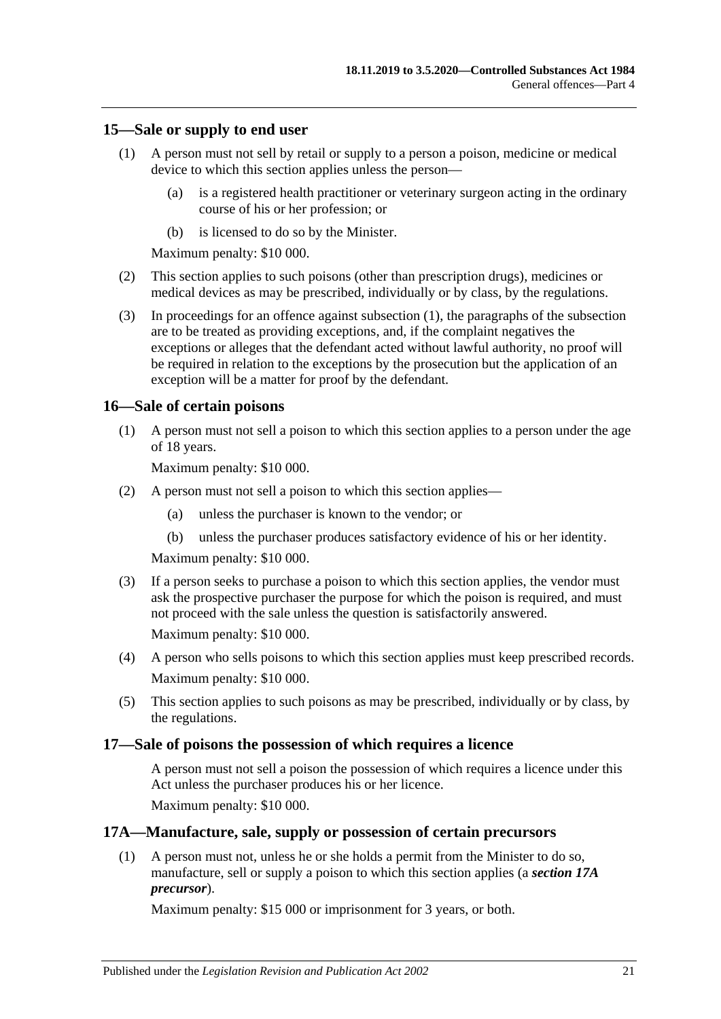#### <span id="page-20-4"></span><span id="page-20-0"></span>**15—Sale or supply to end user**

- (1) A person must not sell by retail or supply to a person a poison, medicine or medical device to which this section applies unless the person—
	- (a) is a registered health practitioner or veterinary surgeon acting in the ordinary course of his or her profession; or
	- (b) is licensed to do so by the Minister.

Maximum penalty: \$10 000.

- (2) This section applies to such poisons (other than prescription drugs), medicines or medical devices as may be prescribed, individually or by class, by the regulations.
- (3) In proceedings for an offence against [subsection](#page-20-4) (1), the paragraphs of the subsection are to be treated as providing exceptions, and, if the complaint negatives the exceptions or alleges that the defendant acted without lawful authority, no proof will be required in relation to the exceptions by the prosecution but the application of an exception will be a matter for proof by the defendant.

#### <span id="page-20-1"></span>**16—Sale of certain poisons**

(1) A person must not sell a poison to which this section applies to a person under the age of 18 years.

Maximum penalty: \$10 000.

- (2) A person must not sell a poison to which this section applies—
	- (a) unless the purchaser is known to the vendor; or
	- (b) unless the purchaser produces satisfactory evidence of his or her identity.

Maximum penalty: \$10 000.

(3) If a person seeks to purchase a poison to which this section applies, the vendor must ask the prospective purchaser the purpose for which the poison is required, and must not proceed with the sale unless the question is satisfactorily answered.

Maximum penalty: \$10 000.

- (4) A person who sells poisons to which this section applies must keep prescribed records. Maximum penalty: \$10 000.
- (5) This section applies to such poisons as may be prescribed, individually or by class, by the regulations.

#### <span id="page-20-2"></span>**17—Sale of poisons the possession of which requires a licence**

A person must not sell a poison the possession of which requires a licence under this Act unless the purchaser produces his or her licence.

Maximum penalty: \$10 000.

#### <span id="page-20-3"></span>**17A—Manufacture, sale, supply or possession of certain precursors**

(1) A person must not, unless he or she holds a permit from the Minister to do so, manufacture, sell or supply a poison to which this section applies (a *section 17A precursor*).

Maximum penalty: \$15 000 or imprisonment for 3 years, or both.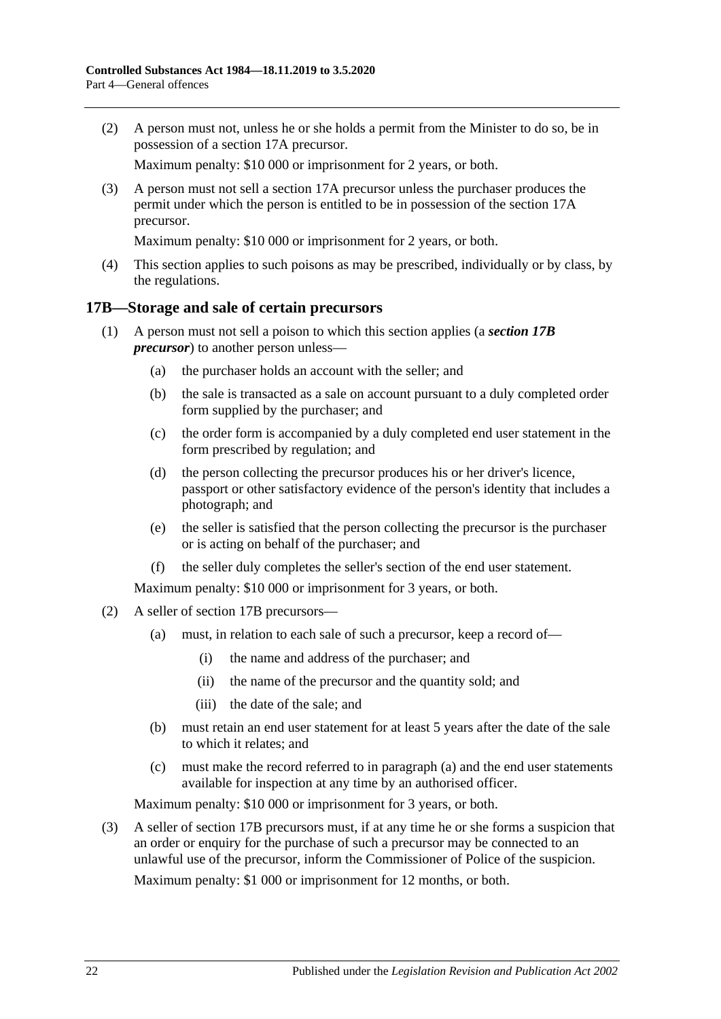(2) A person must not, unless he or she holds a permit from the Minister to do so, be in possession of a section 17A precursor.

Maximum penalty: \$10 000 or imprisonment for 2 years, or both.

(3) A person must not sell a section 17A precursor unless the purchaser produces the permit under which the person is entitled to be in possession of the section 17A precursor.

Maximum penalty: \$10 000 or imprisonment for 2 years, or both.

(4) This section applies to such poisons as may be prescribed, individually or by class, by the regulations.

#### <span id="page-21-0"></span>**17B—Storage and sale of certain precursors**

- (1) A person must not sell a poison to which this section applies (a *section 17B precursor*) to another person unless—
	- (a) the purchaser holds an account with the seller; and
	- (b) the sale is transacted as a sale on account pursuant to a duly completed order form supplied by the purchaser; and
	- (c) the order form is accompanied by a duly completed end user statement in the form prescribed by regulation; and
	- (d) the person collecting the precursor produces his or her driver's licence, passport or other satisfactory evidence of the person's identity that includes a photograph; and
	- (e) the seller is satisfied that the person collecting the precursor is the purchaser or is acting on behalf of the purchaser; and
	- (f) the seller duly completes the seller's section of the end user statement.

Maximum penalty: \$10 000 or imprisonment for 3 years, or both.

- <span id="page-21-1"></span>(2) A seller of section 17B precursors—
	- (a) must, in relation to each sale of such a precursor, keep a record of—
		- (i) the name and address of the purchaser; and
		- (ii) the name of the precursor and the quantity sold; and
		- (iii) the date of the sale; and
	- (b) must retain an end user statement for at least 5 years after the date of the sale to which it relates; and
	- (c) must make the record referred to in [paragraph](#page-21-1) (a) and the end user statements available for inspection at any time by an authorised officer.

Maximum penalty: \$10 000 or imprisonment for 3 years, or both.

(3) A seller of section 17B precursors must, if at any time he or she forms a suspicion that an order or enquiry for the purchase of such a precursor may be connected to an unlawful use of the precursor, inform the Commissioner of Police of the suspicion.

Maximum penalty: \$1 000 or imprisonment for 12 months, or both.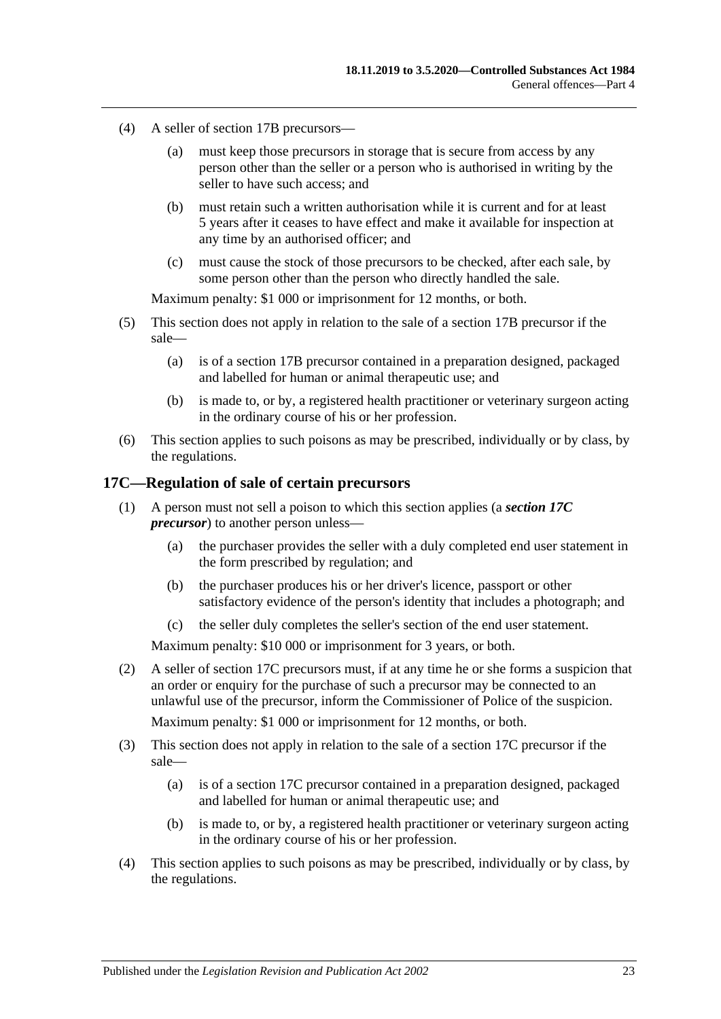- (4) A seller of section 17B precursors—
	- (a) must keep those precursors in storage that is secure from access by any person other than the seller or a person who is authorised in writing by the seller to have such access; and
	- (b) must retain such a written authorisation while it is current and for at least 5 years after it ceases to have effect and make it available for inspection at any time by an authorised officer; and
	- (c) must cause the stock of those precursors to be checked, after each sale, by some person other than the person who directly handled the sale.

Maximum penalty: \$1 000 or imprisonment for 12 months, or both.

- (5) This section does not apply in relation to the sale of a section 17B precursor if the sale—
	- (a) is of a section 17B precursor contained in a preparation designed, packaged and labelled for human or animal therapeutic use; and
	- (b) is made to, or by, a registered health practitioner or veterinary surgeon acting in the ordinary course of his or her profession.
- (6) This section applies to such poisons as may be prescribed, individually or by class, by the regulations.

#### <span id="page-22-0"></span>**17C—Regulation of sale of certain precursors**

- (1) A person must not sell a poison to which this section applies (a *section 17C precursor*) to another person unless—
	- (a) the purchaser provides the seller with a duly completed end user statement in the form prescribed by regulation; and
	- (b) the purchaser produces his or her driver's licence, passport or other satisfactory evidence of the person's identity that includes a photograph; and
	- (c) the seller duly completes the seller's section of the end user statement.

Maximum penalty: \$10 000 or imprisonment for 3 years, or both.

(2) A seller of section 17C precursors must, if at any time he or she forms a suspicion that an order or enquiry for the purchase of such a precursor may be connected to an unlawful use of the precursor, inform the Commissioner of Police of the suspicion.

Maximum penalty: \$1 000 or imprisonment for 12 months, or both.

- (3) This section does not apply in relation to the sale of a section 17C precursor if the sale—
	- (a) is of a section 17C precursor contained in a preparation designed, packaged and labelled for human or animal therapeutic use; and
	- (b) is made to, or by, a registered health practitioner or veterinary surgeon acting in the ordinary course of his or her profession.
- (4) This section applies to such poisons as may be prescribed, individually or by class, by the regulations.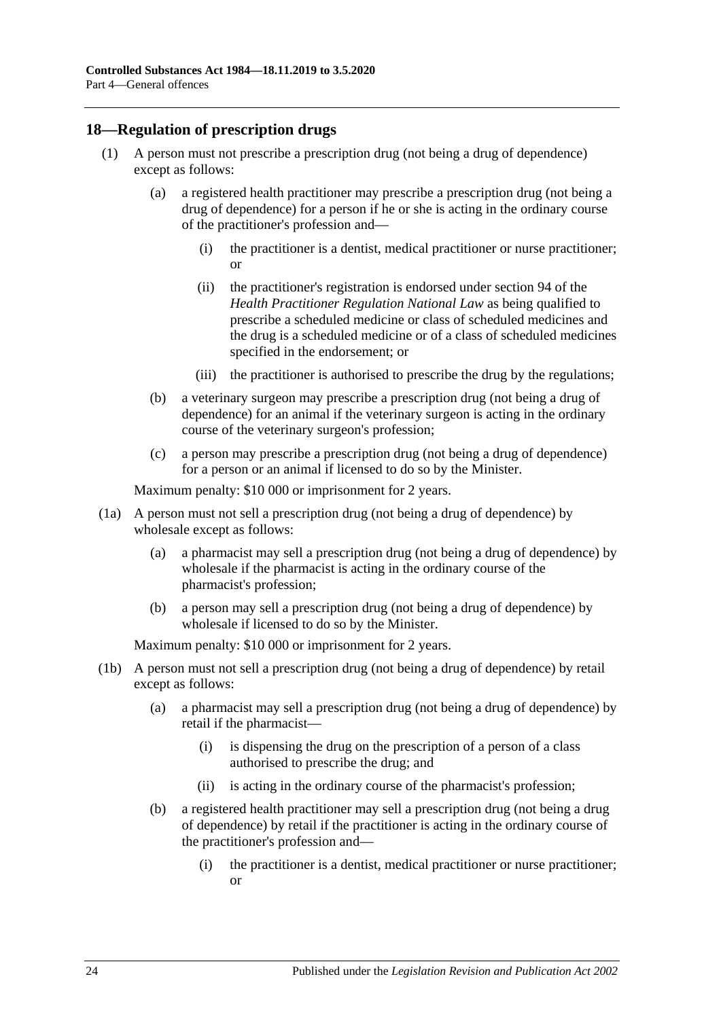## <span id="page-23-1"></span><span id="page-23-0"></span>**18—Regulation of prescription drugs**

- (1) A person must not prescribe a prescription drug (not being a drug of dependence) except as follows:
	- (a) a registered health practitioner may prescribe a prescription drug (not being a drug of dependence) for a person if he or she is acting in the ordinary course of the practitioner's profession and—
		- (i) the practitioner is a dentist, medical practitioner or nurse practitioner; or
		- (ii) the practitioner's registration is endorsed under section 94 of the *Health Practitioner Regulation National Law* as being qualified to prescribe a scheduled medicine or class of scheduled medicines and the drug is a scheduled medicine or of a class of scheduled medicines specified in the endorsement; or
		- (iii) the practitioner is authorised to prescribe the drug by the regulations;
	- (b) a veterinary surgeon may prescribe a prescription drug (not being a drug of dependence) for an animal if the veterinary surgeon is acting in the ordinary course of the veterinary surgeon's profession;
	- (c) a person may prescribe a prescription drug (not being a drug of dependence) for a person or an animal if licensed to do so by the Minister.

Maximum penalty: \$10 000 or imprisonment for 2 years.

- (1a) A person must not sell a prescription drug (not being a drug of dependence) by wholesale except as follows:
	- (a) a pharmacist may sell a prescription drug (not being a drug of dependence) by wholesale if the pharmacist is acting in the ordinary course of the pharmacist's profession;
	- (b) a person may sell a prescription drug (not being a drug of dependence) by wholesale if licensed to do so by the Minister.

- (1b) A person must not sell a prescription drug (not being a drug of dependence) by retail except as follows:
	- (a) a pharmacist may sell a prescription drug (not being a drug of dependence) by retail if the pharmacist—
		- (i) is dispensing the drug on the prescription of a person of a class authorised to prescribe the drug; and
		- (ii) is acting in the ordinary course of the pharmacist's profession;
	- (b) a registered health practitioner may sell a prescription drug (not being a drug of dependence) by retail if the practitioner is acting in the ordinary course of the practitioner's profession and—
		- (i) the practitioner is a dentist, medical practitioner or nurse practitioner; or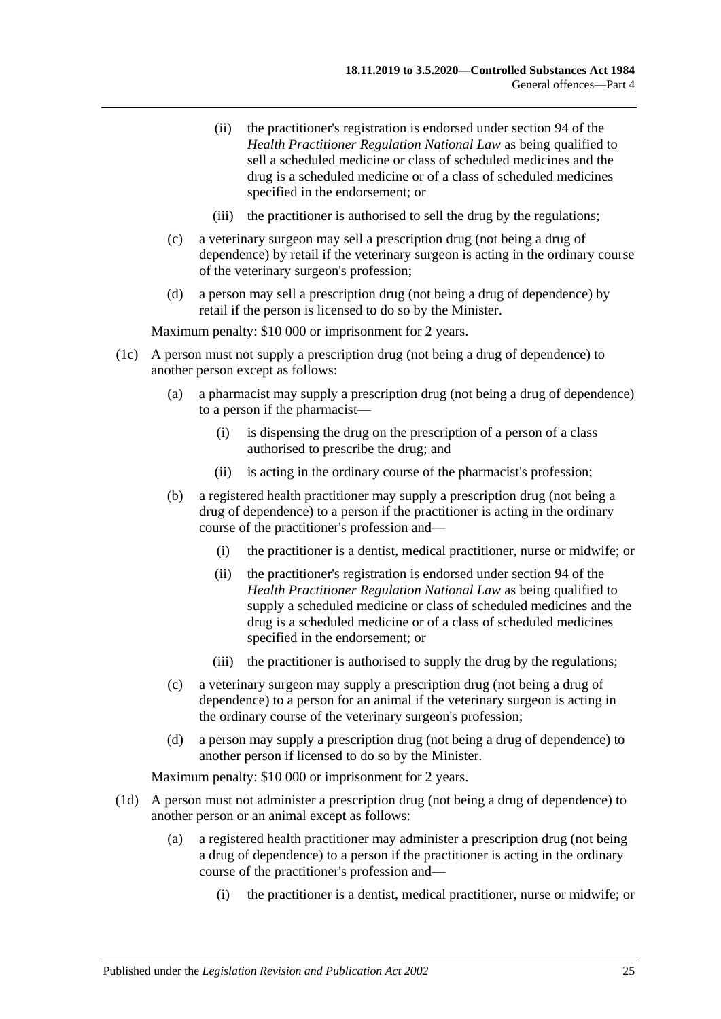- (ii) the practitioner's registration is endorsed under section 94 of the *Health Practitioner Regulation National Law* as being qualified to sell a scheduled medicine or class of scheduled medicines and the drug is a scheduled medicine or of a class of scheduled medicines specified in the endorsement; or
- (iii) the practitioner is authorised to sell the drug by the regulations;
- (c) a veterinary surgeon may sell a prescription drug (not being a drug of dependence) by retail if the veterinary surgeon is acting in the ordinary course of the veterinary surgeon's profession;
- (d) a person may sell a prescription drug (not being a drug of dependence) by retail if the person is licensed to do so by the Minister.

- (1c) A person must not supply a prescription drug (not being a drug of dependence) to another person except as follows:
	- (a) a pharmacist may supply a prescription drug (not being a drug of dependence) to a person if the pharmacist—
		- (i) is dispensing the drug on the prescription of a person of a class authorised to prescribe the drug; and
		- (ii) is acting in the ordinary course of the pharmacist's profession;
	- (b) a registered health practitioner may supply a prescription drug (not being a drug of dependence) to a person if the practitioner is acting in the ordinary course of the practitioner's profession and—
		- (i) the practitioner is a dentist, medical practitioner, nurse or midwife; or
		- (ii) the practitioner's registration is endorsed under section 94 of the *Health Practitioner Regulation National Law* as being qualified to supply a scheduled medicine or class of scheduled medicines and the drug is a scheduled medicine or of a class of scheduled medicines specified in the endorsement; or
		- (iii) the practitioner is authorised to supply the drug by the regulations;
	- (c) a veterinary surgeon may supply a prescription drug (not being a drug of dependence) to a person for an animal if the veterinary surgeon is acting in the ordinary course of the veterinary surgeon's profession;
	- (d) a person may supply a prescription drug (not being a drug of dependence) to another person if licensed to do so by the Minister.

- (1d) A person must not administer a prescription drug (not being a drug of dependence) to another person or an animal except as follows:
	- (a) a registered health practitioner may administer a prescription drug (not being a drug of dependence) to a person if the practitioner is acting in the ordinary course of the practitioner's profession and—
		- (i) the practitioner is a dentist, medical practitioner, nurse or midwife; or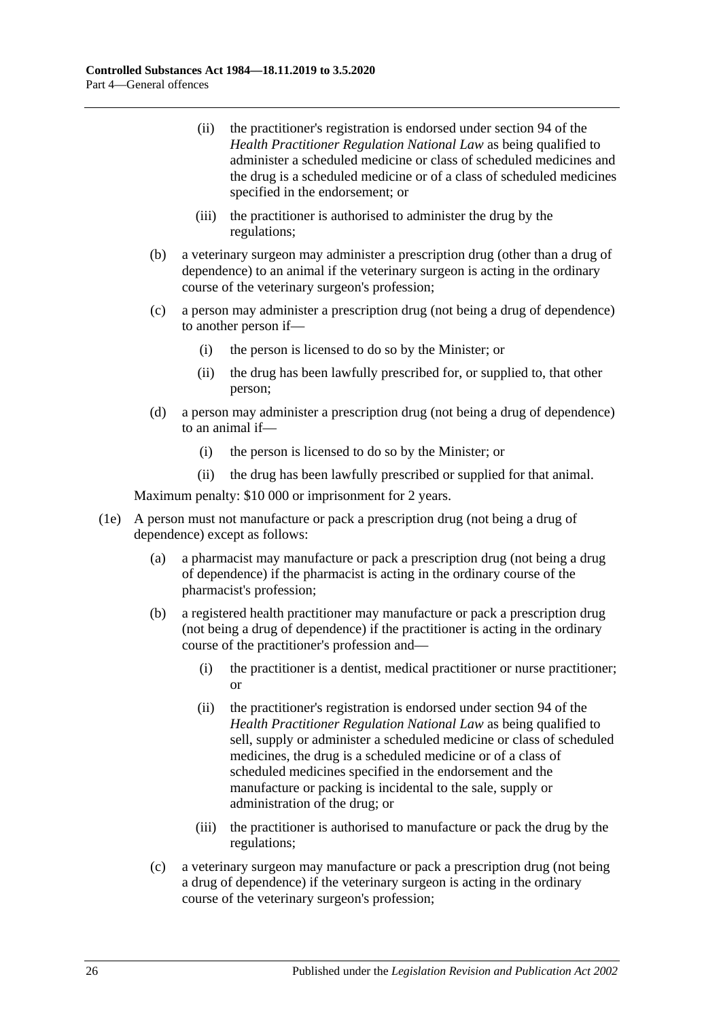- (ii) the practitioner's registration is endorsed under section 94 of the *Health Practitioner Regulation National Law* as being qualified to administer a scheduled medicine or class of scheduled medicines and the drug is a scheduled medicine or of a class of scheduled medicines specified in the endorsement; or
- (iii) the practitioner is authorised to administer the drug by the regulations;
- (b) a veterinary surgeon may administer a prescription drug (other than a drug of dependence) to an animal if the veterinary surgeon is acting in the ordinary course of the veterinary surgeon's profession;
- (c) a person may administer a prescription drug (not being a drug of dependence) to another person if—
	- (i) the person is licensed to do so by the Minister; or
	- (ii) the drug has been lawfully prescribed for, or supplied to, that other person;
- (d) a person may administer a prescription drug (not being a drug of dependence) to an animal if—
	- (i) the person is licensed to do so by the Minister; or
	- (ii) the drug has been lawfully prescribed or supplied for that animal.

- (1e) A person must not manufacture or pack a prescription drug (not being a drug of dependence) except as follows:
	- (a) a pharmacist may manufacture or pack a prescription drug (not being a drug of dependence) if the pharmacist is acting in the ordinary course of the pharmacist's profession;
	- (b) a registered health practitioner may manufacture or pack a prescription drug (not being a drug of dependence) if the practitioner is acting in the ordinary course of the practitioner's profession and—
		- (i) the practitioner is a dentist, medical practitioner or nurse practitioner; or
		- (ii) the practitioner's registration is endorsed under section 94 of the *Health Practitioner Regulation National Law* as being qualified to sell, supply or administer a scheduled medicine or class of scheduled medicines, the drug is a scheduled medicine or of a class of scheduled medicines specified in the endorsement and the manufacture or packing is incidental to the sale, supply or administration of the drug; or
		- (iii) the practitioner is authorised to manufacture or pack the drug by the regulations;
	- (c) a veterinary surgeon may manufacture or pack a prescription drug (not being a drug of dependence) if the veterinary surgeon is acting in the ordinary course of the veterinary surgeon's profession;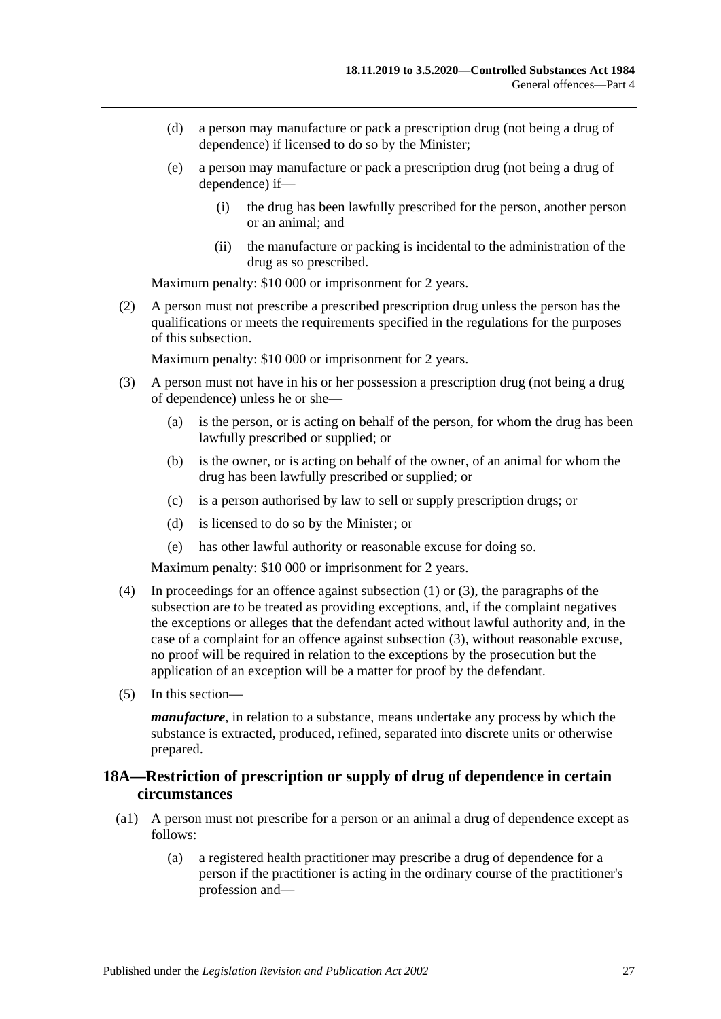- (d) a person may manufacture or pack a prescription drug (not being a drug of dependence) if licensed to do so by the Minister;
- (e) a person may manufacture or pack a prescription drug (not being a drug of dependence) if—
	- (i) the drug has been lawfully prescribed for the person, another person or an animal; and
	- (ii) the manufacture or packing is incidental to the administration of the drug as so prescribed.

(2) A person must not prescribe a prescribed prescription drug unless the person has the qualifications or meets the requirements specified in the regulations for the purposes of this subsection.

Maximum penalty: \$10 000 or imprisonment for 2 years.

- <span id="page-26-1"></span>(3) A person must not have in his or her possession a prescription drug (not being a drug of dependence) unless he or she—
	- (a) is the person, or is acting on behalf of the person, for whom the drug has been lawfully prescribed or supplied; or
	- (b) is the owner, or is acting on behalf of the owner, of an animal for whom the drug has been lawfully prescribed or supplied; or
	- (c) is a person authorised by law to sell or supply prescription drugs; or
	- (d) is licensed to do so by the Minister; or
	- (e) has other lawful authority or reasonable excuse for doing so.

Maximum penalty: \$10 000 or imprisonment for 2 years.

- (4) In proceedings for an offence against [subsection](#page-23-1) (1) or [\(3\),](#page-26-1) the paragraphs of the subsection are to be treated as providing exceptions, and, if the complaint negatives the exceptions or alleges that the defendant acted without lawful authority and, in the case of a complaint for an offence against [subsection](#page-26-1) (3), without reasonable excuse, no proof will be required in relation to the exceptions by the prosecution but the application of an exception will be a matter for proof by the defendant.
- (5) In this section—

*manufacture*, in relation to a substance, means undertake any process by which the substance is extracted, produced, refined, separated into discrete units or otherwise prepared.

## <span id="page-26-0"></span>**18A—Restriction of prescription or supply of drug of dependence in certain circumstances**

- (a1) A person must not prescribe for a person or an animal a drug of dependence except as follows:
	- (a) a registered health practitioner may prescribe a drug of dependence for a person if the practitioner is acting in the ordinary course of the practitioner's profession and—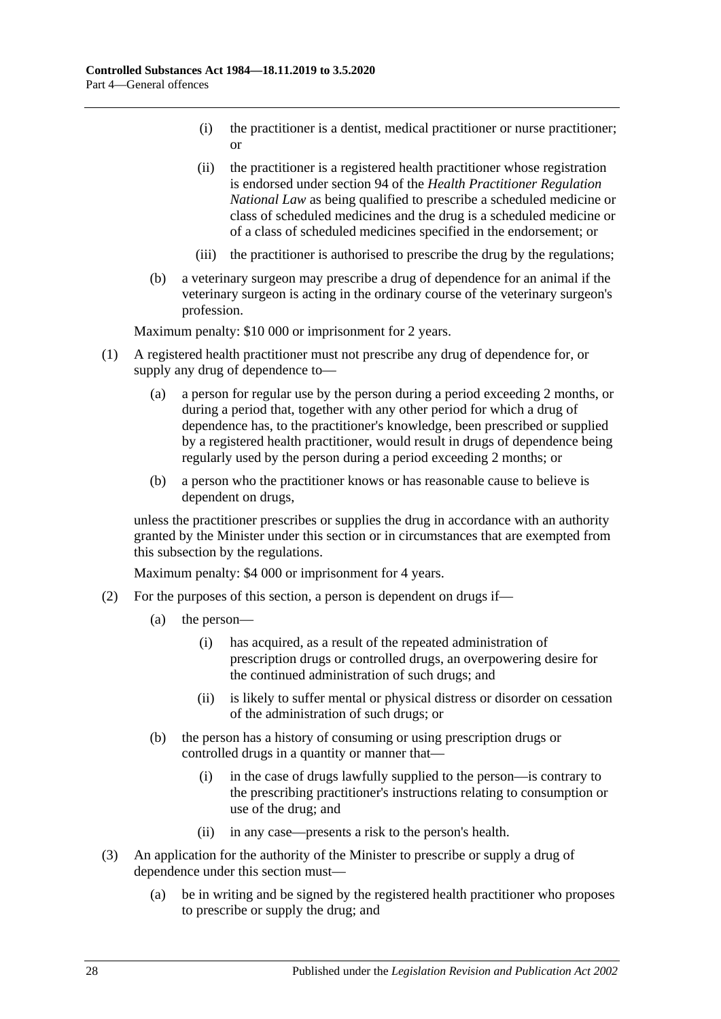- (i) the practitioner is a dentist, medical practitioner or nurse practitioner; or
- (ii) the practitioner is a registered health practitioner whose registration is endorsed under section 94 of the *Health Practitioner Regulation National Law* as being qualified to prescribe a scheduled medicine or class of scheduled medicines and the drug is a scheduled medicine or of a class of scheduled medicines specified in the endorsement; or
- (iii) the practitioner is authorised to prescribe the drug by the regulations;
- (b) a veterinary surgeon may prescribe a drug of dependence for an animal if the veterinary surgeon is acting in the ordinary course of the veterinary surgeon's profession.

- (1) A registered health practitioner must not prescribe any drug of dependence for, or supply any drug of dependence to—
	- (a) a person for regular use by the person during a period exceeding 2 months, or during a period that, together with any other period for which a drug of dependence has, to the practitioner's knowledge, been prescribed or supplied by a registered health practitioner, would result in drugs of dependence being regularly used by the person during a period exceeding 2 months; or
	- (b) a person who the practitioner knows or has reasonable cause to believe is dependent on drugs,

unless the practitioner prescribes or supplies the drug in accordance with an authority granted by the Minister under this section or in circumstances that are exempted from this subsection by the regulations.

- (2) For the purposes of this section, a person is dependent on drugs if—
	- (a) the person—
		- (i) has acquired, as a result of the repeated administration of prescription drugs or controlled drugs, an overpowering desire for the continued administration of such drugs; and
		- (ii) is likely to suffer mental or physical distress or disorder on cessation of the administration of such drugs; or
	- (b) the person has a history of consuming or using prescription drugs or controlled drugs in a quantity or manner that—
		- (i) in the case of drugs lawfully supplied to the person—is contrary to the prescribing practitioner's instructions relating to consumption or use of the drug; and
		- (ii) in any case—presents a risk to the person's health.
- (3) An application for the authority of the Minister to prescribe or supply a drug of dependence under this section must—
	- (a) be in writing and be signed by the registered health practitioner who proposes to prescribe or supply the drug; and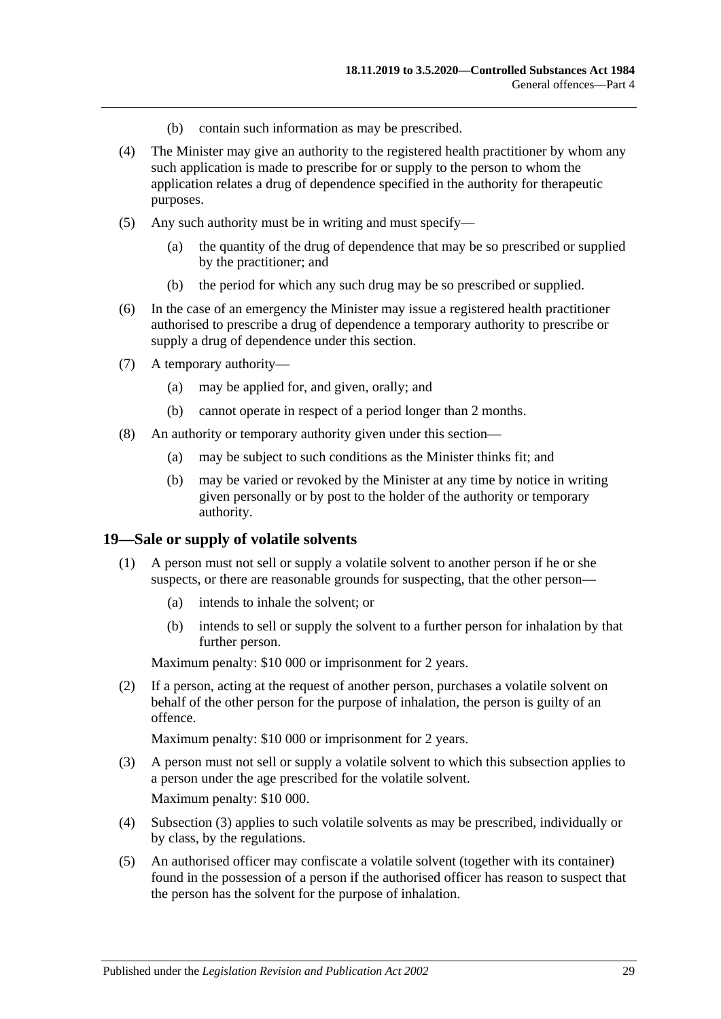- (b) contain such information as may be prescribed.
- (4) The Minister may give an authority to the registered health practitioner by whom any such application is made to prescribe for or supply to the person to whom the application relates a drug of dependence specified in the authority for therapeutic purposes.
- (5) Any such authority must be in writing and must specify—
	- (a) the quantity of the drug of dependence that may be so prescribed or supplied by the practitioner; and
	- (b) the period for which any such drug may be so prescribed or supplied.
- (6) In the case of an emergency the Minister may issue a registered health practitioner authorised to prescribe a drug of dependence a temporary authority to prescribe or supply a drug of dependence under this section.
- (7) A temporary authority—
	- (a) may be applied for, and given, orally; and
	- (b) cannot operate in respect of a period longer than 2 months.
- (8) An authority or temporary authority given under this section—
	- (a) may be subject to such conditions as the Minister thinks fit; and
	- (b) may be varied or revoked by the Minister at any time by notice in writing given personally or by post to the holder of the authority or temporary authority.

#### <span id="page-28-0"></span>**19—Sale or supply of volatile solvents**

- (1) A person must not sell or supply a volatile solvent to another person if he or she suspects, or there are reasonable grounds for suspecting, that the other person—
	- (a) intends to inhale the solvent; or
	- (b) intends to sell or supply the solvent to a further person for inhalation by that further person.

Maximum penalty: \$10 000 or imprisonment for 2 years.

(2) If a person, acting at the request of another person, purchases a volatile solvent on behalf of the other person for the purpose of inhalation, the person is guilty of an offence.

- <span id="page-28-1"></span>(3) A person must not sell or supply a volatile solvent to which this subsection applies to a person under the age prescribed for the volatile solvent. Maximum penalty: \$10 000.
- (4) [Subsection](#page-28-1) (3) applies to such volatile solvents as may be prescribed, individually or by class, by the regulations.
- <span id="page-28-2"></span>(5) An authorised officer may confiscate a volatile solvent (together with its container) found in the possession of a person if the authorised officer has reason to suspect that the person has the solvent for the purpose of inhalation.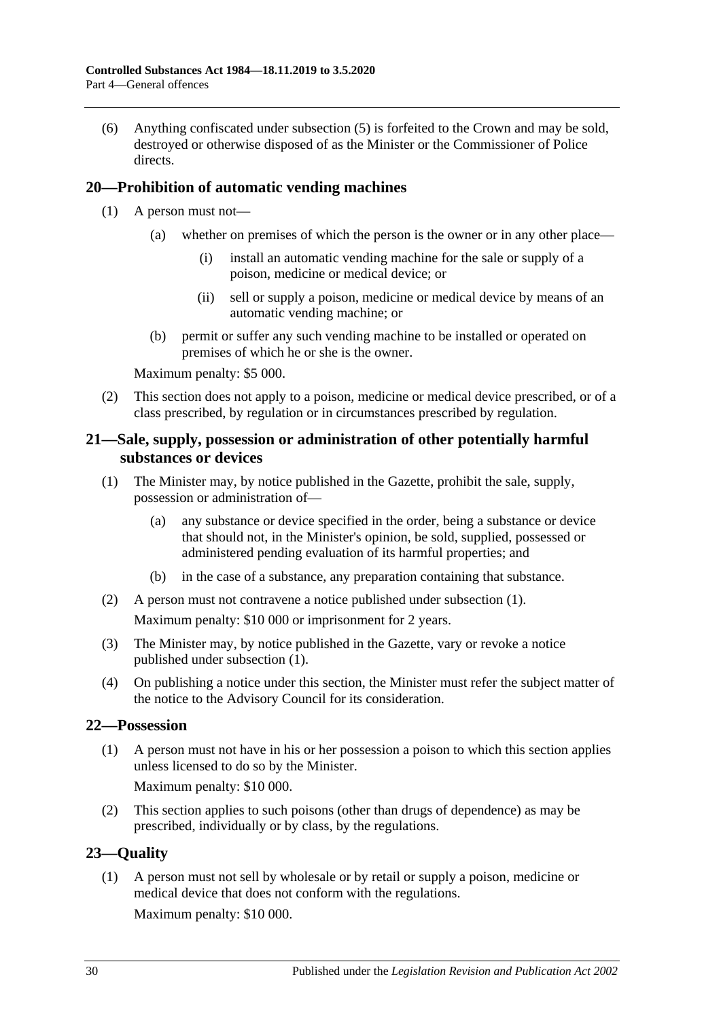(6) Anything confiscated under [subsection](#page-28-2) (5) is forfeited to the Crown and may be sold, destroyed or otherwise disposed of as the Minister or the Commissioner of Police directs.

## <span id="page-29-0"></span>**20—Prohibition of automatic vending machines**

- (1) A person must not—
	- (a) whether on premises of which the person is the owner or in any other place—
		- (i) install an automatic vending machine for the sale or supply of a poison, medicine or medical device; or
		- (ii) sell or supply a poison, medicine or medical device by means of an automatic vending machine; or
	- (b) permit or suffer any such vending machine to be installed or operated on premises of which he or she is the owner.

Maximum penalty: \$5 000.

(2) This section does not apply to a poison, medicine or medical device prescribed, or of a class prescribed, by regulation or in circumstances prescribed by regulation.

## <span id="page-29-1"></span>**21—Sale, supply, possession or administration of other potentially harmful substances or devices**

- <span id="page-29-4"></span>(1) The Minister may, by notice published in the Gazette, prohibit the sale, supply, possession or administration of—
	- (a) any substance or device specified in the order, being a substance or device that should not, in the Minister's opinion, be sold, supplied, possessed or administered pending evaluation of its harmful properties; and
	- (b) in the case of a substance, any preparation containing that substance.
- (2) A person must not contravene a notice published under [subsection](#page-29-4) (1). Maximum penalty: \$10 000 or imprisonment for 2 years.
- (3) The Minister may, by notice published in the Gazette, vary or revoke a notice published under [subsection](#page-29-4) (1).
- (4) On publishing a notice under this section, the Minister must refer the subject matter of the notice to the Advisory Council for its consideration.

## <span id="page-29-2"></span>**22—Possession**

(1) A person must not have in his or her possession a poison to which this section applies unless licensed to do so by the Minister.

Maximum penalty: \$10 000.

(2) This section applies to such poisons (other than drugs of dependence) as may be prescribed, individually or by class, by the regulations.

## <span id="page-29-3"></span>**23—Quality**

(1) A person must not sell by wholesale or by retail or supply a poison, medicine or medical device that does not conform with the regulations.

Maximum penalty: \$10 000.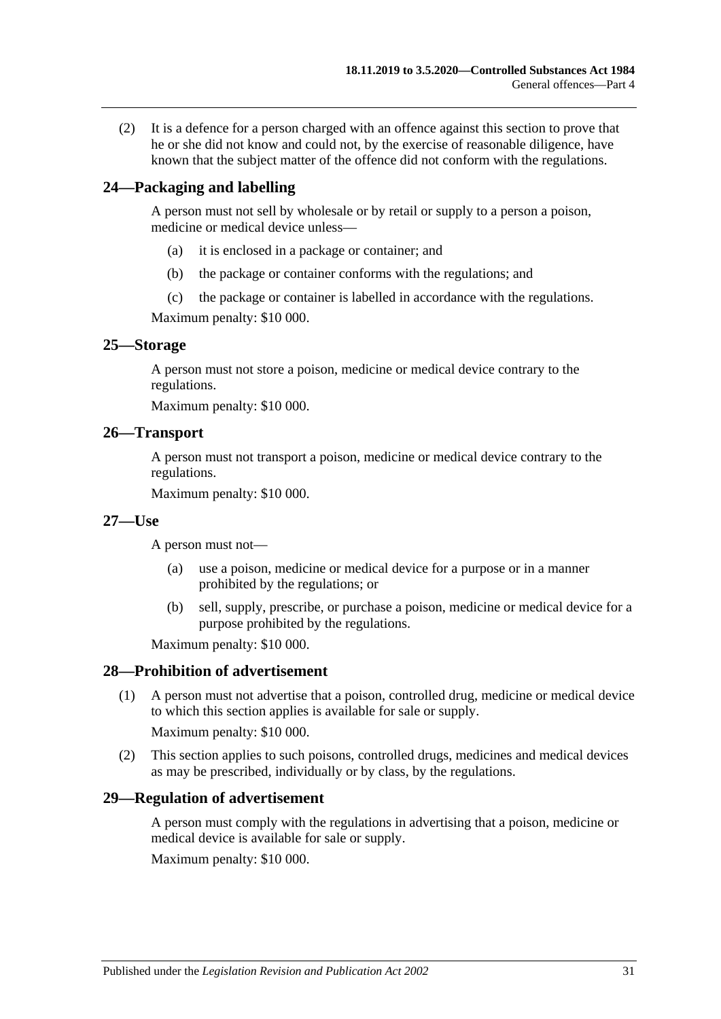(2) It is a defence for a person charged with an offence against this section to prove that he or she did not know and could not, by the exercise of reasonable diligence, have known that the subject matter of the offence did not conform with the regulations.

## <span id="page-30-0"></span>**24—Packaging and labelling**

A person must not sell by wholesale or by retail or supply to a person a poison, medicine or medical device unless—

- (a) it is enclosed in a package or container; and
- (b) the package or container conforms with the regulations; and
- (c) the package or container is labelled in accordance with the regulations.

Maximum penalty: \$10 000.

#### <span id="page-30-1"></span>**25—Storage**

A person must not store a poison, medicine or medical device contrary to the regulations.

Maximum penalty: \$10 000.

#### <span id="page-30-2"></span>**26—Transport**

A person must not transport a poison, medicine or medical device contrary to the regulations.

Maximum penalty: \$10 000.

#### <span id="page-30-3"></span>**27—Use**

A person must not—

- (a) use a poison, medicine or medical device for a purpose or in a manner prohibited by the regulations; or
- (b) sell, supply, prescribe, or purchase a poison, medicine or medical device for a purpose prohibited by the regulations.

Maximum penalty: \$10 000.

#### <span id="page-30-4"></span>**28—Prohibition of advertisement**

(1) A person must not advertise that a poison, controlled drug, medicine or medical device to which this section applies is available for sale or supply.

Maximum penalty: \$10 000.

(2) This section applies to such poisons, controlled drugs, medicines and medical devices as may be prescribed, individually or by class, by the regulations.

#### <span id="page-30-5"></span>**29—Regulation of advertisement**

A person must comply with the regulations in advertising that a poison, medicine or medical device is available for sale or supply.

Maximum penalty: \$10 000.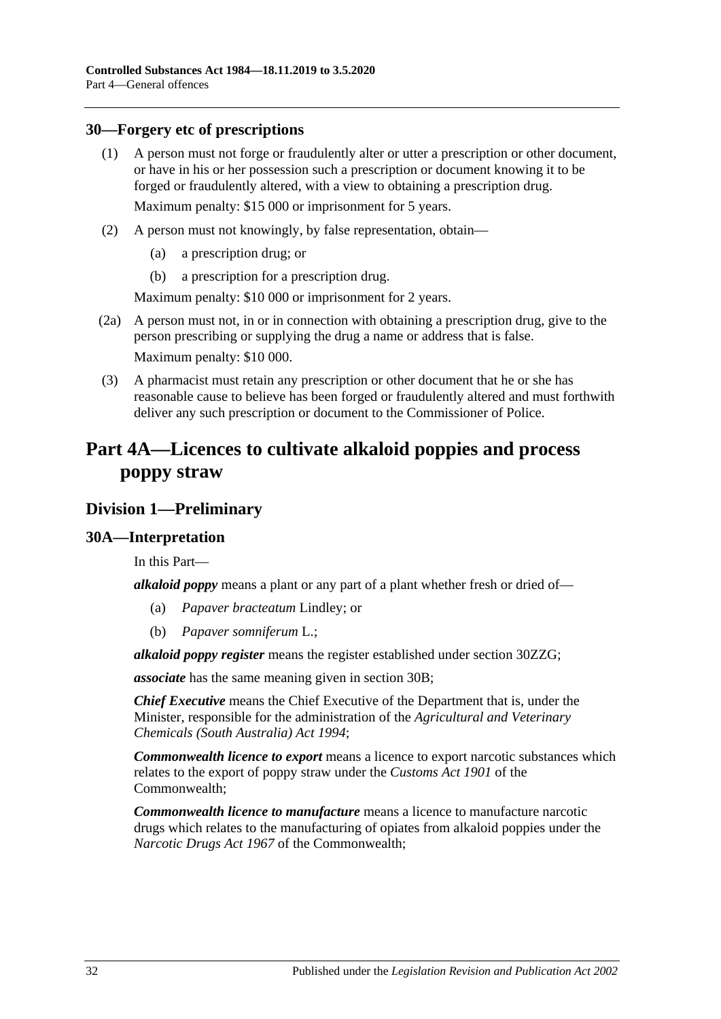### <span id="page-31-0"></span>**30—Forgery etc of prescriptions**

- (1) A person must not forge or fraudulently alter or utter a prescription or other document, or have in his or her possession such a prescription or document knowing it to be forged or fraudulently altered, with a view to obtaining a prescription drug. Maximum penalty: \$15 000 or imprisonment for 5 years.
- (2) A person must not knowingly, by false representation, obtain—
	- (a) a prescription drug; or
	- (b) a prescription for a prescription drug.

Maximum penalty: \$10 000 or imprisonment for 2 years.

- (2a) A person must not, in or in connection with obtaining a prescription drug, give to the person prescribing or supplying the drug a name or address that is false. Maximum penalty: \$10 000.
- (3) A pharmacist must retain any prescription or other document that he or she has reasonable cause to believe has been forged or fraudulently altered and must forthwith deliver any such prescription or document to the Commissioner of Police.

## <span id="page-31-1"></span>**Part 4A—Licences to cultivate alkaloid poppies and process poppy straw**

## <span id="page-31-2"></span>**Division 1—Preliminary**

## <span id="page-31-3"></span>**30A—Interpretation**

In this Part—

*alkaloid poppy* means a plant or any part of a plant whether fresh or dried of—

- (a) *Papaver bracteatum* Lindley; or
- (b) *Papaver somniferum* L.;

*alkaloid poppy register* means the register established under section [30ZZG;](#page-59-2)

*associate* has the same meaning given in [section](#page-33-0) 30B;

*Chief Executive* means the Chief Executive of the Department that is, under the Minister, responsible for the administration of the *[Agricultural and Veterinary](http://www.legislation.sa.gov.au/index.aspx?action=legref&type=act&legtitle=Agricultural%20and%20Veterinary%20Chemicals%20(South%20Australia)%20Act%201994)  [Chemicals \(South Australia\) Act](http://www.legislation.sa.gov.au/index.aspx?action=legref&type=act&legtitle=Agricultural%20and%20Veterinary%20Chemicals%20(South%20Australia)%20Act%201994) 1994*;

*Commonwealth licence to export* means a licence to export narcotic substances which relates to the export of poppy straw under the *Customs Act 1901* of the Commonwealth;

*Commonwealth licence to manufacture* means a licence to manufacture narcotic drugs which relates to the manufacturing of opiates from alkaloid poppies under the *Narcotic Drugs Act 1967* of the Commonwealth;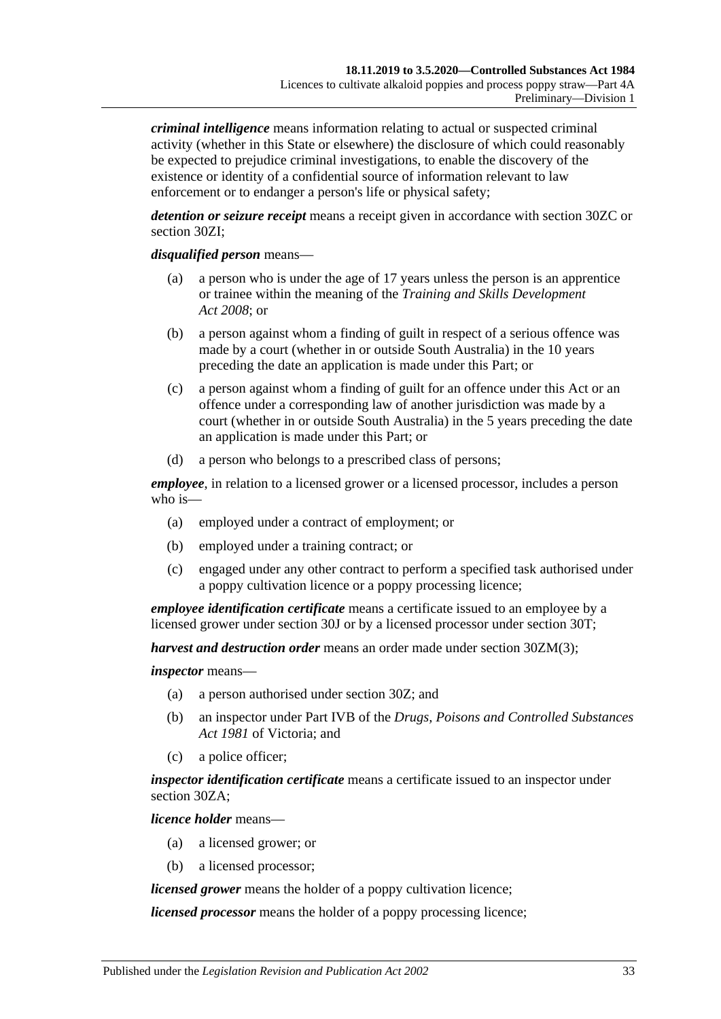*criminal intelligence* means information relating to actual or suspected criminal activity (whether in this State or elsewhere) the disclosure of which could reasonably be expected to prejudice criminal investigations, to enable the discovery of the existence or identity of a confidential source of information relevant to law enforcement or to endanger a person's life or physical safety;

*detention or seizure receipt* means a receipt given in accordance with [section](#page-49-0) 30ZC or [section](#page-50-4) 30ZI;

#### *disqualified person* means—

- (a) a person who is under the age of 17 years unless the person is an apprentice or trainee within the meaning of the *[Training and Skills Development](http://www.legislation.sa.gov.au/index.aspx?action=legref&type=act&legtitle=Training%20and%20Skills%20Development%20Act%202008)  Act [2008](http://www.legislation.sa.gov.au/index.aspx?action=legref&type=act&legtitle=Training%20and%20Skills%20Development%20Act%202008)*; or
- (b) a person against whom a finding of guilt in respect of a serious offence was made by a court (whether in or outside South Australia) in the 10 years preceding the date an application is made under this Part; or
- (c) a person against whom a finding of guilt for an offence under this Act or an offence under a corresponding law of another jurisdiction was made by a court (whether in or outside South Australia) in the 5 years preceding the date an application is made under this Part; or
- (d) a person who belongs to a prescribed class of persons;

*employee*, in relation to a licensed grower or a licensed processor, includes a person who is—

- (a) employed under a contract of employment; or
- (b) employed under a training contract; or
- (c) engaged under any other contract to perform a specified task authorised under a poppy cultivation licence or a poppy processing licence;

*employee identification certificate* means a certificate issued to an employee by a licensed grower under [section](#page-39-2) 30J or by a licensed processor under [section](#page-44-1) 30T;

*harvest and destruction order* means an order made under section [30ZM\(3\);](#page-52-2)

#### *inspector* means—

- (a) a person authorised under [section](#page-47-1) 30Z; and
- (b) an inspector under Part IVB of the *Drugs, Poisons and Controlled Substances Act 1981* of Victoria; and
- (c) a police officer;

*inspector identification certificate* means a certificate issued to an inspector under [section](#page-48-0) 30ZA;

*licence holder* means—

- (a) a licensed grower; or
- (b) a licensed processor;

*licensed grower* means the holder of a poppy cultivation licence;

*licensed processor* means the holder of a poppy processing licence;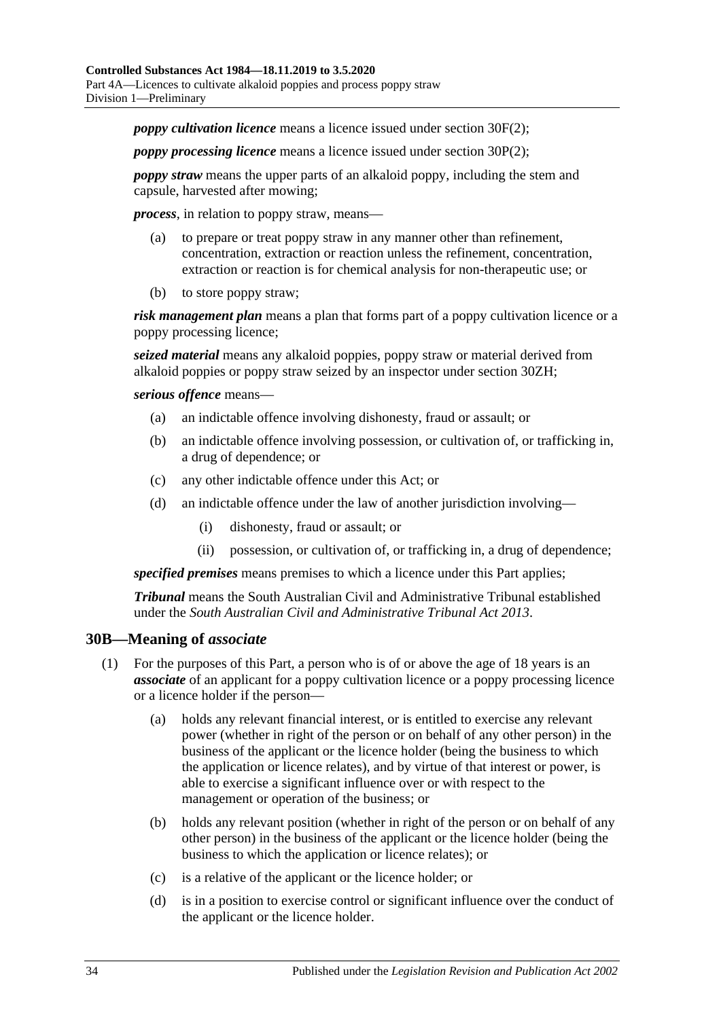*poppy cultivation licence* means a licence issued under [section](#page-37-2) 30F(2);

*poppy processing licence* means a licence issued under [section](#page-42-2) 30P(2);

*poppy straw* means the upper parts of an alkaloid poppy, including the stem and capsule, harvested after mowing;

*process*, in relation to poppy straw, means—

- (a) to prepare or treat poppy straw in any manner other than refinement, concentration, extraction or reaction unless the refinement, concentration, extraction or reaction is for chemical analysis for non-therapeutic use; or
- (b) to store poppy straw;

*risk management plan* means a plan that forms part of a poppy cultivation licence or a poppy processing licence;

*seized material* means any alkaloid poppies, poppy straw or material derived from alkaloid poppies or poppy straw seized by an inspector under [section](#page-50-3) 30ZH;

*serious offence* means—

- (a) an indictable offence involving dishonesty, fraud or assault; or
- (b) an indictable offence involving possession, or cultivation of, or trafficking in, a drug of dependence; or
- (c) any other indictable offence under this Act; or
- (d) an indictable offence under the law of another jurisdiction involving—
	- (i) dishonesty, fraud or assault; or
	- (ii) possession, or cultivation of, or trafficking in, a drug of dependence;

*specified premises* means premises to which a licence under this Part applies;

*Tribunal* means the South Australian Civil and Administrative Tribunal established under the *[South Australian Civil and Administrative Tribunal Act](http://www.legislation.sa.gov.au/index.aspx?action=legref&type=act&legtitle=South%20Australian%20Civil%20and%20Administrative%20Tribunal%20Act%202013) 2013*.

#### <span id="page-33-0"></span>**30B—Meaning of** *associate*

- (1) For the purposes of this Part, a person who is of or above the age of 18 years is an *associate* of an applicant for a poppy cultivation licence or a poppy processing licence or a licence holder if the person—
	- (a) holds any relevant financial interest, or is entitled to exercise any relevant power (whether in right of the person or on behalf of any other person) in the business of the applicant or the licence holder (being the business to which the application or licence relates), and by virtue of that interest or power, is able to exercise a significant influence over or with respect to the management or operation of the business; or
	- (b) holds any relevant position (whether in right of the person or on behalf of any other person) in the business of the applicant or the licence holder (being the business to which the application or licence relates); or
	- (c) is a relative of the applicant or the licence holder; or
	- (d) is in a position to exercise control or significant influence over the conduct of the applicant or the licence holder.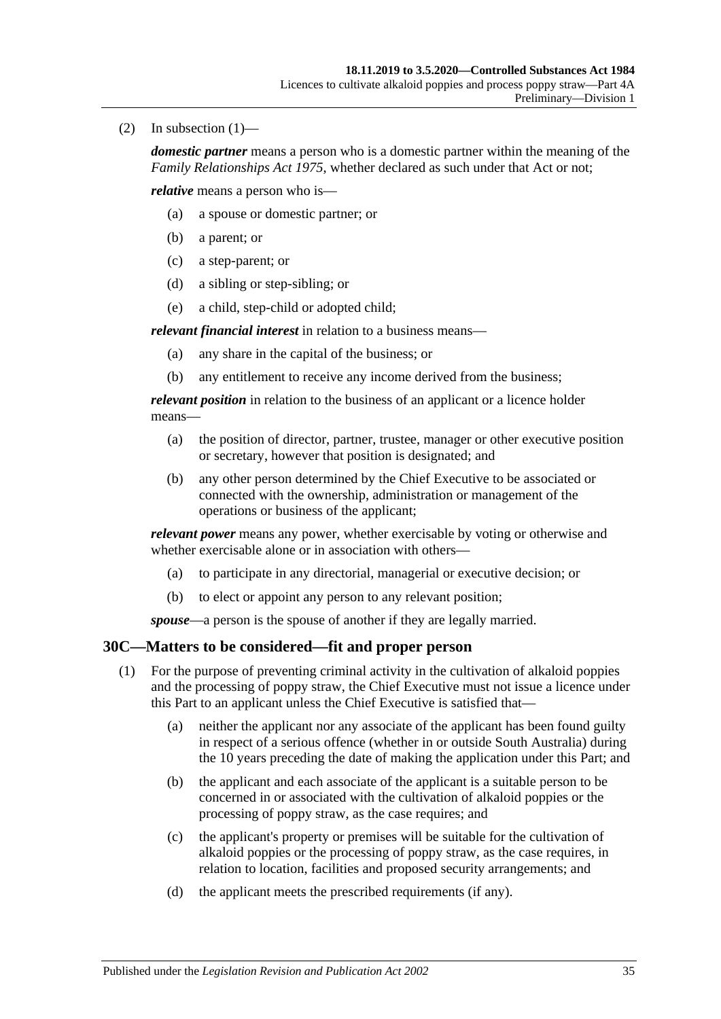(2) In subsection  $(1)$ —

*domestic partner* means a person who is a domestic partner within the meaning of the *[Family Relationships Act](http://www.legislation.sa.gov.au/index.aspx?action=legref&type=act&legtitle=Family%20Relationships%20Act%201975) 1975*, whether declared as such under that Act or not;

*relative* means a person who is—

- (a) a spouse or domestic partner; or
- (b) a parent; or
- (c) a step-parent; or
- (d) a sibling or step-sibling; or
- (e) a child, step-child or adopted child;

*relevant financial interest* in relation to a business means—

- (a) any share in the capital of the business; or
- (b) any entitlement to receive any income derived from the business;

*relevant position* in relation to the business of an applicant or a licence holder means—

- (a) the position of director, partner, trustee, manager or other executive position or secretary, however that position is designated; and
- (b) any other person determined by the Chief Executive to be associated or connected with the ownership, administration or management of the operations or business of the applicant;

*relevant power* means any power, whether exercisable by voting or otherwise and whether exercisable alone or in association with others—

- (a) to participate in any directorial, managerial or executive decision; or
- (b) to elect or appoint any person to any relevant position;

*spouse*—a person is the spouse of another if they are legally married.

## <span id="page-34-1"></span><span id="page-34-0"></span>**30C—Matters to be considered—fit and proper person**

- (1) For the purpose of preventing criminal activity in the cultivation of alkaloid poppies and the processing of poppy straw, the Chief Executive must not issue a licence under this Part to an applicant unless the Chief Executive is satisfied that—
	- (a) neither the applicant nor any associate of the applicant has been found guilty in respect of a serious offence (whether in or outside South Australia) during the 10 years preceding the date of making the application under this Part; and
	- (b) the applicant and each associate of the applicant is a suitable person to be concerned in or associated with the cultivation of alkaloid poppies or the processing of poppy straw, as the case requires; and
	- (c) the applicant's property or premises will be suitable for the cultivation of alkaloid poppies or the processing of poppy straw, as the case requires, in relation to location, facilities and proposed security arrangements; and
	- (d) the applicant meets the prescribed requirements (if any).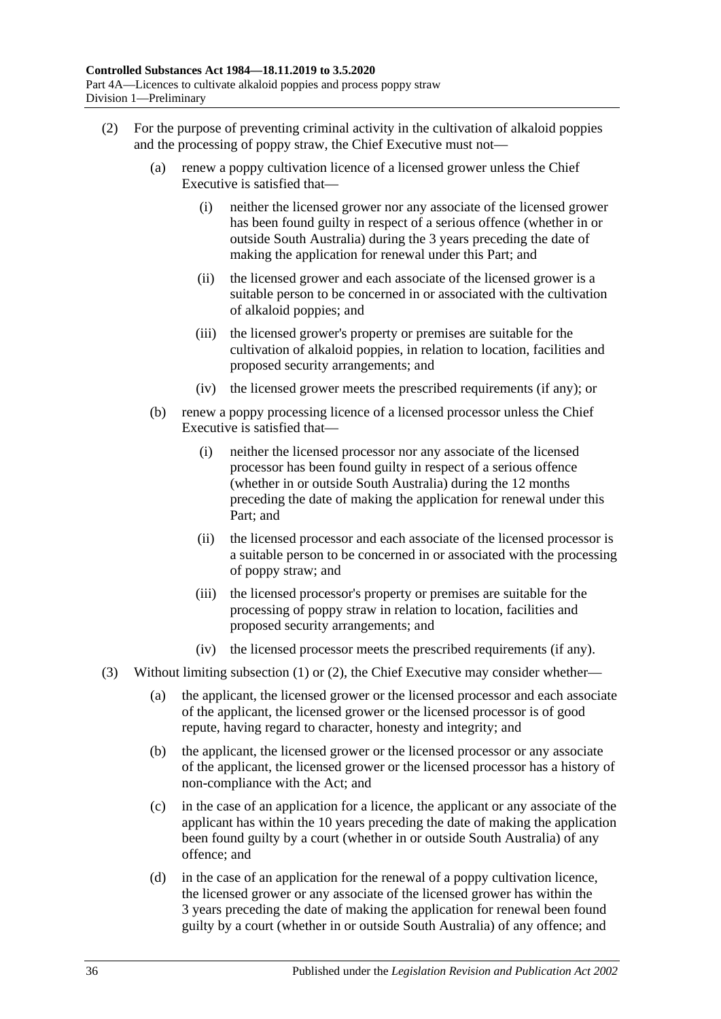- <span id="page-35-0"></span>(2) For the purpose of preventing criminal activity in the cultivation of alkaloid poppies and the processing of poppy straw, the Chief Executive must not—
	- (a) renew a poppy cultivation licence of a licensed grower unless the Chief Executive is satisfied that—
		- (i) neither the licensed grower nor any associate of the licensed grower has been found guilty in respect of a serious offence (whether in or outside South Australia) during the 3 years preceding the date of making the application for renewal under this Part; and
		- (ii) the licensed grower and each associate of the licensed grower is a suitable person to be concerned in or associated with the cultivation of alkaloid poppies; and
		- (iii) the licensed grower's property or premises are suitable for the cultivation of alkaloid poppies, in relation to location, facilities and proposed security arrangements; and
		- (iv) the licensed grower meets the prescribed requirements (if any); or
	- (b) renew a poppy processing licence of a licensed processor unless the Chief Executive is satisfied that—
		- (i) neither the licensed processor nor any associate of the licensed processor has been found guilty in respect of a serious offence (whether in or outside South Australia) during the 12 months preceding the date of making the application for renewal under this Part; and
		- (ii) the licensed processor and each associate of the licensed processor is a suitable person to be concerned in or associated with the processing of poppy straw; and
		- (iii) the licensed processor's property or premises are suitable for the processing of poppy straw in relation to location, facilities and proposed security arrangements; and
		- (iv) the licensed processor meets the prescribed requirements (if any).
- (3) Without limiting [subsection](#page-34-1) (1) or [\(2\),](#page-35-0) the Chief Executive may consider whether—
	- (a) the applicant, the licensed grower or the licensed processor and each associate of the applicant, the licensed grower or the licensed processor is of good repute, having regard to character, honesty and integrity; and
	- (b) the applicant, the licensed grower or the licensed processor or any associate of the applicant, the licensed grower or the licensed processor has a history of non-compliance with the Act; and
	- (c) in the case of an application for a licence, the applicant or any associate of the applicant has within the 10 years preceding the date of making the application been found guilty by a court (whether in or outside South Australia) of any offence; and
	- (d) in the case of an application for the renewal of a poppy cultivation licence, the licensed grower or any associate of the licensed grower has within the 3 years preceding the date of making the application for renewal been found guilty by a court (whether in or outside South Australia) of any offence; and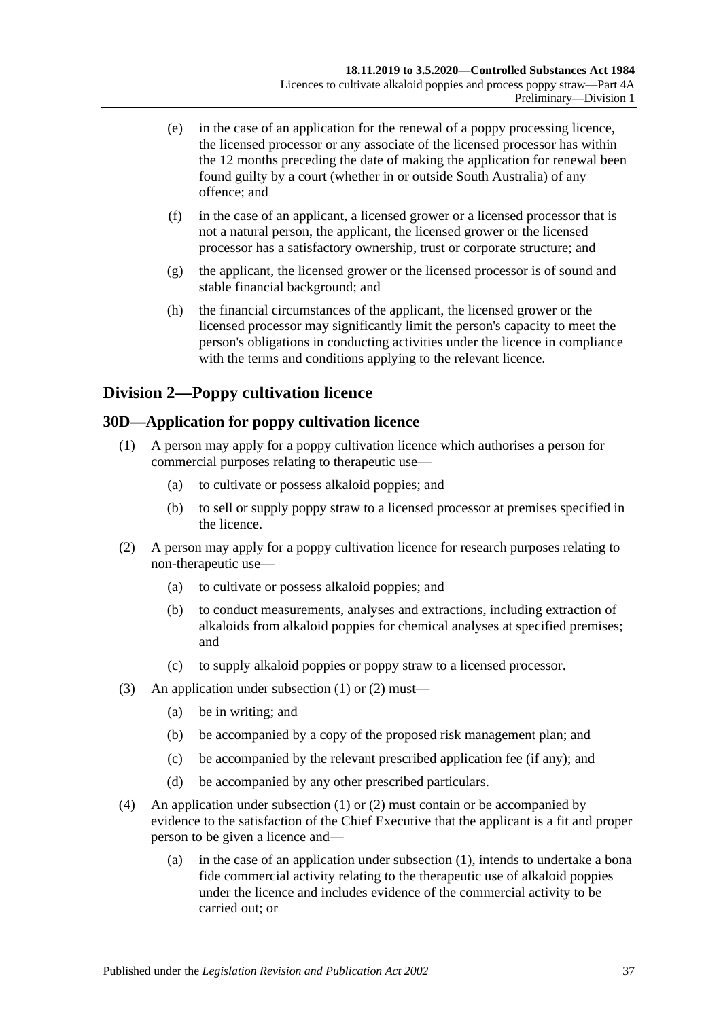- (e) in the case of an application for the renewal of a poppy processing licence, the licensed processor or any associate of the licensed processor has within the 12 months preceding the date of making the application for renewal been found guilty by a court (whether in or outside South Australia) of any offence; and
- (f) in the case of an applicant, a licensed grower or a licensed processor that is not a natural person, the applicant, the licensed grower or the licensed processor has a satisfactory ownership, trust or corporate structure; and
- (g) the applicant, the licensed grower or the licensed processor is of sound and stable financial background; and
- (h) the financial circumstances of the applicant, the licensed grower or the licensed processor may significantly limit the person's capacity to meet the person's obligations in conducting activities under the licence in compliance with the terms and conditions applying to the relevant licence.

# **Division 2—Poppy cultivation licence**

### <span id="page-36-2"></span><span id="page-36-0"></span>**30D—Application for poppy cultivation licence**

- (1) A person may apply for a poppy cultivation licence which authorises a person for commercial purposes relating to therapeutic use—
	- (a) to cultivate or possess alkaloid poppies; and
	- (b) to sell or supply poppy straw to a licensed processor at premises specified in the licence.
- <span id="page-36-1"></span>(2) A person may apply for a poppy cultivation licence for research purposes relating to non-therapeutic use—
	- (a) to cultivate or possess alkaloid poppies; and
	- (b) to conduct measurements, analyses and extractions, including extraction of alkaloids from alkaloid poppies for chemical analyses at specified premises; and
	- (c) to supply alkaloid poppies or poppy straw to a licensed processor.
- (3) An application under [subsection](#page-36-0) (1) or [\(2\)](#page-36-1) must—
	- (a) be in writing; and
	- (b) be accompanied by a copy of the proposed risk management plan; and
	- (c) be accompanied by the relevant prescribed application fee (if any); and
	- (d) be accompanied by any other prescribed particulars.
- (4) An application under [subsection](#page-36-0) (1) or [\(2\)](#page-36-1) must contain or be accompanied by evidence to the satisfaction of the Chief Executive that the applicant is a fit and proper person to be given a licence and—
	- (a) in the case of an application under [subsection](#page-36-0) (1), intends to undertake a bona fide commercial activity relating to the therapeutic use of alkaloid poppies under the licence and includes evidence of the commercial activity to be carried out; or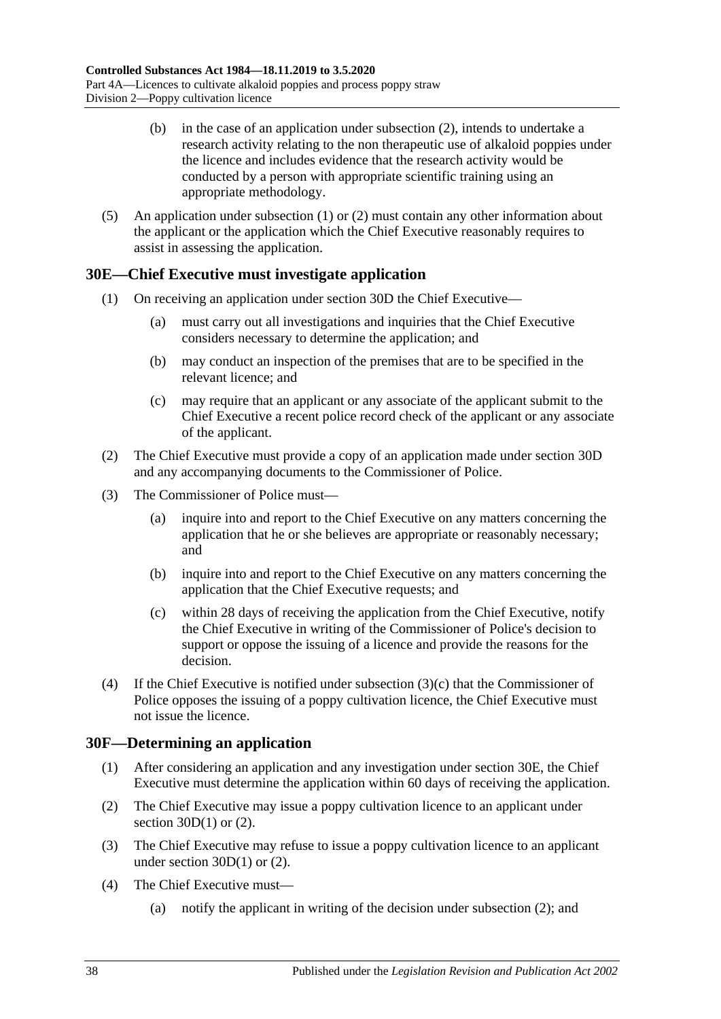- (b) in the case of an application under [subsection](#page-36-1) (2), intends to undertake a research activity relating to the non therapeutic use of alkaloid poppies under the licence and includes evidence that the research activity would be conducted by a person with appropriate scientific training using an appropriate methodology.
- (5) An application under [subsection](#page-36-0) (1) or [\(2\)](#page-36-1) must contain any other information about the applicant or the application which the Chief Executive reasonably requires to assist in assessing the application.

### <span id="page-37-1"></span>**30E—Chief Executive must investigate application**

- (1) On receiving an application under [section](#page-36-2) 30D the Chief Executive—
	- (a) must carry out all investigations and inquiries that the Chief Executive considers necessary to determine the application; and
	- (b) may conduct an inspection of the premises that are to be specified in the relevant licence; and
	- (c) may require that an applicant or any associate of the applicant submit to the Chief Executive a recent police record check of the applicant or any associate of the applicant.
- (2) The Chief Executive must provide a copy of an application made under [section](#page-36-2) 30D and any accompanying documents to the Commissioner of Police.
- (3) The Commissioner of Police must—
	- (a) inquire into and report to the Chief Executive on any matters concerning the application that he or she believes are appropriate or reasonably necessary; and
	- (b) inquire into and report to the Chief Executive on any matters concerning the application that the Chief Executive requests; and
	- (c) within 28 days of receiving the application from the Chief Executive, notify the Chief Executive in writing of the Commissioner of Police's decision to support or oppose the issuing of a licence and provide the reasons for the decision.
- <span id="page-37-0"></span>(4) If the Chief Executive is notified under [subsection](#page-37-0)  $(3)(c)$  that the Commissioner of Police opposes the issuing of a poppy cultivation licence, the Chief Executive must not issue the licence.

### **30F—Determining an application**

- (1) After considering an application and any investigation under [section](#page-37-1) 30E, the Chief Executive must determine the application within 60 days of receiving the application.
- <span id="page-37-2"></span>(2) The Chief Executive may issue a poppy cultivation licence to an applicant under section  $30D(1)$  or  $(2)$ .
- <span id="page-37-3"></span>(3) The Chief Executive may refuse to issue a poppy cultivation licence to an applicant under [section](#page-36-0)  $30D(1)$  or  $(2)$ .
- (4) The Chief Executive must—
	- (a) notify the applicant in writing of the decision under [subsection](#page-37-2) (2); and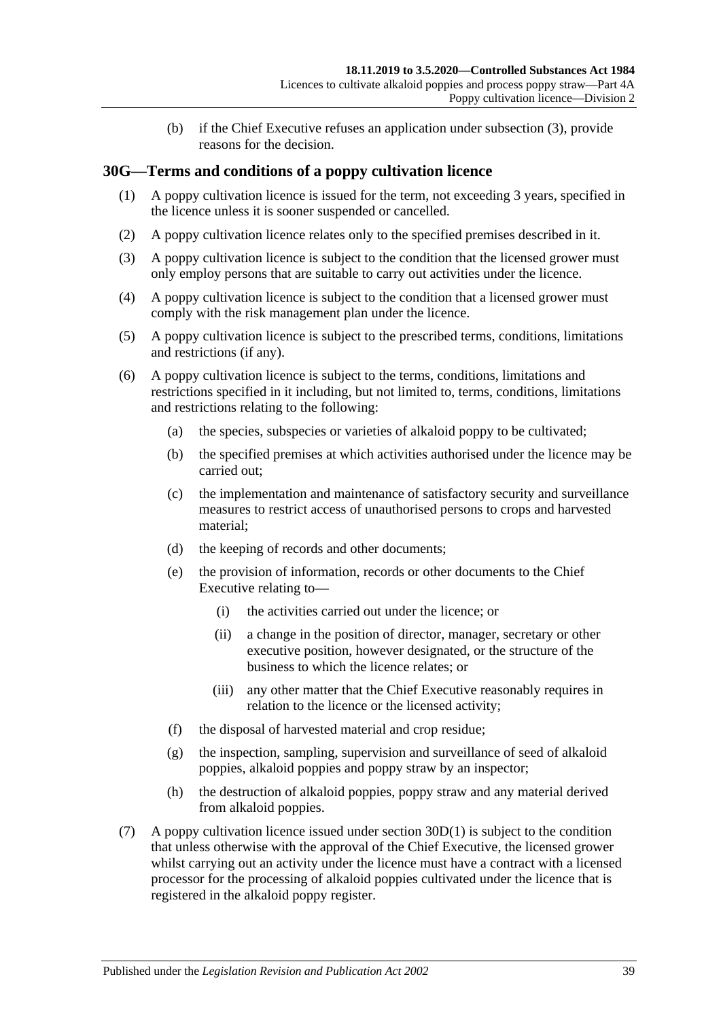(b) if the Chief Executive refuses an application under [subsection](#page-37-3) (3), provide reasons for the decision.

### **30G—Terms and conditions of a poppy cultivation licence**

- (1) A poppy cultivation licence is issued for the term, not exceeding 3 years, specified in the licence unless it is sooner suspended or cancelled.
- (2) A poppy cultivation licence relates only to the specified premises described in it.
- (3) A poppy cultivation licence is subject to the condition that the licensed grower must only employ persons that are suitable to carry out activities under the licence.
- (4) A poppy cultivation licence is subject to the condition that a licensed grower must comply with the risk management plan under the licence.
- (5) A poppy cultivation licence is subject to the prescribed terms, conditions, limitations and restrictions (if any).
- (6) A poppy cultivation licence is subject to the terms, conditions, limitations and restrictions specified in it including, but not limited to, terms, conditions, limitations and restrictions relating to the following:
	- (a) the species, subspecies or varieties of alkaloid poppy to be cultivated;
	- (b) the specified premises at which activities authorised under the licence may be carried out;
	- (c) the implementation and maintenance of satisfactory security and surveillance measures to restrict access of unauthorised persons to crops and harvested material;
	- (d) the keeping of records and other documents;
	- (e) the provision of information, records or other documents to the Chief Executive relating to—
		- (i) the activities carried out under the licence; or
		- (ii) a change in the position of director, manager, secretary or other executive position, however designated, or the structure of the business to which the licence relates; or
		- (iii) any other matter that the Chief Executive reasonably requires in relation to the licence or the licensed activity;
	- (f) the disposal of harvested material and crop residue;
	- (g) the inspection, sampling, supervision and surveillance of seed of alkaloid poppies, alkaloid poppies and poppy straw by an inspector;
	- (h) the destruction of alkaloid poppies, poppy straw and any material derived from alkaloid poppies.
- (7) A poppy cultivation licence issued under [section](#page-36-0) 30D(1) is subject to the condition that unless otherwise with the approval of the Chief Executive, the licensed grower whilst carrying out an activity under the licence must have a contract with a licensed processor for the processing of alkaloid poppies cultivated under the licence that is registered in the alkaloid poppy register.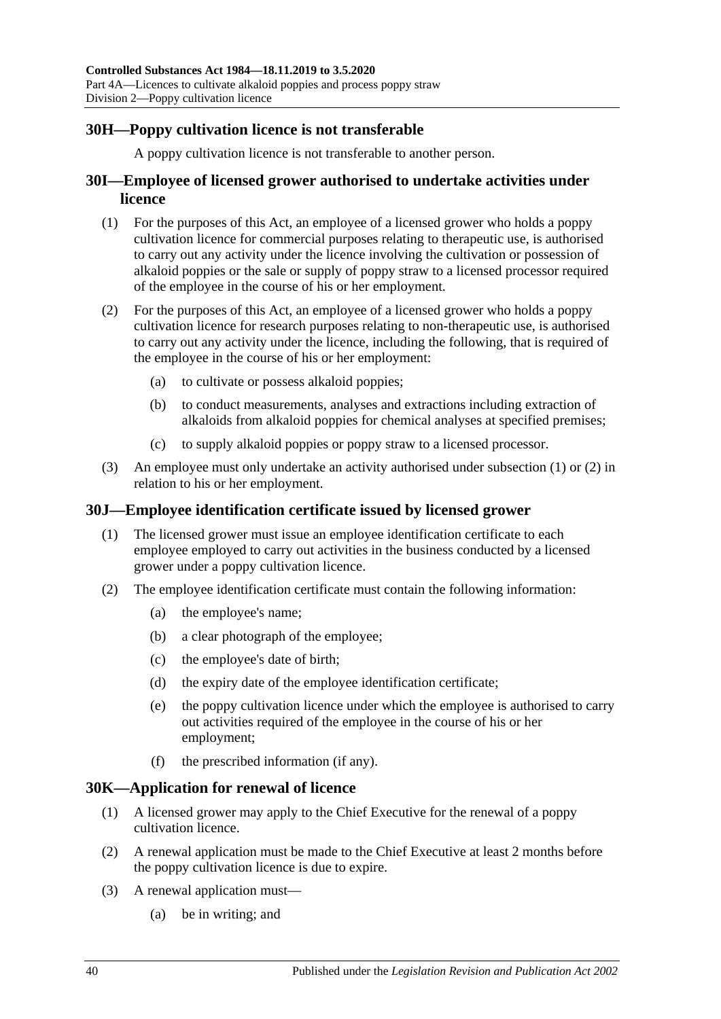### **30H—Poppy cultivation licence is not transferable**

A poppy cultivation licence is not transferable to another person.

### **30I—Employee of licensed grower authorised to undertake activities under licence**

- <span id="page-39-0"></span>(1) For the purposes of this Act, an employee of a licensed grower who holds a poppy cultivation licence for commercial purposes relating to therapeutic use, is authorised to carry out any activity under the licence involving the cultivation or possession of alkaloid poppies or the sale or supply of poppy straw to a licensed processor required of the employee in the course of his or her employment.
- <span id="page-39-1"></span>(2) For the purposes of this Act, an employee of a licensed grower who holds a poppy cultivation licence for research purposes relating to non-therapeutic use, is authorised to carry out any activity under the licence, including the following, that is required of the employee in the course of his or her employment:
	- (a) to cultivate or possess alkaloid poppies;
	- (b) to conduct measurements, analyses and extractions including extraction of alkaloids from alkaloid poppies for chemical analyses at specified premises;
	- (c) to supply alkaloid poppies or poppy straw to a licensed processor.
- (3) An employee must only undertake an activity authorised under [subsection](#page-39-0) (1) or [\(2\)](#page-39-1) in relation to his or her employment.

### **30J—Employee identification certificate issued by licensed grower**

- (1) The licensed grower must issue an employee identification certificate to each employee employed to carry out activities in the business conducted by a licensed grower under a poppy cultivation licence.
- <span id="page-39-3"></span>(2) The employee identification certificate must contain the following information:
	- (a) the employee's name;
	- (b) a clear photograph of the employee;
	- (c) the employee's date of birth;
	- (d) the expiry date of the employee identification certificate;
	- (e) the poppy cultivation licence under which the employee is authorised to carry out activities required of the employee in the course of his or her employment;
	- (f) the prescribed information (if any).

#### <span id="page-39-2"></span>**30K—Application for renewal of licence**

- (1) A licensed grower may apply to the Chief Executive for the renewal of a poppy cultivation licence.
- (2) A renewal application must be made to the Chief Executive at least 2 months before the poppy cultivation licence is due to expire.
- (3) A renewal application must—
	- (a) be in writing; and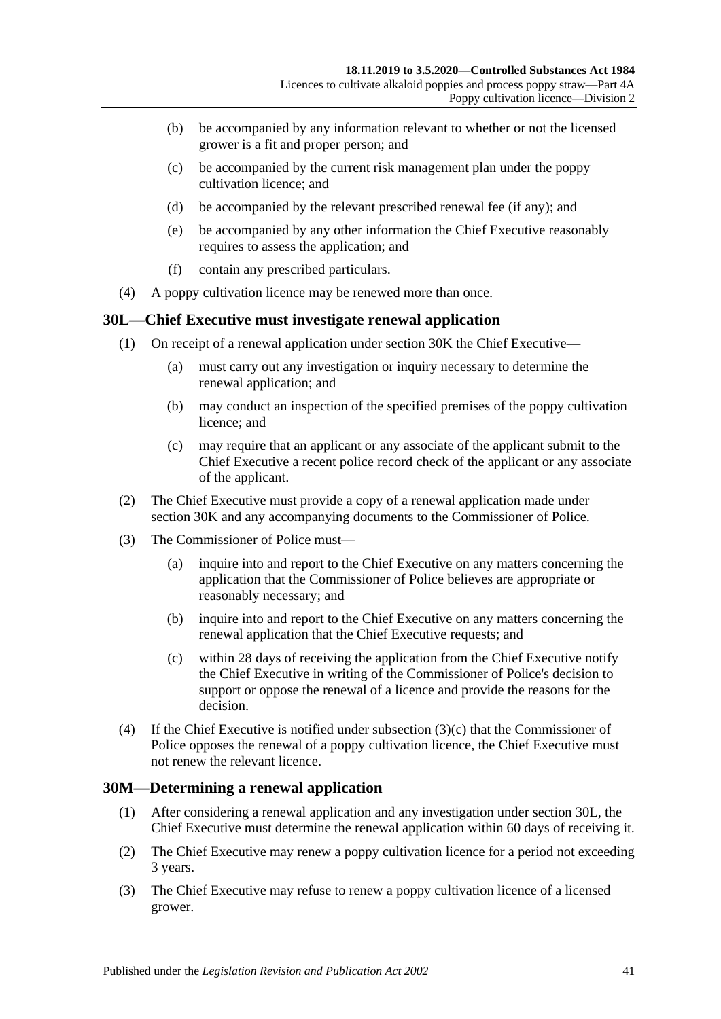- (b) be accompanied by any information relevant to whether or not the licensed grower is a fit and proper person; and
- (c) be accompanied by the current risk management plan under the poppy cultivation licence; and
- (d) be accompanied by the relevant prescribed renewal fee (if any); and
- (e) be accompanied by any other information the Chief Executive reasonably requires to assess the application; and
- (f) contain any prescribed particulars.
- (4) A poppy cultivation licence may be renewed more than once.

#### <span id="page-40-1"></span>**30L—Chief Executive must investigate renewal application**

- (1) On receipt of a renewal application under [section](#page-39-2) 30K the Chief Executive—
	- (a) must carry out any investigation or inquiry necessary to determine the renewal application; and
	- (b) may conduct an inspection of the specified premises of the poppy cultivation licence; and
	- (c) may require that an applicant or any associate of the applicant submit to the Chief Executive a recent police record check of the applicant or any associate of the applicant.
- (2) The Chief Executive must provide a copy of a renewal application made under [section](#page-39-2) 30K and any accompanying documents to the Commissioner of Police.
- (3) The Commissioner of Police must—
	- (a) inquire into and report to the Chief Executive on any matters concerning the application that the Commissioner of Police believes are appropriate or reasonably necessary; and
	- (b) inquire into and report to the Chief Executive on any matters concerning the renewal application that the Chief Executive requests; and
	- (c) within 28 days of receiving the application from the Chief Executive notify the Chief Executive in writing of the Commissioner of Police's decision to support or oppose the renewal of a licence and provide the reasons for the decision.
- <span id="page-40-0"></span>(4) If the Chief Executive is notified under [subsection](#page-40-0)  $(3)(c)$  that the Commissioner of Police opposes the renewal of a poppy cultivation licence, the Chief Executive must not renew the relevant licence.

### **30M—Determining a renewal application**

- (1) After considering a renewal application and any investigation under [section](#page-40-1) 30L, the Chief Executive must determine the renewal application within 60 days of receiving it.
- <span id="page-40-2"></span>(2) The Chief Executive may renew a poppy cultivation licence for a period not exceeding 3 years.
- <span id="page-40-3"></span>(3) The Chief Executive may refuse to renew a poppy cultivation licence of a licensed grower.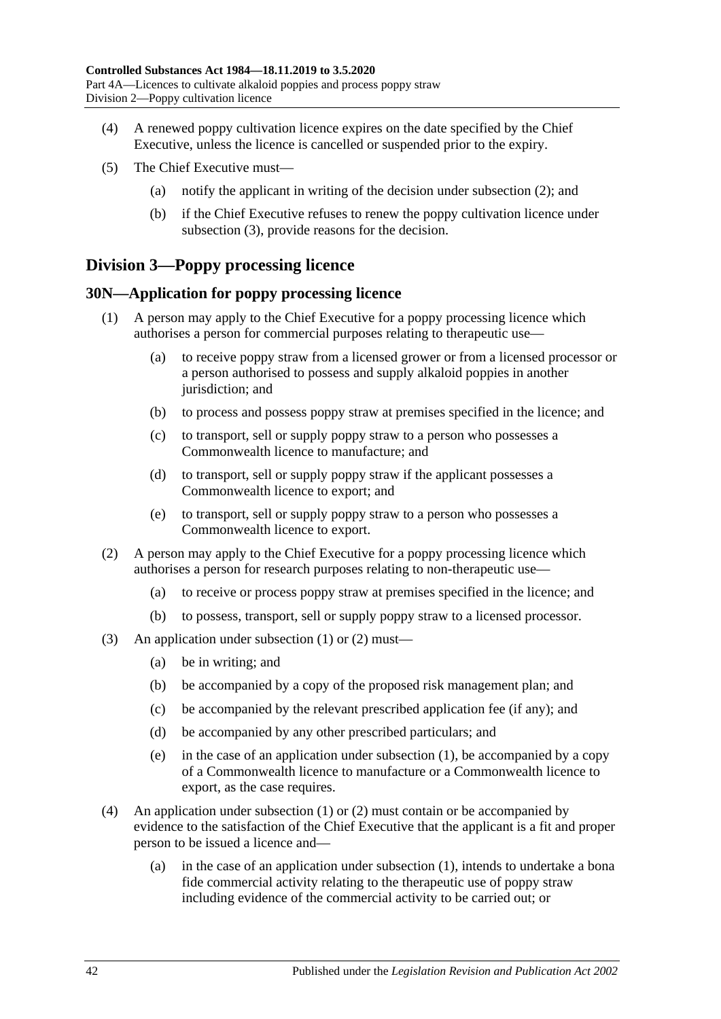- (4) A renewed poppy cultivation licence expires on the date specified by the Chief Executive, unless the licence is cancelled or suspended prior to the expiry.
- (5) The Chief Executive must—
	- (a) notify the applicant in writing of the decision under [subsection](#page-40-2) (2); and
	- (b) if the Chief Executive refuses to renew the poppy cultivation licence under [subsection](#page-40-3) (3), provide reasons for the decision.

# **Division 3—Poppy processing licence**

#### <span id="page-41-2"></span><span id="page-41-0"></span>**30N—Application for poppy processing licence**

- (1) A person may apply to the Chief Executive for a poppy processing licence which authorises a person for commercial purposes relating to therapeutic use—
	- (a) to receive poppy straw from a licensed grower or from a licensed processor or a person authorised to possess and supply alkaloid poppies in another jurisdiction; and
	- (b) to process and possess poppy straw at premises specified in the licence; and
	- (c) to transport, sell or supply poppy straw to a person who possesses a Commonwealth licence to manufacture; and
	- (d) to transport, sell or supply poppy straw if the applicant possesses a Commonwealth licence to export; and
	- (e) to transport, sell or supply poppy straw to a person who possesses a Commonwealth licence to export.
- <span id="page-41-1"></span>(2) A person may apply to the Chief Executive for a poppy processing licence which authorises a person for research purposes relating to non-therapeutic use—
	- (a) to receive or process poppy straw at premises specified in the licence; and
	- (b) to possess, transport, sell or supply poppy straw to a licensed processor.
- (3) An application under [subsection](#page-41-0) (1) or [\(2\)](#page-41-1) must—
	- (a) be in writing; and
	- (b) be accompanied by a copy of the proposed risk management plan; and
	- (c) be accompanied by the relevant prescribed application fee (if any); and
	- (d) be accompanied by any other prescribed particulars; and
	- (e) in the case of an application under [subsection](#page-41-0) (1), be accompanied by a copy of a Commonwealth licence to manufacture or a Commonwealth licence to export, as the case requires.
- (4) An application under [subsection](#page-41-0) (1) or [\(2\)](#page-41-1) must contain or be accompanied by evidence to the satisfaction of the Chief Executive that the applicant is a fit and proper person to be issued a licence and—
	- (a) in the case of an application under [subsection](#page-41-0) (1), intends to undertake a bona fide commercial activity relating to the therapeutic use of poppy straw including evidence of the commercial activity to be carried out; or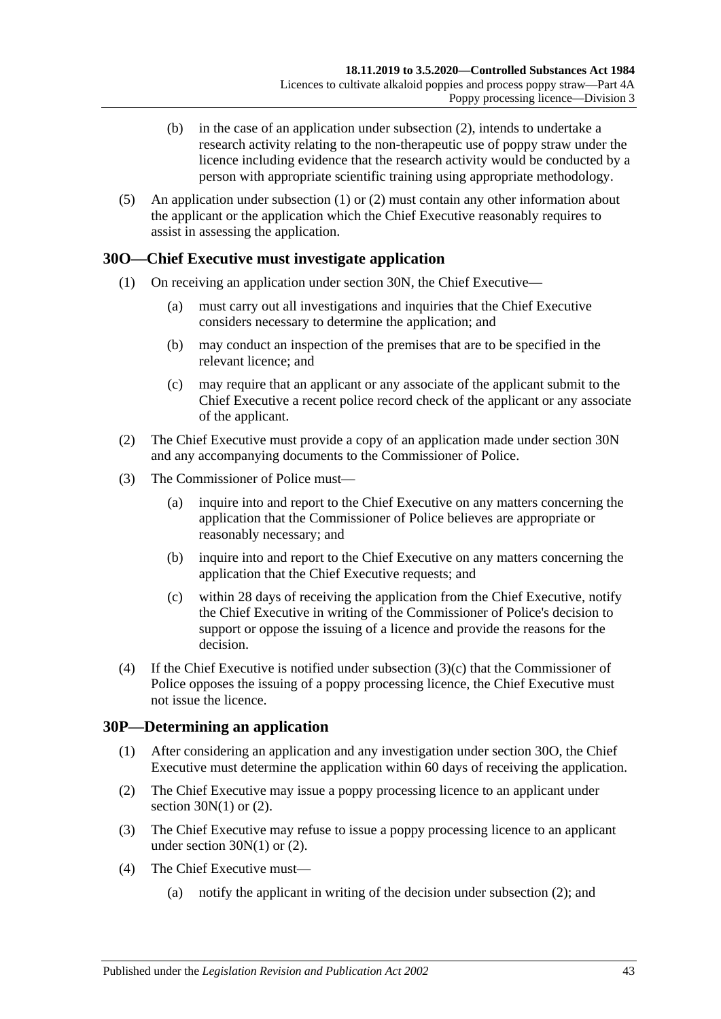- (b) in the case of an application under [subsection](#page-41-1) (2), intends to undertake a research activity relating to the non-therapeutic use of poppy straw under the licence including evidence that the research activity would be conducted by a person with appropriate scientific training using appropriate methodology.
- (5) An application under [subsection](#page-41-0) (1) or [\(2\)](#page-41-1) must contain any other information about the applicant or the application which the Chief Executive reasonably requires to assist in assessing the application.

### <span id="page-42-1"></span>**30O—Chief Executive must investigate application**

- (1) On receiving an application under [section](#page-41-2) 30N, the Chief Executive—
	- (a) must carry out all investigations and inquiries that the Chief Executive considers necessary to determine the application; and
	- (b) may conduct an inspection of the premises that are to be specified in the relevant licence; and
	- (c) may require that an applicant or any associate of the applicant submit to the Chief Executive a recent police record check of the applicant or any associate of the applicant.
- (2) The Chief Executive must provide a copy of an application made under [section](#page-41-2) 30N and any accompanying documents to the Commissioner of Police.
- (3) The Commissioner of Police must—
	- (a) inquire into and report to the Chief Executive on any matters concerning the application that the Commissioner of Police believes are appropriate or reasonably necessary; and
	- (b) inquire into and report to the Chief Executive on any matters concerning the application that the Chief Executive requests; and
	- (c) within 28 days of receiving the application from the Chief Executive, notify the Chief Executive in writing of the Commissioner of Police's decision to support or oppose the issuing of a licence and provide the reasons for the decision.
- <span id="page-42-0"></span>(4) If the Chief Executive is notified under [subsection](#page-42-0) (3)(c) that the Commissioner of Police opposes the issuing of a poppy processing licence, the Chief Executive must not issue the licence.

#### **30P—Determining an application**

- (1) After considering an application and any investigation under [section](#page-42-1) 30O, the Chief Executive must determine the application within 60 days of receiving the application.
- <span id="page-42-2"></span>(2) The Chief Executive may issue a poppy processing licence to an applicant under section  $30N(1)$  or  $(2)$ .
- <span id="page-42-3"></span>(3) The Chief Executive may refuse to issue a poppy processing licence to an applicant under [section](#page-41-0)  $30N(1)$  or  $(2)$ .
- (4) The Chief Executive must—
	- (a) notify the applicant in writing of the decision under [subsection](#page-42-2) (2); and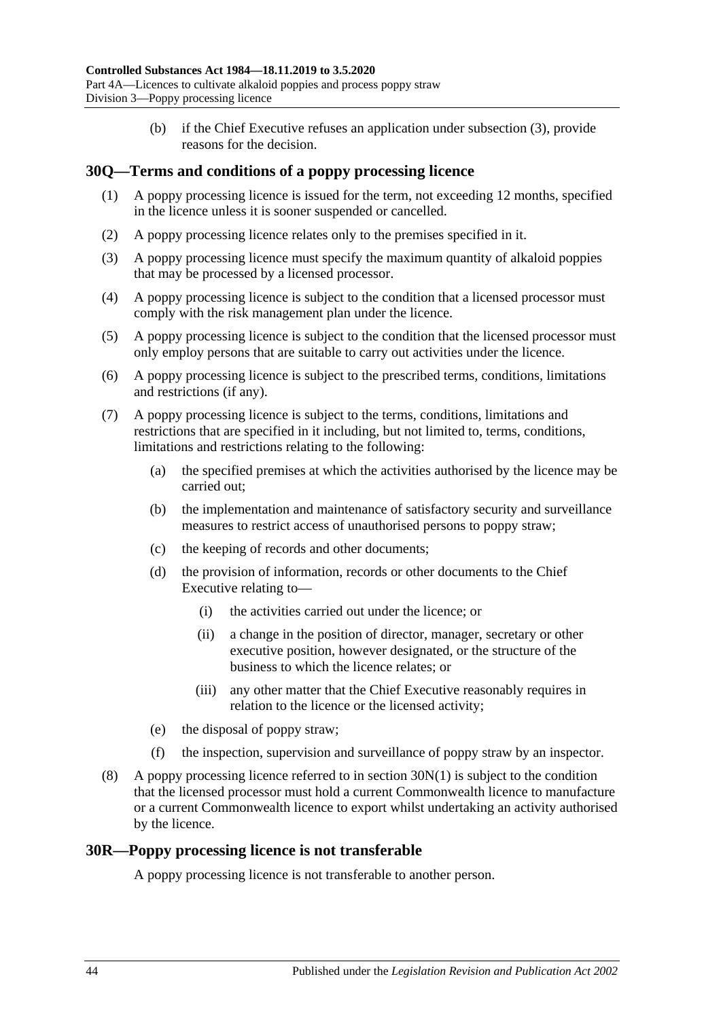(b) if the Chief Executive refuses an application under [subsection](#page-42-3) (3), provide reasons for the decision.

### **30Q—Terms and conditions of a poppy processing licence**

- (1) A poppy processing licence is issued for the term, not exceeding 12 months, specified in the licence unless it is sooner suspended or cancelled.
- (2) A poppy processing licence relates only to the premises specified in it.
- (3) A poppy processing licence must specify the maximum quantity of alkaloid poppies that may be processed by a licensed processor.
- (4) A poppy processing licence is subject to the condition that a licensed processor must comply with the risk management plan under the licence.
- (5) A poppy processing licence is subject to the condition that the licensed processor must only employ persons that are suitable to carry out activities under the licence.
- (6) A poppy processing licence is subject to the prescribed terms, conditions, limitations and restrictions (if any).
- (7) A poppy processing licence is subject to the terms, conditions, limitations and restrictions that are specified in it including, but not limited to, terms, conditions, limitations and restrictions relating to the following:
	- (a) the specified premises at which the activities authorised by the licence may be carried out;
	- (b) the implementation and maintenance of satisfactory security and surveillance measures to restrict access of unauthorised persons to poppy straw;
	- (c) the keeping of records and other documents;
	- (d) the provision of information, records or other documents to the Chief Executive relating to—
		- (i) the activities carried out under the licence; or
		- (ii) a change in the position of director, manager, secretary or other executive position, however designated, or the structure of the business to which the licence relates; or
		- (iii) any other matter that the Chief Executive reasonably requires in relation to the licence or the licensed activity;
	- (e) the disposal of poppy straw;
	- (f) the inspection, supervision and surveillance of poppy straw by an inspector.
- (8) A poppy processing licence referred to in [section](#page-41-0) 30N(1) is subject to the condition that the licensed processor must hold a current Commonwealth licence to manufacture or a current Commonwealth licence to export whilst undertaking an activity authorised by the licence.

#### **30R—Poppy processing licence is not transferable**

A poppy processing licence is not transferable to another person.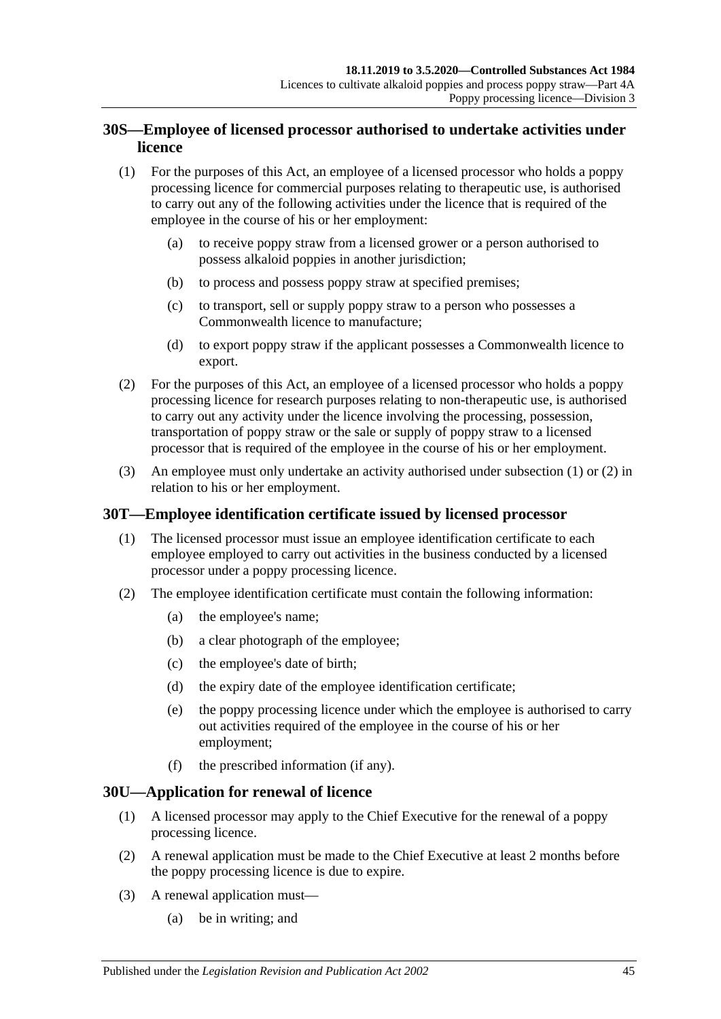### **30S—Employee of licensed processor authorised to undertake activities under licence**

- <span id="page-44-0"></span>(1) For the purposes of this Act, an employee of a licensed processor who holds a poppy processing licence for commercial purposes relating to therapeutic use, is authorised to carry out any of the following activities under the licence that is required of the employee in the course of his or her employment:
	- (a) to receive poppy straw from a licensed grower or a person authorised to possess alkaloid poppies in another jurisdiction;
	- (b) to process and possess poppy straw at specified premises;
	- (c) to transport, sell or supply poppy straw to a person who possesses a Commonwealth licence to manufacture;
	- (d) to export poppy straw if the applicant possesses a Commonwealth licence to export.
- <span id="page-44-1"></span>(2) For the purposes of this Act, an employee of a licensed processor who holds a poppy processing licence for research purposes relating to non-therapeutic use, is authorised to carry out any activity under the licence involving the processing, possession, transportation of poppy straw or the sale or supply of poppy straw to a licensed processor that is required of the employee in the course of his or her employment.
- (3) An employee must only undertake an activity authorised under [subsection](#page-44-0) (1) or [\(2\)](#page-44-1) in relation to his or her employment.

### **30T—Employee identification certificate issued by licensed processor**

- (1) The licensed processor must issue an employee identification certificate to each employee employed to carry out activities in the business conducted by a licensed processor under a poppy processing licence.
- <span id="page-44-3"></span>(2) The employee identification certificate must contain the following information:
	- (a) the employee's name;
	- (b) a clear photograph of the employee;
	- (c) the employee's date of birth;
	- (d) the expiry date of the employee identification certificate;
	- (e) the poppy processing licence under which the employee is authorised to carry out activities required of the employee in the course of his or her employment;
	- (f) the prescribed information (if any).

#### <span id="page-44-2"></span>**30U—Application for renewal of licence**

- (1) A licensed processor may apply to the Chief Executive for the renewal of a poppy processing licence.
- (2) A renewal application must be made to the Chief Executive at least 2 months before the poppy processing licence is due to expire.
- (3) A renewal application must—
	- (a) be in writing; and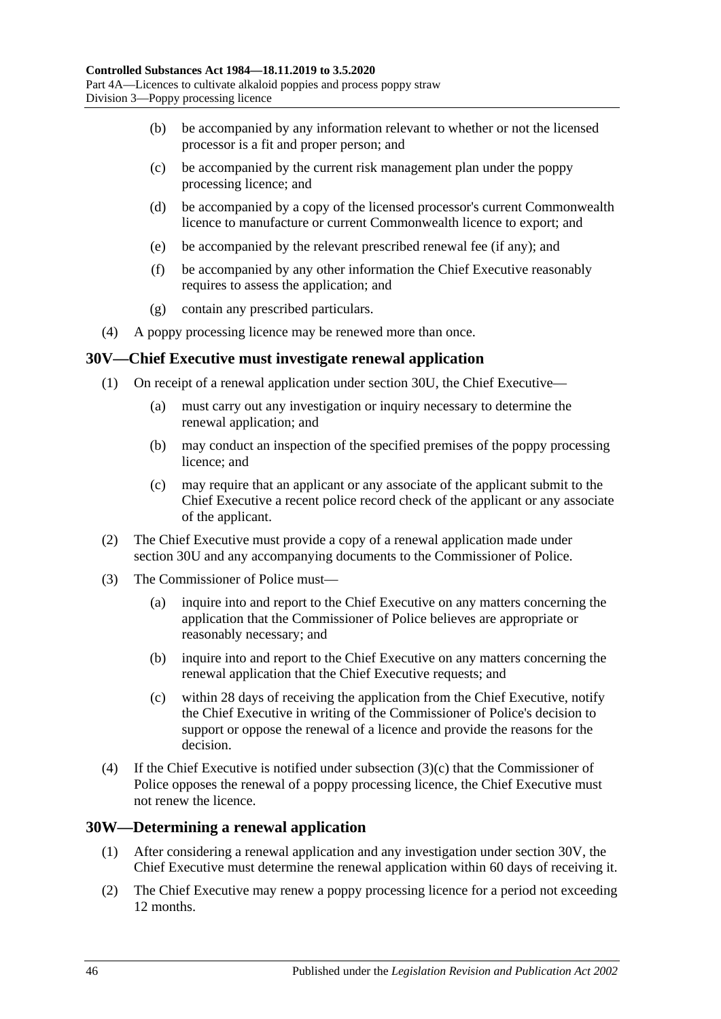- (b) be accompanied by any information relevant to whether or not the licensed processor is a fit and proper person; and
- (c) be accompanied by the current risk management plan under the poppy processing licence; and
- (d) be accompanied by a copy of the licensed processor's current Commonwealth licence to manufacture or current Commonwealth licence to export; and
- (e) be accompanied by the relevant prescribed renewal fee (if any); and
- (f) be accompanied by any other information the Chief Executive reasonably requires to assess the application; and
- (g) contain any prescribed particulars.
- (4) A poppy processing licence may be renewed more than once.

#### <span id="page-45-1"></span>**30V—Chief Executive must investigate renewal application**

- (1) On receipt of a renewal application under [section](#page-44-2) 30U, the Chief Executive—
	- (a) must carry out any investigation or inquiry necessary to determine the renewal application; and
	- (b) may conduct an inspection of the specified premises of the poppy processing licence; and
	- (c) may require that an applicant or any associate of the applicant submit to the Chief Executive a recent police record check of the applicant or any associate of the applicant.
- (2) The Chief Executive must provide a copy of a renewal application made under [section](#page-44-2) 30U and any accompanying documents to the Commissioner of Police.
- (3) The Commissioner of Police must—
	- (a) inquire into and report to the Chief Executive on any matters concerning the application that the Commissioner of Police believes are appropriate or reasonably necessary; and
	- (b) inquire into and report to the Chief Executive on any matters concerning the renewal application that the Chief Executive requests; and
	- (c) within 28 days of receiving the application from the Chief Executive, notify the Chief Executive in writing of the Commissioner of Police's decision to support or oppose the renewal of a licence and provide the reasons for the decision.
- <span id="page-45-0"></span>(4) If the Chief Executive is notified under [subsection](#page-45-0) (3)(c) that the Commissioner of Police opposes the renewal of a poppy processing licence, the Chief Executive must not renew the licence.

#### **30W—Determining a renewal application**

- (1) After considering a renewal application and any investigation under [section](#page-45-1) 30V, the Chief Executive must determine the renewal application within 60 days of receiving it.
- <span id="page-45-2"></span>(2) The Chief Executive may renew a poppy processing licence for a period not exceeding 12 months.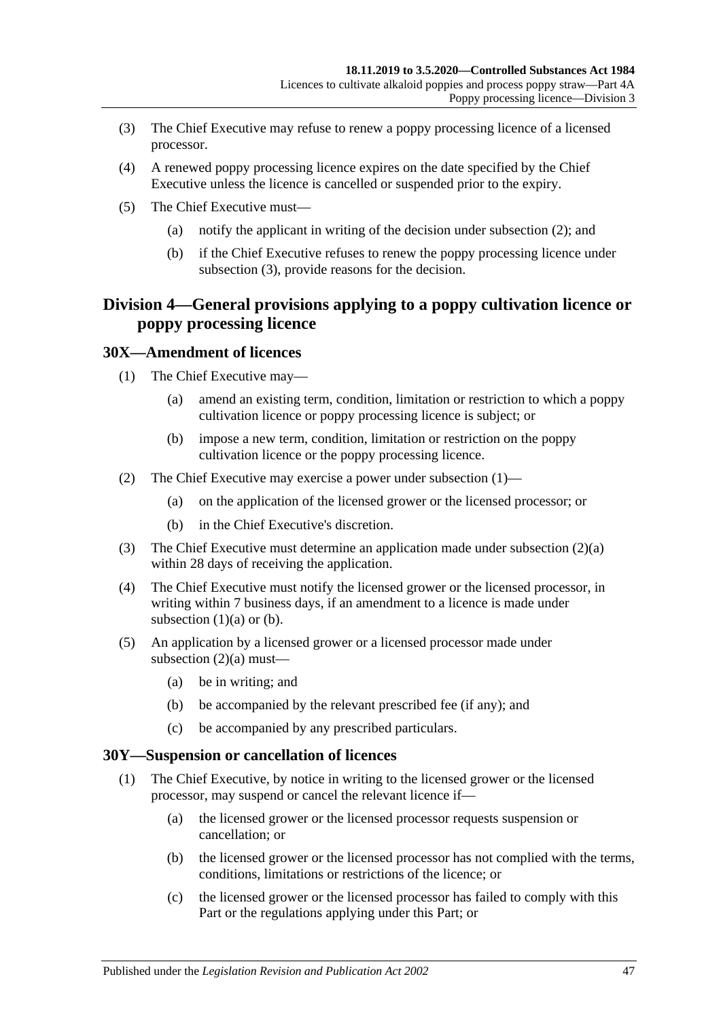- <span id="page-46-0"></span>(3) The Chief Executive may refuse to renew a poppy processing licence of a licensed processor.
- (4) A renewed poppy processing licence expires on the date specified by the Chief Executive unless the licence is cancelled or suspended prior to the expiry.
- (5) The Chief Executive must—
	- (a) notify the applicant in writing of the decision under [subsection](#page-45-2) (2); and
	- (b) if the Chief Executive refuses to renew the poppy processing licence under [subsection](#page-46-0) (3), provide reasons for the decision.

# **Division 4—General provisions applying to a poppy cultivation licence or poppy processing licence**

#### <span id="page-46-1"></span>**30X—Amendment of licences**

- <span id="page-46-3"></span>(1) The Chief Executive may—
	- (a) amend an existing term, condition, limitation or restriction to which a poppy cultivation licence or poppy processing licence is subject; or
	- (b) impose a new term, condition, limitation or restriction on the poppy cultivation licence or the poppy processing licence.
- <span id="page-46-4"></span><span id="page-46-2"></span>(2) The Chief Executive may exercise a power under [subsection](#page-46-1) (1)—
	- (a) on the application of the licensed grower or the licensed processor; or
	- (b) in the Chief Executive's discretion.
- (3) The Chief Executive must determine an application made under [subsection](#page-46-2) (2)(a) within 28 days of receiving the application.
- (4) The Chief Executive must notify the licensed grower or the licensed processor, in writing within 7 business days, if an amendment to a licence is made under [subsection](#page-46-3)  $(1)(a)$  or  $(b)$ .
- (5) An application by a licensed grower or a licensed processor made under [subsection](#page-46-2)  $(2)(a)$  must—
	- (a) be in writing; and
	- (b) be accompanied by the relevant prescribed fee (if any); and
	- (c) be accompanied by any prescribed particulars.

#### <span id="page-46-6"></span><span id="page-46-5"></span>**30Y—Suspension or cancellation of licences**

- (1) The Chief Executive, by notice in writing to the licensed grower or the licensed processor, may suspend or cancel the relevant licence if—
	- (a) the licensed grower or the licensed processor requests suspension or cancellation; or
	- (b) the licensed grower or the licensed processor has not complied with the terms, conditions, limitations or restrictions of the licence; or
	- (c) the licensed grower or the licensed processor has failed to comply with this Part or the regulations applying under this Part; or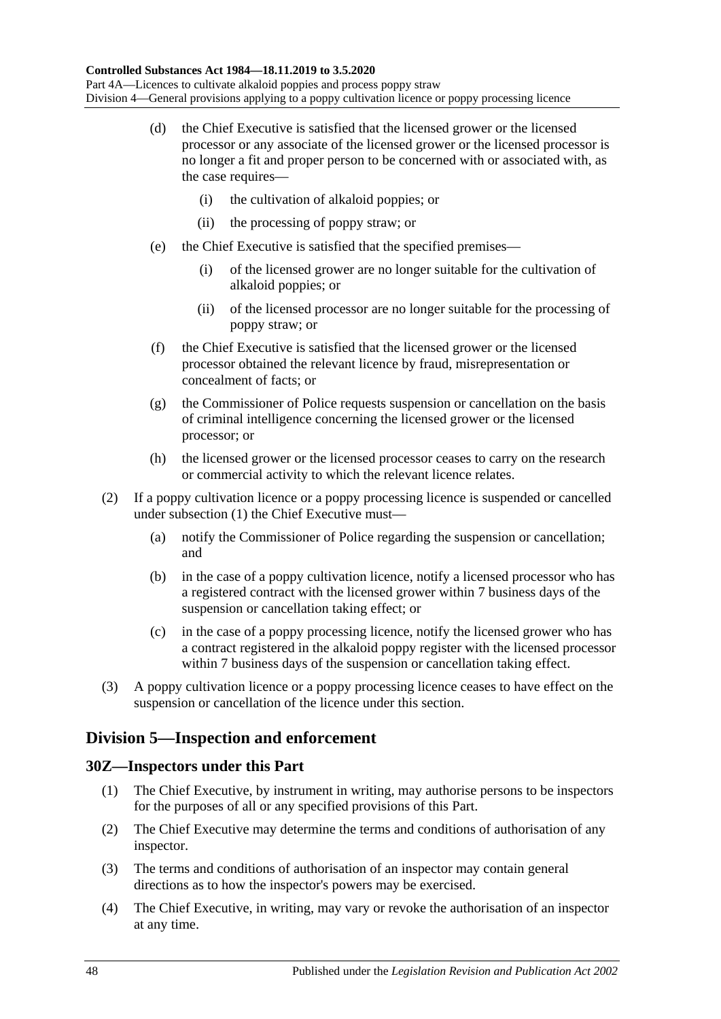- (d) the Chief Executive is satisfied that the licensed grower or the licensed processor or any associate of the licensed grower or the licensed processor is no longer a fit and proper person to be concerned with or associated with, as the case requires-
	- (i) the cultivation of alkaloid poppies; or
	- (ii) the processing of poppy straw; or
- (e) the Chief Executive is satisfied that the specified premises—
	- (i) of the licensed grower are no longer suitable for the cultivation of alkaloid poppies; or
	- (ii) of the licensed processor are no longer suitable for the processing of poppy straw; or
- (f) the Chief Executive is satisfied that the licensed grower or the licensed processor obtained the relevant licence by fraud, misrepresentation or concealment of facts; or
- (g) the Commissioner of Police requests suspension or cancellation on the basis of criminal intelligence concerning the licensed grower or the licensed processor; or
- (h) the licensed grower or the licensed processor ceases to carry on the research or commercial activity to which the relevant licence relates.
- (2) If a poppy cultivation licence or a poppy processing licence is suspended or cancelled under [subsection](#page-46-5) (1) the Chief Executive must—
	- (a) notify the Commissioner of Police regarding the suspension or cancellation; and
	- (b) in the case of a poppy cultivation licence, notify a licensed processor who has a registered contract with the licensed grower within 7 business days of the suspension or cancellation taking effect; or
	- (c) in the case of a poppy processing licence, notify the licensed grower who has a contract registered in the alkaloid poppy register with the licensed processor within 7 business days of the suspension or cancellation taking effect.
- (3) A poppy cultivation licence or a poppy processing licence ceases to have effect on the suspension or cancellation of the licence under this section.

### **Division 5—Inspection and enforcement**

### **30Z—Inspectors under this Part**

- (1) The Chief Executive, by instrument in writing, may authorise persons to be inspectors for the purposes of all or any specified provisions of this Part.
- (2) The Chief Executive may determine the terms and conditions of authorisation of any inspector.
- (3) The terms and conditions of authorisation of an inspector may contain general directions as to how the inspector's powers may be exercised.
- (4) The Chief Executive, in writing, may vary or revoke the authorisation of an inspector at any time.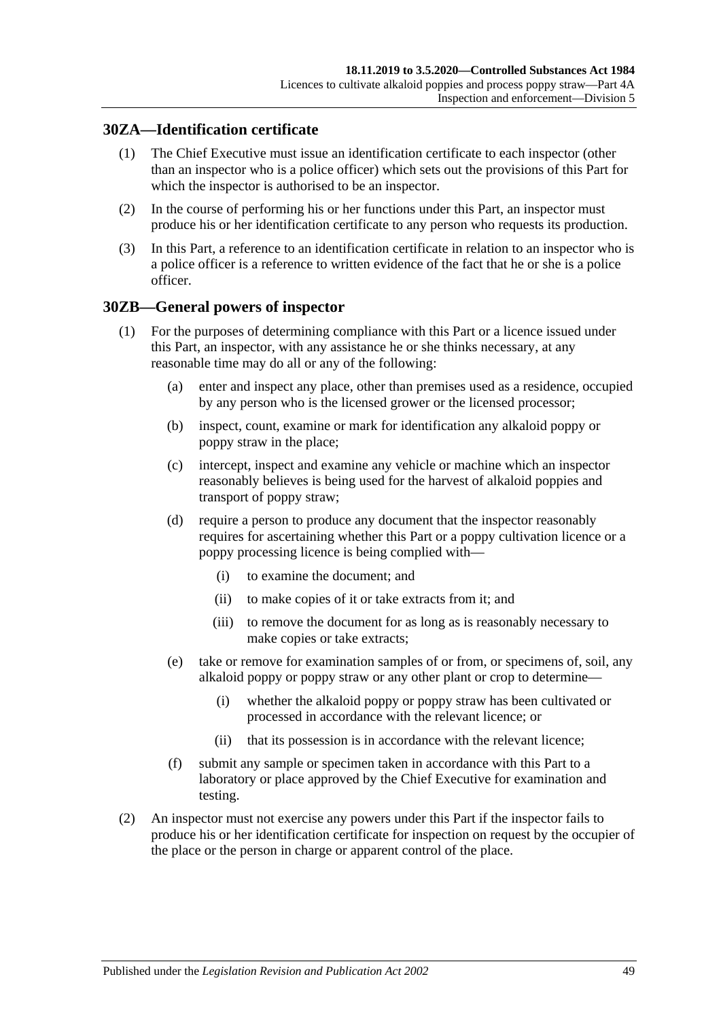### **30ZA—Identification certificate**

- (1) The Chief Executive must issue an identification certificate to each inspector (other than an inspector who is a police officer) which sets out the provisions of this Part for which the inspector is authorised to be an inspector.
- (2) In the course of performing his or her functions under this Part, an inspector must produce his or her identification certificate to any person who requests its production.
- (3) In this Part, a reference to an identification certificate in relation to an inspector who is a police officer is a reference to written evidence of the fact that he or she is a police officer.

### <span id="page-48-1"></span>**30ZB—General powers of inspector**

- (1) For the purposes of determining compliance with this Part or a licence issued under this Part, an inspector, with any assistance he or she thinks necessary, at any reasonable time may do all or any of the following:
	- (a) enter and inspect any place, other than premises used as a residence, occupied by any person who is the licensed grower or the licensed processor;
	- (b) inspect, count, examine or mark for identification any alkaloid poppy or poppy straw in the place;
	- (c) intercept, inspect and examine any vehicle or machine which an inspector reasonably believes is being used for the harvest of alkaloid poppies and transport of poppy straw;
	- (d) require a person to produce any document that the inspector reasonably requires for ascertaining whether this Part or a poppy cultivation licence or a poppy processing licence is being complied with—
		- (i) to examine the document; and
		- (ii) to make copies of it or take extracts from it; and
		- (iii) to remove the document for as long as is reasonably necessary to make copies or take extracts;
	- (e) take or remove for examination samples of or from, or specimens of, soil, any alkaloid poppy or poppy straw or any other plant or crop to determine—
		- (i) whether the alkaloid poppy or poppy straw has been cultivated or processed in accordance with the relevant licence; or
		- (ii) that its possession is in accordance with the relevant licence;
	- (f) submit any sample or specimen taken in accordance with this Part to a laboratory or place approved by the Chief Executive for examination and testing.
- <span id="page-48-0"></span>(2) An inspector must not exercise any powers under this Part if the inspector fails to produce his or her identification certificate for inspection on request by the occupier of the place or the person in charge or apparent control of the place.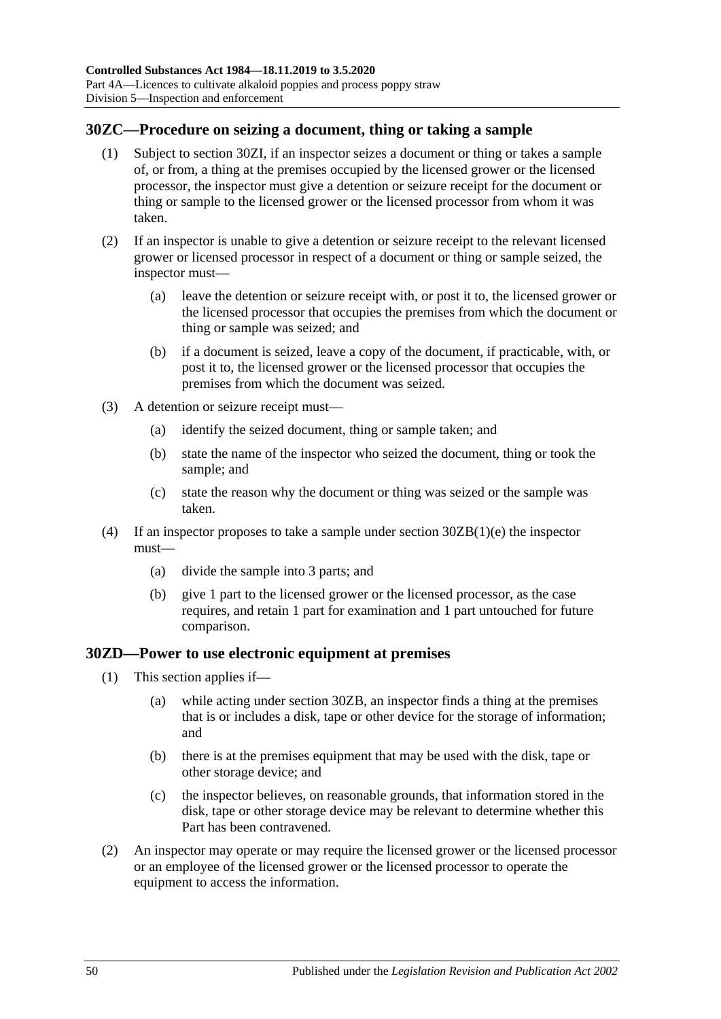### **30ZC—Procedure on seizing a document, thing or taking a sample**

- (1) Subject to [section](#page-50-0) 30ZI, if an inspector seizes a document or thing or takes a sample of, or from, a thing at the premises occupied by the licensed grower or the licensed processor, the inspector must give a detention or seizure receipt for the document or thing or sample to the licensed grower or the licensed processor from whom it was taken.
- (2) If an inspector is unable to give a detention or seizure receipt to the relevant licensed grower or licensed processor in respect of a document or thing or sample seized, the inspector must—
	- (a) leave the detention or seizure receipt with, or post it to, the licensed grower or the licensed processor that occupies the premises from which the document or thing or sample was seized; and
	- (b) if a document is seized, leave a copy of the document, if practicable, with, or post it to, the licensed grower or the licensed processor that occupies the premises from which the document was seized.
- (3) A detention or seizure receipt must—
	- (a) identify the seized document, thing or sample taken; and
	- (b) state the name of the inspector who seized the document, thing or took the sample; and
	- (c) state the reason why the document or thing was seized or the sample was taken.
- (4) If an inspector proposes to take a sample under section [30ZB\(1\)\(e\)](#page-48-0) the inspector must—
	- (a) divide the sample into 3 parts; and
	- (b) give 1 part to the licensed grower or the licensed processor, as the case requires, and retain 1 part for examination and 1 part untouched for future comparison.

### <span id="page-49-0"></span>**30ZD—Power to use electronic equipment at premises**

- (1) This section applies if—
	- (a) while acting under [section](#page-48-1) 30ZB, an inspector finds a thing at the premises that is or includes a disk, tape or other device for the storage of information; and
	- (b) there is at the premises equipment that may be used with the disk, tape or other storage device; and
	- (c) the inspector believes, on reasonable grounds, that information stored in the disk, tape or other storage device may be relevant to determine whether this Part has been contravened.
- (2) An inspector may operate or may require the licensed grower or the licensed processor or an employee of the licensed grower or the licensed processor to operate the equipment to access the information.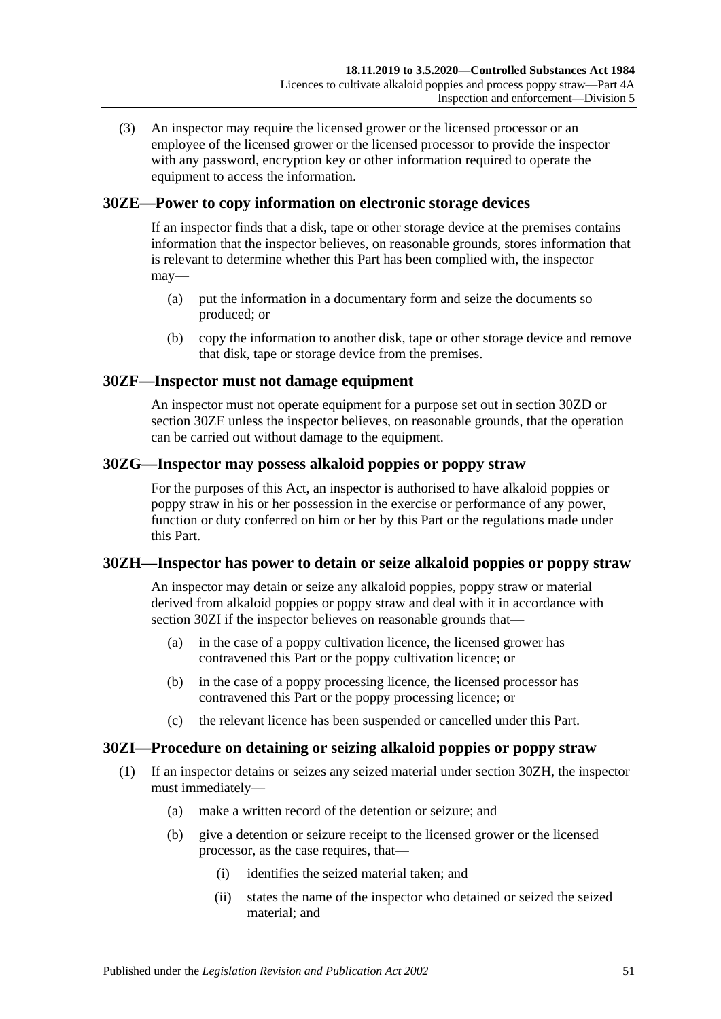(3) An inspector may require the licensed grower or the licensed processor or an employee of the licensed grower or the licensed processor to provide the inspector with any password, encryption key or other information required to operate the equipment to access the information.

### <span id="page-50-1"></span>**30ZE—Power to copy information on electronic storage devices**

If an inspector finds that a disk, tape or other storage device at the premises contains information that the inspector believes, on reasonable grounds, stores information that is relevant to determine whether this Part has been complied with, the inspector may—

- (a) put the information in a documentary form and seize the documents so produced; or
- (b) copy the information to another disk, tape or other storage device and remove that disk, tape or storage device from the premises.

### **30ZF—Inspector must not damage equipment**

An inspector must not operate equipment for a purpose set out in [section](#page-49-0) 30ZD or [section](#page-50-1) 30ZE unless the inspector believes, on reasonable grounds, that the operation can be carried out without damage to the equipment.

### **30ZG—Inspector may possess alkaloid poppies or poppy straw**

For the purposes of this Act, an inspector is authorised to have alkaloid poppies or poppy straw in his or her possession in the exercise or performance of any power, function or duty conferred on him or her by this Part or the regulations made under this Part.

### <span id="page-50-2"></span>**30ZH—Inspector has power to detain or seize alkaloid poppies or poppy straw**

An inspector may detain or seize any alkaloid poppies, poppy straw or material derived from alkaloid poppies or poppy straw and deal with it in accordance with [section](#page-50-0) 30ZI if the inspector believes on reasonable grounds that—

- (a) in the case of a poppy cultivation licence, the licensed grower has contravened this Part or the poppy cultivation licence; or
- (b) in the case of a poppy processing licence, the licensed processor has contravened this Part or the poppy processing licence; or
- (c) the relevant licence has been suspended or cancelled under this Part.

### <span id="page-50-0"></span>**30ZI—Procedure on detaining or seizing alkaloid poppies or poppy straw**

- (1) If an inspector detains or seizes any seized material under [section](#page-50-2) 30ZH, the inspector must immediately—
	- (a) make a written record of the detention or seizure; and
	- (b) give a detention or seizure receipt to the licensed grower or the licensed processor, as the case requires, that—
		- (i) identifies the seized material taken; and
		- (ii) states the name of the inspector who detained or seized the seized material; and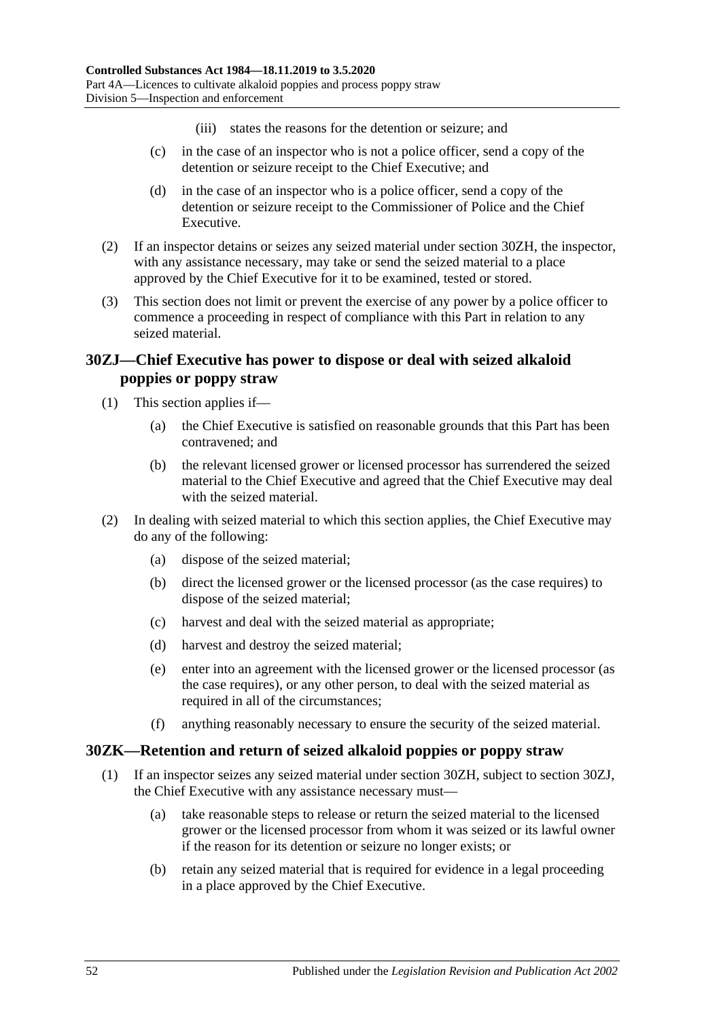- (iii) states the reasons for the detention or seizure; and
- (c) in the case of an inspector who is not a police officer, send a copy of the detention or seizure receipt to the Chief Executive; and
- (d) in the case of an inspector who is a police officer, send a copy of the detention or seizure receipt to the Commissioner of Police and the Chief Executive.
- (2) If an inspector detains or seizes any seized material under [section](#page-50-2) 30ZH, the inspector, with any assistance necessary, may take or send the seized material to a place approved by the Chief Executive for it to be examined, tested or stored.
- (3) This section does not limit or prevent the exercise of any power by a police officer to commence a proceeding in respect of compliance with this Part in relation to any seized material.

### <span id="page-51-0"></span>**30ZJ—Chief Executive has power to dispose or deal with seized alkaloid poppies or poppy straw**

- (1) This section applies if—
	- (a) the Chief Executive is satisfied on reasonable grounds that this Part has been contravened; and
	- (b) the relevant licensed grower or licensed processor has surrendered the seized material to the Chief Executive and agreed that the Chief Executive may deal with the seized material.
- (2) In dealing with seized material to which this section applies, the Chief Executive may do any of the following:
	- (a) dispose of the seized material;
	- (b) direct the licensed grower or the licensed processor (as the case requires) to dispose of the seized material;
	- (c) harvest and deal with the seized material as appropriate;
	- (d) harvest and destroy the seized material;
	- (e) enter into an agreement with the licensed grower or the licensed processor (as the case requires), or any other person, to deal with the seized material as required in all of the circumstances;
	- (f) anything reasonably necessary to ensure the security of the seized material.

### **30ZK—Retention and return of seized alkaloid poppies or poppy straw**

- (1) If an inspector seizes any seized material under [section](#page-50-2) 30ZH, subject to [section](#page-51-0) 30ZJ, the Chief Executive with any assistance necessary must—
	- (a) take reasonable steps to release or return the seized material to the licensed grower or the licensed processor from whom it was seized or its lawful owner if the reason for its detention or seizure no longer exists; or
	- (b) retain any seized material that is required for evidence in a legal proceeding in a place approved by the Chief Executive.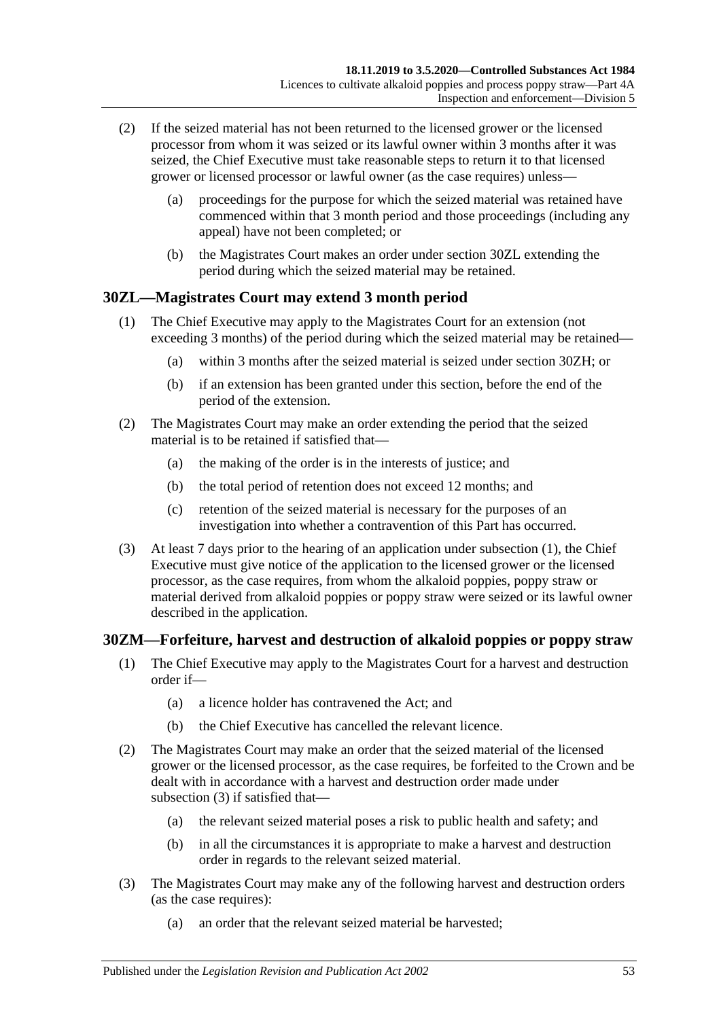- (2) If the seized material has not been returned to the licensed grower or the licensed processor from whom it was seized or its lawful owner within 3 months after it was seized, the Chief Executive must take reasonable steps to return it to that licensed grower or licensed processor or lawful owner (as the case requires) unless—
	- (a) proceedings for the purpose for which the seized material was retained have commenced within that 3 month period and those proceedings (including any appeal) have not been completed; or
	- (b) the Magistrates Court makes an order under [section](#page-52-0) 30ZL extending the period during which the seized material may be retained.

### <span id="page-52-1"></span><span id="page-52-0"></span>**30ZL—Magistrates Court may extend 3 month period**

- (1) The Chief Executive may apply to the Magistrates Court for an extension (not exceeding 3 months) of the period during which the seized material may be retained—
	- (a) within 3 months after the seized material is seized under [section](#page-50-2) 30ZH; or
	- (b) if an extension has been granted under this section, before the end of the period of the extension.
- (2) The Magistrates Court may make an order extending the period that the seized material is to be retained if satisfied that—
	- (a) the making of the order is in the interests of justice; and
	- (b) the total period of retention does not exceed 12 months; and
	- (c) retention of the seized material is necessary for the purposes of an investigation into whether a contravention of this Part has occurred.
- (3) At least 7 days prior to the hearing of an application under [subsection](#page-52-1) (1), the Chief Executive must give notice of the application to the licensed grower or the licensed processor, as the case requires, from whom the alkaloid poppies, poppy straw or material derived from alkaloid poppies or poppy straw were seized or its lawful owner described in the application.

### **30ZM—Forfeiture, harvest and destruction of alkaloid poppies or poppy straw**

- (1) The Chief Executive may apply to the Magistrates Court for a harvest and destruction order if—
	- (a) a licence holder has contravened the Act; and
	- (b) the Chief Executive has cancelled the relevant licence.
- (2) The Magistrates Court may make an order that the seized material of the licensed grower or the licensed processor, as the case requires, be forfeited to the Crown and be dealt with in accordance with a harvest and destruction order made under [subsection](#page-52-2) (3) if satisfied that—
	- (a) the relevant seized material poses a risk to public health and safety; and
	- (b) in all the circumstances it is appropriate to make a harvest and destruction order in regards to the relevant seized material.
- <span id="page-52-2"></span>(3) The Magistrates Court may make any of the following harvest and destruction orders (as the case requires):
	- (a) an order that the relevant seized material be harvested;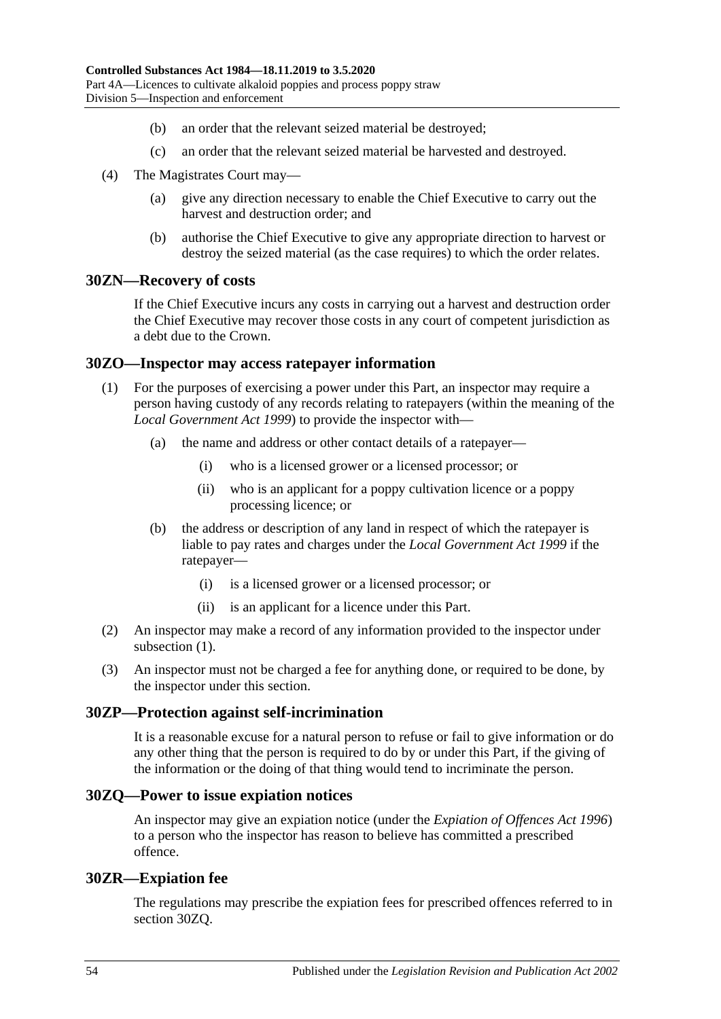- (b) an order that the relevant seized material be destroyed;
- (c) an order that the relevant seized material be harvested and destroyed.
- (4) The Magistrates Court may—
	- (a) give any direction necessary to enable the Chief Executive to carry out the harvest and destruction order; and
	- (b) authorise the Chief Executive to give any appropriate direction to harvest or destroy the seized material (as the case requires) to which the order relates.

#### **30ZN—Recovery of costs**

If the Chief Executive incurs any costs in carrying out a harvest and destruction order the Chief Executive may recover those costs in any court of competent jurisdiction as a debt due to the Crown.

#### <span id="page-53-0"></span>**30ZO—Inspector may access ratepayer information**

- (1) For the purposes of exercising a power under this Part, an inspector may require a person having custody of any records relating to ratepayers (within the meaning of the *[Local Government Act](http://www.legislation.sa.gov.au/index.aspx?action=legref&type=act&legtitle=Local%20Government%20Act%201999) 1999*) to provide the inspector with—
	- (a) the name and address or other contact details of a ratepayer—
		- (i) who is a licensed grower or a licensed processor; or
		- (ii) who is an applicant for a poppy cultivation licence or a poppy processing licence; or
	- (b) the address or description of any land in respect of which the ratepayer is liable to pay rates and charges under the *[Local Government Act](http://www.legislation.sa.gov.au/index.aspx?action=legref&type=act&legtitle=Local%20Government%20Act%201999) 1999* if the ratepayer—
		- (i) is a licensed grower or a licensed processor; or
		- (ii) is an applicant for a licence under this Part.
- (2) An inspector may make a record of any information provided to the inspector under [subsection](#page-53-0)  $(1)$ .
- (3) An inspector must not be charged a fee for anything done, or required to be done, by the inspector under this section.

#### **30ZP—Protection against self-incrimination**

It is a reasonable excuse for a natural person to refuse or fail to give information or do any other thing that the person is required to do by or under this Part, if the giving of the information or the doing of that thing would tend to incriminate the person.

#### <span id="page-53-1"></span>**30ZQ—Power to issue expiation notices**

An inspector may give an expiation notice (under the *[Expiation of Offences Act](http://www.legislation.sa.gov.au/index.aspx?action=legref&type=act&legtitle=Expiation%20of%20Offences%20Act%201996) 1996*) to a person who the inspector has reason to believe has committed a prescribed offence.

#### **30ZR—Expiation fee**

The regulations may prescribe the expiation fees for prescribed offences referred to in [section](#page-53-1) 30ZQ.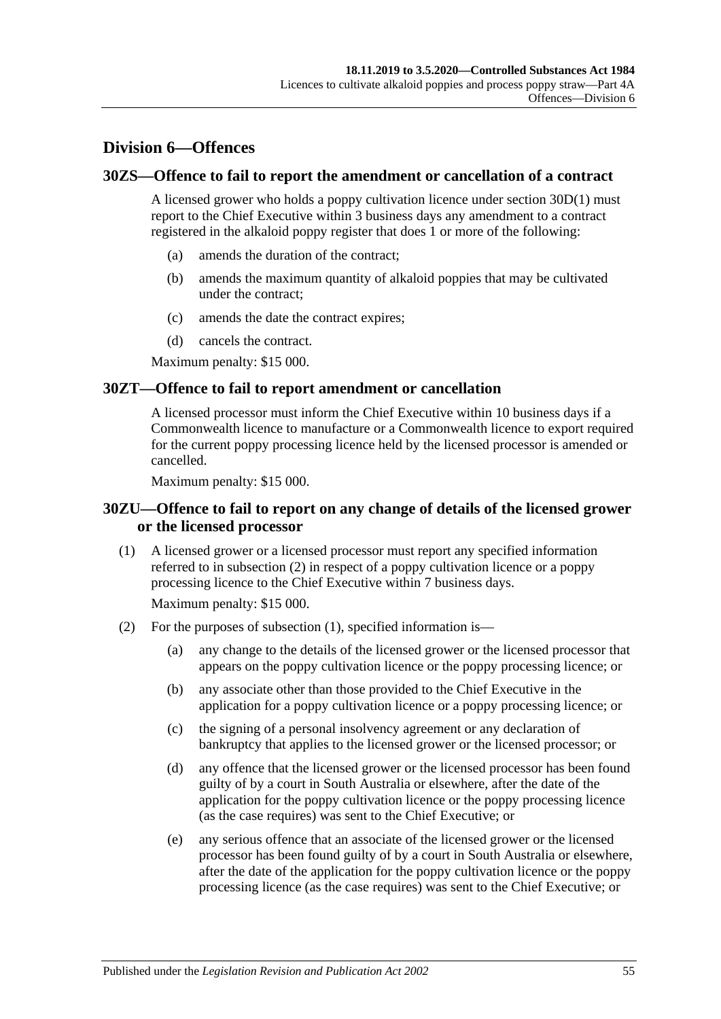# **Division 6—Offences**

#### **30ZS—Offence to fail to report the amendment or cancellation of a contract**

A licensed grower who holds a poppy cultivation licence under [section](#page-36-0) 30D(1) must report to the Chief Executive within 3 business days any amendment to a contract registered in the alkaloid poppy register that does 1 or more of the following:

- (a) amends the duration of the contract;
- (b) amends the maximum quantity of alkaloid poppies that may be cultivated under the contract;
- (c) amends the date the contract expires;
- (d) cancels the contract.

Maximum penalty: \$15 000.

#### **30ZT—Offence to fail to report amendment or cancellation**

A licensed processor must inform the Chief Executive within 10 business days if a Commonwealth licence to manufacture or a Commonwealth licence to export required for the current poppy processing licence held by the licensed processor is amended or cancelled.

Maximum penalty: \$15 000.

### **30ZU—Offence to fail to report on any change of details of the licensed grower or the licensed processor**

<span id="page-54-1"></span>(1) A licensed grower or a licensed processor must report any specified information referred to in [subsection](#page-54-0) (2) in respect of a poppy cultivation licence or a poppy processing licence to the Chief Executive within 7 business days.

Maximum penalty: \$15 000.

- <span id="page-54-0"></span>(2) For the purposes of [subsection](#page-54-1) (1), specified information is—
	- (a) any change to the details of the licensed grower or the licensed processor that appears on the poppy cultivation licence or the poppy processing licence; or
	- (b) any associate other than those provided to the Chief Executive in the application for a poppy cultivation licence or a poppy processing licence; or
	- (c) the signing of a personal insolvency agreement or any declaration of bankruptcy that applies to the licensed grower or the licensed processor; or
	- (d) any offence that the licensed grower or the licensed processor has been found guilty of by a court in South Australia or elsewhere, after the date of the application for the poppy cultivation licence or the poppy processing licence (as the case requires) was sent to the Chief Executive; or
	- (e) any serious offence that an associate of the licensed grower or the licensed processor has been found guilty of by a court in South Australia or elsewhere, after the date of the application for the poppy cultivation licence or the poppy processing licence (as the case requires) was sent to the Chief Executive; or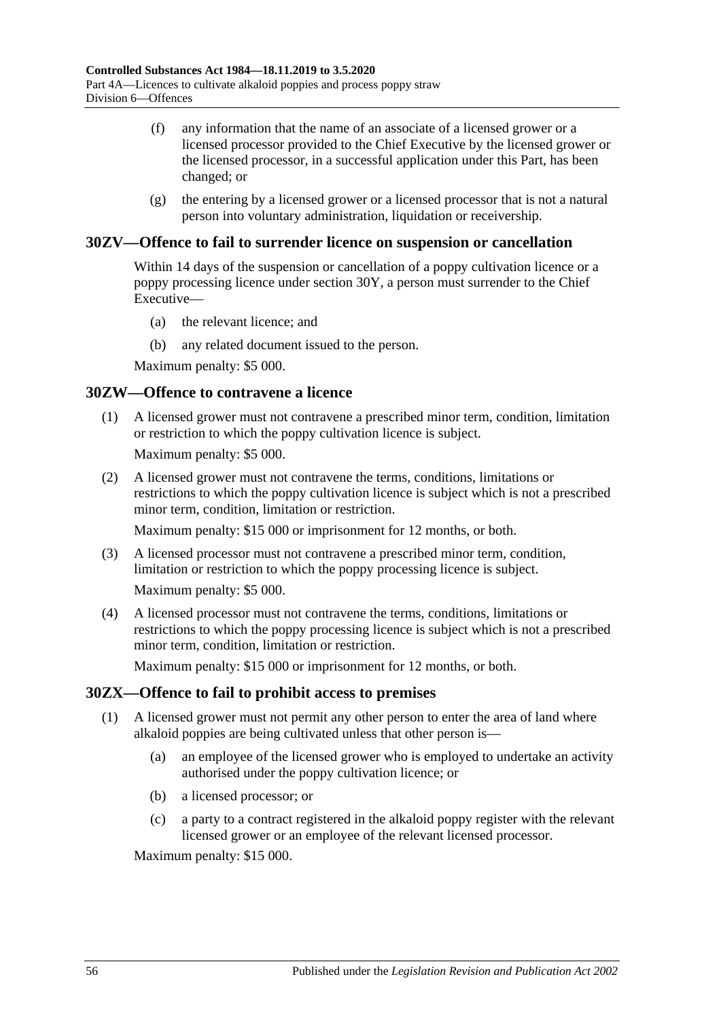- (f) any information that the name of an associate of a licensed grower or a licensed processor provided to the Chief Executive by the licensed grower or the licensed processor, in a successful application under this Part, has been changed; or
- (g) the entering by a licensed grower or a licensed processor that is not a natural person into voluntary administration, liquidation or receivership.

### **30ZV—Offence to fail to surrender licence on suspension or cancellation**

Within 14 days of the suspension or cancellation of a poppy cultivation licence or a poppy processing licence under [section](#page-46-6) 30Y, a person must surrender to the Chief Executive—

- (a) the relevant licence; and
- (b) any related document issued to the person.

Maximum penalty: \$5 000.

#### **30ZW—Offence to contravene a licence**

(1) A licensed grower must not contravene a prescribed minor term, condition, limitation or restriction to which the poppy cultivation licence is subject.

Maximum penalty: \$5 000.

(2) A licensed grower must not contravene the terms, conditions, limitations or restrictions to which the poppy cultivation licence is subject which is not a prescribed minor term, condition, limitation or restriction.

Maximum penalty: \$15 000 or imprisonment for 12 months, or both.

(3) A licensed processor must not contravene a prescribed minor term, condition, limitation or restriction to which the poppy processing licence is subject.

Maximum penalty: \$5 000.

(4) A licensed processor must not contravene the terms, conditions, limitations or restrictions to which the poppy processing licence is subject which is not a prescribed minor term, condition, limitation or restriction.

Maximum penalty: \$15 000 or imprisonment for 12 months, or both.

### **30ZX—Offence to fail to prohibit access to premises**

- (1) A licensed grower must not permit any other person to enter the area of land where alkaloid poppies are being cultivated unless that other person is—
	- (a) an employee of the licensed grower who is employed to undertake an activity authorised under the poppy cultivation licence; or
	- (b) a licensed processor; or
	- (c) a party to a contract registered in the alkaloid poppy register with the relevant licensed grower or an employee of the relevant licensed processor.

Maximum penalty: \$15 000.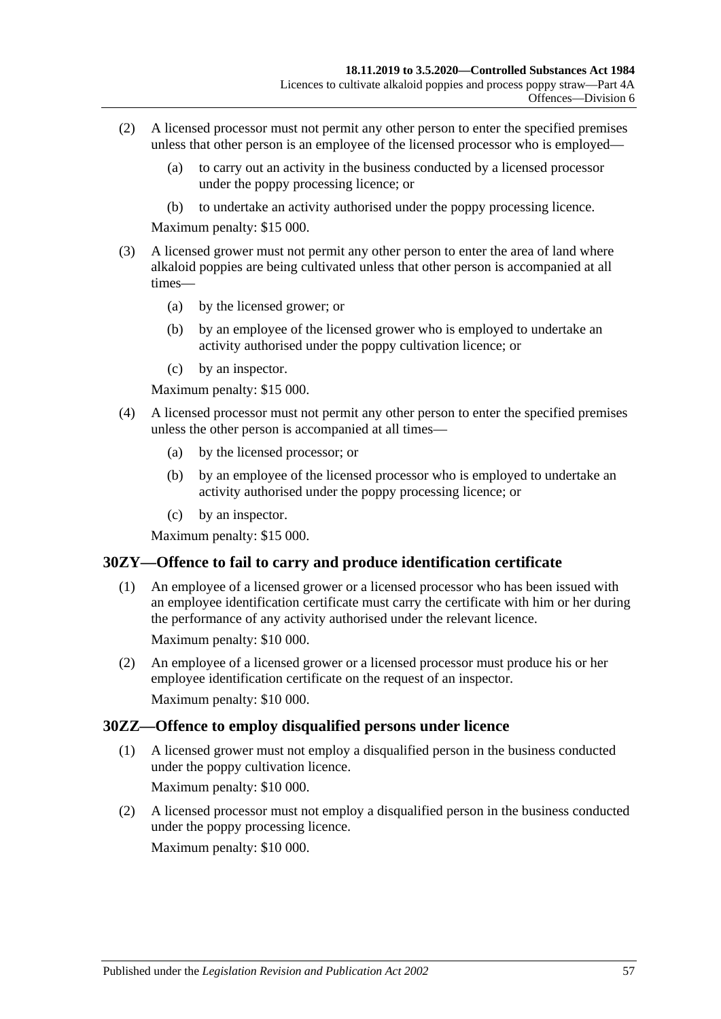- (2) A licensed processor must not permit any other person to enter the specified premises unless that other person is an employee of the licensed processor who is employed—
	- (a) to carry out an activity in the business conducted by a licensed processor under the poppy processing licence; or
	- (b) to undertake an activity authorised under the poppy processing licence.

Maximum penalty: \$15 000.

- (3) A licensed grower must not permit any other person to enter the area of land where alkaloid poppies are being cultivated unless that other person is accompanied at all times—
	- (a) by the licensed grower; or
	- (b) by an employee of the licensed grower who is employed to undertake an activity authorised under the poppy cultivation licence; or
	- (c) by an inspector.

Maximum penalty: \$15 000.

- (4) A licensed processor must not permit any other person to enter the specified premises unless the other person is accompanied at all times—
	- (a) by the licensed processor; or
	- (b) by an employee of the licensed processor who is employed to undertake an activity authorised under the poppy processing licence; or
	- (c) by an inspector.

Maximum penalty: \$15 000.

### **30ZY—Offence to fail to carry and produce identification certificate**

- (1) An employee of a licensed grower or a licensed processor who has been issued with an employee identification certificate must carry the certificate with him or her during the performance of any activity authorised under the relevant licence. Maximum penalty: \$10 000.
- (2) An employee of a licensed grower or a licensed processor must produce his or her employee identification certificate on the request of an inspector. Maximum penalty: \$10 000.

### **30ZZ—Offence to employ disqualified persons under licence**

(1) A licensed grower must not employ a disqualified person in the business conducted under the poppy cultivation licence.

Maximum penalty: \$10 000.

(2) A licensed processor must not employ a disqualified person in the business conducted under the poppy processing licence.

Maximum penalty: \$10 000.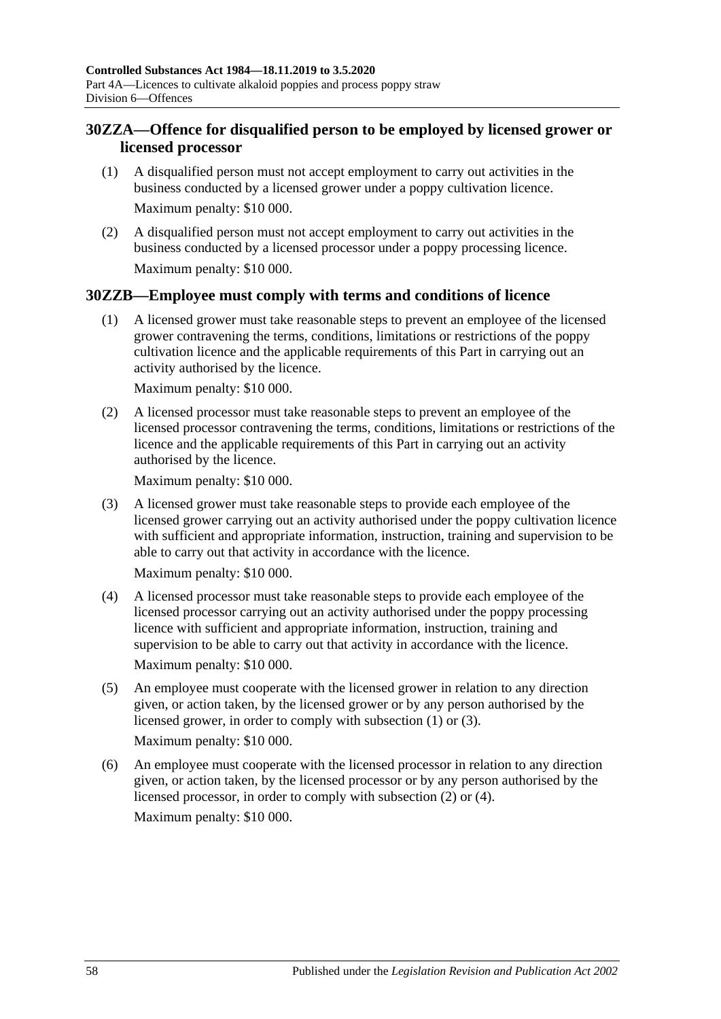### **30ZZA—Offence for disqualified person to be employed by licensed grower or licensed processor**

- (1) A disqualified person must not accept employment to carry out activities in the business conducted by a licensed grower under a poppy cultivation licence. Maximum penalty: \$10 000.
- (2) A disqualified person must not accept employment to carry out activities in the business conducted by a licensed processor under a poppy processing licence. Maximum penalty: \$10 000.

### <span id="page-57-0"></span>**30ZZB—Employee must comply with terms and conditions of licence**

(1) A licensed grower must take reasonable steps to prevent an employee of the licensed grower contravening the terms, conditions, limitations or restrictions of the poppy cultivation licence and the applicable requirements of this Part in carrying out an activity authorised by the licence.

Maximum penalty: \$10 000.

<span id="page-57-2"></span>(2) A licensed processor must take reasonable steps to prevent an employee of the licensed processor contravening the terms, conditions, limitations or restrictions of the licence and the applicable requirements of this Part in carrying out an activity authorised by the licence.

Maximum penalty: \$10 000.

<span id="page-57-1"></span>(3) A licensed grower must take reasonable steps to provide each employee of the licensed grower carrying out an activity authorised under the poppy cultivation licence with sufficient and appropriate information, instruction, training and supervision to be able to carry out that activity in accordance with the licence.

Maximum penalty: \$10 000.

<span id="page-57-3"></span>(4) A licensed processor must take reasonable steps to provide each employee of the licensed processor carrying out an activity authorised under the poppy processing licence with sufficient and appropriate information, instruction, training and supervision to be able to carry out that activity in accordance with the licence.

Maximum penalty: \$10 000.

(5) An employee must cooperate with the licensed grower in relation to any direction given, or action taken, by the licensed grower or by any person authorised by the licensed grower, in order to comply with [subsection](#page-57-0) (1) or [\(3\).](#page-57-1)

Maximum penalty: \$10 000.

(6) An employee must cooperate with the licensed processor in relation to any direction given, or action taken, by the licensed processor or by any person authorised by the licensed processor, in order to comply with [subsection](#page-57-2) (2) or [\(4\).](#page-57-3) Maximum penalty: \$10 000.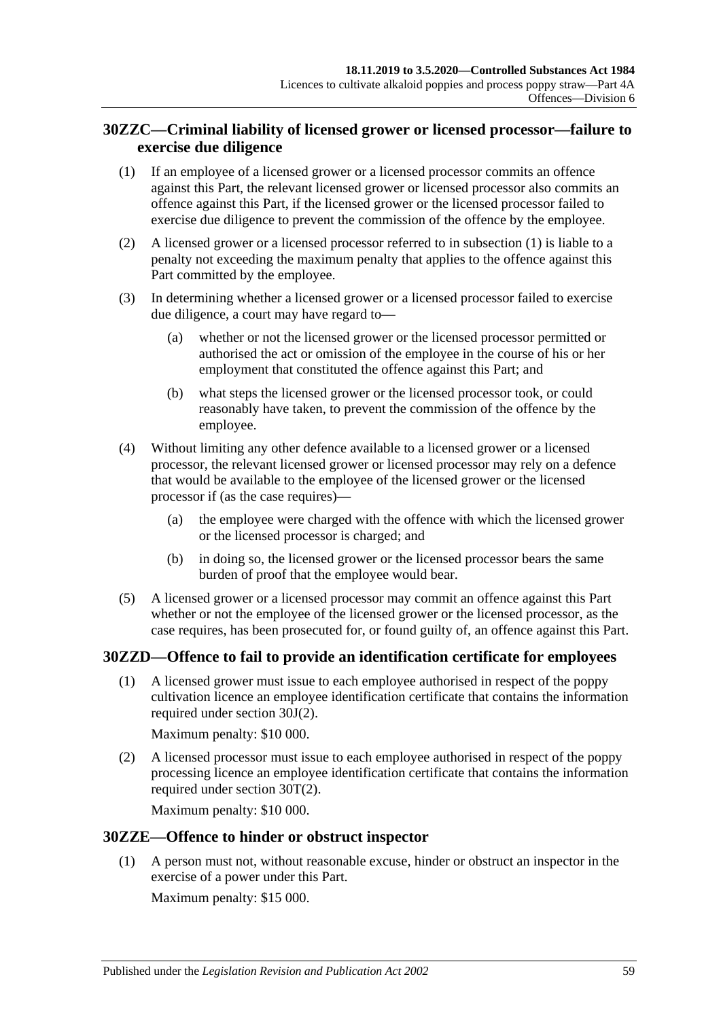### **30ZZC—Criminal liability of licensed grower or licensed processor—failure to exercise due diligence**

- <span id="page-58-0"></span>(1) If an employee of a licensed grower or a licensed processor commits an offence against this Part, the relevant licensed grower or licensed processor also commits an offence against this Part, if the licensed grower or the licensed processor failed to exercise due diligence to prevent the commission of the offence by the employee.
- (2) A licensed grower or a licensed processor referred to in [subsection](#page-58-0) (1) is liable to a penalty not exceeding the maximum penalty that applies to the offence against this Part committed by the employee.
- (3) In determining whether a licensed grower or a licensed processor failed to exercise due diligence, a court may have regard to—
	- (a) whether or not the licensed grower or the licensed processor permitted or authorised the act or omission of the employee in the course of his or her employment that constituted the offence against this Part; and
	- (b) what steps the licensed grower or the licensed processor took, or could reasonably have taken, to prevent the commission of the offence by the employee.
- (4) Without limiting any other defence available to a licensed grower or a licensed processor, the relevant licensed grower or licensed processor may rely on a defence that would be available to the employee of the licensed grower or the licensed processor if (as the case requires)—
	- (a) the employee were charged with the offence with which the licensed grower or the licensed processor is charged; and
	- (b) in doing so, the licensed grower or the licensed processor bears the same burden of proof that the employee would bear.
- (5) A licensed grower or a licensed processor may commit an offence against this Part whether or not the employee of the licensed grower or the licensed processor, as the case requires, has been prosecuted for, or found guilty of, an offence against this Part.

### **30ZZD—Offence to fail to provide an identification certificate for employees**

(1) A licensed grower must issue to each employee authorised in respect of the poppy cultivation licence an employee identification certificate that contains the information required under [section](#page-39-3) 30J(2).

Maximum penalty: \$10 000.

(2) A licensed processor must issue to each employee authorised in respect of the poppy processing licence an employee identification certificate that contains the information required under [section](#page-44-3) 30T(2).

Maximum penalty: \$10 000.

### **30ZZE—Offence to hinder or obstruct inspector**

(1) A person must not, without reasonable excuse, hinder or obstruct an inspector in the exercise of a power under this Part.

Maximum penalty: \$15 000.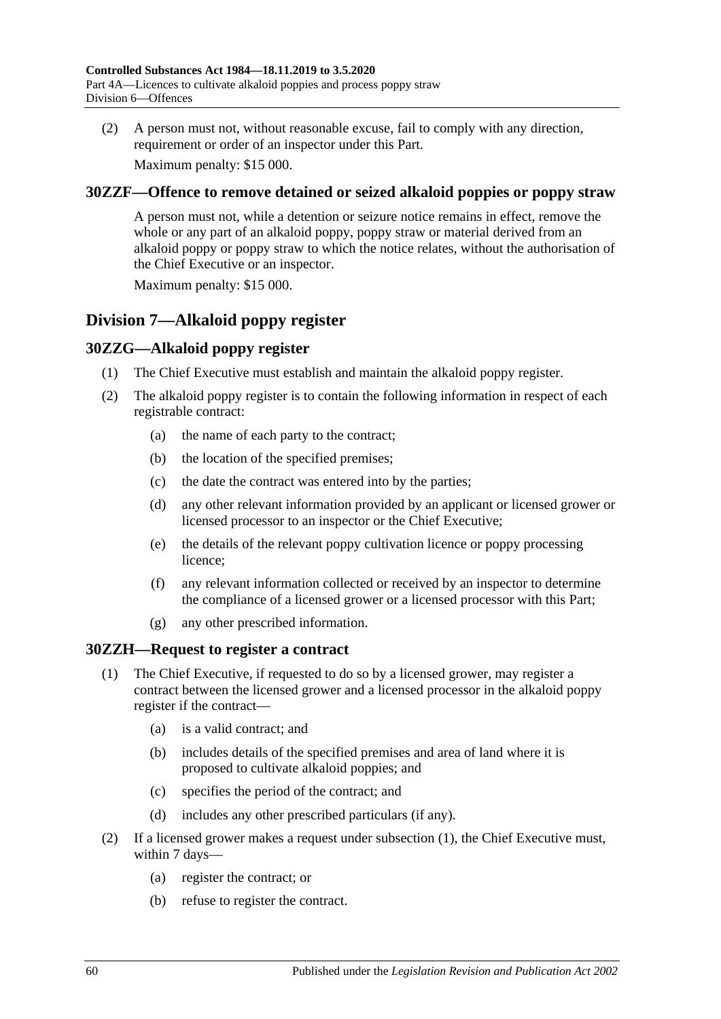(2) A person must not, without reasonable excuse, fail to comply with any direction, requirement or order of an inspector under this Part.

Maximum penalty: \$15 000.

### **30ZZF—Offence to remove detained or seized alkaloid poppies or poppy straw**

A person must not, while a detention or seizure notice remains in effect, remove the whole or any part of an alkaloid poppy, poppy straw or material derived from an alkaloid poppy or poppy straw to which the notice relates, without the authorisation of the Chief Executive or an inspector.

Maximum penalty: \$15 000.

# **Division 7—Alkaloid poppy register**

### **30ZZG—Alkaloid poppy register**

- (1) The Chief Executive must establish and maintain the alkaloid poppy register.
- (2) The alkaloid poppy register is to contain the following information in respect of each registrable contract:
	- (a) the name of each party to the contract;
	- (b) the location of the specified premises;
	- (c) the date the contract was entered into by the parties;
	- (d) any other relevant information provided by an applicant or licensed grower or licensed processor to an inspector or the Chief Executive;
	- (e) the details of the relevant poppy cultivation licence or poppy processing licence;
	- (f) any relevant information collected or received by an inspector to determine the compliance of a licensed grower or a licensed processor with this Part;
	- (g) any other prescribed information.

### <span id="page-59-0"></span>**30ZZH—Request to register a contract**

- (1) The Chief Executive, if requested to do so by a licensed grower, may register a contract between the licensed grower and a licensed processor in the alkaloid poppy register if the contract—
	- (a) is a valid contract; and
	- (b) includes details of the specified premises and area of land where it is proposed to cultivate alkaloid poppies; and
	- (c) specifies the period of the contract; and
	- (d) includes any other prescribed particulars (if any).
- <span id="page-59-2"></span><span id="page-59-1"></span>(2) If a licensed grower makes a request under [subsection](#page-59-0) (1), the Chief Executive must, within 7 days—
	- (a) register the contract; or
	- (b) refuse to register the contract.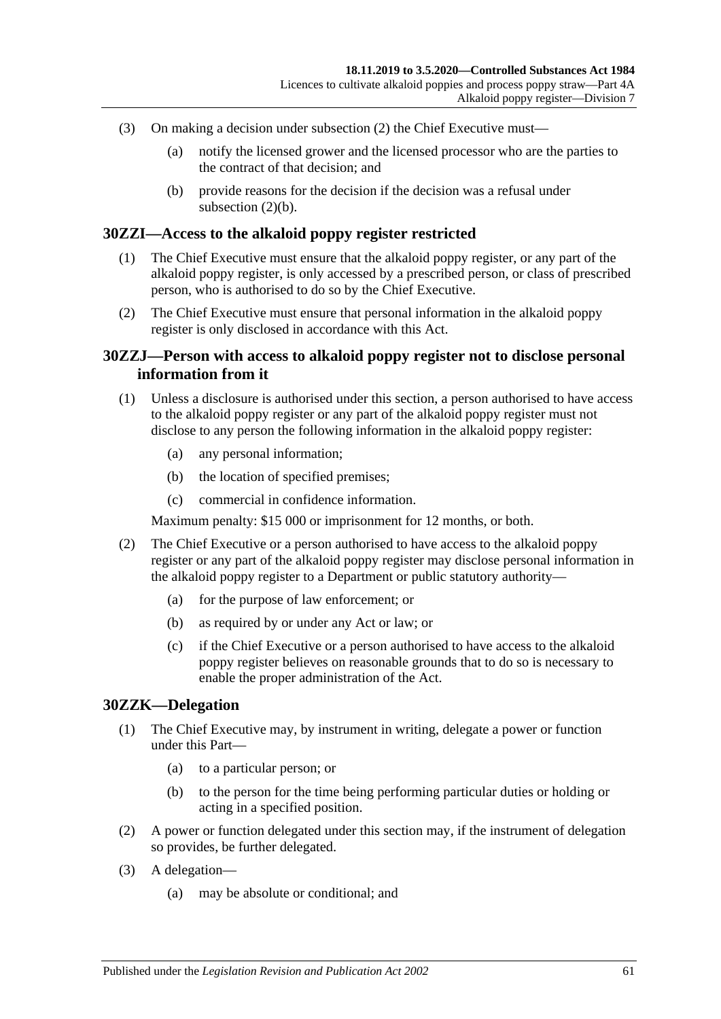- (3) On making a decision under [subsection](#page-59-1) (2) the Chief Executive must—
	- (a) notify the licensed grower and the licensed processor who are the parties to the contract of that decision; and
	- (b) provide reasons for the decision if the decision was a refusal under [subsection](#page-59-2)  $(2)(b)$ .

#### **30ZZI—Access to the alkaloid poppy register restricted**

- (1) The Chief Executive must ensure that the alkaloid poppy register, or any part of the alkaloid poppy register, is only accessed by a prescribed person, or class of prescribed person, who is authorised to do so by the Chief Executive.
- (2) The Chief Executive must ensure that personal information in the alkaloid poppy register is only disclosed in accordance with this Act.

#### **30ZZJ—Person with access to alkaloid poppy register not to disclose personal information from it**

- (1) Unless a disclosure is authorised under this section, a person authorised to have access to the alkaloid poppy register or any part of the alkaloid poppy register must not disclose to any person the following information in the alkaloid poppy register:
	- (a) any personal information;
	- (b) the location of specified premises;
	- (c) commercial in confidence information.

Maximum penalty: \$15 000 or imprisonment for 12 months, or both.

- (2) The Chief Executive or a person authorised to have access to the alkaloid poppy register or any part of the alkaloid poppy register may disclose personal information in the alkaloid poppy register to a Department or public statutory authority—
	- (a) for the purpose of law enforcement; or
	- (b) as required by or under any Act or law; or
	- (c) if the Chief Executive or a person authorised to have access to the alkaloid poppy register believes on reasonable grounds that to do so is necessary to enable the proper administration of the Act.

#### **30ZZK—Delegation**

- (1) The Chief Executive may, by instrument in writing, delegate a power or function under this Part—
	- (a) to a particular person; or
	- (b) to the person for the time being performing particular duties or holding or acting in a specified position.
- (2) A power or function delegated under this section may, if the instrument of delegation so provides, be further delegated.
- (3) A delegation—
	- (a) may be absolute or conditional; and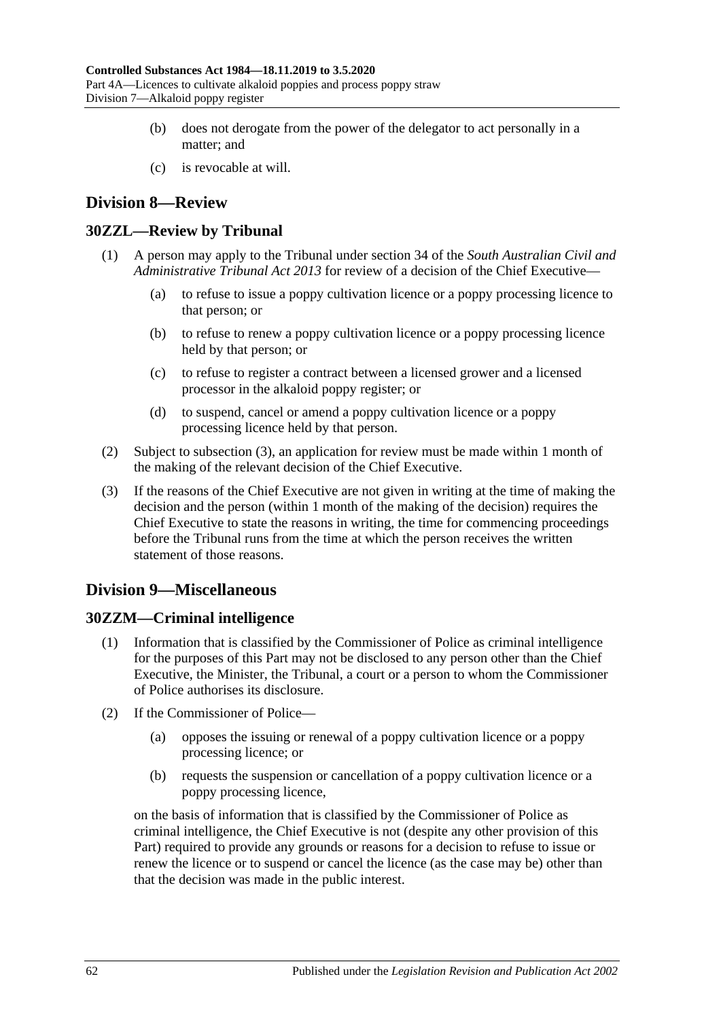- (b) does not derogate from the power of the delegator to act personally in a matter; and
- (c) is revocable at will.

# **Division 8—Review**

### **30ZZL—Review by Tribunal**

- (1) A person may apply to the Tribunal under section 34 of the *[South Australian Civil and](http://www.legislation.sa.gov.au/index.aspx?action=legref&type=act&legtitle=South%20Australian%20Civil%20and%20Administrative%20Tribunal%20Act%202013)  [Administrative Tribunal Act](http://www.legislation.sa.gov.au/index.aspx?action=legref&type=act&legtitle=South%20Australian%20Civil%20and%20Administrative%20Tribunal%20Act%202013) 2013* for review of a decision of the Chief Executive—
	- (a) to refuse to issue a poppy cultivation licence or a poppy processing licence to that person; or
	- (b) to refuse to renew a poppy cultivation licence or a poppy processing licence held by that person; or
	- (c) to refuse to register a contract between a licensed grower and a licensed processor in the alkaloid poppy register; or
	- (d) to suspend, cancel or amend a poppy cultivation licence or a poppy processing licence held by that person.
- (2) Subject to [subsection](#page-61-0) (3), an application for review must be made within 1 month of the making of the relevant decision of the Chief Executive.
- <span id="page-61-0"></span>(3) If the reasons of the Chief Executive are not given in writing at the time of making the decision and the person (within 1 month of the making of the decision) requires the Chief Executive to state the reasons in writing, the time for commencing proceedings before the Tribunal runs from the time at which the person receives the written statement of those reasons.

# **Division 9—Miscellaneous**

### **30ZZM—Criminal intelligence**

- (1) Information that is classified by the Commissioner of Police as criminal intelligence for the purposes of this Part may not be disclosed to any person other than the Chief Executive, the Minister, the Tribunal, a court or a person to whom the Commissioner of Police authorises its disclosure.
- (2) If the Commissioner of Police—
	- (a) opposes the issuing or renewal of a poppy cultivation licence or a poppy processing licence; or
	- (b) requests the suspension or cancellation of a poppy cultivation licence or a poppy processing licence,

on the basis of information that is classified by the Commissioner of Police as criminal intelligence, the Chief Executive is not (despite any other provision of this Part) required to provide any grounds or reasons for a decision to refuse to issue or renew the licence or to suspend or cancel the licence (as the case may be) other than that the decision was made in the public interest.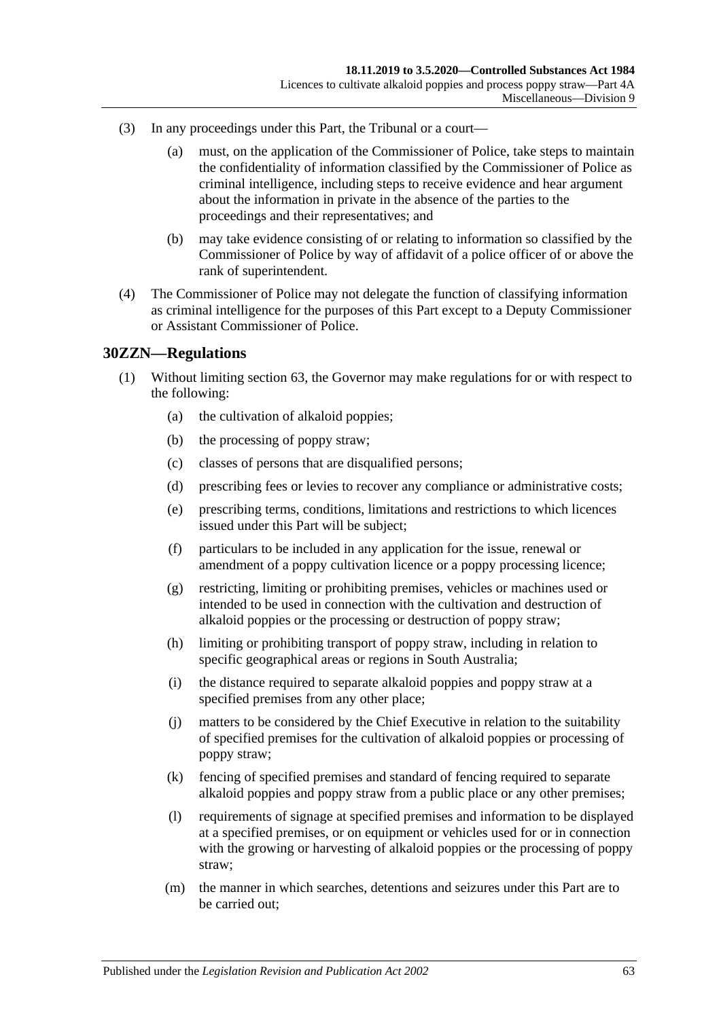- (3) In any proceedings under this Part, the Tribunal or a court—
	- (a) must, on the application of the Commissioner of Police, take steps to maintain the confidentiality of information classified by the Commissioner of Police as criminal intelligence, including steps to receive evidence and hear argument about the information in private in the absence of the parties to the proceedings and their representatives; and
	- (b) may take evidence consisting of or relating to information so classified by the Commissioner of Police by way of affidavit of a police officer of or above the rank of superintendent.
- (4) The Commissioner of Police may not delegate the function of classifying information as criminal intelligence for the purposes of this Part except to a Deputy Commissioner or Assistant Commissioner of Police.

#### **30ZZN—Regulations**

- (1) Without limiting section 63, the Governor may make regulations for or with respect to the following:
	- (a) the cultivation of alkaloid poppies;
	- (b) the processing of poppy straw;
	- (c) classes of persons that are disqualified persons;
	- (d) prescribing fees or levies to recover any compliance or administrative costs;
	- (e) prescribing terms, conditions, limitations and restrictions to which licences issued under this Part will be subject;
	- (f) particulars to be included in any application for the issue, renewal or amendment of a poppy cultivation licence or a poppy processing licence;
	- (g) restricting, limiting or prohibiting premises, vehicles or machines used or intended to be used in connection with the cultivation and destruction of alkaloid poppies or the processing or destruction of poppy straw;
	- (h) limiting or prohibiting transport of poppy straw, including in relation to specific geographical areas or regions in South Australia;
	- (i) the distance required to separate alkaloid poppies and poppy straw at a specified premises from any other place;
	- (j) matters to be considered by the Chief Executive in relation to the suitability of specified premises for the cultivation of alkaloid poppies or processing of poppy straw;
	- (k) fencing of specified premises and standard of fencing required to separate alkaloid poppies and poppy straw from a public place or any other premises;
	- (l) requirements of signage at specified premises and information to be displayed at a specified premises, or on equipment or vehicles used for or in connection with the growing or harvesting of alkaloid poppies or the processing of poppy straw;
	- (m) the manner in which searches, detentions and seizures under this Part are to be carried out;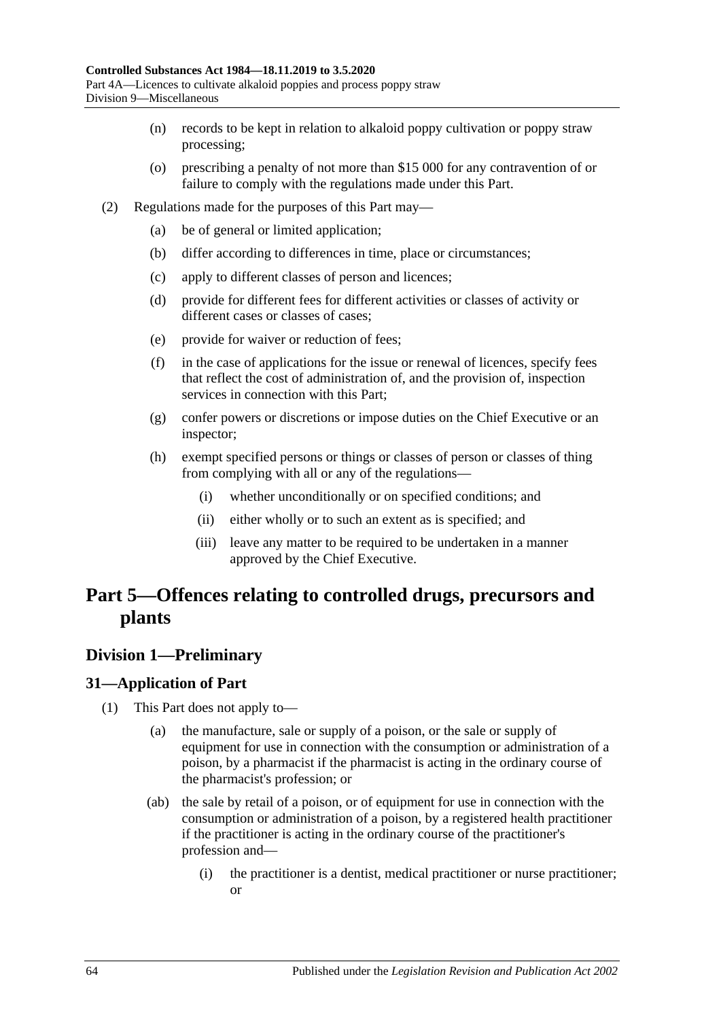- (n) records to be kept in relation to alkaloid poppy cultivation or poppy straw processing;
- (o) prescribing a penalty of not more than \$15 000 for any contravention of or failure to comply with the regulations made under this Part.
- (2) Regulations made for the purposes of this Part may—
	- (a) be of general or limited application;
	- (b) differ according to differences in time, place or circumstances;
	- (c) apply to different classes of person and licences;
	- (d) provide for different fees for different activities or classes of activity or different cases or classes of cases;
	- (e) provide for waiver or reduction of fees;
	- (f) in the case of applications for the issue or renewal of licences, specify fees that reflect the cost of administration of, and the provision of, inspection services in connection with this Part;
	- (g) confer powers or discretions or impose duties on the Chief Executive or an inspector;
	- (h) exempt specified persons or things or classes of person or classes of thing from complying with all or any of the regulations—
		- (i) whether unconditionally or on specified conditions; and
		- (ii) either wholly or to such an extent as is specified; and
		- (iii) leave any matter to be required to be undertaken in a manner approved by the Chief Executive.

# **Part 5—Offences relating to controlled drugs, precursors and plants**

### **Division 1—Preliminary**

### <span id="page-63-0"></span>**31—Application of Part**

- (1) This Part does not apply to—
	- (a) the manufacture, sale or supply of a poison, or the sale or supply of equipment for use in connection with the consumption or administration of a poison, by a pharmacist if the pharmacist is acting in the ordinary course of the pharmacist's profession; or
	- (ab) the sale by retail of a poison, or of equipment for use in connection with the consumption or administration of a poison, by a registered health practitioner if the practitioner is acting in the ordinary course of the practitioner's profession and—
		- (i) the practitioner is a dentist, medical practitioner or nurse practitioner; or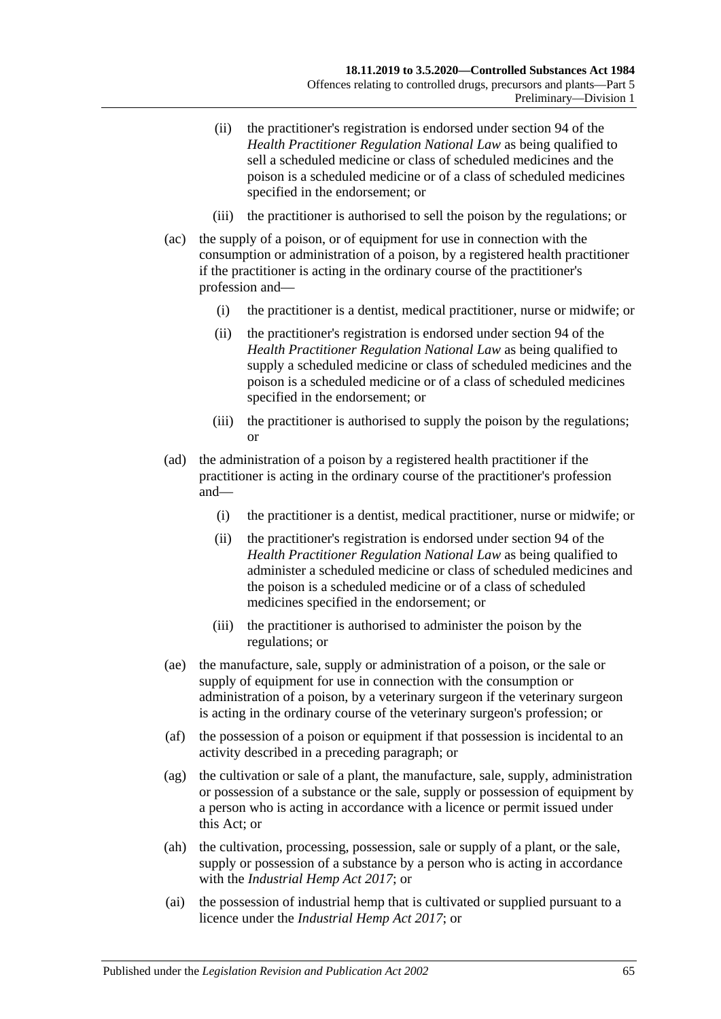- (ii) the practitioner's registration is endorsed under section 94 of the *Health Practitioner Regulation National Law* as being qualified to sell a scheduled medicine or class of scheduled medicines and the poison is a scheduled medicine or of a class of scheduled medicines specified in the endorsement; or
- (iii) the practitioner is authorised to sell the poison by the regulations; or
- (ac) the supply of a poison, or of equipment for use in connection with the consumption or administration of a poison, by a registered health practitioner if the practitioner is acting in the ordinary course of the practitioner's profession and—
	- (i) the practitioner is a dentist, medical practitioner, nurse or midwife; or
	- (ii) the practitioner's registration is endorsed under section 94 of the *Health Practitioner Regulation National Law* as being qualified to supply a scheduled medicine or class of scheduled medicines and the poison is a scheduled medicine or of a class of scheduled medicines specified in the endorsement; or
	- (iii) the practitioner is authorised to supply the poison by the regulations; or
- (ad) the administration of a poison by a registered health practitioner if the practitioner is acting in the ordinary course of the practitioner's profession and—
	- (i) the practitioner is a dentist, medical practitioner, nurse or midwife; or
	- (ii) the practitioner's registration is endorsed under section 94 of the *Health Practitioner Regulation National Law* as being qualified to administer a scheduled medicine or class of scheduled medicines and the poison is a scheduled medicine or of a class of scheduled medicines specified in the endorsement; or
	- (iii) the practitioner is authorised to administer the poison by the regulations; or
- (ae) the manufacture, sale, supply or administration of a poison, or the sale or supply of equipment for use in connection with the consumption or administration of a poison, by a veterinary surgeon if the veterinary surgeon is acting in the ordinary course of the veterinary surgeon's profession; or
- (af) the possession of a poison or equipment if that possession is incidental to an activity described in a preceding paragraph; or
- (ag) the cultivation or sale of a plant, the manufacture, sale, supply, administration or possession of a substance or the sale, supply or possession of equipment by a person who is acting in accordance with a licence or permit issued under this Act; or
- (ah) the cultivation, processing, possession, sale or supply of a plant, or the sale, supply or possession of a substance by a person who is acting in accordance with the *[Industrial Hemp Act](http://www.legislation.sa.gov.au/index.aspx?action=legref&type=act&legtitle=Industrial%20Hemp%20Act%202017) 2017*; or
- (ai) the possession of industrial hemp that is cultivated or supplied pursuant to a licence under the *[Industrial Hemp Act](http://www.legislation.sa.gov.au/index.aspx?action=legref&type=act&legtitle=Industrial%20Hemp%20Act%202017) 2017*; or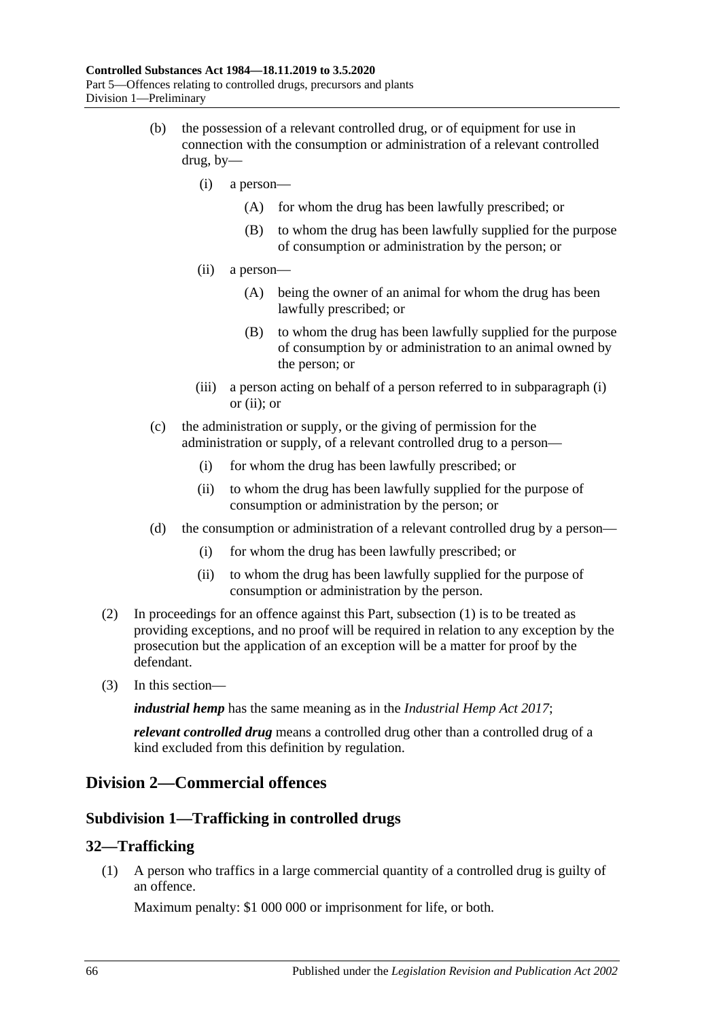- <span id="page-65-1"></span><span id="page-65-0"></span>(b) the possession of a relevant controlled drug, or of equipment for use in connection with the consumption or administration of a relevant controlled drug, by—
	- (i) a person—
		- (A) for whom the drug has been lawfully prescribed; or
		- (B) to whom the drug has been lawfully supplied for the purpose of consumption or administration by the person; or
	- (ii) a person—
		- (A) being the owner of an animal for whom the drug has been lawfully prescribed; or
		- (B) to whom the drug has been lawfully supplied for the purpose of consumption by or administration to an animal owned by the person; or
	- (iii) a person acting on behalf of a person referred to in [subparagraph](#page-65-0) (i) or [\(ii\);](#page-65-1) or
- (c) the administration or supply, or the giving of permission for the administration or supply, of a relevant controlled drug to a person—
	- (i) for whom the drug has been lawfully prescribed; or
	- (ii) to whom the drug has been lawfully supplied for the purpose of consumption or administration by the person; or
- (d) the consumption or administration of a relevant controlled drug by a person—
	- (i) for whom the drug has been lawfully prescribed; or
	- (ii) to whom the drug has been lawfully supplied for the purpose of consumption or administration by the person.
- (2) In proceedings for an offence against this Part, [subsection](#page-63-0) (1) is to be treated as providing exceptions, and no proof will be required in relation to any exception by the prosecution but the application of an exception will be a matter for proof by the defendant.
- (3) In this section—

*industrial hemp* has the same meaning as in the *[Industrial Hemp Act](http://www.legislation.sa.gov.au/index.aspx?action=legref&type=act&legtitle=Industrial%20Hemp%20Act%202017) 2017*;

*relevant controlled drug* means a controlled drug other than a controlled drug of a kind excluded from this definition by regulation.

### **Division 2—Commercial offences**

### **Subdivision 1—Trafficking in controlled drugs**

### <span id="page-65-2"></span>**32—Trafficking**

(1) A person who traffics in a large commercial quantity of a controlled drug is guilty of an offence.

Maximum penalty: \$1 000 000 or imprisonment for life, or both.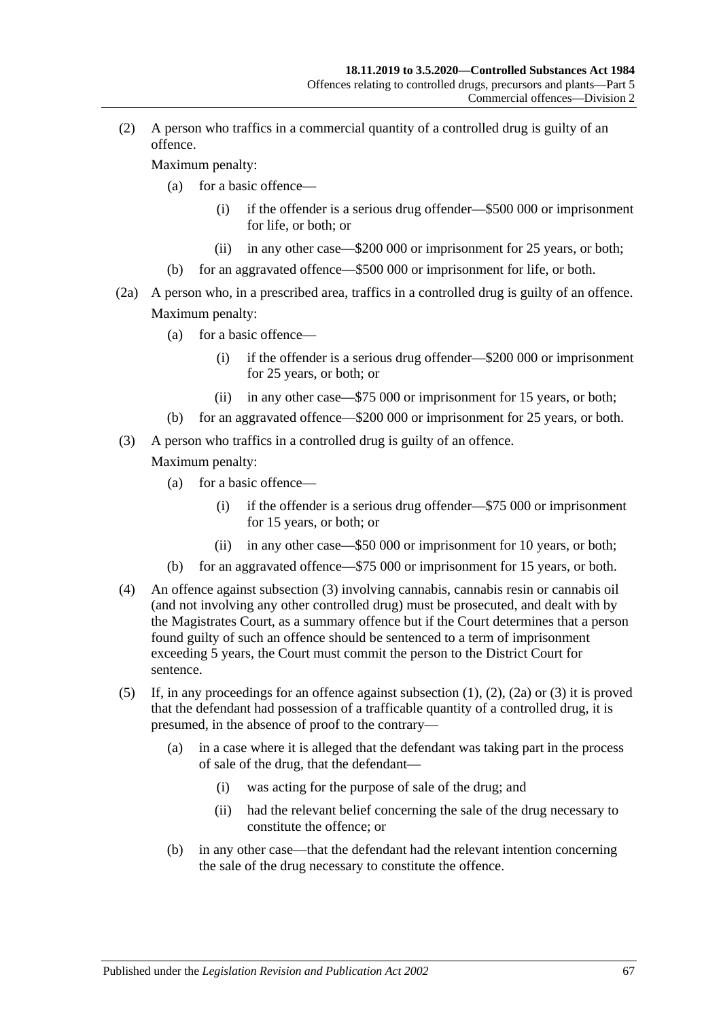<span id="page-66-1"></span>(2) A person who traffics in a commercial quantity of a controlled drug is guilty of an offence.

Maximum penalty:

- (a) for a basic offence—
	- (i) if the offender is a serious drug offender—\$500 000 or imprisonment for life, or both; or
	- (ii) in any other case—\$200 000 or imprisonment for 25 years, or both;
- (b) for an aggravated offence—\$500 000 or imprisonment for life, or both.
- <span id="page-66-2"></span>(2a) A person who, in a prescribed area, traffics in a controlled drug is guilty of an offence. Maximum penalty:
	- (a) for a basic offence—
		- (i) if the offender is a serious drug offender—\$200 000 or imprisonment for 25 years, or both; or
		- (ii) in any other case—\$75 000 or imprisonment for 15 years, or both;
	- (b) for an aggravated offence—\$200 000 or imprisonment for 25 years, or both.
- <span id="page-66-0"></span>(3) A person who traffics in a controlled drug is guilty of an offence.

- (a) for a basic offence—
	- (i) if the offender is a serious drug offender—\$75 000 or imprisonment for 15 years, or both; or
	- (ii) in any other case—\$50 000 or imprisonment for 10 years, or both;
- (b) for an aggravated offence—\$75 000 or imprisonment for 15 years, or both.
- (4) An offence against [subsection](#page-66-0) (3) involving cannabis, cannabis resin or cannabis oil (and not involving any other controlled drug) must be prosecuted, and dealt with by the Magistrates Court, as a summary offence but if the Court determines that a person found guilty of such an offence should be sentenced to a term of imprisonment exceeding 5 years, the Court must commit the person to the District Court for sentence.
- (5) If, in any proceedings for an offence against [subsection](#page-65-2) (1), [\(2\),](#page-66-1) [\(2a\)](#page-66-2) or [\(3\)](#page-66-0) it is proved that the defendant had possession of a trafficable quantity of a controlled drug, it is presumed, in the absence of proof to the contrary—
	- (a) in a case where it is alleged that the defendant was taking part in the process of sale of the drug, that the defendant—
		- (i) was acting for the purpose of sale of the drug; and
		- (ii) had the relevant belief concerning the sale of the drug necessary to constitute the offence; or
	- (b) in any other case—that the defendant had the relevant intention concerning the sale of the drug necessary to constitute the offence.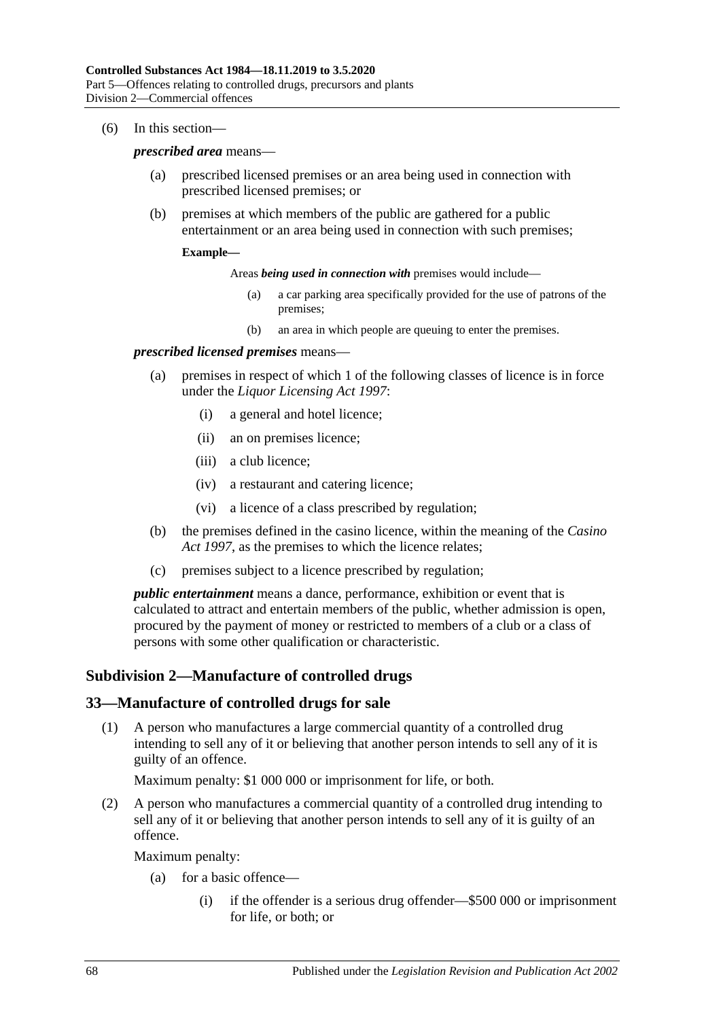#### (6) In this section—

#### *prescribed area* means—

- (a) prescribed licensed premises or an area being used in connection with prescribed licensed premises; or
- (b) premises at which members of the public are gathered for a public entertainment or an area being used in connection with such premises;

#### **Example—**

Areas *being used in connection with* premises would include—

- (a) a car parking area specifically provided for the use of patrons of the premises;
- (b) an area in which people are queuing to enter the premises.

#### *prescribed licensed premises* means—

- (a) premises in respect of which 1 of the following classes of licence is in force under the *[Liquor Licensing Act](http://www.legislation.sa.gov.au/index.aspx?action=legref&type=act&legtitle=Liquor%20Licensing%20Act%201997) 1997*:
	- (i) a general and hotel licence;
	- (ii) an on premises licence;
	- (iii) a club licence;
	- (iv) a restaurant and catering licence;
	- (vi) a licence of a class prescribed by regulation;
- (b) the premises defined in the casino licence, within the meaning of the *[Casino](http://www.legislation.sa.gov.au/index.aspx?action=legref&type=act&legtitle=Casino%20Act%201997)  Act [1997](http://www.legislation.sa.gov.au/index.aspx?action=legref&type=act&legtitle=Casino%20Act%201997)*, as the premises to which the licence relates;
- (c) premises subject to a licence prescribed by regulation;

*public entertainment* means a dance, performance, exhibition or event that is calculated to attract and entertain members of the public, whether admission is open, procured by the payment of money or restricted to members of a club or a class of persons with some other qualification or characteristic.

#### **Subdivision 2—Manufacture of controlled drugs**

#### <span id="page-67-0"></span>**33—Manufacture of controlled drugs for sale**

(1) A person who manufactures a large commercial quantity of a controlled drug intending to sell any of it or believing that another person intends to sell any of it is guilty of an offence.

Maximum penalty: \$1 000 000 or imprisonment for life, or both.

<span id="page-67-1"></span>(2) A person who manufactures a commercial quantity of a controlled drug intending to sell any of it or believing that another person intends to sell any of it is guilty of an offence.

- (a) for a basic offence—
	- (i) if the offender is a serious drug offender—\$500 000 or imprisonment for life, or both; or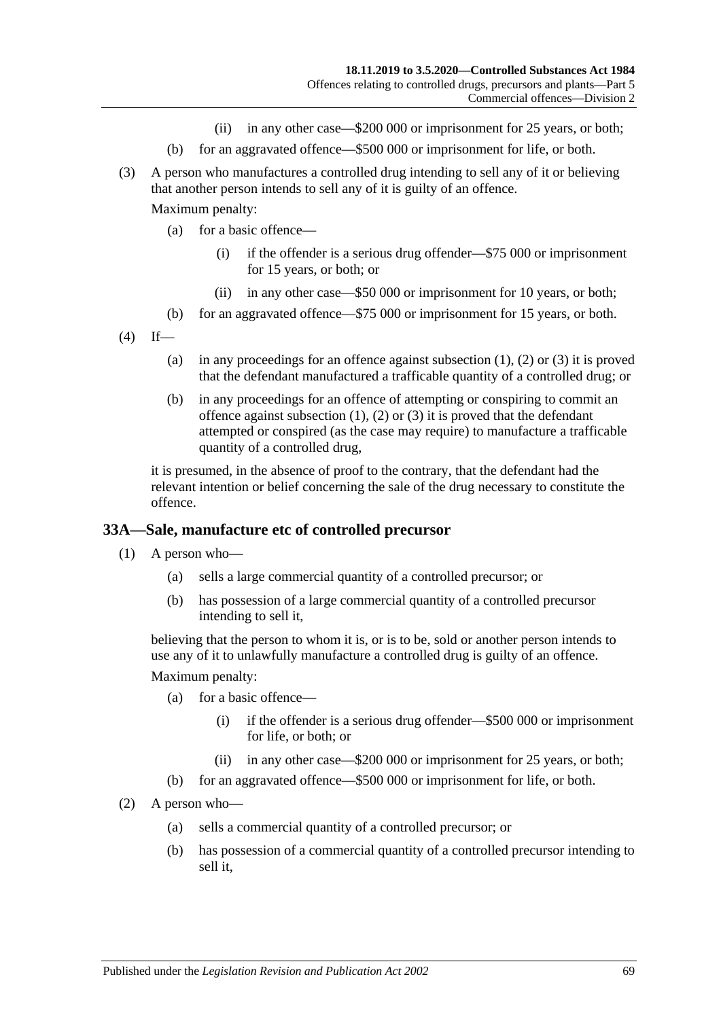- (ii) in any other case—\$200 000 or imprisonment for 25 years, or both;
- (b) for an aggravated offence—\$500 000 or imprisonment for life, or both.
- <span id="page-68-0"></span>(3) A person who manufactures a controlled drug intending to sell any of it or believing that another person intends to sell any of it is guilty of an offence.

Maximum penalty:

- (a) for a basic offence—
	- (i) if the offender is a serious drug offender—\$75 000 or imprisonment for 15 years, or both; or
	- (ii) in any other case—\$50 000 or imprisonment for 10 years, or both;
- (b) for an aggravated offence—\$75 000 or imprisonment for 15 years, or both.
- $(4)$  If
	- (a) in any proceedings for an offence against [subsection](#page-67-0)  $(1)$ ,  $(2)$  or  $(3)$  it is proved that the defendant manufactured a trafficable quantity of a controlled drug; or
	- (b) in any proceedings for an offence of attempting or conspiring to commit an offence against [subsection](#page-67-0)  $(1)$ ,  $(2)$  or  $(3)$  it is proved that the defendant attempted or conspired (as the case may require) to manufacture a trafficable quantity of a controlled drug,

it is presumed, in the absence of proof to the contrary, that the defendant had the relevant intention or belief concerning the sale of the drug necessary to constitute the offence.

### **33A—Sale, manufacture etc of controlled precursor**

- (1) A person who—
	- (a) sells a large commercial quantity of a controlled precursor; or
	- (b) has possession of a large commercial quantity of a controlled precursor intending to sell it,

believing that the person to whom it is, or is to be, sold or another person intends to use any of it to unlawfully manufacture a controlled drug is guilty of an offence.

- (a) for a basic offence—
	- (i) if the offender is a serious drug offender—\$500 000 or imprisonment for life, or both; or
	- (ii) in any other case—\$200 000 or imprisonment for 25 years, or both;
- (b) for an aggravated offence—\$500 000 or imprisonment for life, or both.
- (2) A person who—
	- (a) sells a commercial quantity of a controlled precursor; or
	- (b) has possession of a commercial quantity of a controlled precursor intending to sell it,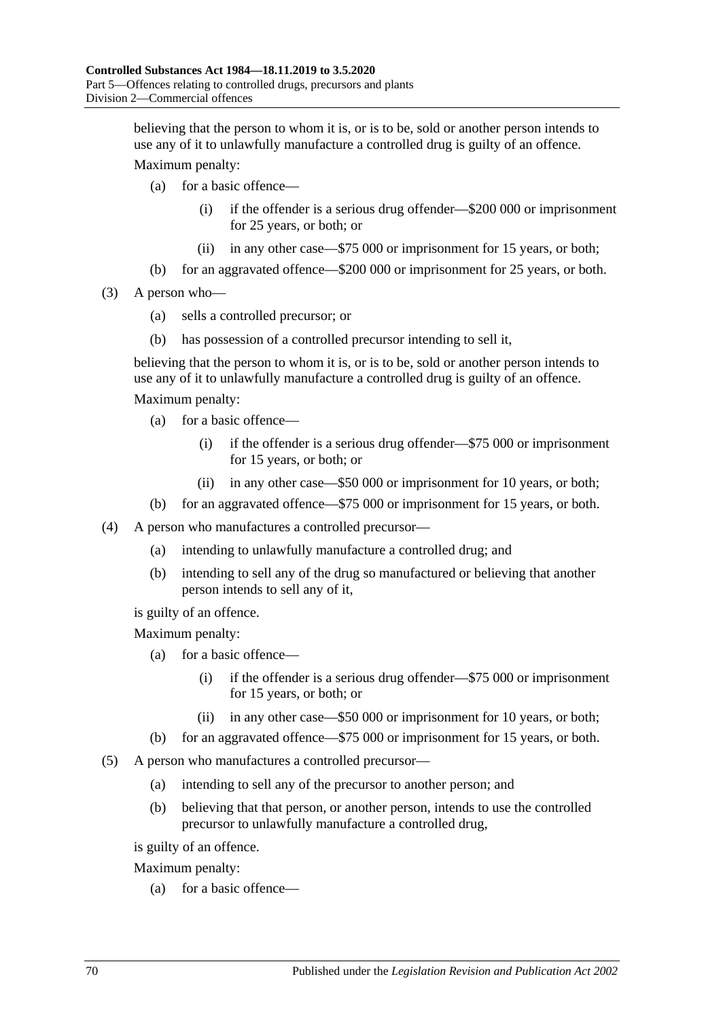believing that the person to whom it is, or is to be, sold or another person intends to use any of it to unlawfully manufacture a controlled drug is guilty of an offence.

Maximum penalty:

- (a) for a basic offence—
	- (i) if the offender is a serious drug offender—\$200 000 or imprisonment for 25 years, or both; or
	- (ii) in any other case—\$75 000 or imprisonment for 15 years, or both;
- (b) for an aggravated offence—\$200 000 or imprisonment for 25 years, or both.
- (3) A person who—
	- (a) sells a controlled precursor; or
	- (b) has possession of a controlled precursor intending to sell it,

believing that the person to whom it is, or is to be, sold or another person intends to use any of it to unlawfully manufacture a controlled drug is guilty of an offence.

Maximum penalty:

- (a) for a basic offence—
	- (i) if the offender is a serious drug offender—\$75 000 or imprisonment for 15 years, or both; or
	- (ii) in any other case—\$50 000 or imprisonment for 10 years, or both;
- (b) for an aggravated offence—\$75 000 or imprisonment for 15 years, or both.
- (4) A person who manufactures a controlled precursor—
	- (a) intending to unlawfully manufacture a controlled drug; and
	- (b) intending to sell any of the drug so manufactured or believing that another person intends to sell any of it,

is guilty of an offence.

Maximum penalty:

- (a) for a basic offence—
	- (i) if the offender is a serious drug offender—\$75 000 or imprisonment for 15 years, or both; or
	- (ii) in any other case—\$50 000 or imprisonment for 10 years, or both;
- (b) for an aggravated offence—\$75 000 or imprisonment for 15 years, or both.
- (5) A person who manufactures a controlled precursor—
	- (a) intending to sell any of the precursor to another person; and
	- (b) believing that that person, or another person, intends to use the controlled precursor to unlawfully manufacture a controlled drug,

is guilty of an offence.

Maximum penalty:

(a) for a basic offence—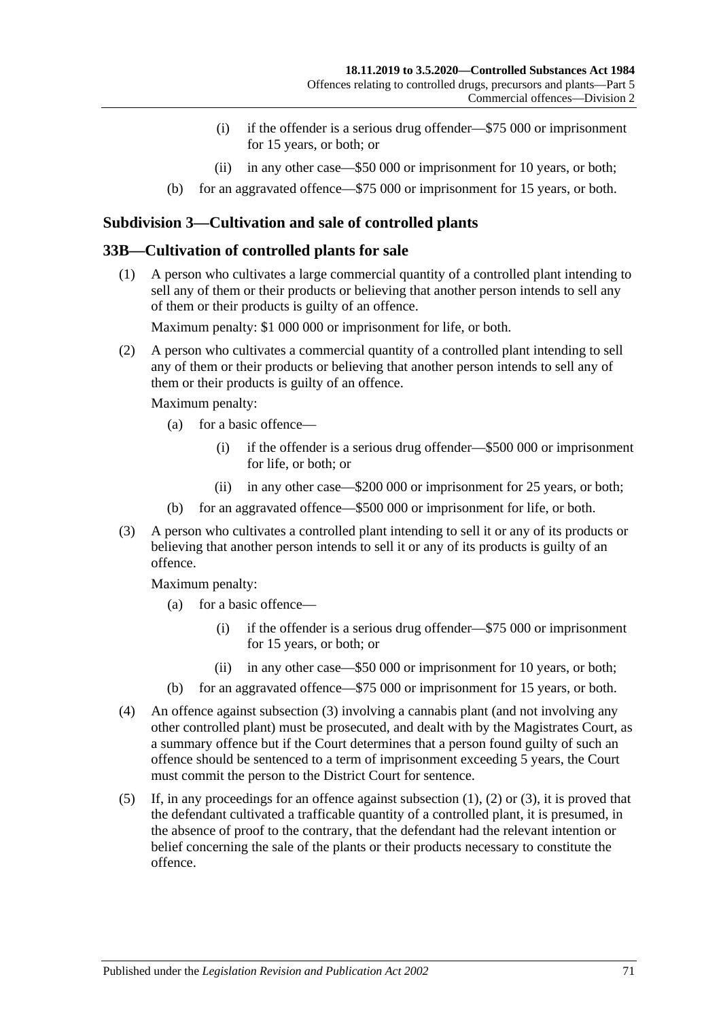- (i) if the offender is a serious drug offender—\$75 000 or imprisonment for 15 years, or both; or
- (ii) in any other case—\$50 000 or imprisonment for 10 years, or both;
- (b) for an aggravated offence—\$75 000 or imprisonment for 15 years, or both.

### **Subdivision 3—Cultivation and sale of controlled plants**

### <span id="page-70-1"></span>**33B—Cultivation of controlled plants for sale**

(1) A person who cultivates a large commercial quantity of a controlled plant intending to sell any of them or their products or believing that another person intends to sell any of them or their products is guilty of an offence.

Maximum penalty: \$1 000 000 or imprisonment for life, or both.

<span id="page-70-2"></span>(2) A person who cultivates a commercial quantity of a controlled plant intending to sell any of them or their products or believing that another person intends to sell any of them or their products is guilty of an offence.

Maximum penalty:

- (a) for a basic offence—
	- (i) if the offender is a serious drug offender—\$500 000 or imprisonment for life, or both; or
	- (ii) in any other case—\$200 000 or imprisonment for 25 years, or both;
- (b) for an aggravated offence—\$500 000 or imprisonment for life, or both.
- <span id="page-70-0"></span>(3) A person who cultivates a controlled plant intending to sell it or any of its products or believing that another person intends to sell it or any of its products is guilty of an offence.

- (a) for a basic offence—
	- (i) if the offender is a serious drug offender—\$75 000 or imprisonment for 15 years, or both; or
	- (ii) in any other case—\$50 000 or imprisonment for 10 years, or both;
- (b) for an aggravated offence—\$75 000 or imprisonment for 15 years, or both.
- (4) An offence against [subsection](#page-70-0) (3) involving a cannabis plant (and not involving any other controlled plant) must be prosecuted, and dealt with by the Magistrates Court, as a summary offence but if the Court determines that a person found guilty of such an offence should be sentenced to a term of imprisonment exceeding 5 years, the Court must commit the person to the District Court for sentence.
- (5) If, in any proceedings for an offence against [subsection](#page-70-1) (1), [\(2\)](#page-70-2) or [\(3\),](#page-70-0) it is proved that the defendant cultivated a trafficable quantity of a controlled plant, it is presumed, in the absence of proof to the contrary, that the defendant had the relevant intention or belief concerning the sale of the plants or their products necessary to constitute the offence.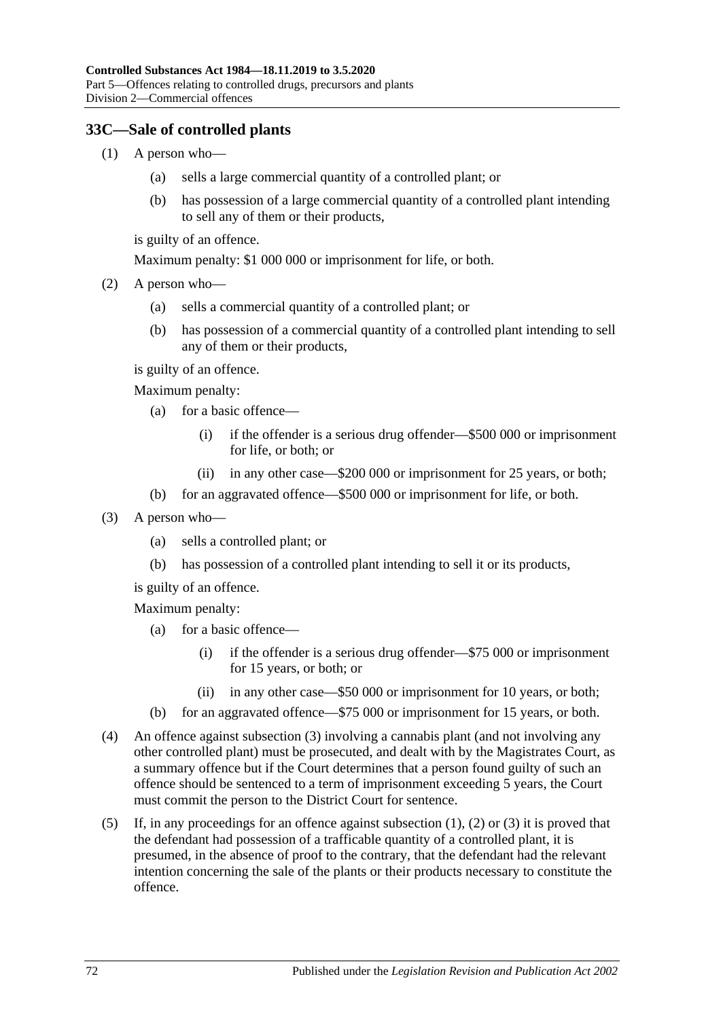### <span id="page-71-1"></span>**33C—Sale of controlled plants**

- (1) A person who—
	- (a) sells a large commercial quantity of a controlled plant; or
	- (b) has possession of a large commercial quantity of a controlled plant intending to sell any of them or their products,

is guilty of an offence.

Maximum penalty: \$1 000 000 or imprisonment for life, or both.

- <span id="page-71-2"></span>(2) A person who—
	- (a) sells a commercial quantity of a controlled plant; or
	- (b) has possession of a commercial quantity of a controlled plant intending to sell any of them or their products,

is guilty of an offence.

Maximum penalty:

- (a) for a basic offence—
	- (i) if the offender is a serious drug offender—\$500 000 or imprisonment for life, or both; or
	- (ii) in any other case—\$200 000 or imprisonment for 25 years, or both;
- (b) for an aggravated offence—\$500 000 or imprisonment for life, or both.
- <span id="page-71-0"></span>(3) A person who—
	- (a) sells a controlled plant; or
	- (b) has possession of a controlled plant intending to sell it or its products,

is guilty of an offence.

- (a) for a basic offence—
	- (i) if the offender is a serious drug offender—\$75 000 or imprisonment for 15 years, or both; or
	- (ii) in any other case—\$50 000 or imprisonment for 10 years, or both;
- (b) for an aggravated offence—\$75 000 or imprisonment for 15 years, or both.
- (4) An offence against [subsection](#page-71-0) (3) involving a cannabis plant (and not involving any other controlled plant) must be prosecuted, and dealt with by the Magistrates Court, as a summary offence but if the Court determines that a person found guilty of such an offence should be sentenced to a term of imprisonment exceeding 5 years, the Court must commit the person to the District Court for sentence.
- (5) If, in any proceedings for an offence against [subsection](#page-71-1)  $(1)$ ,  $(2)$  or  $(3)$  it is proved that the defendant had possession of a trafficable quantity of a controlled plant, it is presumed, in the absence of proof to the contrary, that the defendant had the relevant intention concerning the sale of the plants or their products necessary to constitute the offence.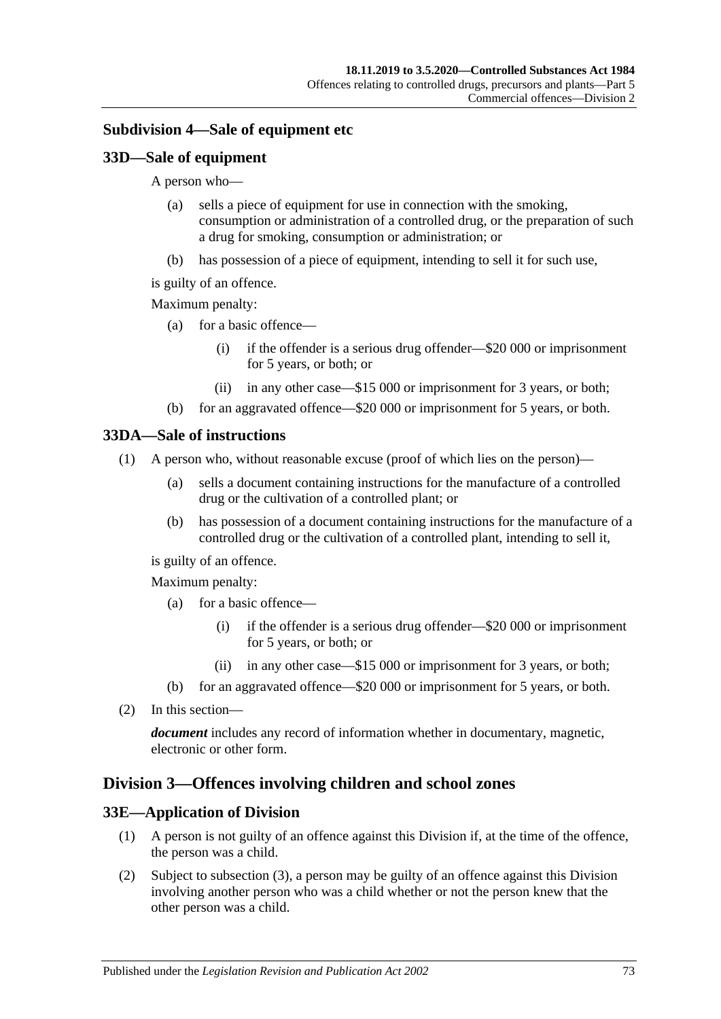### <span id="page-72-0"></span>**Subdivision 4—Sale of equipment etc**

### **33D—Sale of equipment**

A person who—

- (a) sells a piece of equipment for use in connection with the smoking, consumption or administration of a controlled drug, or the preparation of such a drug for smoking, consumption or administration; or
- (b) has possession of a piece of equipment, intending to sell it for such use,
- is guilty of an offence.

#### Maximum penalty:

- (a) for a basic offence—
	- (i) if the offender is a serious drug offender—\$20 000 or imprisonment for 5 years, or both; or
	- (ii) in any other case—\$15 000 or imprisonment for 3 years, or both;
- (b) for an aggravated offence—\$20 000 or imprisonment for 5 years, or both.

#### **33DA—Sale of instructions**

- (1) A person who, without reasonable excuse (proof of which lies on the person)—
	- (a) sells a document containing instructions for the manufacture of a controlled drug or the cultivation of a controlled plant; or
	- (b) has possession of a document containing instructions for the manufacture of a controlled drug or the cultivation of a controlled plant, intending to sell it,

is guilty of an offence.

Maximum penalty:

- (a) for a basic offence—
	- (i) if the offender is a serious drug offender—\$20 000 or imprisonment for 5 years, or both; or
	- (ii) in any other case—\$15 000 or imprisonment for 3 years, or both;
- (b) for an aggravated offence—\$20 000 or imprisonment for 5 years, or both.
- (2) In this section—

*document* includes any record of information whether in documentary, magnetic, electronic or other form.

### <span id="page-72-1"></span>**Division 3—Offences involving children and school zones**

#### **33E—Application of Division**

- (1) A person is not guilty of an offence against this Division if, at the time of the offence, the person was a child.
- (2) Subject to [subsection](#page-73-0) (3), a person may be guilty of an offence against this Division involving another person who was a child whether or not the person knew that the other person was a child.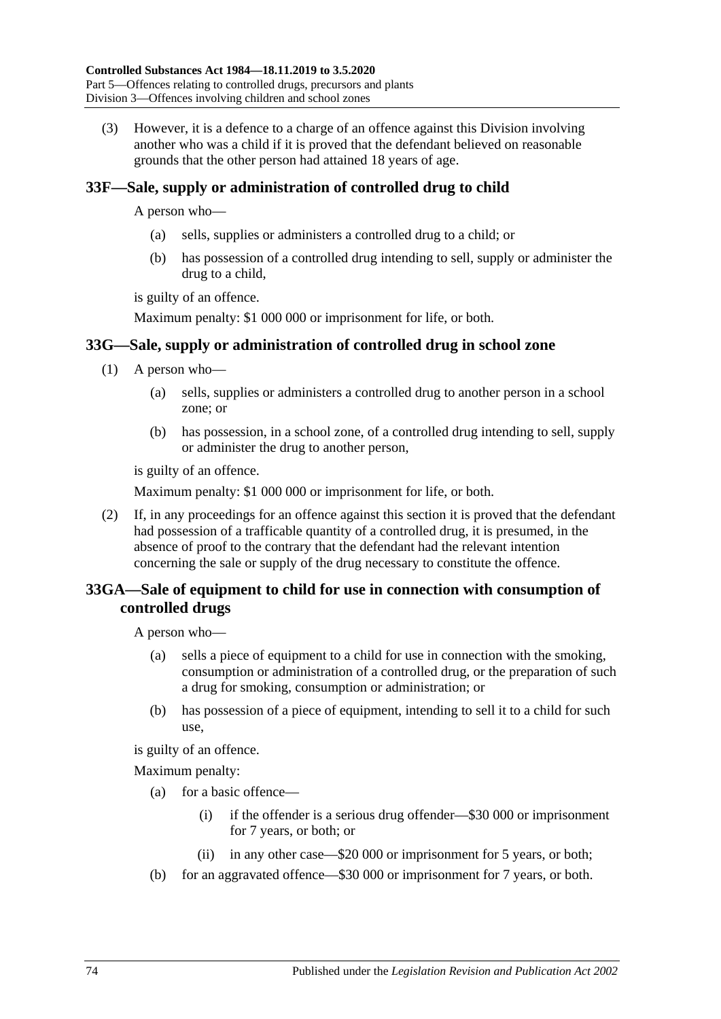<span id="page-73-0"></span>(3) However, it is a defence to a charge of an offence against this Division involving another who was a child if it is proved that the defendant believed on reasonable grounds that the other person had attained 18 years of age.

### <span id="page-73-1"></span>**33F—Sale, supply or administration of controlled drug to child**

A person who—

- (a) sells, supplies or administers a controlled drug to a child; or
- (b) has possession of a controlled drug intending to sell, supply or administer the drug to a child,

is guilty of an offence.

Maximum penalty: \$1 000 000 or imprisonment for life, or both.

### **33G—Sale, supply or administration of controlled drug in school zone**

- (1) A person who—
	- (a) sells, supplies or administers a controlled drug to another person in a school zone; or
	- (b) has possession, in a school zone, of a controlled drug intending to sell, supply or administer the drug to another person,

is guilty of an offence.

Maximum penalty: \$1 000 000 or imprisonment for life, or both.

(2) If, in any proceedings for an offence against this section it is proved that the defendant had possession of a trafficable quantity of a controlled drug, it is presumed, in the absence of proof to the contrary that the defendant had the relevant intention concerning the sale or supply of the drug necessary to constitute the offence.

### **33GA—Sale of equipment to child for use in connection with consumption of controlled drugs**

A person who—

- (a) sells a piece of equipment to a child for use in connection with the smoking, consumption or administration of a controlled drug, or the preparation of such a drug for smoking, consumption or administration; or
- (b) has possession of a piece of equipment, intending to sell it to a child for such use,

is guilty of an offence.

- (a) for a basic offence—
	- (i) if the offender is a serious drug offender—\$30 000 or imprisonment for 7 years, or both; or
	- (ii) in any other case—\$20 000 or imprisonment for 5 years, or both;
- (b) for an aggravated offence—\$30 000 or imprisonment for 7 years, or both.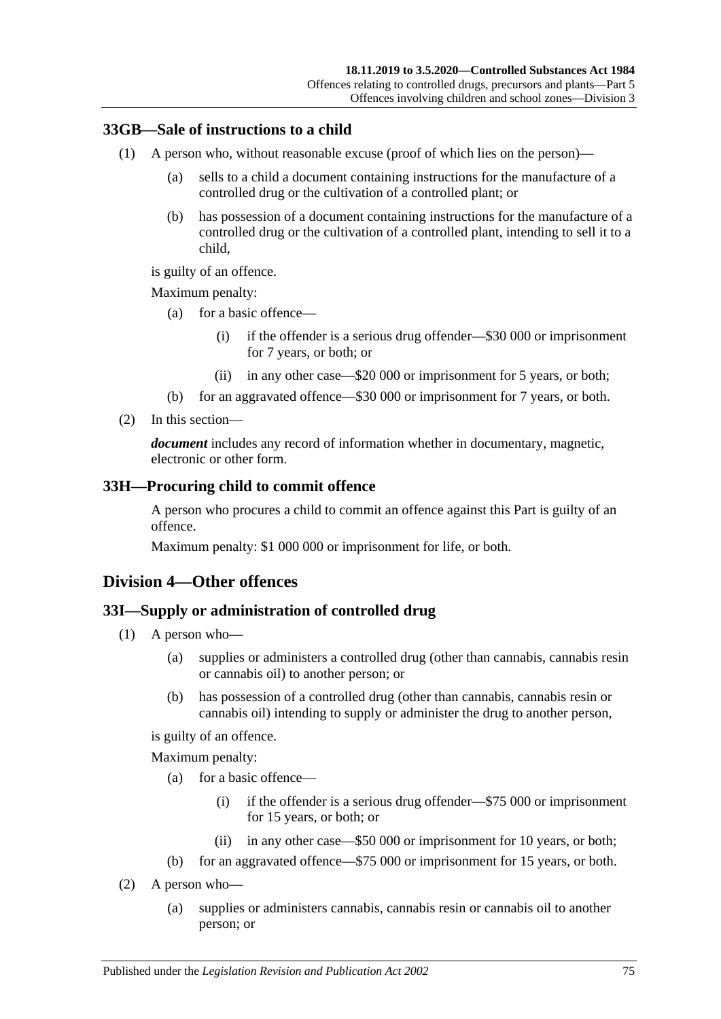### **33GB—Sale of instructions to a child**

- (1) A person who, without reasonable excuse (proof of which lies on the person)—
	- (a) sells to a child a document containing instructions for the manufacture of a controlled drug or the cultivation of a controlled plant; or
	- (b) has possession of a document containing instructions for the manufacture of a controlled drug or the cultivation of a controlled plant, intending to sell it to a child,

is guilty of an offence.

Maximum penalty:

- (a) for a basic offence—
	- (i) if the offender is a serious drug offender—\$30 000 or imprisonment for 7 years, or both; or
	- (ii) in any other case—\$20 000 or imprisonment for 5 years, or both;
- (b) for an aggravated offence—\$30 000 or imprisonment for 7 years, or both.
- (2) In this section—

*document* includes any record of information whether in documentary, magnetic, electronic or other form.

#### <span id="page-74-2"></span>**33H—Procuring child to commit offence**

A person who procures a child to commit an offence against this Part is guilty of an offence.

Maximum penalty: \$1 000 000 or imprisonment for life, or both.

### <span id="page-74-0"></span>**Division 4—Other offences**

#### <span id="page-74-3"></span>**33I—Supply or administration of controlled drug**

- (1) A person who—
	- (a) supplies or administers a controlled drug (other than cannabis, cannabis resin or cannabis oil) to another person; or
	- (b) has possession of a controlled drug (other than cannabis, cannabis resin or cannabis oil) intending to supply or administer the drug to another person,

is guilty of an offence.

- (a) for a basic offence—
	- (i) if the offender is a serious drug offender—\$75 000 or imprisonment for 15 years, or both; or
	- (ii) in any other case—\$50 000 or imprisonment for 10 years, or both;
- (b) for an aggravated offence—\$75 000 or imprisonment for 15 years, or both.
- <span id="page-74-1"></span>(2) A person who—
	- (a) supplies or administers cannabis, cannabis resin or cannabis oil to another person; or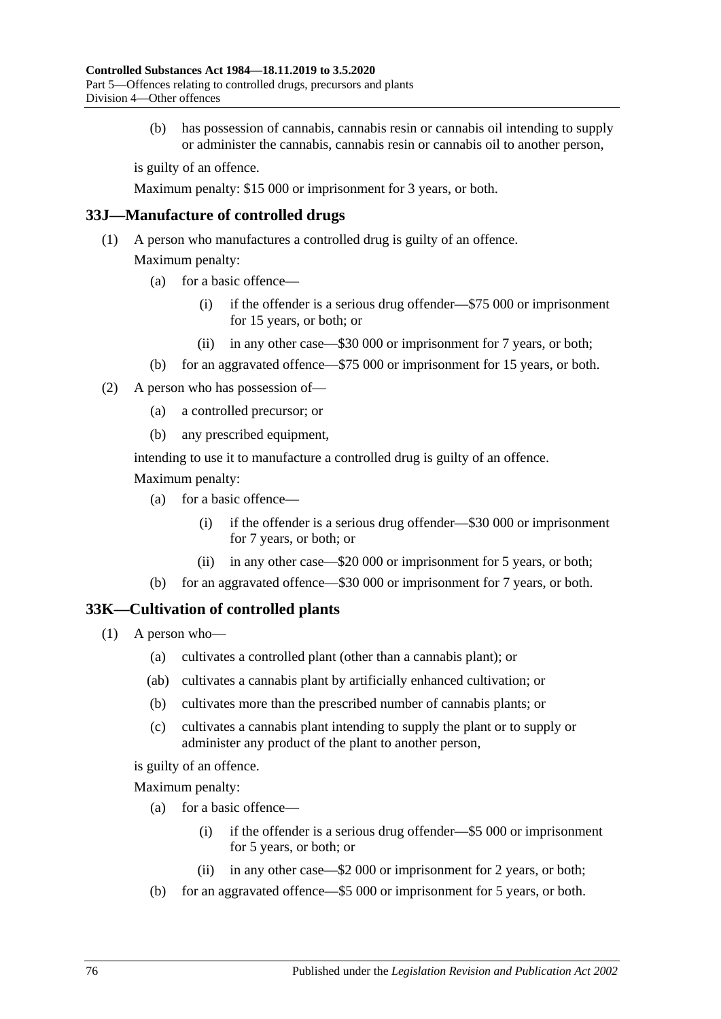(b) has possession of cannabis, cannabis resin or cannabis oil intending to supply or administer the cannabis, cannabis resin or cannabis oil to another person,

is guilty of an offence.

Maximum penalty: \$15 000 or imprisonment for 3 years, or both.

#### **33J—Manufacture of controlled drugs**

(1) A person who manufactures a controlled drug is guilty of an offence.

Maximum penalty:

- (a) for a basic offence—
	- (i) if the offender is a serious drug offender—\$75 000 or imprisonment for 15 years, or both; or
	- (ii) in any other case—\$30 000 or imprisonment for 7 years, or both;
- (b) for an aggravated offence—\$75 000 or imprisonment for 15 years, or both.
- (2) A person who has possession of—
	- (a) a controlled precursor; or
	- (b) any prescribed equipment,

intending to use it to manufacture a controlled drug is guilty of an offence.

Maximum penalty:

- (a) for a basic offence—
	- (i) if the offender is a serious drug offender—\$30 000 or imprisonment for 7 years, or both; or
	- (ii) in any other case—\$20 000 or imprisonment for 5 years, or both;
- (b) for an aggravated offence—\$30 000 or imprisonment for 7 years, or both.

#### <span id="page-75-0"></span>**33K—Cultivation of controlled plants**

- (1) A person who—
	- (a) cultivates a controlled plant (other than a cannabis plant); or
	- (ab) cultivates a cannabis plant by artificially enhanced cultivation; or
	- (b) cultivates more than the prescribed number of cannabis plants; or
	- (c) cultivates a cannabis plant intending to supply the plant or to supply or administer any product of the plant to another person,

is guilty of an offence.

- (a) for a basic offence—
	- (i) if the offender is a serious drug offender—\$5 000 or imprisonment for 5 years, or both; or
	- (ii) in any other case—\$2 000 or imprisonment for 2 years, or both;
- (b) for an aggravated offence—\$5 000 or imprisonment for 5 years, or both.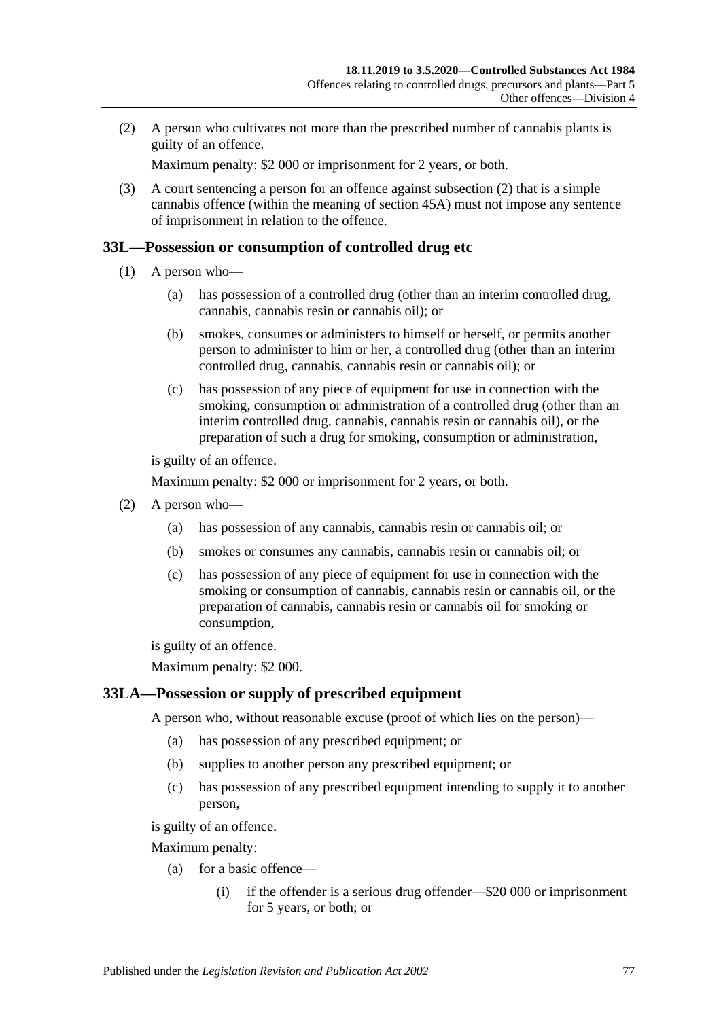<span id="page-76-0"></span>(2) A person who cultivates not more than the prescribed number of cannabis plants is guilty of an offence.

Maximum penalty: \$2 000 or imprisonment for 2 years, or both.

(3) A court sentencing a person for an offence against [subsection](#page-76-0) (2) that is a simple cannabis offence (within the meaning of [section](#page-90-0) 45A) must not impose any sentence of imprisonment in relation to the offence.

#### <span id="page-76-1"></span>**33L—Possession or consumption of controlled drug etc**

- (1) A person who—
	- (a) has possession of a controlled drug (other than an interim controlled drug, cannabis, cannabis resin or cannabis oil); or
	- (b) smokes, consumes or administers to himself or herself, or permits another person to administer to him or her, a controlled drug (other than an interim controlled drug, cannabis, cannabis resin or cannabis oil); or
	- (c) has possession of any piece of equipment for use in connection with the smoking, consumption or administration of a controlled drug (other than an interim controlled drug, cannabis, cannabis resin or cannabis oil), or the preparation of such a drug for smoking, consumption or administration,

is guilty of an offence.

Maximum penalty: \$2 000 or imprisonment for 2 years, or both.

- <span id="page-76-4"></span><span id="page-76-3"></span><span id="page-76-2"></span>(2) A person who—
	- (a) has possession of any cannabis, cannabis resin or cannabis oil; or
	- (b) smokes or consumes any cannabis, cannabis resin or cannabis oil; or
	- (c) has possession of any piece of equipment for use in connection with the smoking or consumption of cannabis, cannabis resin or cannabis oil, or the preparation of cannabis, cannabis resin or cannabis oil for smoking or consumption,

is guilty of an offence.

Maximum penalty: \$2 000.

### <span id="page-76-5"></span>**33LA—Possession or supply of prescribed equipment**

A person who, without reasonable excuse (proof of which lies on the person)—

- (a) has possession of any prescribed equipment; or
- (b) supplies to another person any prescribed equipment; or
- (c) has possession of any prescribed equipment intending to supply it to another person,

is guilty of an offence.

- (a) for a basic offence—
	- (i) if the offender is a serious drug offender—\$20 000 or imprisonment for 5 years, or both; or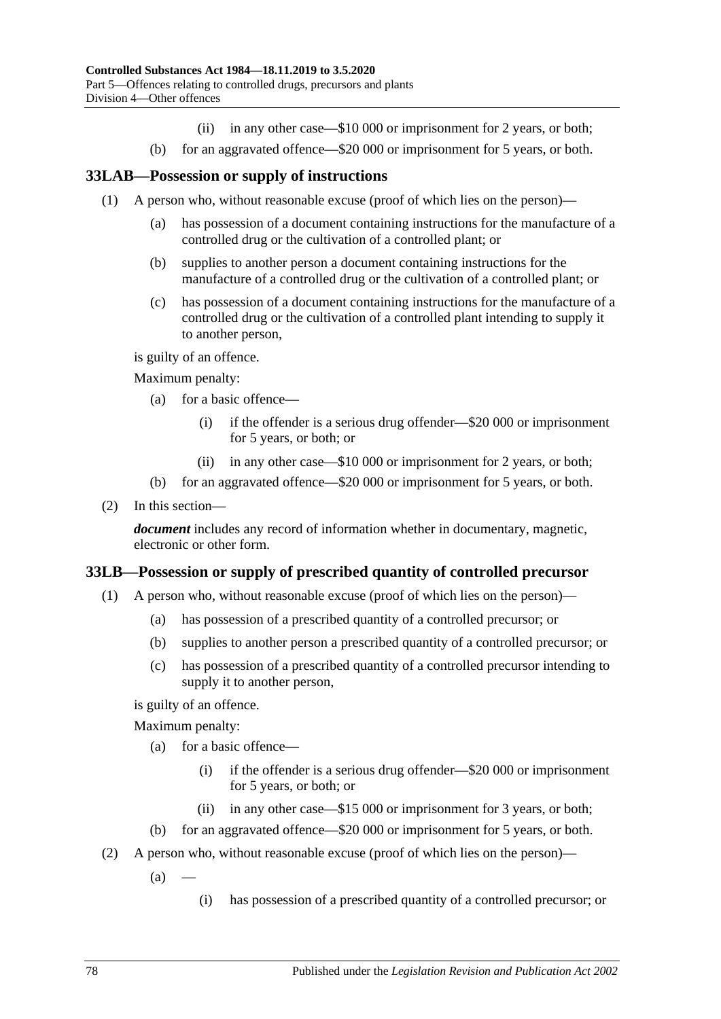- (ii) in any other case—\$10 000 or imprisonment for 2 years, or both;
- (b) for an aggravated offence—\$20 000 or imprisonment for 5 years, or both.

#### **33LAB—Possession or supply of instructions**

- (1) A person who, without reasonable excuse (proof of which lies on the person)—
	- (a) has possession of a document containing instructions for the manufacture of a controlled drug or the cultivation of a controlled plant; or
	- (b) supplies to another person a document containing instructions for the manufacture of a controlled drug or the cultivation of a controlled plant; or
	- (c) has possession of a document containing instructions for the manufacture of a controlled drug or the cultivation of a controlled plant intending to supply it to another person,

is guilty of an offence.

Maximum penalty:

- (a) for a basic offence—
	- (i) if the offender is a serious drug offender—\$20 000 or imprisonment for 5 years, or both; or
	- (ii) in any other case—\$10 000 or imprisonment for 2 years, or both;
- (b) for an aggravated offence—\$20 000 or imprisonment for 5 years, or both.
- (2) In this section—

*document* includes any record of information whether in documentary, magnetic, electronic or other form.

#### <span id="page-77-0"></span>**33LB—Possession or supply of prescribed quantity of controlled precursor**

- (1) A person who, without reasonable excuse (proof of which lies on the person)—
	- (a) has possession of a prescribed quantity of a controlled precursor; or
	- (b) supplies to another person a prescribed quantity of a controlled precursor; or
	- (c) has possession of a prescribed quantity of a controlled precursor intending to supply it to another person,

is guilty of an offence.

- (a) for a basic offence—
	- (i) if the offender is a serious drug offender—\$20 000 or imprisonment for 5 years, or both; or
	- (ii) in any other case—\$15 000 or imprisonment for 3 years, or both;
- (b) for an aggravated offence—\$20 000 or imprisonment for 5 years, or both.
- (2) A person who, without reasonable excuse (proof of which lies on the person)—
	- $(a)$ 
		- (i) has possession of a prescribed quantity of a controlled precursor; or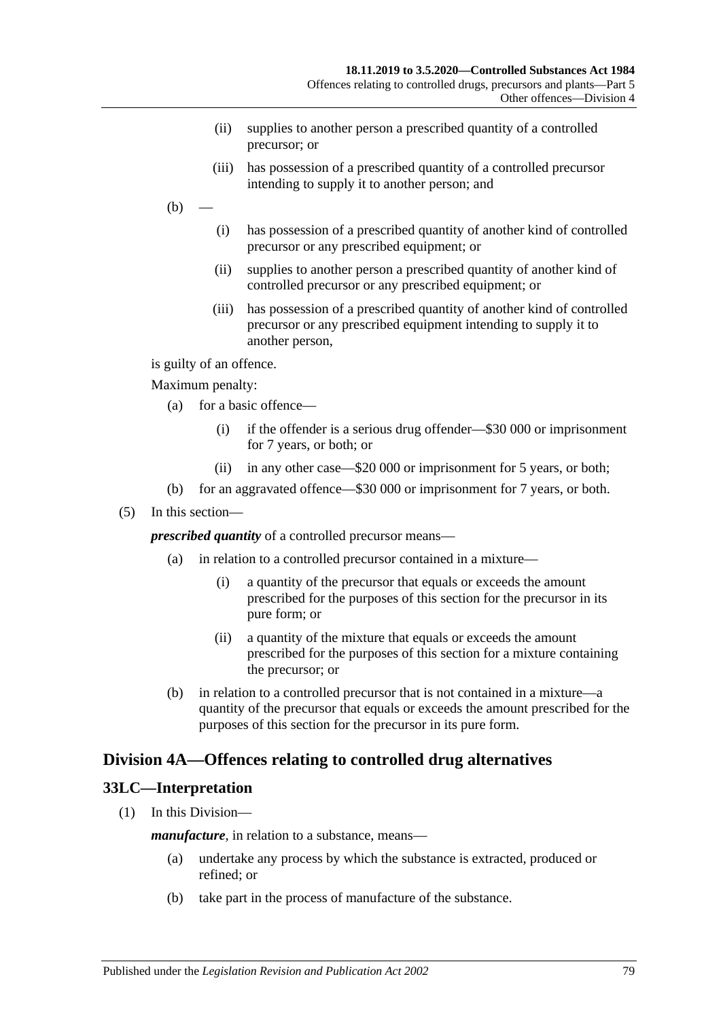- (ii) supplies to another person a prescribed quantity of a controlled precursor; or
- (iii) has possession of a prescribed quantity of a controlled precursor intending to supply it to another person; and
- $(b)$ 
	- (i) has possession of a prescribed quantity of another kind of controlled precursor or any prescribed equipment; or
	- (ii) supplies to another person a prescribed quantity of another kind of controlled precursor or any prescribed equipment; or
	- (iii) has possession of a prescribed quantity of another kind of controlled precursor or any prescribed equipment intending to supply it to another person,

is guilty of an offence.

Maximum penalty:

- (a) for a basic offence—
	- (i) if the offender is a serious drug offender—\$30 000 or imprisonment for 7 years, or both; or
	- (ii) in any other case—\$20 000 or imprisonment for 5 years, or both;
- (b) for an aggravated offence—\$30 000 or imprisonment for 7 years, or both.
- (5) In this section—

*prescribed quantity* of a controlled precursor means—

- (a) in relation to a controlled precursor contained in a mixture—
	- (i) a quantity of the precursor that equals or exceeds the amount prescribed for the purposes of this section for the precursor in its pure form; or
	- (ii) a quantity of the mixture that equals or exceeds the amount prescribed for the purposes of this section for a mixture containing the precursor; or
- (b) in relation to a controlled precursor that is not contained in a mixture—a quantity of the precursor that equals or exceeds the amount prescribed for the purposes of this section for the precursor in its pure form.

### <span id="page-78-0"></span>**Division 4A—Offences relating to controlled drug alternatives**

### **33LC—Interpretation**

(1) In this Division—

*manufacture*, in relation to a substance, means—

- (a) undertake any process by which the substance is extracted, produced or refined; or
- (b) take part in the process of manufacture of the substance.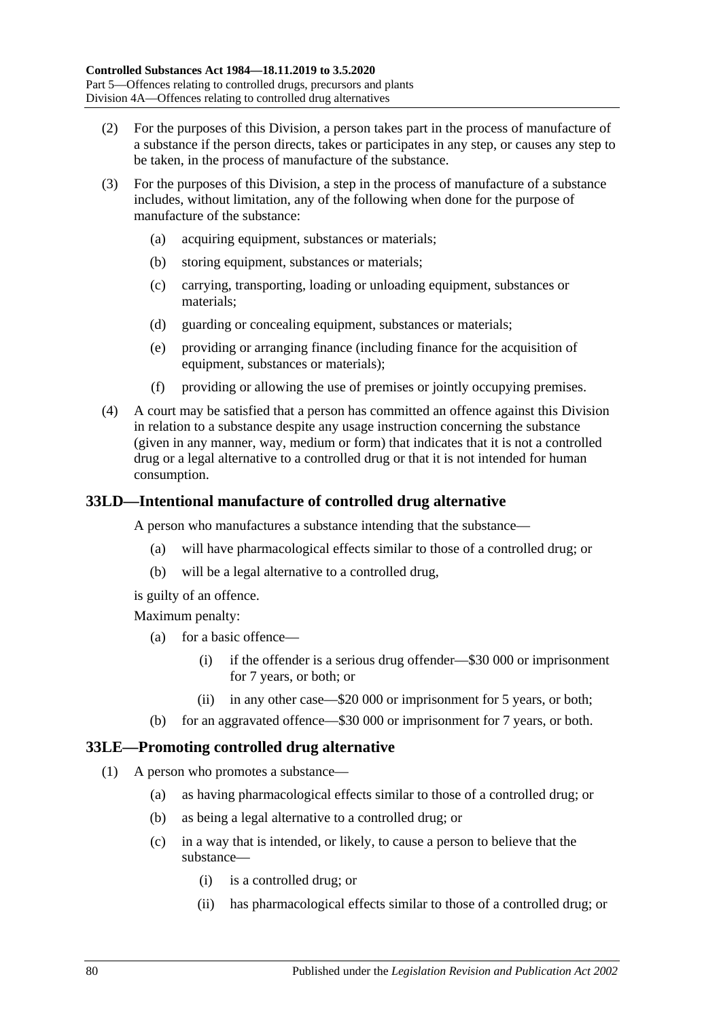- (2) For the purposes of this Division, a person takes part in the process of manufacture of a substance if the person directs, takes or participates in any step, or causes any step to be taken, in the process of manufacture of the substance.
- (3) For the purposes of this Division, a step in the process of manufacture of a substance includes, without limitation, any of the following when done for the purpose of manufacture of the substance:
	- (a) acquiring equipment, substances or materials;
	- (b) storing equipment, substances or materials;
	- (c) carrying, transporting, loading or unloading equipment, substances or materials;
	- (d) guarding or concealing equipment, substances or materials;
	- (e) providing or arranging finance (including finance for the acquisition of equipment, substances or materials);
	- (f) providing or allowing the use of premises or jointly occupying premises.
- (4) A court may be satisfied that a person has committed an offence against this Division in relation to a substance despite any usage instruction concerning the substance (given in any manner, way, medium or form) that indicates that it is not a controlled drug or a legal alternative to a controlled drug or that it is not intended for human consumption.

### <span id="page-79-2"></span>**33LD—Intentional manufacture of controlled drug alternative**

A person who manufactures a substance intending that the substance—

- (a) will have pharmacological effects similar to those of a controlled drug; or
- (b) will be a legal alternative to a controlled drug,

is guilty of an offence.

Maximum penalty:

- (a) for a basic offence—
	- (i) if the offender is a serious drug offender—\$30 000 or imprisonment for 7 years, or both; or
	- (ii) in any other case—\$20 000 or imprisonment for 5 years, or both;
- (b) for an aggravated offence—\$30 000 or imprisonment for 7 years, or both.

### <span id="page-79-1"></span><span id="page-79-0"></span>**33LE—Promoting controlled drug alternative**

- (1) A person who promotes a substance—
	- (a) as having pharmacological effects similar to those of a controlled drug; or
	- (b) as being a legal alternative to a controlled drug; or
	- (c) in a way that is intended, or likely, to cause a person to believe that the substance—
		- (i) is a controlled drug; or
		- (ii) has pharmacological effects similar to those of a controlled drug; or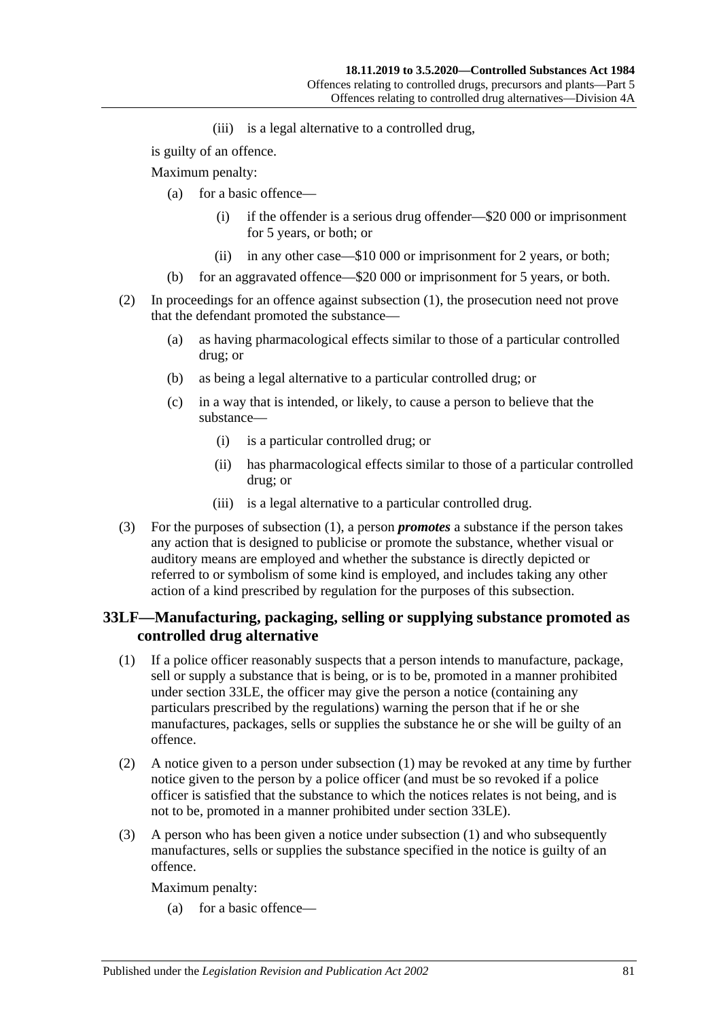(iii) is a legal alternative to a controlled drug,

is guilty of an offence.

Maximum penalty:

- (a) for a basic offence—
	- (i) if the offender is a serious drug offender—\$20 000 or imprisonment for 5 years, or both; or
	- (ii) in any other case—\$10 000 or imprisonment for 2 years, or both;
- (b) for an aggravated offence—\$20 000 or imprisonment for 5 years, or both.
- (2) In proceedings for an offence against [subsection](#page-79-0) (1), the prosecution need not prove that the defendant promoted the substance—
	- (a) as having pharmacological effects similar to those of a particular controlled drug; or
	- (b) as being a legal alternative to a particular controlled drug; or
	- (c) in a way that is intended, or likely, to cause a person to believe that the substance—
		- (i) is a particular controlled drug; or
		- (ii) has pharmacological effects similar to those of a particular controlled drug; or
		- (iii) is a legal alternative to a particular controlled drug.
- (3) For the purposes of [subsection](#page-79-0) (1), a person *promotes* a substance if the person takes any action that is designed to publicise or promote the substance, whether visual or auditory means are employed and whether the substance is directly depicted or referred to or symbolism of some kind is employed, and includes taking any other action of a kind prescribed by regulation for the purposes of this subsection.

### **33LF—Manufacturing, packaging, selling or supplying substance promoted as controlled drug alternative**

- <span id="page-80-0"></span>(1) If a police officer reasonably suspects that a person intends to manufacture, package, sell or supply a substance that is being, or is to be, promoted in a manner prohibited under [section](#page-79-1) 33LE, the officer may give the person a notice (containing any particulars prescribed by the regulations) warning the person that if he or she manufactures, packages, sells or supplies the substance he or she will be guilty of an offence.
- <span id="page-80-1"></span>(2) A notice given to a person under [subsection](#page-80-0) (1) may be revoked at any time by further notice given to the person by a police officer (and must be so revoked if a police officer is satisfied that the substance to which the notices relates is not being, and is not to be, promoted in a manner prohibited under [section](#page-79-1) 33LE).
- (3) A person who has been given a notice under [subsection](#page-80-0) (1) and who subsequently manufactures, sells or supplies the substance specified in the notice is guilty of an offence.

Maximum penalty:

(a) for a basic offence—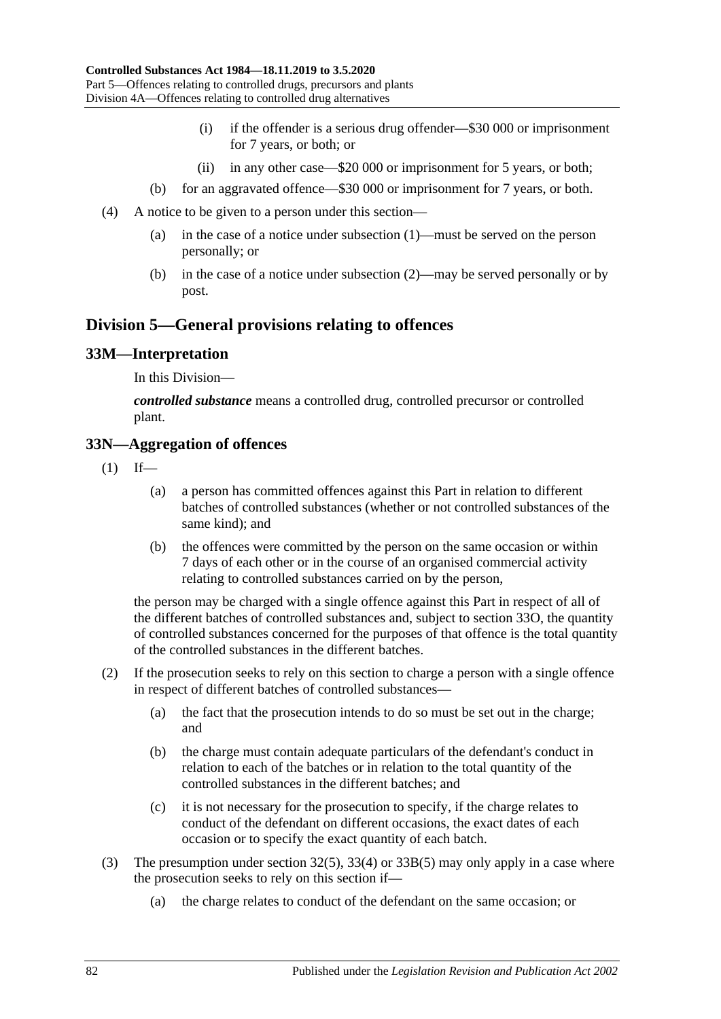- (i) if the offender is a serious drug offender—\$30 000 or imprisonment for 7 years, or both; or
- (ii) in any other case—\$20 000 or imprisonment for 5 years, or both;
- (b) for an aggravated offence—\$30 000 or imprisonment for 7 years, or both.
- (4) A notice to be given to a person under this section—
	- (a) in the case of a notice under [subsection](#page-80-0) (1)—must be served on the person personally; or
	- (b) in the case of a notice under [subsection](#page-80-1) (2)—may be served personally or by post.

### **Division 5—General provisions relating to offences**

#### **33M—Interpretation**

In this Division—

*controlled substance* means a controlled drug, controlled precursor or controlled plant.

#### **33N—Aggregation of offences**

- $(1)$  If—
	- (a) a person has committed offences against this Part in relation to different batches of controlled substances (whether or not controlled substances of the same kind); and
	- (b) the offences were committed by the person on the same occasion or within 7 days of each other or in the course of an organised commercial activity relating to controlled substances carried on by the person,

the person may be charged with a single offence against this Part in respect of all of the different batches of controlled substances and, subject to [section](#page-82-0) 33O, the quantity of controlled substances concerned for the purposes of that offence is the total quantity of the controlled substances in the different batches.

- (2) If the prosecution seeks to rely on this section to charge a person with a single offence in respect of different batches of controlled substances—
	- (a) the fact that the prosecution intends to do so must be set out in the charge; and
	- (b) the charge must contain adequate particulars of the defendant's conduct in relation to each of the batches or in relation to the total quantity of the controlled substances in the different batches; and
	- (c) it is not necessary for the prosecution to specify, if the charge relates to conduct of the defendant on different occasions, the exact dates of each occasion or to specify the exact quantity of each batch.
- (3) The presumption under [section](#page-66-0) 32(5), [33\(4\)](#page-68-0) or [33B\(5\)](#page-70-0) may only apply in a case where the prosecution seeks to rely on this section if—
	- (a) the charge relates to conduct of the defendant on the same occasion; or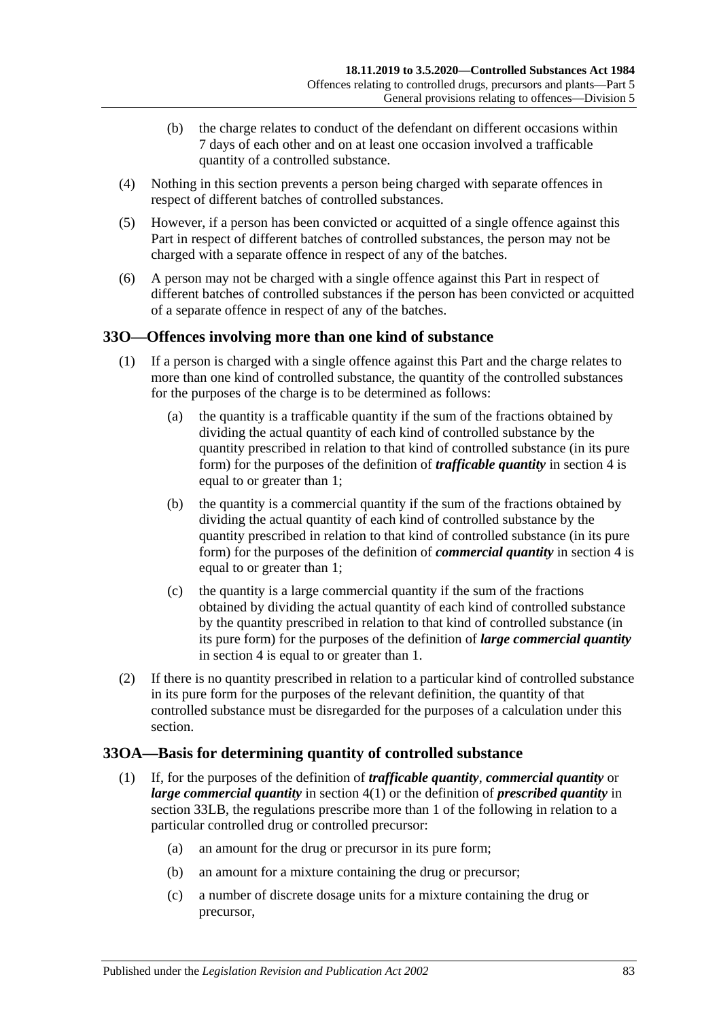- (b) the charge relates to conduct of the defendant on different occasions within 7 days of each other and on at least one occasion involved a trafficable quantity of a controlled substance.
- (4) Nothing in this section prevents a person being charged with separate offences in respect of different batches of controlled substances.
- (5) However, if a person has been convicted or acquitted of a single offence against this Part in respect of different batches of controlled substances, the person may not be charged with a separate offence in respect of any of the batches.
- (6) A person may not be charged with a single offence against this Part in respect of different batches of controlled substances if the person has been convicted or acquitted of a separate offence in respect of any of the batches.

### <span id="page-82-0"></span>**33O—Offences involving more than one kind of substance**

- (1) If a person is charged with a single offence against this Part and the charge relates to more than one kind of controlled substance, the quantity of the controlled substances for the purposes of the charge is to be determined as follows:
	- (a) the quantity is a trafficable quantity if the sum of the fractions obtained by dividing the actual quantity of each kind of controlled substance by the quantity prescribed in relation to that kind of controlled substance (in its pure form) for the purposes of the definition of *trafficable quantity* in [section](#page-5-0) 4 is equal to or greater than 1;
	- (b) the quantity is a commercial quantity if the sum of the fractions obtained by dividing the actual quantity of each kind of controlled substance by the quantity prescribed in relation to that kind of controlled substance (in its pure form) for the purposes of the definition of *commercial quantity* in [section](#page-5-0) 4 is equal to or greater than 1;
	- (c) the quantity is a large commercial quantity if the sum of the fractions obtained by dividing the actual quantity of each kind of controlled substance by the quantity prescribed in relation to that kind of controlled substance (in its pure form) for the purposes of the definition of *large commercial quantity* in [section](#page-5-0) 4 is equal to or greater than 1.
- (2) If there is no quantity prescribed in relation to a particular kind of controlled substance in its pure form for the purposes of the relevant definition, the quantity of that controlled substance must be disregarded for the purposes of a calculation under this section.

### **33OA—Basis for determining quantity of controlled substance**

- (1) If, for the purposes of the definition of *trafficable quantity*, *commercial quantity* or *large commercial quantity* in [section](#page-5-1) 4(1) or the definition of *prescribed quantity* in [section](#page-77-0) 33LB, the regulations prescribe more than 1 of the following in relation to a particular controlled drug or controlled precursor:
	- (a) an amount for the drug or precursor in its pure form;
	- (b) an amount for a mixture containing the drug or precursor;
	- (c) a number of discrete dosage units for a mixture containing the drug or precursor,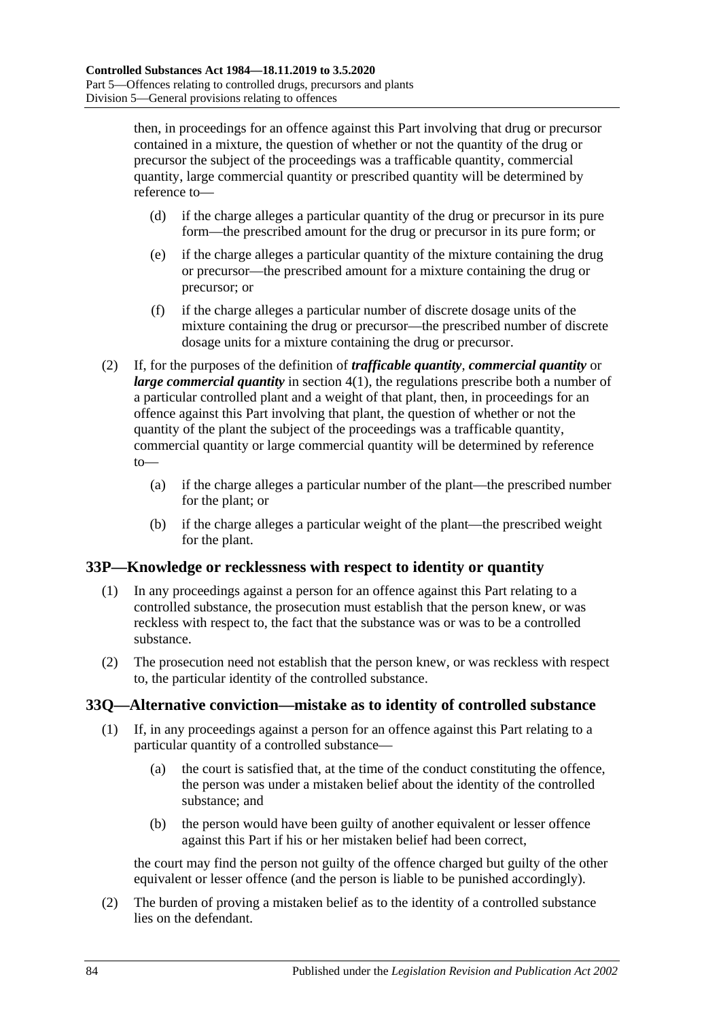then, in proceedings for an offence against this Part involving that drug or precursor contained in a mixture, the question of whether or not the quantity of the drug or precursor the subject of the proceedings was a trafficable quantity, commercial quantity, large commercial quantity or prescribed quantity will be determined by reference to—

- (d) if the charge alleges a particular quantity of the drug or precursor in its pure form—the prescribed amount for the drug or precursor in its pure form; or
- (e) if the charge alleges a particular quantity of the mixture containing the drug or precursor—the prescribed amount for a mixture containing the drug or precursor; or
- (f) if the charge alleges a particular number of discrete dosage units of the mixture containing the drug or precursor—the prescribed number of discrete dosage units for a mixture containing the drug or precursor.
- (2) If, for the purposes of the definition of *trafficable quantity*, *commercial quantity* or *large commercial quantity* in [section](#page-5-1) 4(1), the regulations prescribe both a number of a particular controlled plant and a weight of that plant, then, in proceedings for an offence against this Part involving that plant, the question of whether or not the quantity of the plant the subject of the proceedings was a trafficable quantity, commercial quantity or large commercial quantity will be determined by reference to—
	- (a) if the charge alleges a particular number of the plant—the prescribed number for the plant; or
	- (b) if the charge alleges a particular weight of the plant—the prescribed weight for the plant.

### **33P—Knowledge or recklessness with respect to identity or quantity**

- (1) In any proceedings against a person for an offence against this Part relating to a controlled substance, the prosecution must establish that the person knew, or was reckless with respect to, the fact that the substance was or was to be a controlled substance.
- (2) The prosecution need not establish that the person knew, or was reckless with respect to, the particular identity of the controlled substance.

### **33Q—Alternative conviction—mistake as to identity of controlled substance**

- (1) If, in any proceedings against a person for an offence against this Part relating to a particular quantity of a controlled substance—
	- (a) the court is satisfied that, at the time of the conduct constituting the offence, the person was under a mistaken belief about the identity of the controlled substance; and
	- (b) the person would have been guilty of another equivalent or lesser offence against this Part if his or her mistaken belief had been correct,

the court may find the person not guilty of the offence charged but guilty of the other equivalent or lesser offence (and the person is liable to be punished accordingly).

(2) The burden of proving a mistaken belief as to the identity of a controlled substance lies on the defendant.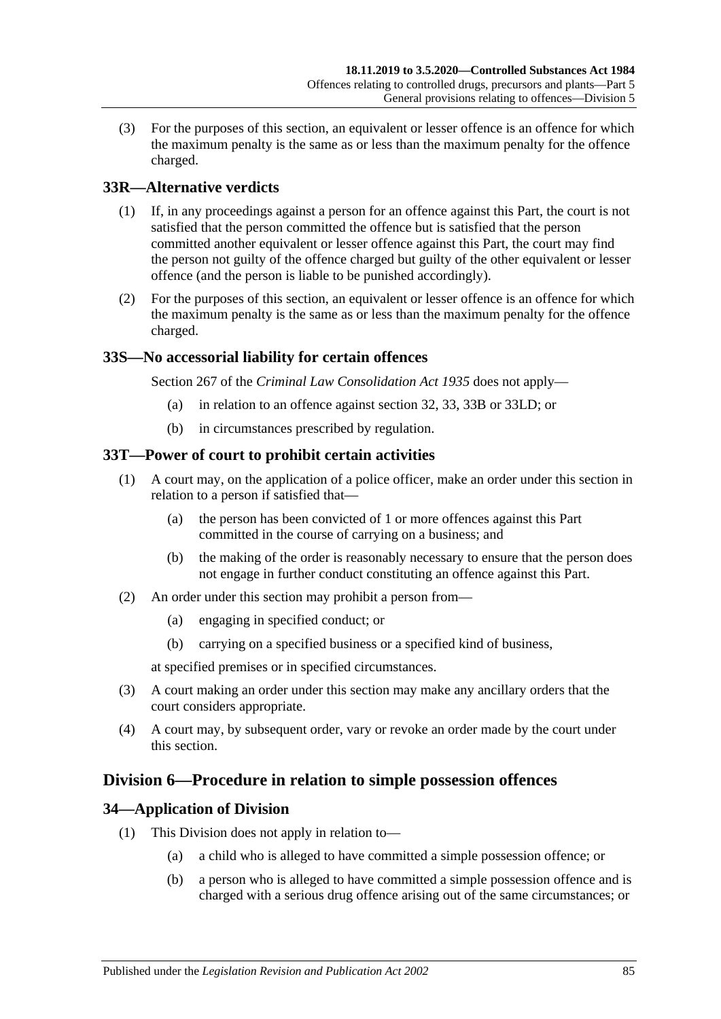(3) For the purposes of this section, an equivalent or lesser offence is an offence for which the maximum penalty is the same as or less than the maximum penalty for the offence charged.

### **33R—Alternative verdicts**

- (1) If, in any proceedings against a person for an offence against this Part, the court is not satisfied that the person committed the offence but is satisfied that the person committed another equivalent or lesser offence against this Part, the court may find the person not guilty of the offence charged but guilty of the other equivalent or lesser offence (and the person is liable to be punished accordingly).
- (2) For the purposes of this section, an equivalent or lesser offence is an offence for which the maximum penalty is the same as or less than the maximum penalty for the offence charged.

### **33S—No accessorial liability for certain offences**

Section 267 of the *[Criminal Law Consolidation Act](http://www.legislation.sa.gov.au/index.aspx?action=legref&type=act&legtitle=Criminal%20Law%20Consolidation%20Act%201935) 1935* does not apply—

- (a) in relation to an offence against [section](#page-65-0) 32, [33,](#page-67-0) [33B](#page-70-1) or [33LD;](#page-79-2) or
- (b) in circumstances prescribed by regulation.

#### **33T—Power of court to prohibit certain activities**

- (1) A court may, on the application of a police officer, make an order under this section in relation to a person if satisfied that—
	- (a) the person has been convicted of 1 or more offences against this Part committed in the course of carrying on a business; and
	- (b) the making of the order is reasonably necessary to ensure that the person does not engage in further conduct constituting an offence against this Part.
- (2) An order under this section may prohibit a person from—
	- (a) engaging in specified conduct; or
	- (b) carrying on a specified business or a specified kind of business,

at specified premises or in specified circumstances.

- (3) A court making an order under this section may make any ancillary orders that the court considers appropriate.
- (4) A court may, by subsequent order, vary or revoke an order made by the court under this section.

### **Division 6—Procedure in relation to simple possession offences**

### **34—Application of Division**

- (1) This Division does not apply in relation to—
	- (a) a child who is alleged to have committed a simple possession offence; or
	- (b) a person who is alleged to have committed a simple possession offence and is charged with a serious drug offence arising out of the same circumstances; or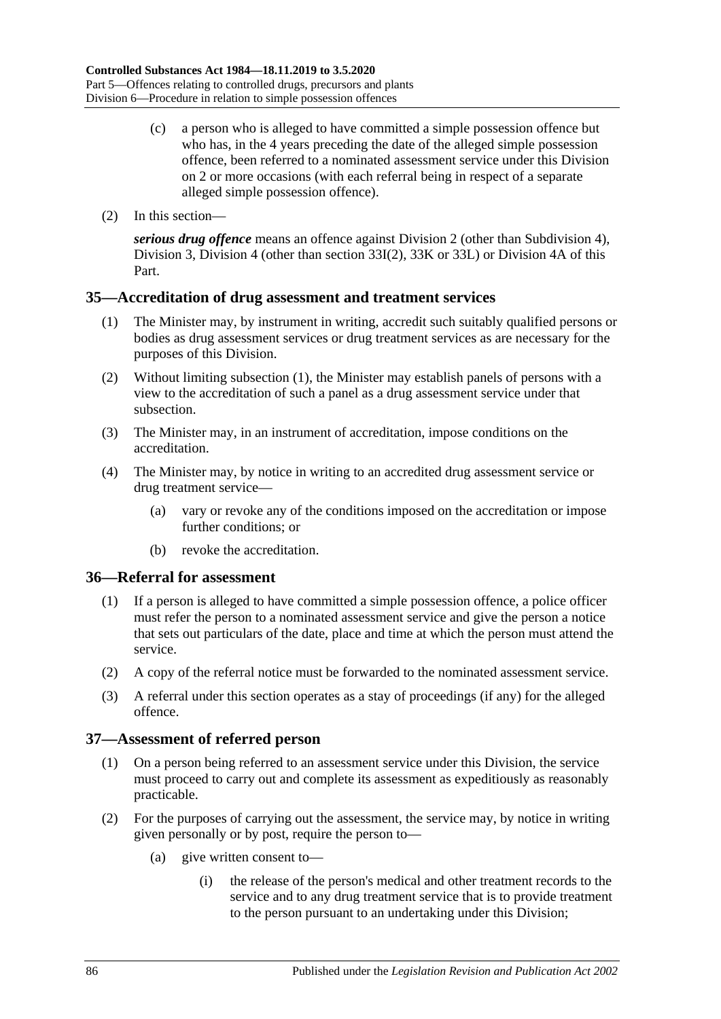- (c) a person who is alleged to have committed a simple possession offence but who has, in the 4 years preceding the date of the alleged simple possession offence, been referred to a nominated assessment service under this Division on 2 or more occasions (with each referral being in respect of a separate alleged simple possession offence).
- (2) In this section—

*serious drug offence* means an offence against [Division 2](#page-65-1) (other than [Subdivision 4\)](#page-72-0), [Division 3,](#page-72-1) [Division 4](#page-74-0) (other than [section](#page-74-1) 33I(2), [33K](#page-75-0) or [33L\)](#page-76-1) or [Division 4A](#page-78-0) of this Part.

#### <span id="page-85-0"></span>**35—Accreditation of drug assessment and treatment services**

- (1) The Minister may, by instrument in writing, accredit such suitably qualified persons or bodies as drug assessment services or drug treatment services as are necessary for the purposes of this Division.
- (2) Without limiting [subsection](#page-85-0) (1), the Minister may establish panels of persons with a view to the accreditation of such a panel as a drug assessment service under that subsection.
- (3) The Minister may, in an instrument of accreditation, impose conditions on the accreditation.
- (4) The Minister may, by notice in writing to an accredited drug assessment service or drug treatment service—
	- (a) vary or revoke any of the conditions imposed on the accreditation or impose further conditions; or
	- (b) revoke the accreditation.

#### **36—Referral for assessment**

- (1) If a person is alleged to have committed a simple possession offence, a police officer must refer the person to a nominated assessment service and give the person a notice that sets out particulars of the date, place and time at which the person must attend the service.
- (2) A copy of the referral notice must be forwarded to the nominated assessment service.
- (3) A referral under this section operates as a stay of proceedings (if any) for the alleged offence.

#### **37—Assessment of referred person**

- (1) On a person being referred to an assessment service under this Division, the service must proceed to carry out and complete its assessment as expeditiously as reasonably practicable.
- (2) For the purposes of carrying out the assessment, the service may, by notice in writing given personally or by post, require the person to—
	- (a) give written consent to—
		- (i) the release of the person's medical and other treatment records to the service and to any drug treatment service that is to provide treatment to the person pursuant to an undertaking under this Division;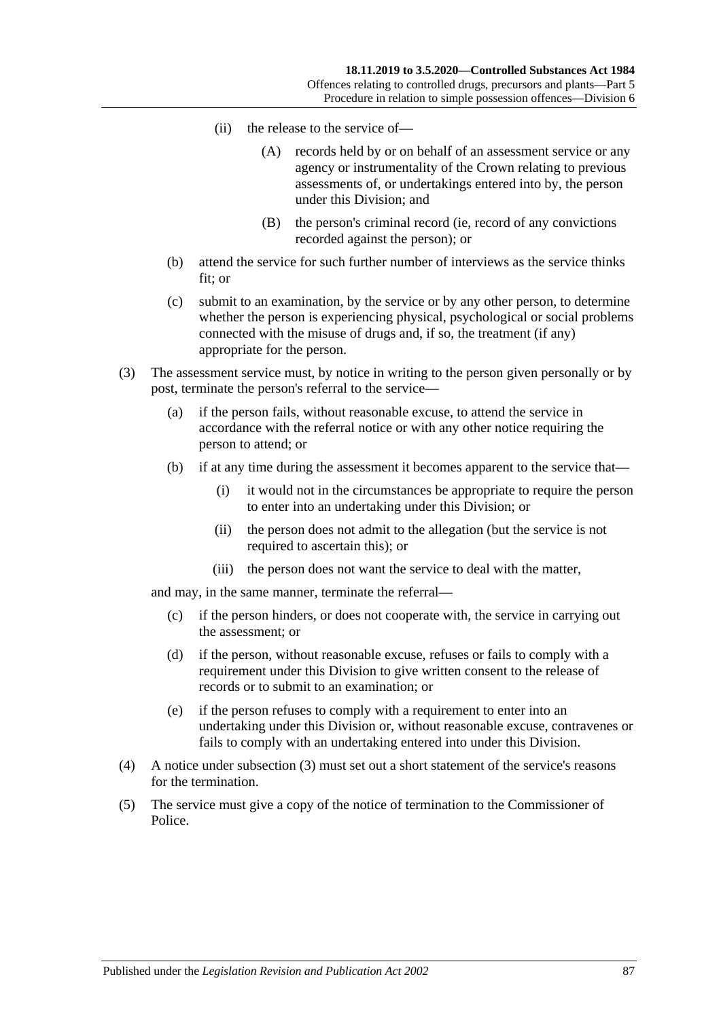- (ii) the release to the service of—
	- (A) records held by or on behalf of an assessment service or any agency or instrumentality of the Crown relating to previous assessments of, or undertakings entered into by, the person under this Division; and
	- (B) the person's criminal record (ie, record of any convictions recorded against the person); or
- (b) attend the service for such further number of interviews as the service thinks fit; or
- (c) submit to an examination, by the service or by any other person, to determine whether the person is experiencing physical, psychological or social problems connected with the misuse of drugs and, if so, the treatment (if any) appropriate for the person.
- <span id="page-86-0"></span>(3) The assessment service must, by notice in writing to the person given personally or by post, terminate the person's referral to the service—
	- (a) if the person fails, without reasonable excuse, to attend the service in accordance with the referral notice or with any other notice requiring the person to attend; or
	- (b) if at any time during the assessment it becomes apparent to the service that—
		- (i) it would not in the circumstances be appropriate to require the person to enter into an undertaking under this Division; or
		- (ii) the person does not admit to the allegation (but the service is not required to ascertain this); or
		- (iii) the person does not want the service to deal with the matter,

and may, in the same manner, terminate the referral—

- (c) if the person hinders, or does not cooperate with, the service in carrying out the assessment; or
- (d) if the person, without reasonable excuse, refuses or fails to comply with a requirement under this Division to give written consent to the release of records or to submit to an examination; or
- (e) if the person refuses to comply with a requirement to enter into an undertaking under this Division or, without reasonable excuse, contravenes or fails to comply with an undertaking entered into under this Division.
- (4) A notice under [subsection](#page-86-0) (3) must set out a short statement of the service's reasons for the termination.
- (5) The service must give a copy of the notice of termination to the Commissioner of Police.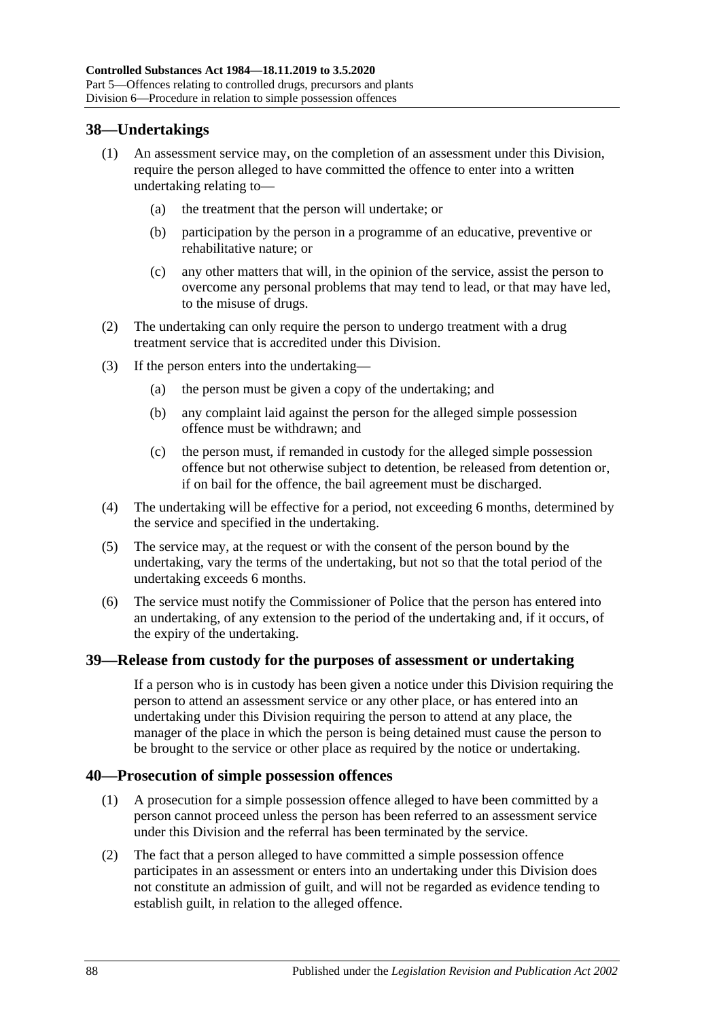### **38—Undertakings**

- (1) An assessment service may, on the completion of an assessment under this Division, require the person alleged to have committed the offence to enter into a written undertaking relating to—
	- (a) the treatment that the person will undertake; or
	- (b) participation by the person in a programme of an educative, preventive or rehabilitative nature; or
	- (c) any other matters that will, in the opinion of the service, assist the person to overcome any personal problems that may tend to lead, or that may have led, to the misuse of drugs.
- (2) The undertaking can only require the person to undergo treatment with a drug treatment service that is accredited under this Division.
- (3) If the person enters into the undertaking—
	- (a) the person must be given a copy of the undertaking; and
	- (b) any complaint laid against the person for the alleged simple possession offence must be withdrawn; and
	- (c) the person must, if remanded in custody for the alleged simple possession offence but not otherwise subject to detention, be released from detention or, if on bail for the offence, the bail agreement must be discharged.
- (4) The undertaking will be effective for a period, not exceeding 6 months, determined by the service and specified in the undertaking.
- (5) The service may, at the request or with the consent of the person bound by the undertaking, vary the terms of the undertaking, but not so that the total period of the undertaking exceeds 6 months.
- (6) The service must notify the Commissioner of Police that the person has entered into an undertaking, of any extension to the period of the undertaking and, if it occurs, of the expiry of the undertaking.

#### **39—Release from custody for the purposes of assessment or undertaking**

If a person who is in custody has been given a notice under this Division requiring the person to attend an assessment service or any other place, or has entered into an undertaking under this Division requiring the person to attend at any place, the manager of the place in which the person is being detained must cause the person to be brought to the service or other place as required by the notice or undertaking.

#### **40—Prosecution of simple possession offences**

- (1) A prosecution for a simple possession offence alleged to have been committed by a person cannot proceed unless the person has been referred to an assessment service under this Division and the referral has been terminated by the service.
- (2) The fact that a person alleged to have committed a simple possession offence participates in an assessment or enters into an undertaking under this Division does not constitute an admission of guilt, and will not be regarded as evidence tending to establish guilt, in relation to the alleged offence.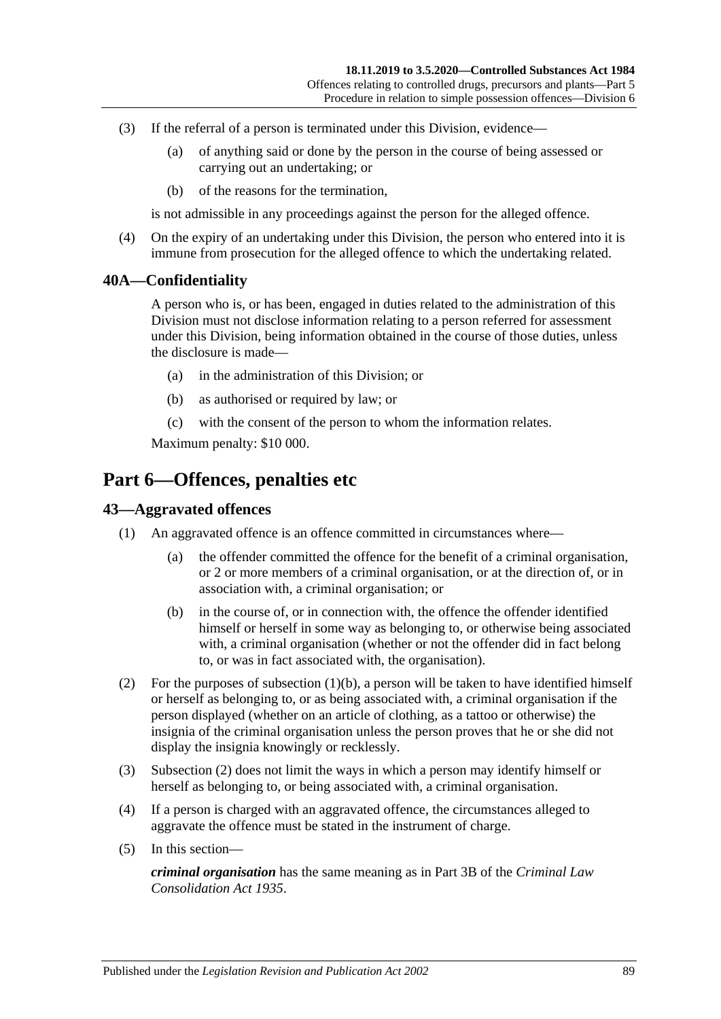- (3) If the referral of a person is terminated under this Division, evidence—
	- (a) of anything said or done by the person in the course of being assessed or carrying out an undertaking; or
	- (b) of the reasons for the termination,

is not admissible in any proceedings against the person for the alleged offence.

(4) On the expiry of an undertaking under this Division, the person who entered into it is immune from prosecution for the alleged offence to which the undertaking related.

#### **40A—Confidentiality**

A person who is, or has been, engaged in duties related to the administration of this Division must not disclose information relating to a person referred for assessment under this Division, being information obtained in the course of those duties, unless the disclosure is made—

- (a) in the administration of this Division; or
- (b) as authorised or required by law; or
- (c) with the consent of the person to whom the information relates.

Maximum penalty: \$10 000.

## **Part 6—Offences, penalties etc**

### **43—Aggravated offences**

- <span id="page-88-0"></span>(1) An aggravated offence is an offence committed in circumstances where—
	- (a) the offender committed the offence for the benefit of a criminal organisation, or 2 or more members of a criminal organisation, or at the direction of, or in association with, a criminal organisation; or
	- (b) in the course of, or in connection with, the offence the offender identified himself or herself in some way as belonging to, or otherwise being associated with, a criminal organisation (whether or not the offender did in fact belong to, or was in fact associated with, the organisation).
- <span id="page-88-1"></span>(2) For the purposes of [subsection](#page-88-0) (1)(b), a person will be taken to have identified himself or herself as belonging to, or as being associated with, a criminal organisation if the person displayed (whether on an article of clothing, as a tattoo or otherwise) the insignia of the criminal organisation unless the person proves that he or she did not display the insignia knowingly or recklessly.
- (3) [Subsection](#page-88-1) (2) does not limit the ways in which a person may identify himself or herself as belonging to, or being associated with, a criminal organisation.
- (4) If a person is charged with an aggravated offence, the circumstances alleged to aggravate the offence must be stated in the instrument of charge.
- (5) In this section—

*criminal organisation* has the same meaning as in Part 3B of the *[Criminal Law](http://www.legislation.sa.gov.au/index.aspx?action=legref&type=act&legtitle=Criminal%20Law%20Consolidation%20Act%201935)  [Consolidation Act](http://www.legislation.sa.gov.au/index.aspx?action=legref&type=act&legtitle=Criminal%20Law%20Consolidation%20Act%201935) 1935*.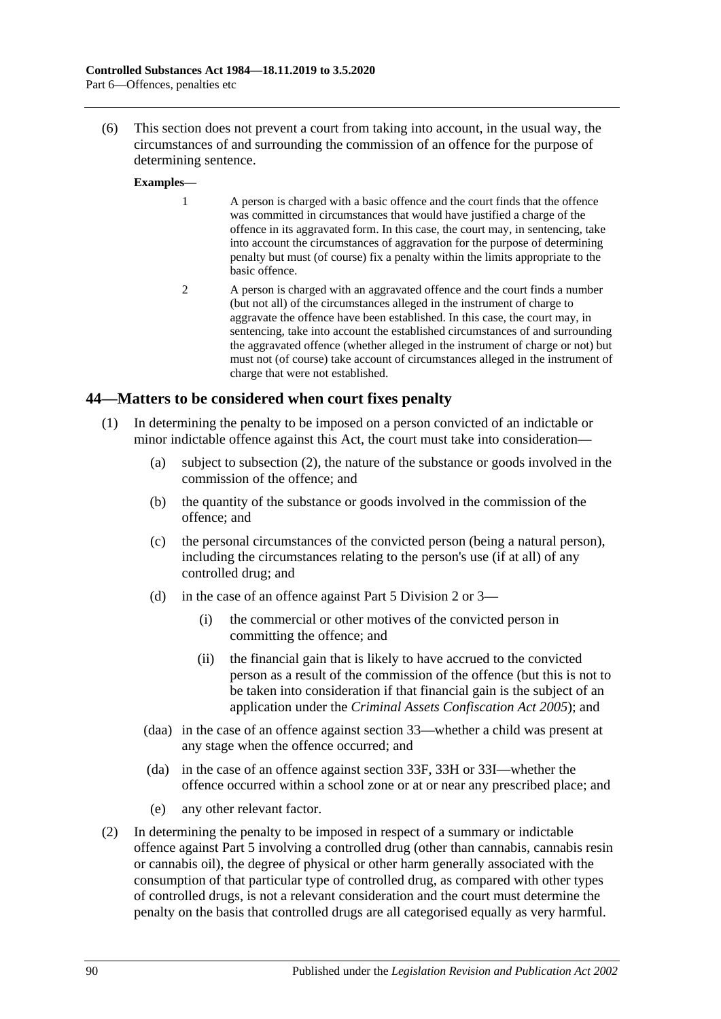(6) This section does not prevent a court from taking into account, in the usual way, the circumstances of and surrounding the commission of an offence for the purpose of determining sentence.

#### **Examples—**

- 1 A person is charged with a basic offence and the court finds that the offence was committed in circumstances that would have justified a charge of the offence in its aggravated form. In this case, the court may, in sentencing, take into account the circumstances of aggravation for the purpose of determining penalty but must (of course) fix a penalty within the limits appropriate to the basic offence.
- 2 A person is charged with an aggravated offence and the court finds a number (but not all) of the circumstances alleged in the instrument of charge to aggravate the offence have been established. In this case, the court may, in sentencing, take into account the established circumstances of and surrounding the aggravated offence (whether alleged in the instrument of charge or not) but must not (of course) take account of circumstances alleged in the instrument of charge that were not established.

#### **44—Matters to be considered when court fixes penalty**

- (1) In determining the penalty to be imposed on a person convicted of an indictable or minor indictable offence against this Act, the court must take into consideration—
	- (a) subject to [subsection](#page-89-0) (2), the nature of the substance or goods involved in the commission of the offence; and
	- (b) the quantity of the substance or goods involved in the commission of the offence; and
	- (c) the personal circumstances of the convicted person (being a natural person), including the circumstances relating to the person's use (if at all) of any controlled drug; and
	- (d) in the case of an offence against [Part 5 Division 2](#page-65-1) or [3—](#page-72-1)
		- (i) the commercial or other motives of the convicted person in committing the offence; and
		- (ii) the financial gain that is likely to have accrued to the convicted person as a result of the commission of the offence (but this is not to be taken into consideration if that financial gain is the subject of an application under the *[Criminal Assets Confiscation Act](http://www.legislation.sa.gov.au/index.aspx?action=legref&type=act&legtitle=Criminal%20Assets%20Confiscation%20Act%202005) 2005*); and
	- (daa) in the case of an offence against section 33—whether a child was present at any stage when the offence occurred; and
	- (da) in the case of an offence against [section](#page-73-1) 33F, [33H](#page-74-2) or [33I—](#page-74-3)whether the offence occurred within a school zone or at or near any prescribed place; and
	- (e) any other relevant factor.
- <span id="page-89-0"></span>(2) In determining the penalty to be imposed in respect of a summary or indictable offence against [Part 5](#page-63-0) involving a controlled drug (other than cannabis, cannabis resin or cannabis oil), the degree of physical or other harm generally associated with the consumption of that particular type of controlled drug, as compared with other types of controlled drugs, is not a relevant consideration and the court must determine the penalty on the basis that controlled drugs are all categorised equally as very harmful.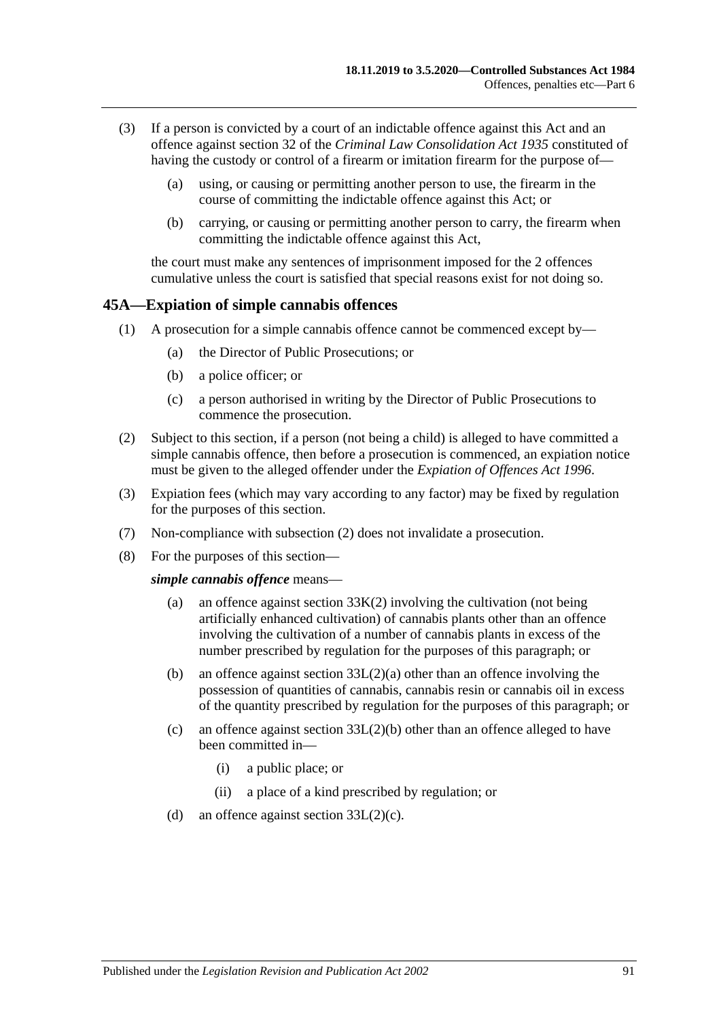- (3) If a person is convicted by a court of an indictable offence against this Act and an offence against section 32 of the *[Criminal Law Consolidation Act](http://www.legislation.sa.gov.au/index.aspx?action=legref&type=act&legtitle=Criminal%20Law%20Consolidation%20Act%201935) 1935* constituted of having the custody or control of a firearm or imitation firearm for the purpose of—
	- (a) using, or causing or permitting another person to use, the firearm in the course of committing the indictable offence against this Act; or
	- (b) carrying, or causing or permitting another person to carry, the firearm when committing the indictable offence against this Act,

the court must make any sentences of imprisonment imposed for the 2 offences cumulative unless the court is satisfied that special reasons exist for not doing so.

#### <span id="page-90-0"></span>**45A—Expiation of simple cannabis offences**

- (1) A prosecution for a simple cannabis offence cannot be commenced except by—
	- (a) the Director of Public Prosecutions; or
	- (b) a police officer; or
	- (c) a person authorised in writing by the Director of Public Prosecutions to commence the prosecution.
- <span id="page-90-1"></span>(2) Subject to this section, if a person (not being a child) is alleged to have committed a simple cannabis offence, then before a prosecution is commenced, an expiation notice must be given to the alleged offender under the *[Expiation of Offences Act](http://www.legislation.sa.gov.au/index.aspx?action=legref&type=act&legtitle=Expiation%20of%20Offences%20Act%201996) 1996*.
- (3) Expiation fees (which may vary according to any factor) may be fixed by regulation for the purposes of this section.
- (7) Non-compliance with [subsection](#page-90-1) (2) does not invalidate a prosecution.
- (8) For the purposes of this section—

#### *simple cannabis offence* means—

- (a) an offence against [section](#page-76-0)  $33K(2)$  involving the cultivation (not being artificially enhanced cultivation) of cannabis plants other than an offence involving the cultivation of a number of cannabis plants in excess of the number prescribed by regulation for the purposes of this paragraph; or
- (b) an offence against section [33L\(2\)\(a\)](#page-76-2) other than an offence involving the possession of quantities of cannabis, cannabis resin or cannabis oil in excess of the quantity prescribed by regulation for the purposes of this paragraph; or
- (c) an offence against section  $33L(2)(b)$  other than an offence alleged to have been committed in—
	- (i) a public place; or
	- (ii) a place of a kind prescribed by regulation; or
- (d) an offence against section [33L\(2\)\(c\).](#page-76-4)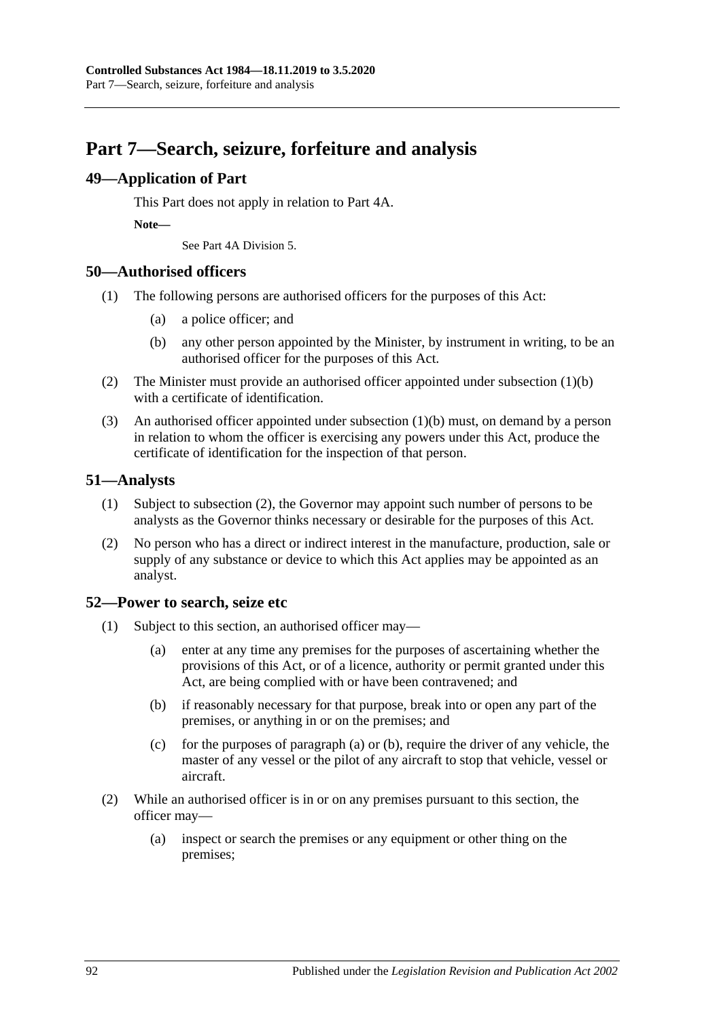## **Part 7—Search, seizure, forfeiture and analysis**

### **49—Application of Part**

This Part does not apply in relation to Part 4A.

**Note—**

See Part 4A Division 5.

### **50—Authorised officers**

- <span id="page-91-0"></span>(1) The following persons are authorised officers for the purposes of this Act:
	- (a) a police officer; and
	- (b) any other person appointed by the Minister, by instrument in writing, to be an authorised officer for the purposes of this Act.
- (2) The Minister must provide an authorised officer appointed under [subsection](#page-91-0) (1)(b) with a certificate of identification.
- (3) An authorised officer appointed under [subsection](#page-91-0) (1)(b) must, on demand by a person in relation to whom the officer is exercising any powers under this Act, produce the certificate of identification for the inspection of that person.

### **51—Analysts**

- (1) Subject to [subsection](#page-91-1) (2), the Governor may appoint such number of persons to be analysts as the Governor thinks necessary or desirable for the purposes of this Act.
- <span id="page-91-1"></span>(2) No person who has a direct or indirect interest in the manufacture, production, sale or supply of any substance or device to which this Act applies may be appointed as an analyst.

### <span id="page-91-4"></span>**52—Power to search, seize etc**

- <span id="page-91-3"></span><span id="page-91-2"></span>(1) Subject to this section, an authorised officer may—
	- (a) enter at any time any premises for the purposes of ascertaining whether the provisions of this Act, or of a licence, authority or permit granted under this Act, are being complied with or have been contravened; and
	- (b) if reasonably necessary for that purpose, break into or open any part of the premises, or anything in or on the premises; and
	- (c) for the purposes of [paragraph](#page-91-2) (a) or [\(b\),](#page-91-3) require the driver of any vehicle, the master of any vessel or the pilot of any aircraft to stop that vehicle, vessel or aircraft.
- (2) While an authorised officer is in or on any premises pursuant to this section, the officer may—
	- (a) inspect or search the premises or any equipment or other thing on the premises;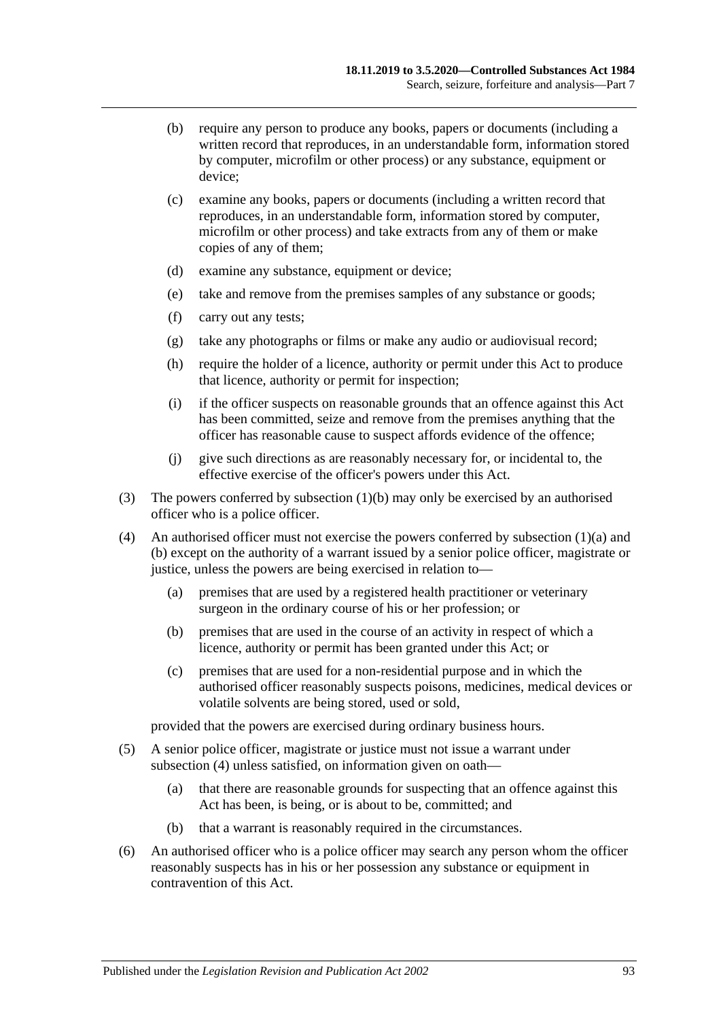- (b) require any person to produce any books, papers or documents (including a written record that reproduces, in an understandable form, information stored by computer, microfilm or other process) or any substance, equipment or device;
- (c) examine any books, papers or documents (including a written record that reproduces, in an understandable form, information stored by computer, microfilm or other process) and take extracts from any of them or make copies of any of them;
- (d) examine any substance, equipment or device;
- (e) take and remove from the premises samples of any substance or goods;
- (f) carry out any tests;
- (g) take any photographs or films or make any audio or audiovisual record;
- (h) require the holder of a licence, authority or permit under this Act to produce that licence, authority or permit for inspection;
- (i) if the officer suspects on reasonable grounds that an offence against this Act has been committed, seize and remove from the premises anything that the officer has reasonable cause to suspect affords evidence of the offence;
- (j) give such directions as are reasonably necessary for, or incidental to, the effective exercise of the officer's powers under this Act.
- (3) The powers conferred by [subsection](#page-91-3) (1)(b) may only be exercised by an authorised officer who is a police officer.
- <span id="page-92-0"></span>(4) An authorised officer must not exercise the powers conferred by [subsection](#page-91-2)  $(1)(a)$  and [\(b\)](#page-91-3) except on the authority of a warrant issued by a senior police officer, magistrate or justice, unless the powers are being exercised in relation to—
	- (a) premises that are used by a registered health practitioner or veterinary surgeon in the ordinary course of his or her profession; or
	- (b) premises that are used in the course of an activity in respect of which a licence, authority or permit has been granted under this Act; or
	- (c) premises that are used for a non-residential purpose and in which the authorised officer reasonably suspects poisons, medicines, medical devices or volatile solvents are being stored, used or sold,

provided that the powers are exercised during ordinary business hours.

- (5) A senior police officer, magistrate or justice must not issue a warrant under [subsection](#page-92-0) (4) unless satisfied, on information given on oath—
	- (a) that there are reasonable grounds for suspecting that an offence against this Act has been, is being, or is about to be, committed; and
	- (b) that a warrant is reasonably required in the circumstances.
- (6) An authorised officer who is a police officer may search any person whom the officer reasonably suspects has in his or her possession any substance or equipment in contravention of this Act.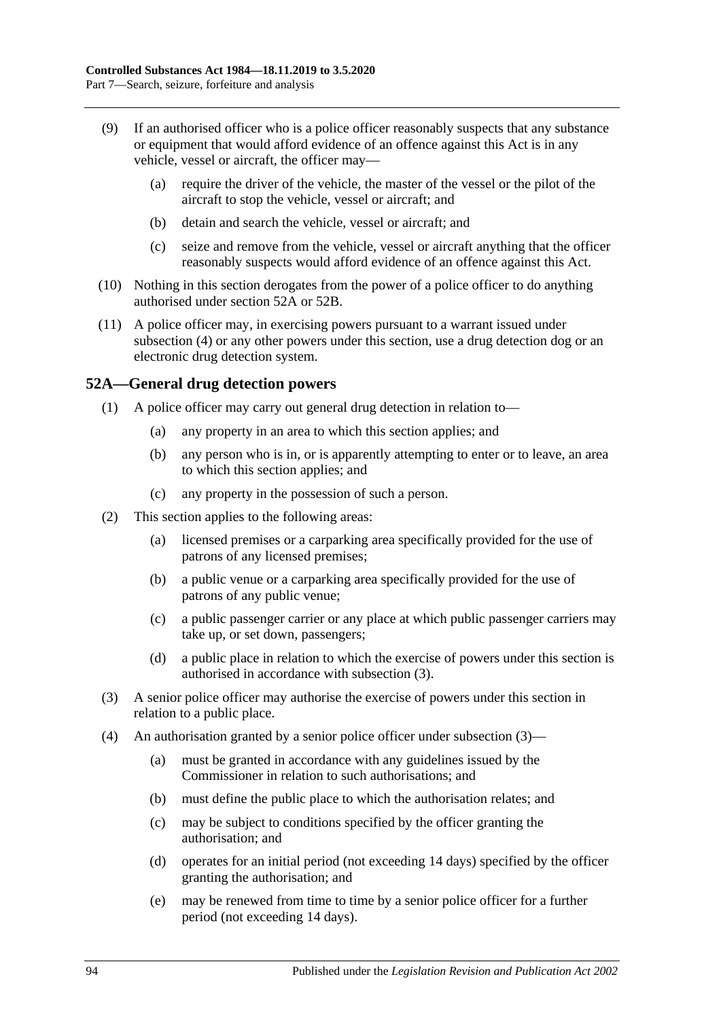- (9) If an authorised officer who is a police officer reasonably suspects that any substance or equipment that would afford evidence of an offence against this Act is in any vehicle, vessel or aircraft, the officer may—
	- (a) require the driver of the vehicle, the master of the vessel or the pilot of the aircraft to stop the vehicle, vessel or aircraft; and
	- (b) detain and search the vehicle, vessel or aircraft; and
	- (c) seize and remove from the vehicle, vessel or aircraft anything that the officer reasonably suspects would afford evidence of an offence against this Act.
- (10) Nothing in this section derogates from the power of a police officer to do anything authorised under [section](#page-93-0) 52A or [52B.](#page-94-0)
- (11) A police officer may, in exercising powers pursuant to a warrant issued under [subsection](#page-92-0) (4) or any other powers under this section, use a drug detection dog or an electronic drug detection system.

### <span id="page-93-0"></span>**52A—General drug detection powers**

- (1) A police officer may carry out general drug detection in relation to—
	- (a) any property in an area to which this section applies; and
	- (b) any person who is in, or is apparently attempting to enter or to leave, an area to which this section applies; and
	- (c) any property in the possession of such a person.
- (2) This section applies to the following areas:
	- (a) licensed premises or a carparking area specifically provided for the use of patrons of any licensed premises;
	- (b) a public venue or a carparking area specifically provided for the use of patrons of any public venue;
	- (c) a public passenger carrier or any place at which public passenger carriers may take up, or set down, passengers;
	- (d) a public place in relation to which the exercise of powers under this section is authorised in accordance with [subsection](#page-93-1) (3).
- <span id="page-93-1"></span>(3) A senior police officer may authorise the exercise of powers under this section in relation to a public place.
- (4) An authorisation granted by a senior police officer under [subsection](#page-93-1) (3)—
	- (a) must be granted in accordance with any guidelines issued by the Commissioner in relation to such authorisations; and
	- (b) must define the public place to which the authorisation relates; and
	- (c) may be subject to conditions specified by the officer granting the authorisation; and
	- (d) operates for an initial period (not exceeding 14 days) specified by the officer granting the authorisation; and
	- (e) may be renewed from time to time by a senior police officer for a further period (not exceeding 14 days).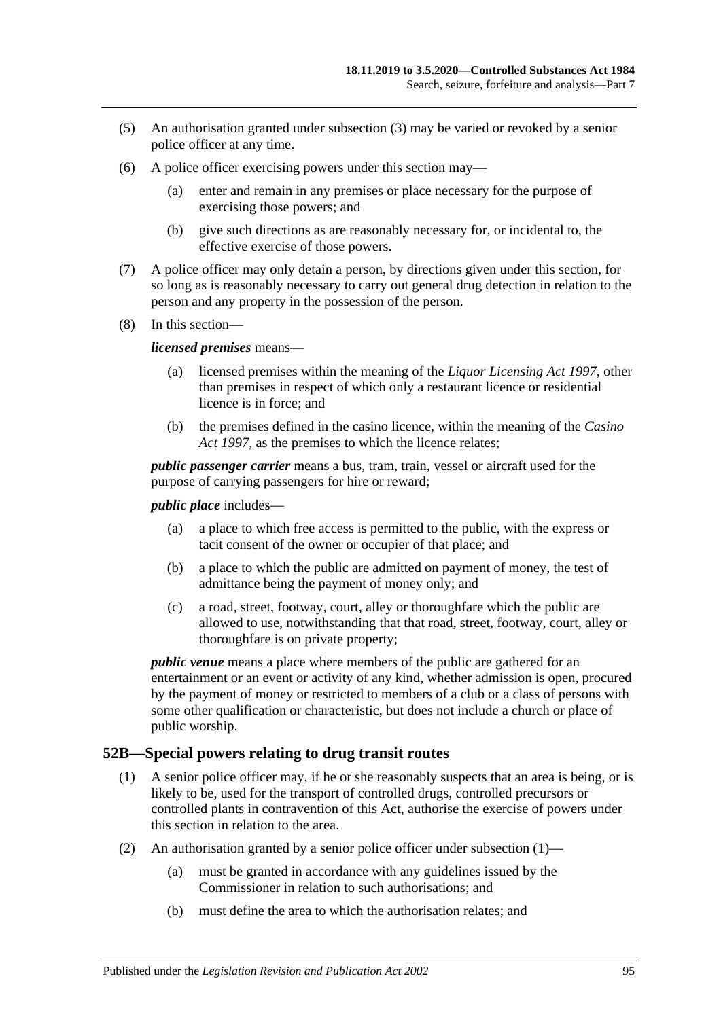- (5) An authorisation granted under [subsection](#page-93-1) (3) may be varied or revoked by a senior police officer at any time.
- (6) A police officer exercising powers under this section may—
	- (a) enter and remain in any premises or place necessary for the purpose of exercising those powers; and
	- (b) give such directions as are reasonably necessary for, or incidental to, the effective exercise of those powers.
- (7) A police officer may only detain a person, by directions given under this section, for so long as is reasonably necessary to carry out general drug detection in relation to the person and any property in the possession of the person.
- (8) In this section—

#### *licensed premises* means—

- (a) licensed premises within the meaning of the *[Liquor Licensing Act](http://www.legislation.sa.gov.au/index.aspx?action=legref&type=act&legtitle=Liquor%20Licensing%20Act%201997) 1997*, other than premises in respect of which only a restaurant licence or residential licence is in force; and
- (b) the premises defined in the casino licence, within the meaning of the *[Casino](http://www.legislation.sa.gov.au/index.aspx?action=legref&type=act&legtitle=Casino%20Act%201997)  Act [1997](http://www.legislation.sa.gov.au/index.aspx?action=legref&type=act&legtitle=Casino%20Act%201997)*, as the premises to which the licence relates;

*public passenger carrier* means a bus, tram, train, vessel or aircraft used for the purpose of carrying passengers for hire or reward;

*public place* includes—

- (a) a place to which free access is permitted to the public, with the express or tacit consent of the owner or occupier of that place; and
- (b) a place to which the public are admitted on payment of money, the test of admittance being the payment of money only; and
- (c) a road, street, footway, court, alley or thoroughfare which the public are allowed to use, notwithstanding that that road, street, footway, court, alley or thoroughfare is on private property;

*public venue* means a place where members of the public are gathered for an entertainment or an event or activity of any kind, whether admission is open, procured by the payment of money or restricted to members of a club or a class of persons with some other qualification or characteristic, but does not include a church or place of public worship.

### <span id="page-94-1"></span><span id="page-94-0"></span>**52B—Special powers relating to drug transit routes**

- (1) A senior police officer may, if he or she reasonably suspects that an area is being, or is likely to be, used for the transport of controlled drugs, controlled precursors or controlled plants in contravention of this Act, authorise the exercise of powers under this section in relation to the area.
- (2) An authorisation granted by a senior police officer under [subsection](#page-94-1)  $(1)$ 
	- (a) must be granted in accordance with any guidelines issued by the Commissioner in relation to such authorisations; and
	- (b) must define the area to which the authorisation relates; and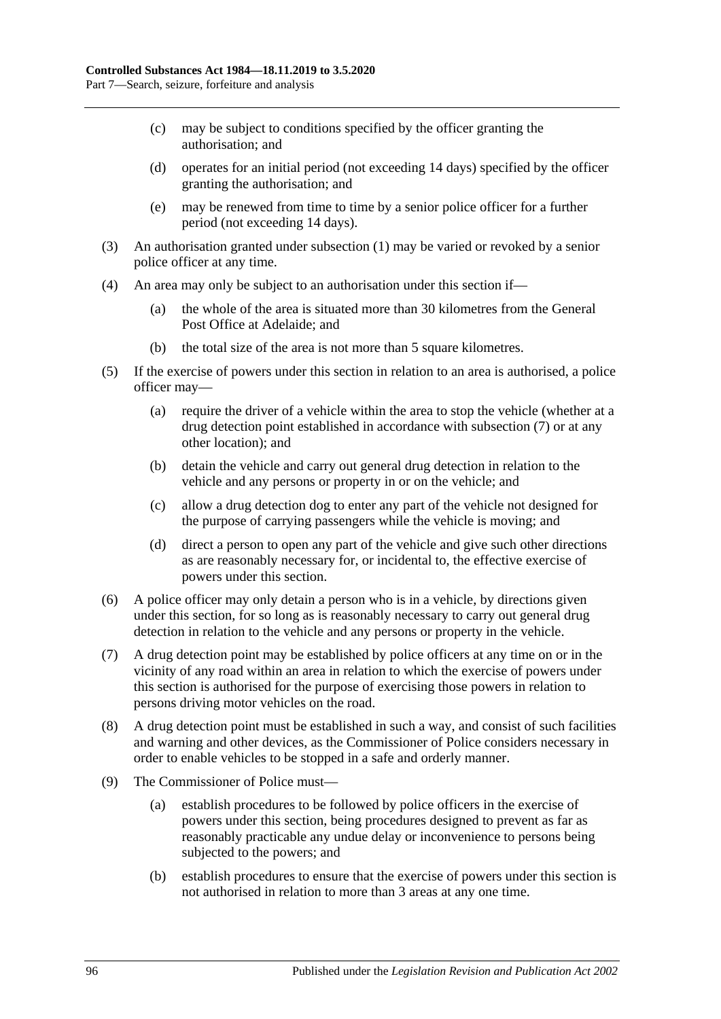- (c) may be subject to conditions specified by the officer granting the authorisation; and
- (d) operates for an initial period (not exceeding 14 days) specified by the officer granting the authorisation; and
- (e) may be renewed from time to time by a senior police officer for a further period (not exceeding 14 days).
- (3) An authorisation granted under [subsection](#page-94-1) (1) may be varied or revoked by a senior police officer at any time.
- (4) An area may only be subject to an authorisation under this section if—
	- (a) the whole of the area is situated more than 30 kilometres from the General Post Office at Adelaide; and
	- (b) the total size of the area is not more than 5 square kilometres.
- (5) If the exercise of powers under this section in relation to an area is authorised, a police officer may—
	- (a) require the driver of a vehicle within the area to stop the vehicle (whether at a drug detection point established in accordance with [subsection](#page-95-0) (7) or at any other location); and
	- (b) detain the vehicle and carry out general drug detection in relation to the vehicle and any persons or property in or on the vehicle; and
	- (c) allow a drug detection dog to enter any part of the vehicle not designed for the purpose of carrying passengers while the vehicle is moving; and
	- (d) direct a person to open any part of the vehicle and give such other directions as are reasonably necessary for, or incidental to, the effective exercise of powers under this section.
- (6) A police officer may only detain a person who is in a vehicle, by directions given under this section, for so long as is reasonably necessary to carry out general drug detection in relation to the vehicle and any persons or property in the vehicle.
- <span id="page-95-0"></span>(7) A drug detection point may be established by police officers at any time on or in the vicinity of any road within an area in relation to which the exercise of powers under this section is authorised for the purpose of exercising those powers in relation to persons driving motor vehicles on the road.
- (8) A drug detection point must be established in such a way, and consist of such facilities and warning and other devices, as the Commissioner of Police considers necessary in order to enable vehicles to be stopped in a safe and orderly manner.
- (9) The Commissioner of Police must—
	- (a) establish procedures to be followed by police officers in the exercise of powers under this section, being procedures designed to prevent as far as reasonably practicable any undue delay or inconvenience to persons being subjected to the powers; and
	- (b) establish procedures to ensure that the exercise of powers under this section is not authorised in relation to more than 3 areas at any one time.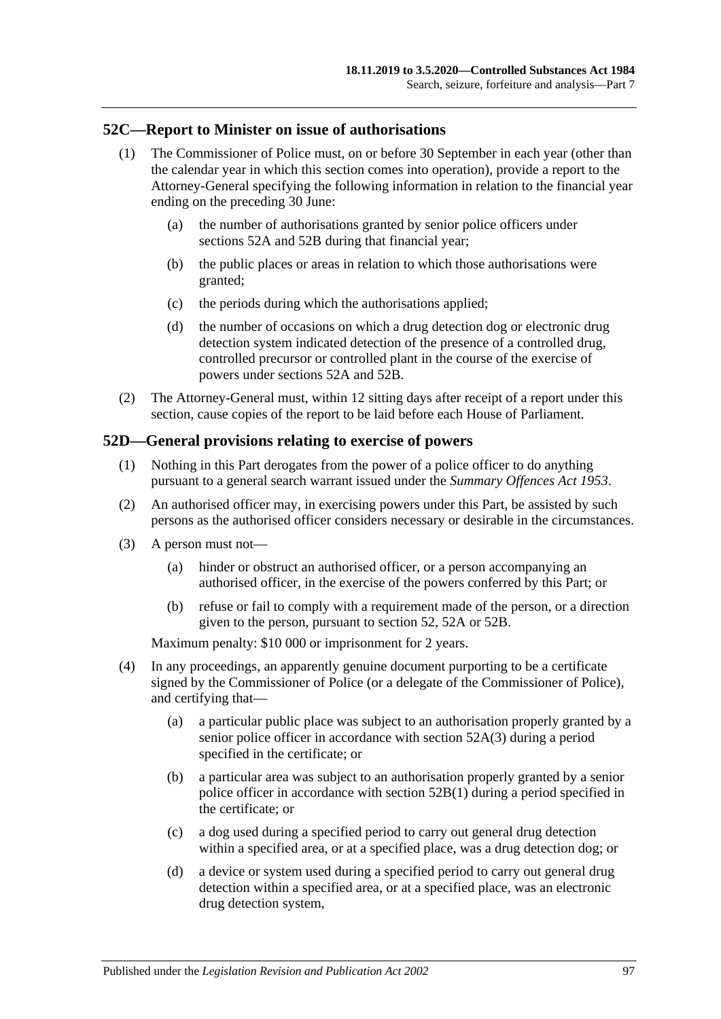### **52C—Report to Minister on issue of authorisations**

- (1) The Commissioner of Police must, on or before 30 September in each year (other than the calendar year in which this section comes into operation), provide a report to the Attorney-General specifying the following information in relation to the financial year ending on the preceding 30 June:
	- (a) the number of authorisations granted by senior police officers under [sections](#page-93-0) 52A and [52B](#page-94-0) during that financial year;
	- (b) the public places or areas in relation to which those authorisations were granted;
	- (c) the periods during which the authorisations applied;
	- (d) the number of occasions on which a drug detection dog or electronic drug detection system indicated detection of the presence of a controlled drug, controlled precursor or controlled plant in the course of the exercise of powers under [sections](#page-93-0) 52A and [52B.](#page-94-0)
- (2) The Attorney-General must, within 12 sitting days after receipt of a report under this section, cause copies of the report to be laid before each House of Parliament.

#### **52D—General provisions relating to exercise of powers**

- (1) Nothing in this Part derogates from the power of a police officer to do anything pursuant to a general search warrant issued under the *[Summary Offences Act](http://www.legislation.sa.gov.au/index.aspx?action=legref&type=act&legtitle=Summary%20Offences%20Act%201953) 1953*.
- (2) An authorised officer may, in exercising powers under this Part, be assisted by such persons as the authorised officer considers necessary or desirable in the circumstances.
- (3) A person must not—
	- (a) hinder or obstruct an authorised officer, or a person accompanying an authorised officer, in the exercise of the powers conferred by this Part; or
	- (b) refuse or fail to comply with a requirement made of the person, or a direction given to the person, pursuant to [section](#page-91-4) 52, [52A](#page-93-0) or [52B.](#page-94-0)

Maximum penalty: \$10 000 or imprisonment for 2 years.

- (4) In any proceedings, an apparently genuine document purporting to be a certificate signed by the Commissioner of Police (or a delegate of the Commissioner of Police), and certifying that—
	- (a) a particular public place was subject to an authorisation properly granted by a senior police officer in accordance with [section](#page-93-1) 52A(3) during a period specified in the certificate; or
	- (b) a particular area was subject to an authorisation properly granted by a senior police officer in accordance with [section](#page-94-1) 52B(1) during a period specified in the certificate; or
	- (c) a dog used during a specified period to carry out general drug detection within a specified area, or at a specified place, was a drug detection dog; or
	- (d) a device or system used during a specified period to carry out general drug detection within a specified area, or at a specified place, was an electronic drug detection system,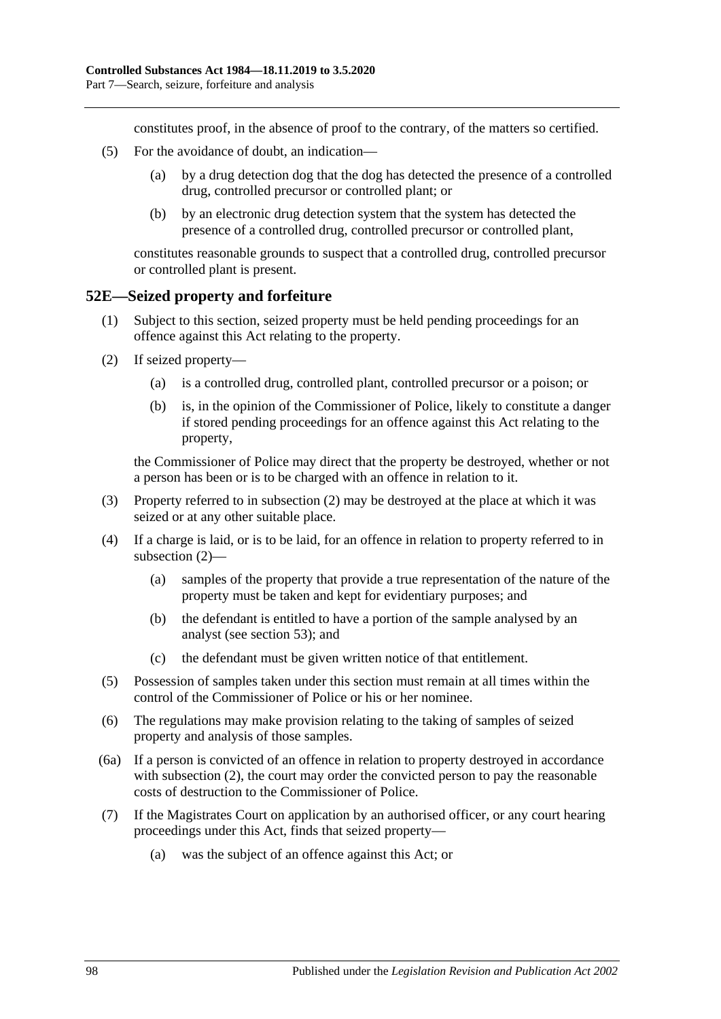constitutes proof, in the absence of proof to the contrary, of the matters so certified.

- (5) For the avoidance of doubt, an indication—
	- (a) by a drug detection dog that the dog has detected the presence of a controlled drug, controlled precursor or controlled plant; or
	- (b) by an electronic drug detection system that the system has detected the presence of a controlled drug, controlled precursor or controlled plant,

constitutes reasonable grounds to suspect that a controlled drug, controlled precursor or controlled plant is present.

#### **52E—Seized property and forfeiture**

- (1) Subject to this section, seized property must be held pending proceedings for an offence against this Act relating to the property.
- <span id="page-97-0"></span>(2) If seized property—
	- (a) is a controlled drug, controlled plant, controlled precursor or a poison; or
	- (b) is, in the opinion of the Commissioner of Police, likely to constitute a danger if stored pending proceedings for an offence against this Act relating to the property,

the Commissioner of Police may direct that the property be destroyed, whether or not a person has been or is to be charged with an offence in relation to it.

- (3) Property referred to in [subsection](#page-97-0) (2) may be destroyed at the place at which it was seized or at any other suitable place.
- (4) If a charge is laid, or is to be laid, for an offence in relation to property referred to in [subsection](#page-97-0) (2)—
	- (a) samples of the property that provide a true representation of the nature of the property must be taken and kept for evidentiary purposes; and
	- (b) the defendant is entitled to have a portion of the sample analysed by an analyst (see [section](#page-98-0) 53); and
	- (c) the defendant must be given written notice of that entitlement.
- (5) Possession of samples taken under this section must remain at all times within the control of the Commissioner of Police or his or her nominee.
- (6) The regulations may make provision relating to the taking of samples of seized property and analysis of those samples.
- (6a) If a person is convicted of an offence in relation to property destroyed in accordance with [subsection](#page-97-0) (2), the court may order the convicted person to pay the reasonable costs of destruction to the Commissioner of Police.
- <span id="page-97-1"></span>(7) If the Magistrates Court on application by an authorised officer, or any court hearing proceedings under this Act, finds that seized property—
	- (a) was the subject of an offence against this Act; or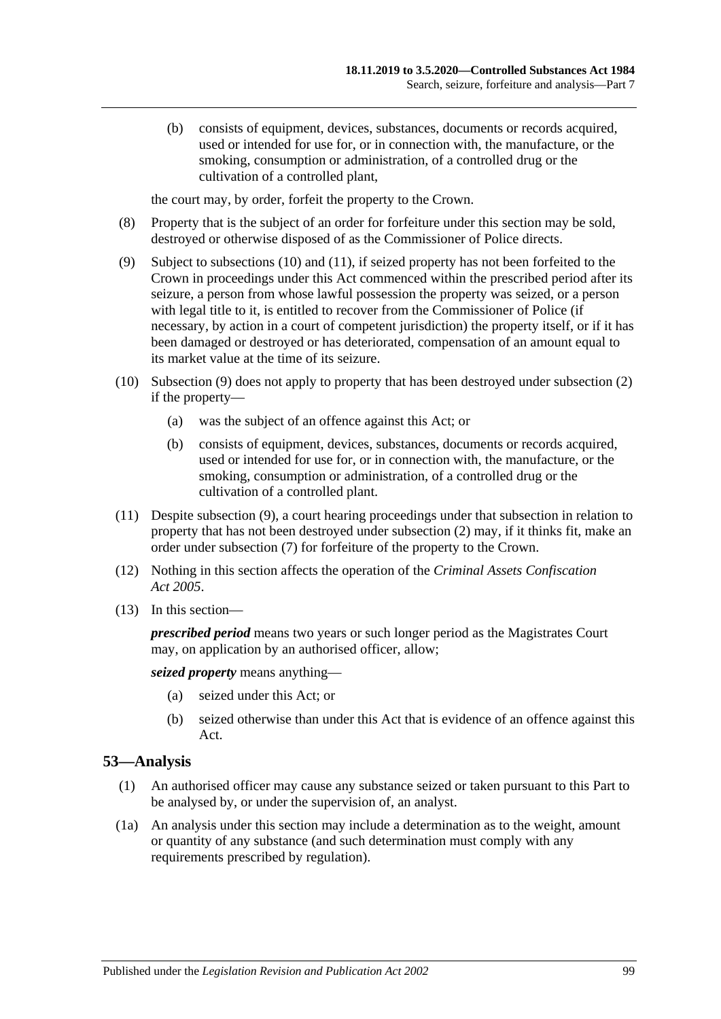(b) consists of equipment, devices, substances, documents or records acquired, used or intended for use for, or in connection with, the manufacture, or the smoking, consumption or administration, of a controlled drug or the cultivation of a controlled plant,

the court may, by order, forfeit the property to the Crown.

- (8) Property that is the subject of an order for forfeiture under this section may be sold, destroyed or otherwise disposed of as the Commissioner of Police directs.
- <span id="page-98-3"></span>(9) Subject to [subsections](#page-98-1) (10) and [\(11\),](#page-98-2) if seized property has not been forfeited to the Crown in proceedings under this Act commenced within the prescribed period after its seizure, a person from whose lawful possession the property was seized, or a person with legal title to it, is entitled to recover from the Commissioner of Police (if necessary, by action in a court of competent jurisdiction) the property itself, or if it has been damaged or destroyed or has deteriorated, compensation of an amount equal to its market value at the time of its seizure.
- <span id="page-98-1"></span>(10) [Subsection](#page-98-3) (9) does not apply to property that has been destroyed under [subsection](#page-97-0) (2) if the property—
	- (a) was the subject of an offence against this Act; or
	- (b) consists of equipment, devices, substances, documents or records acquired, used or intended for use for, or in connection with, the manufacture, or the smoking, consumption or administration, of a controlled drug or the cultivation of a controlled plant.
- <span id="page-98-2"></span>(11) Despite [subsection](#page-98-3) (9), a court hearing proceedings under that subsection in relation to property that has not been destroyed under [subsection](#page-97-0) (2) may, if it thinks fit, make an order under [subsection](#page-97-1) (7) for forfeiture of the property to the Crown.
- (12) Nothing in this section affects the operation of the *[Criminal Assets Confiscation](http://www.legislation.sa.gov.au/index.aspx?action=legref&type=act&legtitle=Criminal%20Assets%20Confiscation%20Act%202005)  Act [2005](http://www.legislation.sa.gov.au/index.aspx?action=legref&type=act&legtitle=Criminal%20Assets%20Confiscation%20Act%202005)*.
- (13) In this section—

*prescribed period* means two years or such longer period as the Magistrates Court may, on application by an authorised officer, allow;

*seized property* means anything—

- (a) seized under this Act; or
- (b) seized otherwise than under this Act that is evidence of an offence against this Act.

### <span id="page-98-0"></span>**53—Analysis**

- (1) An authorised officer may cause any substance seized or taken pursuant to this Part to be analysed by, or under the supervision of, an analyst.
- (1a) An analysis under this section may include a determination as to the weight, amount or quantity of any substance (and such determination must comply with any requirements prescribed by regulation).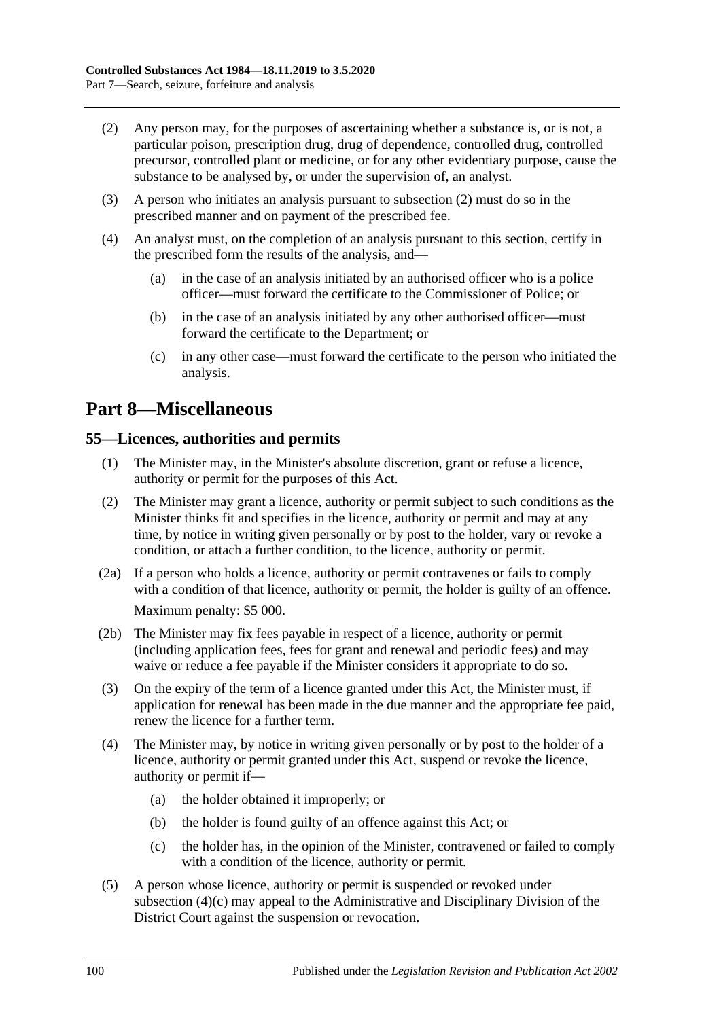- <span id="page-99-0"></span>(2) Any person may, for the purposes of ascertaining whether a substance is, or is not, a particular poison, prescription drug, drug of dependence, controlled drug, controlled precursor, controlled plant or medicine, or for any other evidentiary purpose, cause the substance to be analysed by, or under the supervision of, an analyst.
- (3) A person who initiates an analysis pursuant to [subsection](#page-99-0) (2) must do so in the prescribed manner and on payment of the prescribed fee.
- (4) An analyst must, on the completion of an analysis pursuant to this section, certify in the prescribed form the results of the analysis, and—
	- (a) in the case of an analysis initiated by an authorised officer who is a police officer—must forward the certificate to the Commissioner of Police; or
	- (b) in the case of an analysis initiated by any other authorised officer—must forward the certificate to the Department; or
	- (c) in any other case—must forward the certificate to the person who initiated the analysis.

## **Part 8—Miscellaneous**

### **55—Licences, authorities and permits**

- (1) The Minister may, in the Minister's absolute discretion, grant or refuse a licence, authority or permit for the purposes of this Act.
- (2) The Minister may grant a licence, authority or permit subject to such conditions as the Minister thinks fit and specifies in the licence, authority or permit and may at any time, by notice in writing given personally or by post to the holder, vary or revoke a condition, or attach a further condition, to the licence, authority or permit.
- (2a) If a person who holds a licence, authority or permit contravenes or fails to comply with a condition of that licence, authority or permit, the holder is guilty of an offence. Maximum penalty: \$5 000.
- (2b) The Minister may fix fees payable in respect of a licence, authority or permit (including application fees, fees for grant and renewal and periodic fees) and may waive or reduce a fee payable if the Minister considers it appropriate to do so.
- (3) On the expiry of the term of a licence granted under this Act, the Minister must, if application for renewal has been made in the due manner and the appropriate fee paid, renew the licence for a further term.
- (4) The Minister may, by notice in writing given personally or by post to the holder of a licence, authority or permit granted under this Act, suspend or revoke the licence, authority or permit if—
	- (a) the holder obtained it improperly; or
	- (b) the holder is found guilty of an offence against this Act; or
	- (c) the holder has, in the opinion of the Minister, contravened or failed to comply with a condition of the licence, authority or permit.
- <span id="page-99-1"></span>(5) A person whose licence, authority or permit is suspended or revoked under [subsection](#page-99-1) (4)(c) may appeal to the Administrative and Disciplinary Division of the District Court against the suspension or revocation.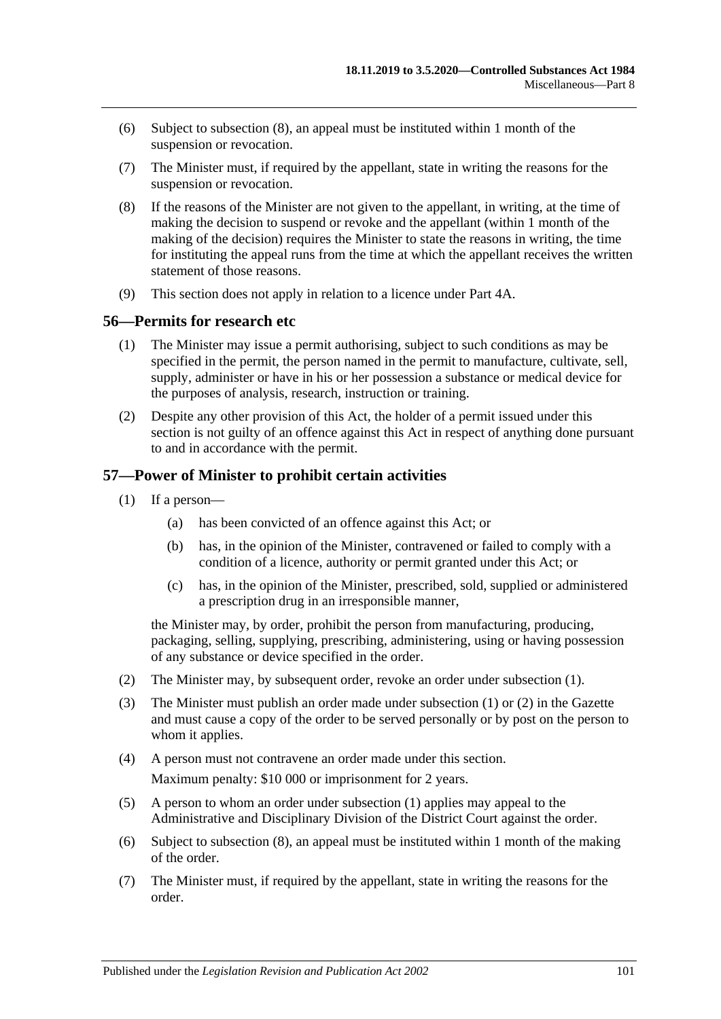- (6) Subject to [subsection](#page-100-0) (8), an appeal must be instituted within 1 month of the suspension or revocation.
- (7) The Minister must, if required by the appellant, state in writing the reasons for the suspension or revocation.
- <span id="page-100-0"></span>(8) If the reasons of the Minister are not given to the appellant, in writing, at the time of making the decision to suspend or revoke and the appellant (within 1 month of the making of the decision) requires the Minister to state the reasons in writing, the time for instituting the appeal runs from the time at which the appellant receives the written statement of those reasons.
- (9) This section does not apply in relation to a licence under Part 4A.

#### **56—Permits for research etc**

- (1) The Minister may issue a permit authorising, subject to such conditions as may be specified in the permit, the person named in the permit to manufacture, cultivate, sell, supply, administer or have in his or her possession a substance or medical device for the purposes of analysis, research, instruction or training.
- (2) Despite any other provision of this Act, the holder of a permit issued under this section is not guilty of an offence against this Act in respect of anything done pursuant to and in accordance with the permit.

### <span id="page-100-1"></span>**57—Power of Minister to prohibit certain activities**

- (1) If a person—
	- (a) has been convicted of an offence against this Act; or
	- (b) has, in the opinion of the Minister, contravened or failed to comply with a condition of a licence, authority or permit granted under this Act; or
	- (c) has, in the opinion of the Minister, prescribed, sold, supplied or administered a prescription drug in an irresponsible manner,

the Minister may, by order, prohibit the person from manufacturing, producing, packaging, selling, supplying, prescribing, administering, using or having possession of any substance or device specified in the order.

- <span id="page-100-2"></span>(2) The Minister may, by subsequent order, revoke an order under [subsection](#page-100-1) (1).
- (3) The Minister must publish an order made under [subsection](#page-100-1) (1) or [\(2\)](#page-100-2) in the Gazette and must cause a copy of the order to be served personally or by post on the person to whom it applies.
- (4) A person must not contravene an order made under this section. Maximum penalty: \$10 000 or imprisonment for 2 years.
- (5) A person to whom an order under [subsection](#page-100-1) (1) applies may appeal to the Administrative and Disciplinary Division of the District Court against the order.
- (6) Subject to [subsection](#page-101-0) (8), an appeal must be instituted within 1 month of the making of the order.
- (7) The Minister must, if required by the appellant, state in writing the reasons for the order.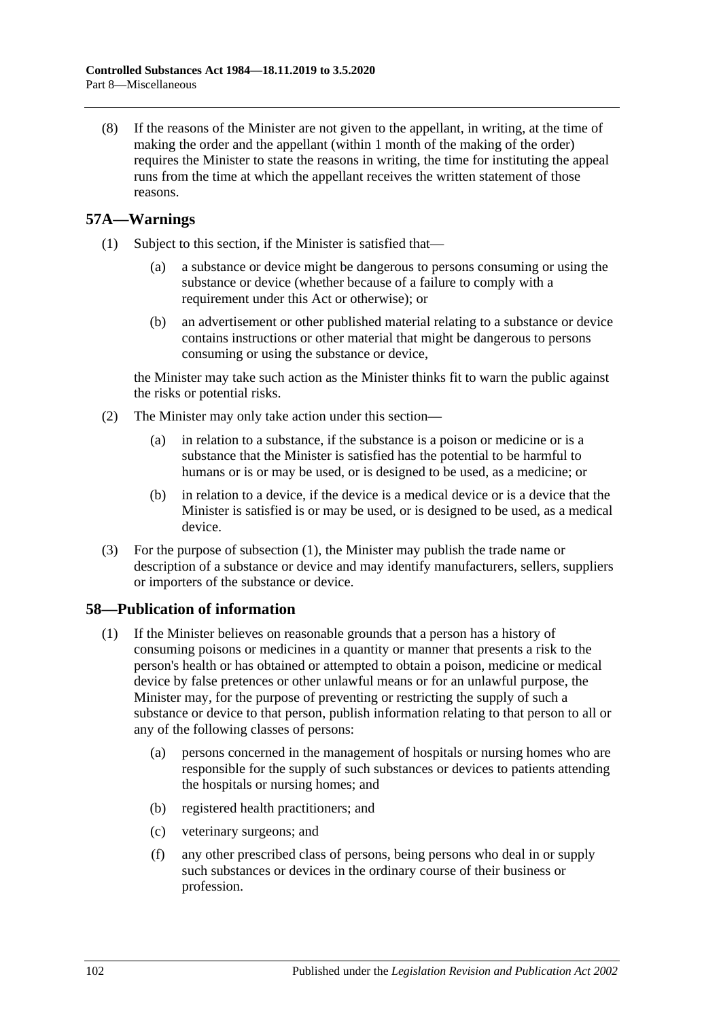<span id="page-101-0"></span>(8) If the reasons of the Minister are not given to the appellant, in writing, at the time of making the order and the appellant (within 1 month of the making of the order) requires the Minister to state the reasons in writing, the time for instituting the appeal runs from the time at which the appellant receives the written statement of those reasons.

### <span id="page-101-1"></span>**57A—Warnings**

- (1) Subject to this section, if the Minister is satisfied that—
	- (a) a substance or device might be dangerous to persons consuming or using the substance or device (whether because of a failure to comply with a requirement under this Act or otherwise); or
	- (b) an advertisement or other published material relating to a substance or device contains instructions or other material that might be dangerous to persons consuming or using the substance or device,

the Minister may take such action as the Minister thinks fit to warn the public against the risks or potential risks.

- (2) The Minister may only take action under this section—
	- (a) in relation to a substance, if the substance is a poison or medicine or is a substance that the Minister is satisfied has the potential to be harmful to humans or is or may be used, or is designed to be used, as a medicine; or
	- (b) in relation to a device, if the device is a medical device or is a device that the Minister is satisfied is or may be used, or is designed to be used, as a medical device.
- (3) For the purpose of [subsection](#page-101-1) (1), the Minister may publish the trade name or description of a substance or device and may identify manufacturers, sellers, suppliers or importers of the substance or device.

### <span id="page-101-2"></span>**58—Publication of information**

- (1) If the Minister believes on reasonable grounds that a person has a history of consuming poisons or medicines in a quantity or manner that presents a risk to the person's health or has obtained or attempted to obtain a poison, medicine or medical device by false pretences or other unlawful means or for an unlawful purpose, the Minister may, for the purpose of preventing or restricting the supply of such a substance or device to that person, publish information relating to that person to all or any of the following classes of persons:
	- (a) persons concerned in the management of hospitals or nursing homes who are responsible for the supply of such substances or devices to patients attending the hospitals or nursing homes; and
	- (b) registered health practitioners; and
	- (c) veterinary surgeons; and
	- (f) any other prescribed class of persons, being persons who deal in or supply such substances or devices in the ordinary course of their business or profession.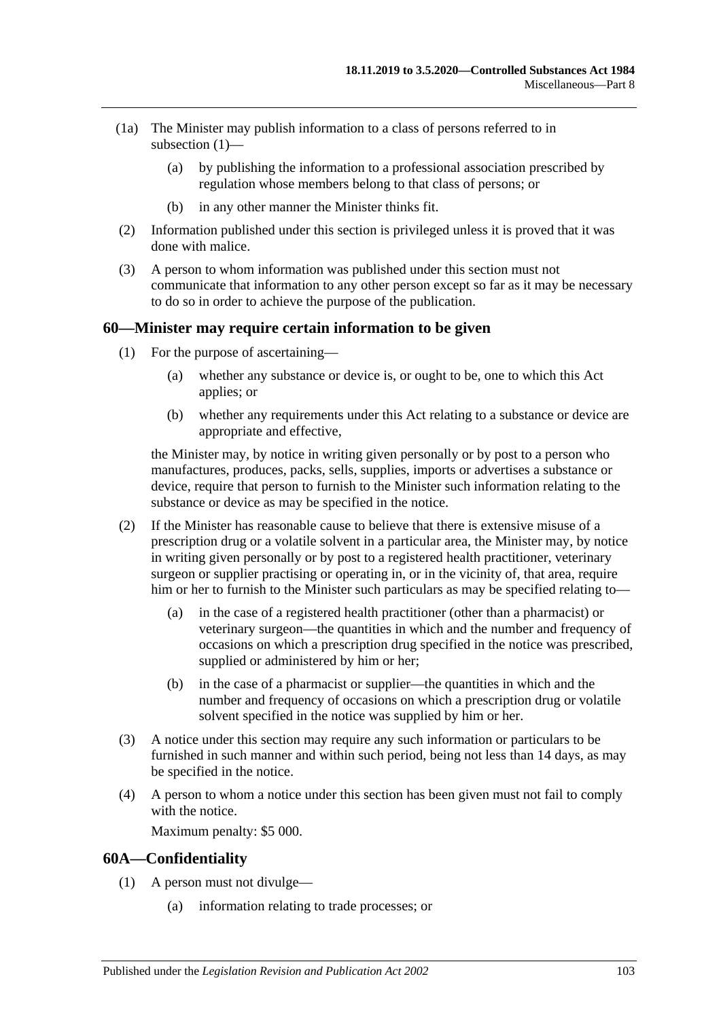- (1a) The Minister may publish information to a class of persons referred to in [subsection](#page-101-2) (1)—
	- (a) by publishing the information to a professional association prescribed by regulation whose members belong to that class of persons; or
	- (b) in any other manner the Minister thinks fit.
- (2) Information published under this section is privileged unless it is proved that it was done with malice.
- (3) A person to whom information was published under this section must not communicate that information to any other person except so far as it may be necessary to do so in order to achieve the purpose of the publication.

#### **60—Minister may require certain information to be given**

- (1) For the purpose of ascertaining—
	- (a) whether any substance or device is, or ought to be, one to which this Act applies; or
	- (b) whether any requirements under this Act relating to a substance or device are appropriate and effective,

the Minister may, by notice in writing given personally or by post to a person who manufactures, produces, packs, sells, supplies, imports or advertises a substance or device, require that person to furnish to the Minister such information relating to the substance or device as may be specified in the notice.

- (2) If the Minister has reasonable cause to believe that there is extensive misuse of a prescription drug or a volatile solvent in a particular area, the Minister may, by notice in writing given personally or by post to a registered health practitioner, veterinary surgeon or supplier practising or operating in, or in the vicinity of, that area, require him or her to furnish to the Minister such particulars as may be specified relating to—
	- (a) in the case of a registered health practitioner (other than a pharmacist) or veterinary surgeon—the quantities in which and the number and frequency of occasions on which a prescription drug specified in the notice was prescribed, supplied or administered by him or her;
	- (b) in the case of a pharmacist or supplier—the quantities in which and the number and frequency of occasions on which a prescription drug or volatile solvent specified in the notice was supplied by him or her.
- (3) A notice under this section may require any such information or particulars to be furnished in such manner and within such period, being not less than 14 days, as may be specified in the notice.
- (4) A person to whom a notice under this section has been given must not fail to comply with the notice.

Maximum penalty: \$5 000.

#### **60A—Confidentiality**

- (1) A person must not divulge—
	- (a) information relating to trade processes; or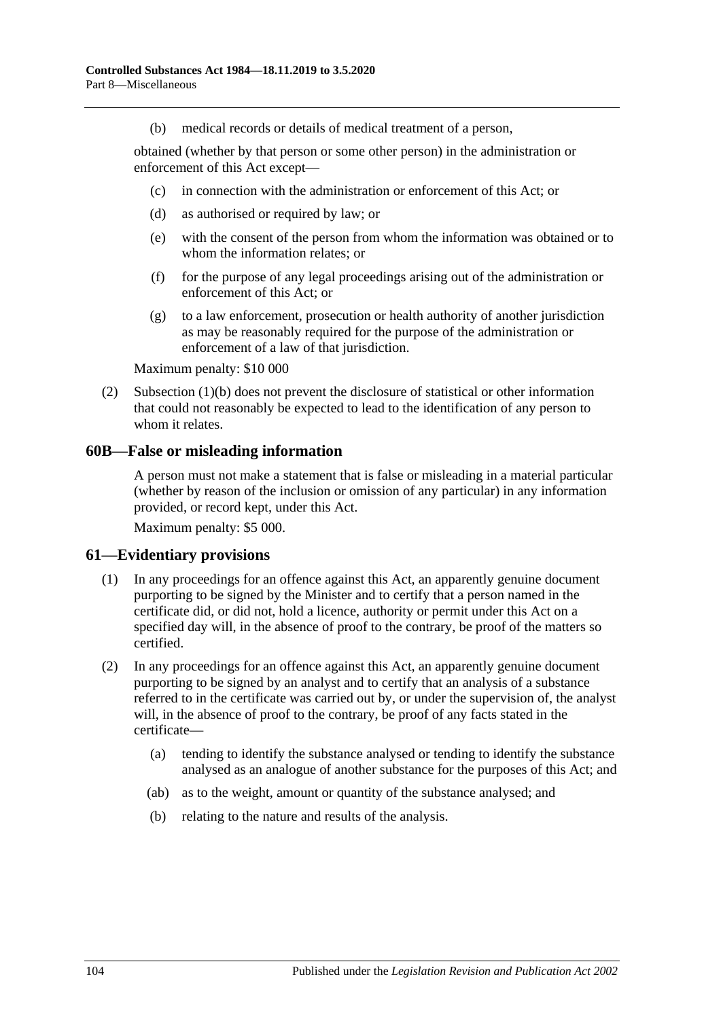(b) medical records or details of medical treatment of a person,

<span id="page-103-0"></span>obtained (whether by that person or some other person) in the administration or enforcement of this Act except—

- (c) in connection with the administration or enforcement of this Act; or
- (d) as authorised or required by law; or
- (e) with the consent of the person from whom the information was obtained or to whom the information relates; or
- (f) for the purpose of any legal proceedings arising out of the administration or enforcement of this Act; or
- (g) to a law enforcement, prosecution or health authority of another jurisdiction as may be reasonably required for the purpose of the administration or enforcement of a law of that jurisdiction.

Maximum penalty: \$10 000

(2) [Subsection](#page-103-0) (1)(b) does not prevent the disclosure of statistical or other information that could not reasonably be expected to lead to the identification of any person to whom it relates.

#### **60B—False or misleading information**

A person must not make a statement that is false or misleading in a material particular (whether by reason of the inclusion or omission of any particular) in any information provided, or record kept, under this Act.

Maximum penalty: \$5 000.

#### **61—Evidentiary provisions**

- (1) In any proceedings for an offence against this Act, an apparently genuine document purporting to be signed by the Minister and to certify that a person named in the certificate did, or did not, hold a licence, authority or permit under this Act on a specified day will, in the absence of proof to the contrary, be proof of the matters so certified.
- (2) In any proceedings for an offence against this Act, an apparently genuine document purporting to be signed by an analyst and to certify that an analysis of a substance referred to in the certificate was carried out by, or under the supervision of, the analyst will, in the absence of proof to the contrary, be proof of any facts stated in the certificate—
	- (a) tending to identify the substance analysed or tending to identify the substance analysed as an analogue of another substance for the purposes of this Act; and
	- (ab) as to the weight, amount or quantity of the substance analysed; and
	- (b) relating to the nature and results of the analysis.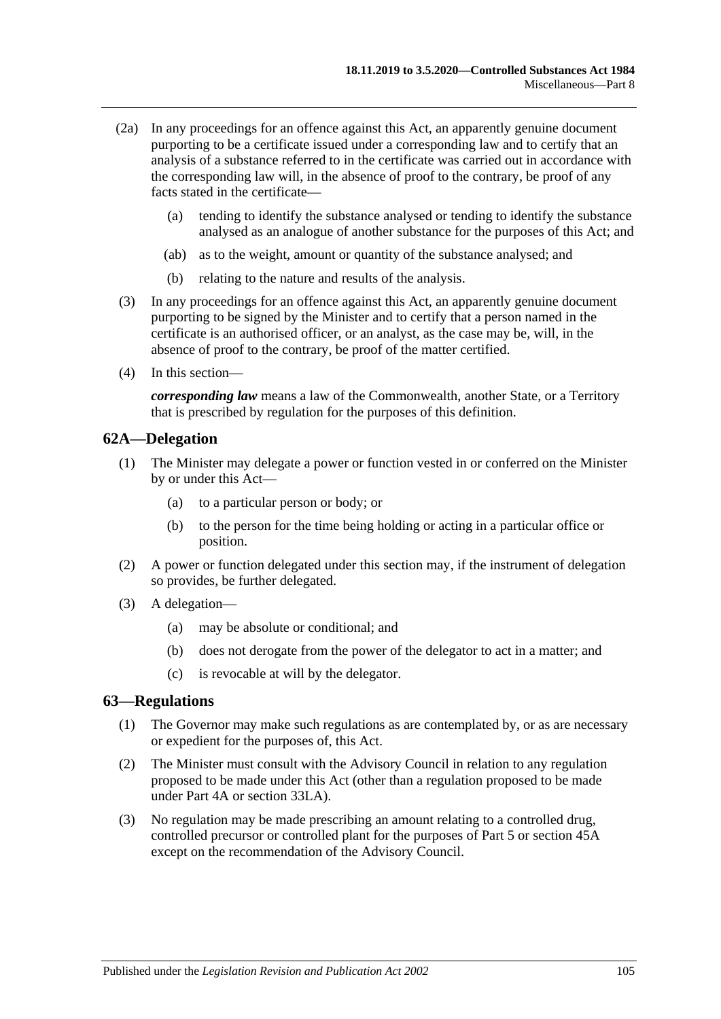- (2a) In any proceedings for an offence against this Act, an apparently genuine document purporting to be a certificate issued under a corresponding law and to certify that an analysis of a substance referred to in the certificate was carried out in accordance with the corresponding law will, in the absence of proof to the contrary, be proof of any facts stated in the certificate—
	- (a) tending to identify the substance analysed or tending to identify the substance analysed as an analogue of another substance for the purposes of this Act; and
	- (ab) as to the weight, amount or quantity of the substance analysed; and
	- (b) relating to the nature and results of the analysis.
- (3) In any proceedings for an offence against this Act, an apparently genuine document purporting to be signed by the Minister and to certify that a person named in the certificate is an authorised officer, or an analyst, as the case may be, will, in the absence of proof to the contrary, be proof of the matter certified.
- (4) In this section—

*corresponding law* means a law of the Commonwealth, another State, or a Territory that is prescribed by regulation for the purposes of this definition.

#### **62A—Delegation**

- (1) The Minister may delegate a power or function vested in or conferred on the Minister by or under this Act—
	- (a) to a particular person or body; or
	- (b) to the person for the time being holding or acting in a particular office or position.
- (2) A power or function delegated under this section may, if the instrument of delegation so provides, be further delegated.
- (3) A delegation—
	- (a) may be absolute or conditional; and
	- (b) does not derogate from the power of the delegator to act in a matter; and
	- (c) is revocable at will by the delegator.

#### <span id="page-104-0"></span>**63—Regulations**

- (1) The Governor may make such regulations as are contemplated by, or as are necessary or expedient for the purposes of, this Act.
- (2) The Minister must consult with the Advisory Council in relation to any regulation proposed to be made under this Act (other than a regulation proposed to be made under [Part 4A](#page-31-0) or [section](#page-76-5) 33LA).
- (3) No regulation may be made prescribing an amount relating to a controlled drug, controlled precursor or controlled plant for the purposes of [Part 5](#page-63-0) or [section](#page-90-0) 45A except on the recommendation of the Advisory Council.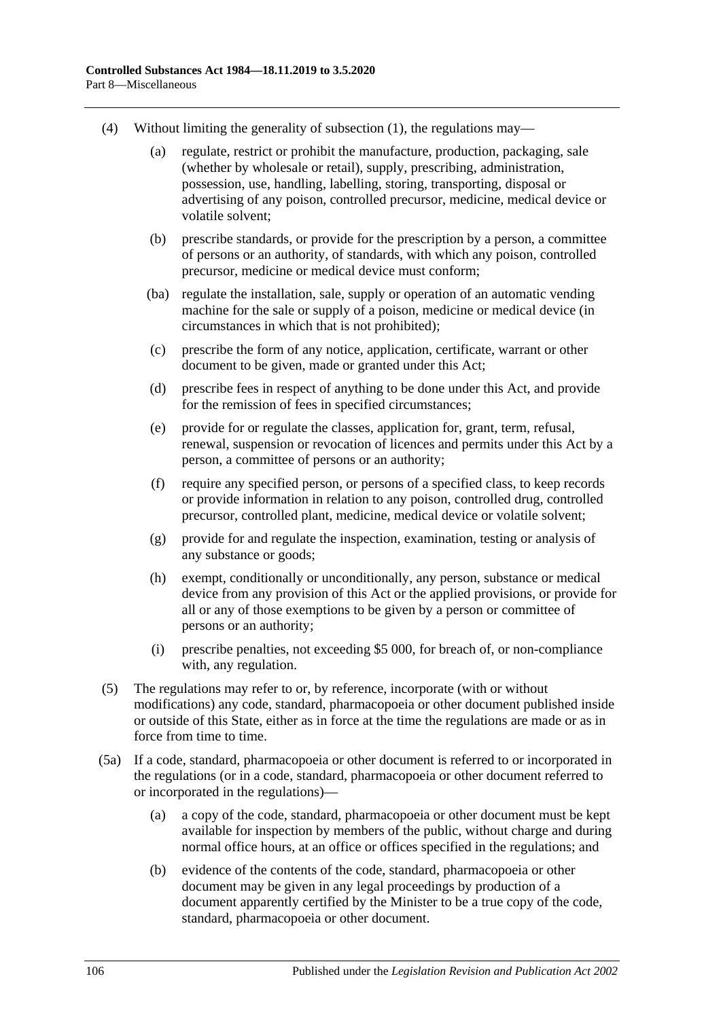- (4) Without limiting the generality of [subsection](#page-104-0) (1), the regulations may—
	- (a) regulate, restrict or prohibit the manufacture, production, packaging, sale (whether by wholesale or retail), supply, prescribing, administration, possession, use, handling, labelling, storing, transporting, disposal or advertising of any poison, controlled precursor, medicine, medical device or volatile solvent;
	- (b) prescribe standards, or provide for the prescription by a person, a committee of persons or an authority, of standards, with which any poison, controlled precursor, medicine or medical device must conform;
	- (ba) regulate the installation, sale, supply or operation of an automatic vending machine for the sale or supply of a poison, medicine or medical device (in circumstances in which that is not prohibited);
	- (c) prescribe the form of any notice, application, certificate, warrant or other document to be given, made or granted under this Act;
	- (d) prescribe fees in respect of anything to be done under this Act, and provide for the remission of fees in specified circumstances;
	- (e) provide for or regulate the classes, application for, grant, term, refusal, renewal, suspension or revocation of licences and permits under this Act by a person, a committee of persons or an authority;
	- (f) require any specified person, or persons of a specified class, to keep records or provide information in relation to any poison, controlled drug, controlled precursor, controlled plant, medicine, medical device or volatile solvent;
	- (g) provide for and regulate the inspection, examination, testing or analysis of any substance or goods;
	- (h) exempt, conditionally or unconditionally, any person, substance or medical device from any provision of this Act or the applied provisions, or provide for all or any of those exemptions to be given by a person or committee of persons or an authority;
	- (i) prescribe penalties, not exceeding \$5 000, for breach of, or non-compliance with, any regulation.
- (5) The regulations may refer to or, by reference, incorporate (with or without modifications) any code, standard, pharmacopoeia or other document published inside or outside of this State, either as in force at the time the regulations are made or as in force from time to time.
- (5a) If a code, standard, pharmacopoeia or other document is referred to or incorporated in the regulations (or in a code, standard, pharmacopoeia or other document referred to or incorporated in the regulations)—
	- (a) a copy of the code, standard, pharmacopoeia or other document must be kept available for inspection by members of the public, without charge and during normal office hours, at an office or offices specified in the regulations; and
	- (b) evidence of the contents of the code, standard, pharmacopoeia or other document may be given in any legal proceedings by production of a document apparently certified by the Minister to be a true copy of the code, standard, pharmacopoeia or other document.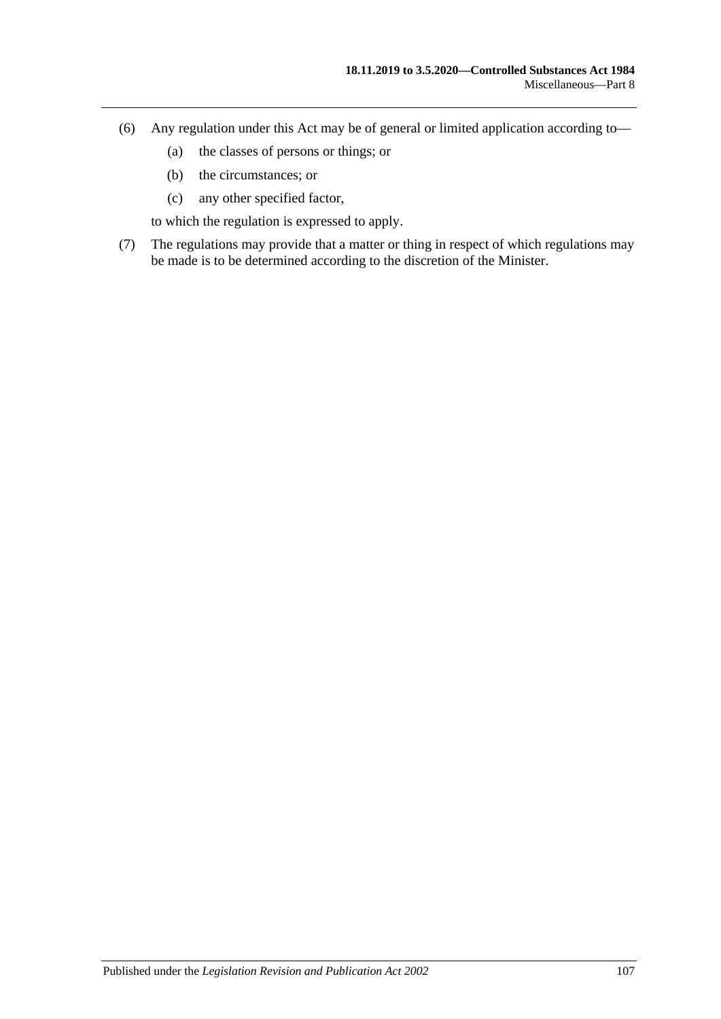- (6) Any regulation under this Act may be of general or limited application according to—
	- (a) the classes of persons or things; or
	- (b) the circumstances; or
	- (c) any other specified factor,

to which the regulation is expressed to apply.

(7) The regulations may provide that a matter or thing in respect of which regulations may be made is to be determined according to the discretion of the Minister.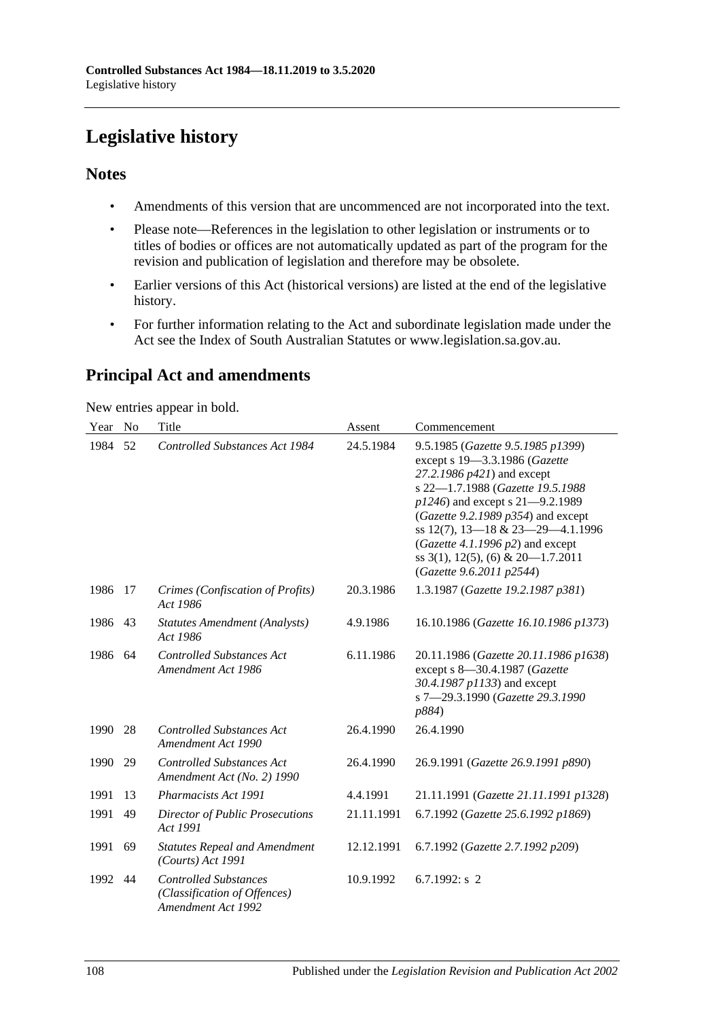# **Legislative history**

### **Notes**

- Amendments of this version that are uncommenced are not incorporated into the text.
- Please note—References in the legislation to other legislation or instruments or to titles of bodies or offices are not automatically updated as part of the program for the revision and publication of legislation and therefore may be obsolete.
- Earlier versions of this Act (historical versions) are listed at the end of the legislative history.
- For further information relating to the Act and subordinate legislation made under the Act see the Index of South Australian Statutes or www.legislation.sa.gov.au.

## **Principal Act and amendments**

New entries appear in bold.

| Year | N <sub>o</sub> | Title                                                                              | Assent     | Commencement                                                                                                                                                                                                                                                                                                                                                              |
|------|----------------|------------------------------------------------------------------------------------|------------|---------------------------------------------------------------------------------------------------------------------------------------------------------------------------------------------------------------------------------------------------------------------------------------------------------------------------------------------------------------------------|
| 1984 | 52             | Controlled Substances Act 1984                                                     | 24.5.1984  | 9.5.1985 (Gazette 9.5.1985 p1399)<br>except s 19-3.3.1986 (Gazette<br>27.2.1986 p421) and except<br>s 22-1.7.1988 (Gazette 19.5.1988<br>$p1246$ ) and except s 21-9.2.1989<br>(Gazette 9.2.1989 $p354$ ) and except<br>ss 12(7), 13-18 & 23-29-4.1.1996<br>(Gazette 4.1.1996 $p2$ ) and except<br>ss $3(1)$ , $12(5)$ , $(6)$ & $20-1.7.2011$<br>(Gazette 9.6.2011 p2544) |
| 1986 | 17             | Crimes (Confiscation of Profits)<br>Act 1986                                       | 20.3.1986  | 1.3.1987 (Gazette 19.2.1987 p381)                                                                                                                                                                                                                                                                                                                                         |
| 1986 | 43             | <b>Statutes Amendment (Analysts)</b><br>Act 1986                                   | 4.9.1986   | 16.10.1986 (Gazette 16.10.1986 p1373)                                                                                                                                                                                                                                                                                                                                     |
| 1986 | 64             | <b>Controlled Substances Act</b><br>Amendment Act 1986                             | 6.11.1986  | 20.11.1986 (Gazette 20.11.1986 p1638)<br>except s 8-30.4.1987 (Gazette<br>30.4.1987 p1133) and except<br>s 7-29.3.1990 (Gazette 29.3.1990<br>p884)                                                                                                                                                                                                                        |
| 1990 | 28             | <b>Controlled Substances Act</b><br>Amendment Act 1990                             | 26.4.1990  | 26.4.1990                                                                                                                                                                                                                                                                                                                                                                 |
| 1990 | 29             | <b>Controlled Substances Act</b><br>Amendment Act (No. 2) 1990                     | 26.4.1990  | 26.9.1991 (Gazette 26.9.1991 p890)                                                                                                                                                                                                                                                                                                                                        |
| 1991 | 13             | <b>Pharmacists Act 1991</b>                                                        | 4.4.1991   | 21.11.1991 (Gazette 21.11.1991 p1328)                                                                                                                                                                                                                                                                                                                                     |
| 1991 | 49             | <b>Director of Public Prosecutions</b><br>Act 1991                                 | 21.11.1991 | 6.7.1992 (Gazette 25.6.1992 p1869)                                                                                                                                                                                                                                                                                                                                        |
| 1991 | 69             | <b>Statutes Repeal and Amendment</b><br>(Courts) Act 1991                          | 12.12.1991 | 6.7.1992 (Gazette 2.7.1992 p209)                                                                                                                                                                                                                                                                                                                                          |
| 1992 | 44             | <b>Controlled Substances</b><br>(Classification of Offences)<br>Amendment Act 1992 | 10.9.1992  | 6.7.1992: $s$ 2                                                                                                                                                                                                                                                                                                                                                           |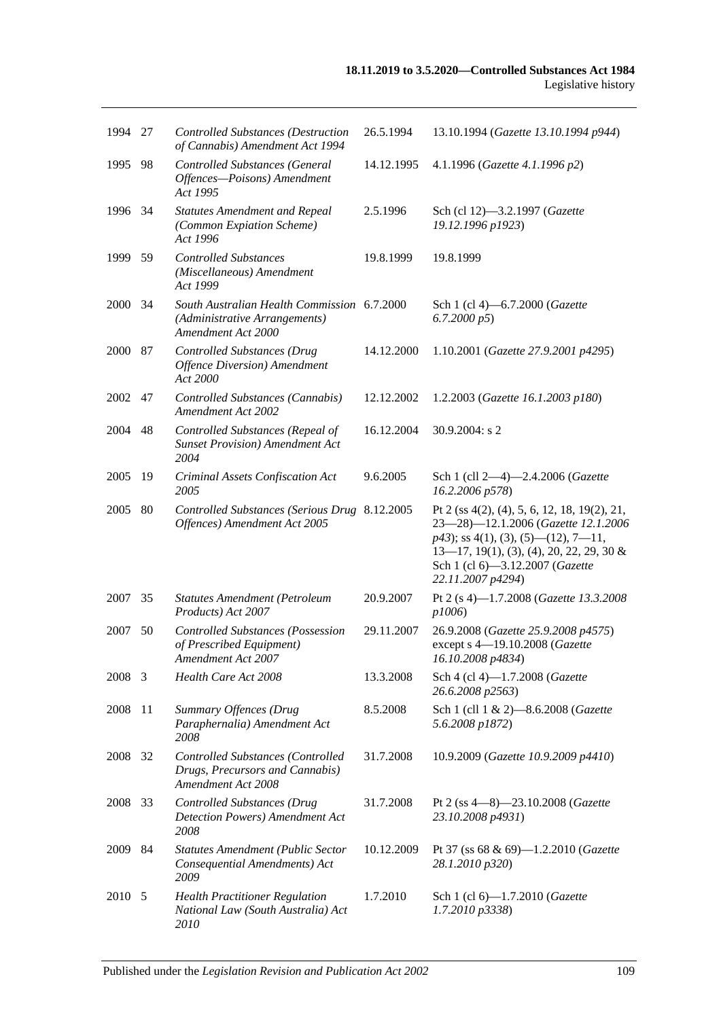| 1994 27 |      | <b>Controlled Substances (Destruction</b><br>of Cannabis) Amendment Act 1994                       | 26.5.1994  | 13.10.1994 (Gazette 13.10.1994 p944)                                                                                                                                                                                                |
|---------|------|----------------------------------------------------------------------------------------------------|------------|-------------------------------------------------------------------------------------------------------------------------------------------------------------------------------------------------------------------------------------|
| 1995    | 98   | <b>Controlled Substances (General</b><br>Offences-Poisons) Amendment<br>Act 1995                   | 14.12.1995 | 4.1.1996 (Gazette 4.1.1996 p2)                                                                                                                                                                                                      |
| 1996    | 34   | <b>Statutes Amendment and Repeal</b><br>(Common Expiation Scheme)<br>Act 1996                      | 2.5.1996   | Sch (cl 12)-3.2.1997 (Gazette<br>19.12.1996 p1923)                                                                                                                                                                                  |
| 1999    | - 59 | <b>Controlled Substances</b><br>(Miscellaneous) Amendment<br>Act 1999                              | 19.8.1999  | 19.8.1999                                                                                                                                                                                                                           |
| 2000    | 34   | South Australian Health Commission 6.7.2000<br>(Administrative Arrangements)<br>Amendment Act 2000 |            | Sch 1 (cl 4)-6.7.2000 (Gazette<br>6.7.2000 p5                                                                                                                                                                                       |
| 2000    | 87   | <b>Controlled Substances (Drug</b><br><b>Offence Diversion</b> ) Amendment<br>Act 2000             | 14.12.2000 | 1.10.2001 (Gazette 27.9.2001 p4295)                                                                                                                                                                                                 |
| 2002    | 47   | Controlled Substances (Cannabis)<br>Amendment Act 2002                                             | 12.12.2002 | 1.2.2003 (Gazette 16.1.2003 p180)                                                                                                                                                                                                   |
| 2004    | 48   | Controlled Substances (Repeal of<br><b>Sunset Provision</b> ) Amendment Act<br>2004                | 16.12.2004 | 30.9.2004: s 2                                                                                                                                                                                                                      |
| 2005    | 19   | Criminal Assets Confiscation Act<br>2005                                                           | 9.6.2005   | Sch 1 (cll 2-4)-2.4.2006 (Gazette<br>16.2.2006 p578)                                                                                                                                                                                |
| 2005    | 80   | Controlled Substances (Serious Drug 8.12.2005<br>Offences) Amendment Act 2005                      |            | Pt 2 (ss 4(2), (4), 5, 6, 12, 18, 19(2), 21,<br>23-28)-12.1.2006 (Gazette 12.1.2006<br>$p43$ ; ss 4(1), (3), (5)—(12), 7—11,<br>$13-17$ , 19(1), (3), (4), 20, 22, 29, 30 &<br>Sch 1 (cl 6)-3.12.2007 (Gazette<br>22.11.2007 p4294) |
| 2007    | 35   | <b>Statutes Amendment (Petroleum</b><br>Products) Act 2007                                         | 20.9.2007  | Pt 2 (s 4)-1.7.2008 (Gazette 13.3.2008<br>p1006                                                                                                                                                                                     |
| 2007    | 50   | <b>Controlled Substances (Possession</b><br>of Prescribed Equipment)<br>Amendment Act 2007         | 29.11.2007 | 26.9.2008 (Gazette 25.9.2008 p4575)<br>except s 4-19.10.2008 (Gazette<br>16.10.2008 p4834)                                                                                                                                          |
| 2008    | 3    | Health Care Act 2008                                                                               | 13.3.2008  | Sch 4 (cl 4)-1.7.2008 (Gazette<br>26.6.2008 p2563)                                                                                                                                                                                  |
| 2008    | 11   | Summary Offences (Drug<br>Paraphernalia) Amendment Act<br>2008                                     | 8.5.2008   | Sch 1 (cll 1 & 2)-8.6.2008 (Gazette<br>5.6.2008 p1872)                                                                                                                                                                              |
| 2008    | 32   | <b>Controlled Substances (Controlled</b><br>Drugs, Precursors and Cannabis)<br>Amendment Act 2008  | 31.7.2008  | 10.9.2009 (Gazette 10.9.2009 p4410)                                                                                                                                                                                                 |
| 2008 33 |      | <b>Controlled Substances (Drug</b><br>Detection Powers) Amendment Act<br>2008                      | 31.7.2008  | Pt 2 (ss 4-8)-23.10.2008 (Gazette<br>23.10.2008 p4931)                                                                                                                                                                              |
| 2009    | 84   | <b>Statutes Amendment (Public Sector</b><br>Consequential Amendments) Act<br>2009                  | 10.12.2009 | Pt 37 (ss 68 & 69)-1.2.2010 (Gazette<br>28.1.2010 p320)                                                                                                                                                                             |
| 2010 5  |      | <b>Health Practitioner Regulation</b><br>National Law (South Australia) Act<br>2010                | 1.7.2010   | Sch 1 (cl 6)-1.7.2010 (Gazette<br>1.7.2010 p3338)                                                                                                                                                                                   |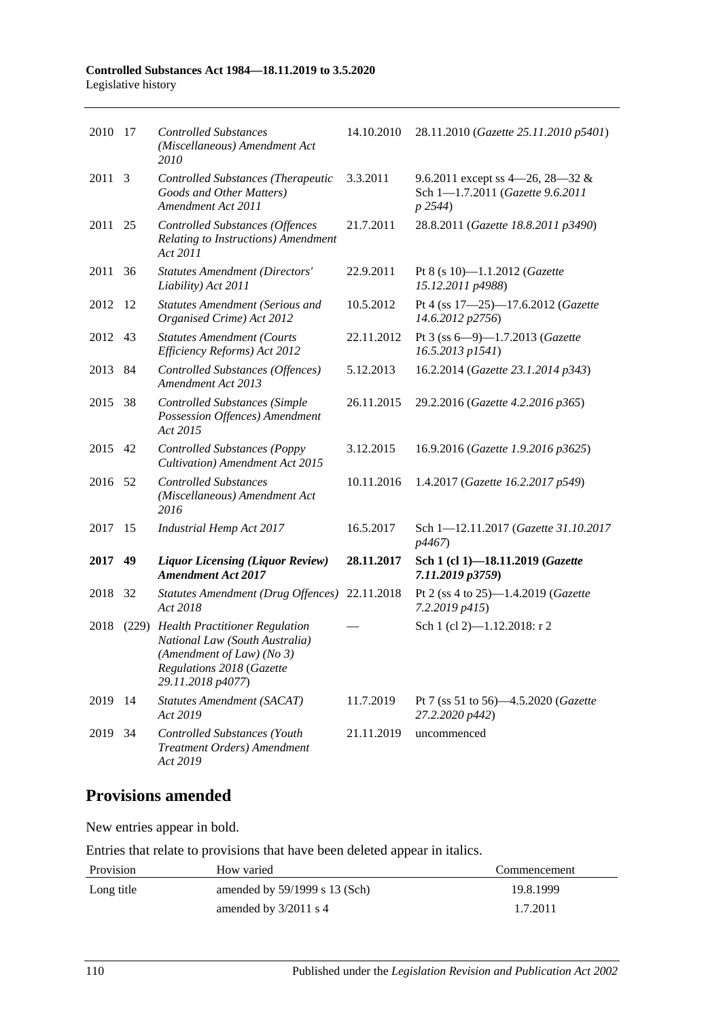| 2010    | -17  | <b>Controlled Substances</b><br>(Miscellaneous) Amendment Act<br>2010                                                                                 | 14.10.2010 | 28.11.2010 (Gazette 25.11.2010 p5401)                                           |
|---------|------|-------------------------------------------------------------------------------------------------------------------------------------------------------|------------|---------------------------------------------------------------------------------|
| 2011    | 3    | Controlled Substances (Therapeutic<br>Goods and Other Matters)<br>Amendment Act 2011                                                                  | 3.3.2011   | 9.6.2011 except ss 4–26, 28–32 &<br>Sch 1-1.7.2011 (Gazette 9.6.2011<br>p 2544) |
| 2011 25 |      | <b>Controlled Substances (Offences</b><br>Relating to Instructions) Amendment<br>Act 2011                                                             | 21.7.2011  | 28.8.2011 (Gazette 18.8.2011 p3490)                                             |
| 2011    | 36   | <b>Statutes Amendment (Directors'</b><br>Liability) Act 2011                                                                                          | 22.9.2011  | Pt 8 (s 10)-1.1.2012 (Gazette<br>15.12.2011 p4988)                              |
| 2012    | - 12 | <b>Statutes Amendment (Serious and</b><br>Organised Crime) Act 2012                                                                                   | 10.5.2012  | Pt 4 (ss 17-25)-17.6.2012 (Gazette<br>14.6.2012 p2756)                          |
| 2012    | 43   | <b>Statutes Amendment (Courts</b><br>Efficiency Reforms) Act 2012                                                                                     | 22.11.2012 | Pt 3 (ss $6 - 9$ ) -1.7.2013 (Gazette<br>16.5.2013 p1541)                       |
| 2013 84 |      | <b>Controlled Substances (Offences)</b><br>Amendment Act 2013                                                                                         | 5.12.2013  | 16.2.2014 (Gazette 23.1.2014 p343)                                              |
| 2015    | 38   | <b>Controlled Substances (Simple</b><br>Possession Offences) Amendment<br>Act 2015                                                                    | 26.11.2015 | 29.2.2016 (Gazette 4.2.2016 p365)                                               |
| 2015    | 42   | <b>Controlled Substances (Poppy</b><br>Cultivation) Amendment Act 2015                                                                                | 3.12.2015  | 16.9.2016 (Gazette 1.9.2016 p3625)                                              |
| 2016    | 52   | <b>Controlled Substances</b><br>(Miscellaneous) Amendment Act<br>2016                                                                                 | 10.11.2016 | 1.4.2017 (Gazette 16.2.2017 p549)                                               |
| 2017    | 15   | <b>Industrial Hemp Act 2017</b>                                                                                                                       | 16.5.2017  | Sch 1-12.11.2017 (Gazette 31.10.2017<br>p4467)                                  |
| 2017    | 49   | <b>Liquor Licensing (Liquor Review)</b><br><b>Amendment Act 2017</b>                                                                                  | 28.11.2017 | Sch 1 (cl 1)-18.11.2019 (Gazette<br>7.11.2019 p3759)                            |
| 2018    | 32   | Statutes Amendment (Drug Offences)<br>Act 2018                                                                                                        | 22.11.2018 | Pt 2 (ss 4 to 25)-1.4.2019 (Gazette<br>7.2.2019 p415)                           |
| 2018    |      | (229) Health Practitioner Regulation<br>National Law (South Australia)<br>(Amendment of Law) (No 3)<br>Regulations 2018 (Gazette<br>29.11.2018 p4077) |            | Sch 1 (cl 2)-1.12.2018: r 2                                                     |
| 2019    | -14  | <b>Statutes Amendment (SACAT)</b><br>Act 2019                                                                                                         | 11.7.2019  | Pt 7 (ss 51 to 56)-4.5.2020 (Gazette<br>27.2.2020 p442)                         |
| 2019    | 34   | Controlled Substances (Youth<br>Treatment Orders) Amendment<br>Act 2019                                                                               | 21.11.2019 | uncommenced                                                                     |

# **Provisions amended**

New entries appear in bold.

Entries that relate to provisions that have been deleted appear in italics.

| Provision  | How varied                      | Commencement |
|------------|---------------------------------|--------------|
| Long title | amended by $59/1999$ s 13 (Sch) | 19.8.1999    |
|            | amended by $3/2011$ s 4         | 1.7.2011     |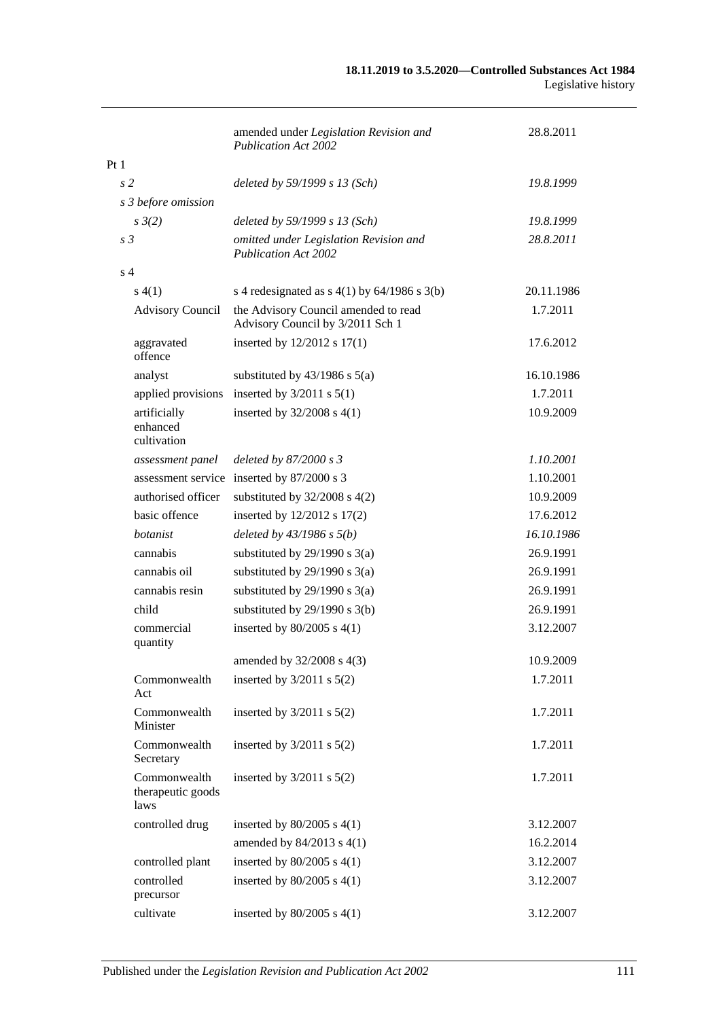|                 |                                           | amended under Legislation Revision and<br><b>Publication Act 2002</b>    | 28.8.2011  |
|-----------------|-------------------------------------------|--------------------------------------------------------------------------|------------|
| Pt <sub>1</sub> |                                           |                                                                          |            |
|                 | s <sub>2</sub>                            | deleted by 59/1999 s 13 (Sch)                                            | 19.8.1999  |
|                 | s 3 before omission                       |                                                                          |            |
|                 | $s \frac{3}{2}$                           | deleted by 59/1999 s 13 (Sch)                                            | 19.8.1999  |
|                 | s <sub>3</sub>                            | omitted under Legislation Revision and<br><b>Publication Act 2002</b>    | 28.8.2011  |
|                 | s <sub>4</sub>                            |                                                                          |            |
|                 | s(4(1))                                   | s 4 redesignated as $s$ 4(1) by 64/1986 s 3(b)                           | 20.11.1986 |
|                 | <b>Advisory Council</b>                   | the Advisory Council amended to read<br>Advisory Council by 3/2011 Sch 1 | 1.7.2011   |
|                 | aggravated<br>offence                     | inserted by 12/2012 s 17(1)                                              | 17.6.2012  |
|                 | analyst                                   | substituted by $43/1986$ s $5(a)$                                        | 16.10.1986 |
|                 | applied provisions                        | inserted by $3/2011$ s $5(1)$                                            | 1.7.2011   |
|                 | artificially<br>enhanced<br>cultivation   | inserted by $32/2008$ s 4(1)                                             | 10.9.2009  |
|                 | assessment panel                          | deleted by 87/2000 s 3                                                   | 1.10.2001  |
|                 |                                           | assessment service inserted by 87/2000 s 3                               | 1.10.2001  |
|                 | authorised officer                        | substituted by $32/2008$ s $4(2)$                                        | 10.9.2009  |
|                 | basic offence                             | inserted by 12/2012 s 17(2)                                              | 17.6.2012  |
|                 | botanist                                  | deleted by $43/1986 s 5(b)$                                              | 16.10.1986 |
|                 | cannabis                                  | substituted by $29/1990$ s $3(a)$                                        | 26.9.1991  |
|                 | cannabis oil                              | substituted by $29/1990$ s $3(a)$                                        | 26.9.1991  |
|                 | cannabis resin                            | substituted by $29/1990$ s $3(a)$                                        | 26.9.1991  |
|                 | child                                     | substituted by $29/1990$ s $3(b)$                                        | 26.9.1991  |
|                 | commercial<br>quantity                    | inserted by $80/2005$ s $4(1)$                                           | 3.12.2007  |
|                 |                                           | amended by 32/2008 s 4(3)                                                | 10.9.2009  |
|                 | Commonwealth<br>Act                       | inserted by $3/2011$ s $5(2)$                                            | 1.7.2011   |
|                 | Commonwealth<br>Minister                  | inserted by $3/2011$ s $5(2)$                                            | 1.7.2011   |
|                 | Commonwealth<br>Secretary                 | inserted by $3/2011$ s $5(2)$                                            | 1.7.2011   |
|                 | Commonwealth<br>therapeutic goods<br>laws | inserted by $3/2011$ s $5(2)$                                            | 1.7.2011   |
|                 | controlled drug                           | inserted by $80/2005$ s $4(1)$                                           | 3.12.2007  |
|                 |                                           | amended by 84/2013 s 4(1)                                                | 16.2.2014  |
|                 | controlled plant                          | inserted by $80/2005$ s $4(1)$                                           | 3.12.2007  |
|                 | controlled<br>precursor                   | inserted by $80/2005$ s $4(1)$                                           | 3.12.2007  |
|                 | cultivate                                 | inserted by $80/2005$ s $4(1)$                                           | 3.12.2007  |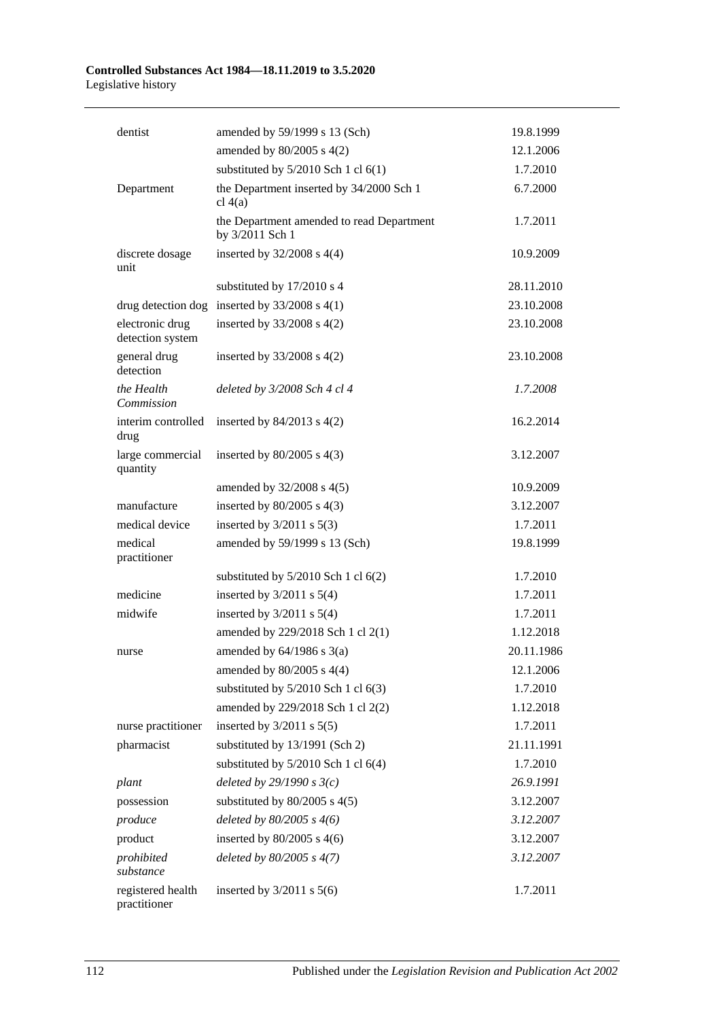| dentist                             | amended by 59/1999 s 13 (Sch)                                | 19.8.1999  |
|-------------------------------------|--------------------------------------------------------------|------------|
|                                     | amended by $80/2005$ s $4(2)$                                | 12.1.2006  |
|                                     | substituted by $5/2010$ Sch 1 cl $6(1)$                      | 1.7.2010   |
| Department                          | the Department inserted by 34/2000 Sch 1<br>cl $4(a)$        | 6.7.2000   |
|                                     | the Department amended to read Department<br>by 3/2011 Sch 1 | 1.7.2011   |
| discrete dosage<br>unit             | inserted by $32/2008$ s 4(4)                                 | 10.9.2009  |
|                                     | substituted by 17/2010 s 4                                   | 28.11.2010 |
|                                     | drug detection dog inserted by $33/2008$ s 4(1)              | 23.10.2008 |
| electronic drug<br>detection system | inserted by $33/2008$ s $4(2)$                               | 23.10.2008 |
| general drug<br>detection           | inserted by $33/2008$ s $4(2)$                               | 23.10.2008 |
| the Health<br>Commission            | deleted by 3/2008 Sch 4 cl 4                                 | 1.7.2008   |
| interim controlled<br>drug          | inserted by $84/2013$ s $4(2)$                               | 16.2.2014  |
| large commercial<br>quantity        | inserted by $80/2005$ s $4(3)$                               | 3.12.2007  |
|                                     | amended by $32/2008$ s $4(5)$                                | 10.9.2009  |
| manufacture                         | inserted by $80/2005$ s $4(3)$                               | 3.12.2007  |
| medical device                      | inserted by $3/2011$ s $5(3)$                                | 1.7.2011   |
| medical<br>practitioner             | amended by 59/1999 s 13 (Sch)                                | 19.8.1999  |
|                                     | substituted by $5/2010$ Sch 1 cl $6(2)$                      | 1.7.2010   |
| medicine                            | inserted by $3/2011$ s $5(4)$                                | 1.7.2011   |
| midwife                             | inserted by $3/2011$ s $5(4)$                                | 1.7.2011   |
|                                     | amended by 229/2018 Sch 1 cl 2(1)                            | 1.12.2018  |
| nurse                               | amended by $64/1986$ s $3(a)$                                | 20.11.1986 |
|                                     | amended by $80/2005$ s $4(4)$                                | 12.1.2006  |
|                                     | substituted by $5/2010$ Sch 1 cl $6(3)$                      | 1.7.2010   |
|                                     | amended by 229/2018 Sch 1 cl 2(2)                            | 1.12.2018  |
| nurse practitioner                  | inserted by $3/2011$ s $5(5)$                                | 1.7.2011   |
| pharmacist                          | substituted by 13/1991 (Sch 2)                               | 21.11.1991 |
|                                     | substituted by $5/2010$ Sch 1 cl $6(4)$                      | 1.7.2010   |
| plant                               | deleted by $29/1990 s3(c)$                                   | 26.9.1991  |
| possession                          | substituted by $80/2005$ s $4(5)$                            | 3.12.2007  |
| produce                             | deleted by $80/2005$ s $4(6)$                                | 3.12.2007  |
| product                             | inserted by $80/2005$ s $4(6)$                               | 3.12.2007  |
| prohibited<br>substance             | deleted by $80/2005$ s $4(7)$                                | 3.12.2007  |
| registered health<br>practitioner   | inserted by $3/2011$ s $5(6)$                                | 1.7.2011   |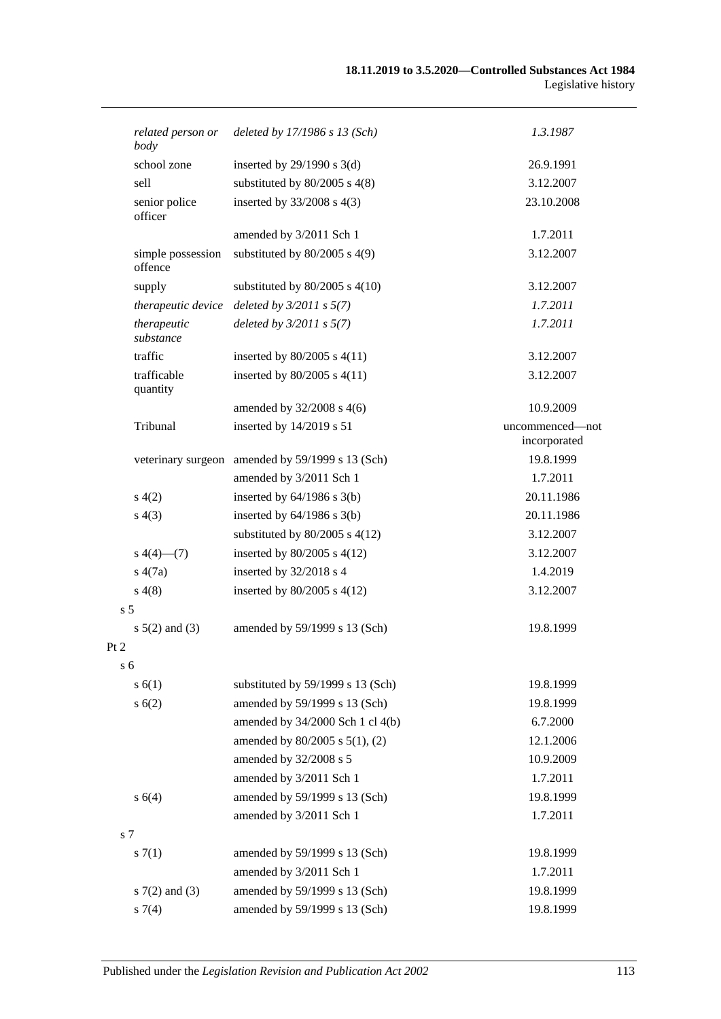| related person or<br>body    | deleted by 17/1986 s 13 (Sch)                    | 1.3.1987                        |
|------------------------------|--------------------------------------------------|---------------------------------|
| school zone                  | inserted by $29/1990$ s 3(d)                     | 26.9.1991                       |
| sell                         | substituted by $80/2005$ s $4(8)$                | 3.12.2007                       |
| senior police<br>officer     | inserted by $33/2008$ s 4(3)                     | 23.10.2008                      |
|                              | amended by 3/2011 Sch 1                          | 1.7.2011                        |
| simple possession<br>offence | substituted by $80/2005$ s 4(9)                  | 3.12.2007                       |
| supply                       | substituted by $80/2005$ s $4(10)$               | 3.12.2007                       |
| therapeutic device           | deleted by $3/2011$ s $5(7)$                     | 1.7.2011                        |
| therapeutic<br>substance     | deleted by $3/2011 s 5(7)$                       | 1.7.2011                        |
| traffic                      | inserted by $80/2005$ s $4(11)$                  | 3.12.2007                       |
| trafficable<br>quantity      | inserted by $80/2005$ s $4(11)$                  | 3.12.2007                       |
|                              | amended by 32/2008 s 4(6)                        | 10.9.2009                       |
| Tribunal                     | inserted by 14/2019 s 51                         | uncommenced-not<br>incorporated |
|                              | veterinary surgeon amended by 59/1999 s 13 (Sch) | 19.8.1999                       |
|                              | amended by 3/2011 Sch 1                          | 1.7.2011                        |
| s(4(2)                       | inserted by $64/1986$ s $3(b)$                   | 20.11.1986                      |
| s(4(3))                      | inserted by $64/1986$ s $3(b)$                   | 20.11.1986                      |
|                              | substituted by $80/2005$ s $4(12)$               | 3.12.2007                       |
| $s\ 4(4)$ (7)                | inserted by $80/2005$ s $4(12)$                  | 3.12.2007                       |
| s(4(7a))                     | inserted by 32/2018 s 4                          | 1.4.2019                        |
| s(4(8)                       | inserted by $80/2005$ s $4(12)$                  | 3.12.2007                       |
| s 5                          |                                                  |                                 |
| $s 5(2)$ and (3)             | amended by 59/1999 s 13 (Sch)                    | 19.8.1999                       |
| 2                            |                                                  |                                 |
| s 6                          |                                                  |                                 |
| s(6(1))                      | substituted by 59/1999 s 13 (Sch)                | 19.8.1999                       |
| s(6(2)                       | amended by 59/1999 s 13 (Sch)                    | 19.8.1999                       |
|                              | amended by 34/2000 Sch 1 cl 4(b)                 | 6.7.2000                        |
|                              | amended by 80/2005 s 5(1), (2)                   | 12.1.2006                       |
|                              | amended by 32/2008 s 5                           | 10.9.2009                       |
|                              | amended by 3/2011 Sch 1                          | 1.7.2011                        |
| s 6(4)                       | amended by 59/1999 s 13 (Sch)                    | 19.8.1999                       |
|                              | amended by 3/2011 Sch 1                          | 1.7.2011                        |
| s 7                          |                                                  |                                 |
| s(7(1)                       | amended by 59/1999 s 13 (Sch)                    | 19.8.1999                       |
|                              | amended by 3/2011 Sch 1                          | 1.7.2011                        |
| $s \, 7(2)$ and (3)          | amended by 59/1999 s 13 (Sch)                    | 19.8.1999                       |
| s7(4)                        | amended by 59/1999 s 13 (Sch)                    | 19.8.1999                       |

 $Pt$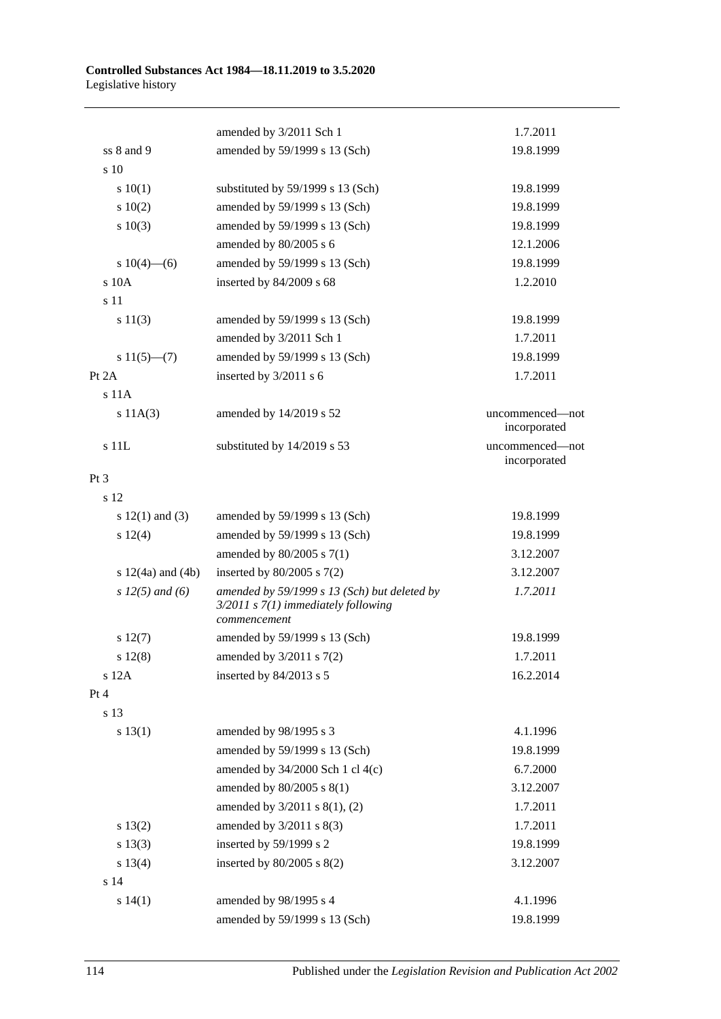|                       | amended by 3/2011 Sch 1                                                                                 | 1.7.2011                        |
|-----------------------|---------------------------------------------------------------------------------------------------------|---------------------------------|
| ss 8 and 9            | amended by 59/1999 s 13 (Sch)                                                                           | 19.8.1999                       |
| s 10                  |                                                                                                         |                                 |
| 10(1)                 | substituted by 59/1999 s 13 (Sch)                                                                       | 19.8.1999                       |
| 10(2)                 | amended by 59/1999 s 13 (Sch)                                                                           | 19.8.1999                       |
| 10(3)                 | amended by 59/1999 s 13 (Sch)                                                                           | 19.8.1999                       |
|                       | amended by 80/2005 s 6                                                                                  | 12.1.2006                       |
| s $10(4)$ —(6)        | amended by 59/1999 s 13 (Sch)                                                                           | 19.8.1999                       |
| s 10A                 | inserted by 84/2009 s 68                                                                                | 1.2.2010                        |
| s 11                  |                                                                                                         |                                 |
| s 11(3)               | amended by 59/1999 s 13 (Sch)                                                                           | 19.8.1999                       |
|                       | amended by 3/2011 Sch 1                                                                                 | 1.7.2011                        |
| $s 11(5)$ —(7)        | amended by 59/1999 s 13 (Sch)                                                                           | 19.8.1999                       |
| Pt 2A                 | inserted by 3/2011 s 6                                                                                  | 1.7.2011                        |
| $s$ 11 $A$            |                                                                                                         |                                 |
| s 11A(3)              | amended by 14/2019 s 52                                                                                 | uncommenced-not                 |
|                       |                                                                                                         | incorporated                    |
| $s$ $11L$             | substituted by 14/2019 s 53                                                                             | uncommenced-not<br>incorporated |
| $Pt\,3$               |                                                                                                         |                                 |
| s 12                  |                                                                                                         |                                 |
| s $12(1)$ and (3)     | amended by 59/1999 s 13 (Sch)                                                                           | 19.8.1999                       |
| s 12(4)               | amended by 59/1999 s 13 (Sch)                                                                           | 19.8.1999                       |
|                       | amended by $80/2005$ s $7(1)$                                                                           | 3.12.2007                       |
| s $12(4a)$ and $(4b)$ | inserted by $80/2005$ s $7(2)$                                                                          | 3.12.2007                       |
| $s 12(5)$ and (6)     | amended by 59/1999 s 13 (Sch) but deleted by<br>$3/2011$ s $7(1)$ immediately following<br>commencement | 1.7.2011                        |
| s 12(7)               | amended by 59/1999 s 13 (Sch)                                                                           | 19.8.1999                       |
| s 12(8)               | amended by 3/2011 s 7(2)                                                                                | 1.7.2011                        |
| s 12A                 | inserted by 84/2013 s 5                                                                                 | 16.2.2014                       |
| Pt 4                  |                                                                                                         |                                 |
| s 13                  |                                                                                                         |                                 |
| s 13(1)               | amended by 98/1995 s 3                                                                                  | 4.1.1996                        |
|                       | amended by 59/1999 s 13 (Sch)                                                                           | 19.8.1999                       |
|                       | amended by $34/2000$ Sch 1 cl 4(c)                                                                      | 6.7.2000                        |
|                       | amended by 80/2005 s 8(1)                                                                               | 3.12.2007                       |
|                       | amended by 3/2011 s 8(1), (2)                                                                           | 1.7.2011                        |
| s 13(2)               | amended by $3/2011$ s $8(3)$                                                                            | 1.7.2011                        |
| s 13(3)               | inserted by 59/1999 s 2                                                                                 | 19.8.1999                       |
| s 13(4)               | inserted by $80/2005$ s $8(2)$                                                                          | 3.12.2007                       |
| s 14                  |                                                                                                         |                                 |
| s 14(1)               | amended by 98/1995 s 4                                                                                  | 4.1.1996                        |
|                       | amended by 59/1999 s 13 (Sch)                                                                           | 19.8.1999                       |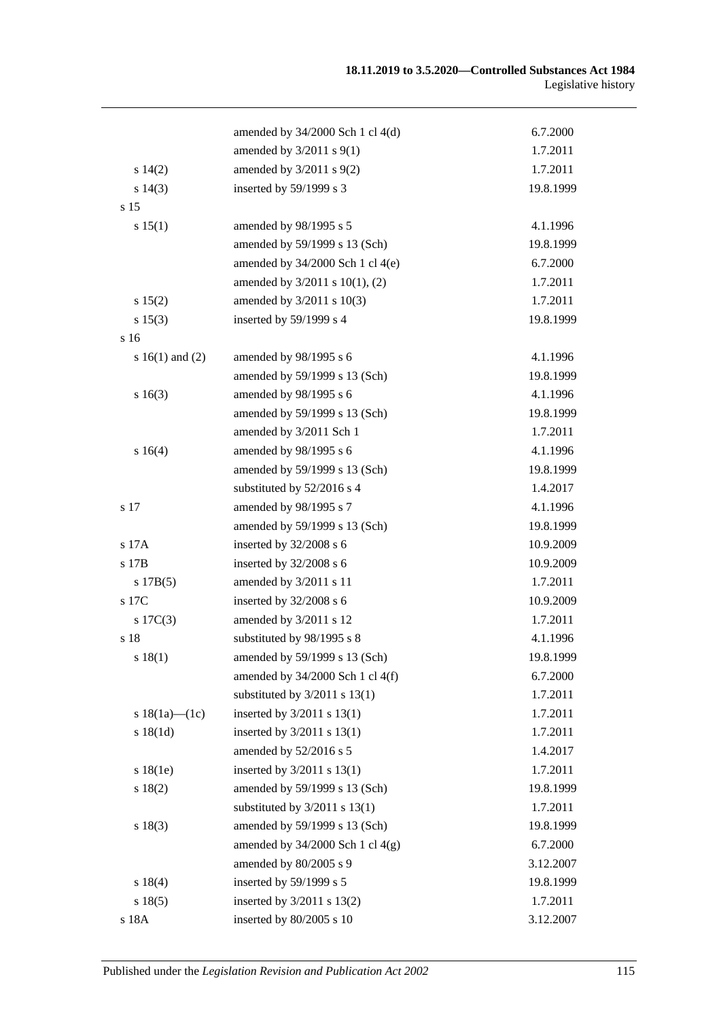|                     | amended by $34/2000$ Sch 1 cl $4(d)$ | 6.7.2000  |
|---------------------|--------------------------------------|-----------|
|                     | amended by $3/2011$ s $9(1)$         | 1.7.2011  |
| s 14(2)             | amended by $3/2011$ s $9(2)$         | 1.7.2011  |
| s 14(3)             | inserted by 59/1999 s 3              | 19.8.1999 |
| s 15                |                                      |           |
| s 15(1)             | amended by 98/1995 s 5               | 4.1.1996  |
|                     | amended by 59/1999 s 13 (Sch)        | 19.8.1999 |
|                     | amended by $34/2000$ Sch 1 cl $4(e)$ | 6.7.2000  |
|                     | amended by 3/2011 s 10(1), (2)       | 1.7.2011  |
| s 15(2)             | amended by 3/2011 s 10(3)            | 1.7.2011  |
| s 15(3)             | inserted by 59/1999 s 4              | 19.8.1999 |
| s <sub>16</sub>     |                                      |           |
| s $16(1)$ and $(2)$ | amended by 98/1995 s 6               | 4.1.1996  |
|                     | amended by 59/1999 s 13 (Sch)        | 19.8.1999 |
| s 16(3)             | amended by 98/1995 s 6               | 4.1.1996  |
|                     | amended by 59/1999 s 13 (Sch)        | 19.8.1999 |
|                     | amended by 3/2011 Sch 1              | 1.7.2011  |
| s 16(4)             | amended by 98/1995 s 6               | 4.1.1996  |
|                     | amended by 59/1999 s 13 (Sch)        | 19.8.1999 |
|                     | substituted by 52/2016 s 4           | 1.4.2017  |
| s 17                | amended by 98/1995 s 7               | 4.1.1996  |
|                     | amended by 59/1999 s 13 (Sch)        | 19.8.1999 |
| s 17A               | inserted by 32/2008 s 6              | 10.9.2009 |
| s 17B               | inserted by 32/2008 s 6              | 10.9.2009 |
| s 17B(5)            | amended by 3/2011 s 11               | 1.7.2011  |
| s 17C               | inserted by 32/2008 s 6              | 10.9.2009 |
| $s \ 17C(3)$        | amended by 3/2011 s 12               | 1.7.2011  |
| s 18                | substituted by 98/1995 s 8           | 4.1.1996  |
| s 18(1)             | amended by 59/1999 s 13 (Sch)        | 19.8.1999 |
|                     | amended by 34/2000 Sch 1 cl 4(f)     | 6.7.2000  |
|                     | substituted by $3/2011$ s $13(1)$    | 1.7.2011  |
| s $18(1a)$ - $(1c)$ | inserted by 3/2011 s 13(1)           | 1.7.2011  |
| s 18(1d)            | inserted by 3/2011 s 13(1)           | 1.7.2011  |
|                     | amended by 52/2016 s 5               | 1.4.2017  |
| s18(1e)             | inserted by $3/2011$ s $13(1)$       | 1.7.2011  |
| s 18(2)             | amended by 59/1999 s 13 (Sch)        | 19.8.1999 |
|                     | substituted by $3/2011$ s $13(1)$    | 1.7.2011  |
| s 18(3)             | amended by 59/1999 s 13 (Sch)        | 19.8.1999 |
|                     | amended by 34/2000 Sch 1 cl 4(g)     | 6.7.2000  |
|                     | amended by 80/2005 s 9               | 3.12.2007 |
| s 18(4)             | inserted by 59/1999 s 5              | 19.8.1999 |
| s 18(5)             | inserted by $3/2011$ s $13(2)$       | 1.7.2011  |
| s 18A               | inserted by 80/2005 s 10             | 3.12.2007 |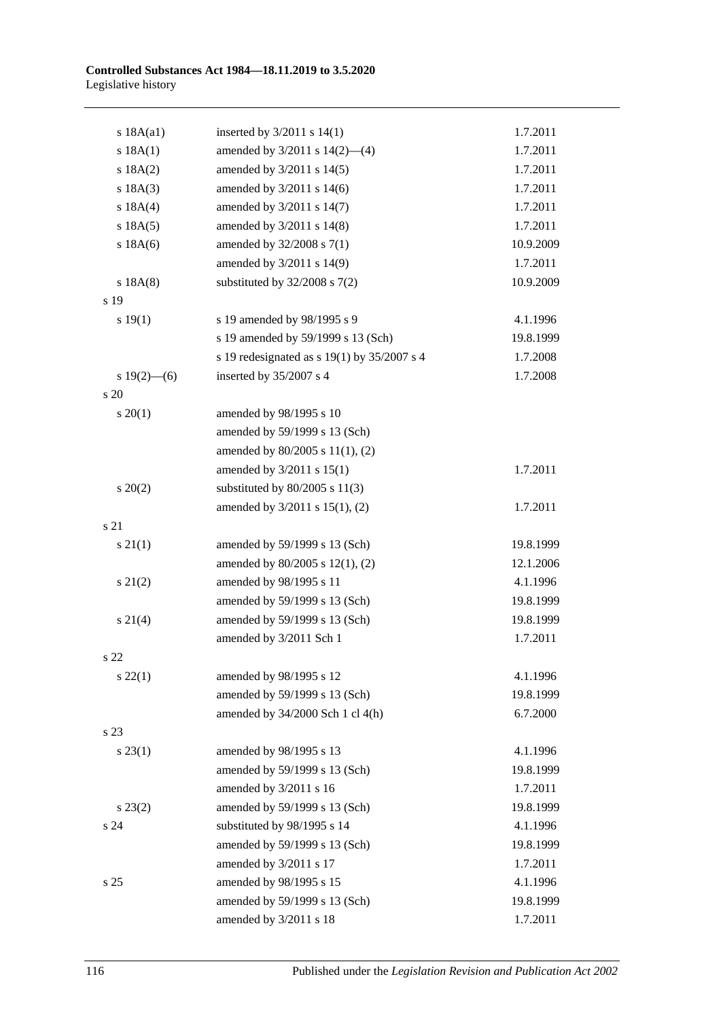| s 18A(a1)         | inserted by $3/2011$ s $14(1)$              | 1.7.2011  |
|-------------------|---------------------------------------------|-----------|
| s 18A(1)          | amended by 3/2011 s 14(2)-(4)               | 1.7.2011  |
| s 18A(2)          | amended by 3/2011 s 14(5)                   | 1.7.2011  |
| s 18A(3)          | amended by 3/2011 s 14(6)                   | 1.7.2011  |
| s 18A(4)          | amended by 3/2011 s 14(7)                   | 1.7.2011  |
| s 18A(5)          | amended by 3/2011 s 14(8)                   | 1.7.2011  |
| $s$ 18A $(6)$     | amended by 32/2008 s 7(1)                   | 10.9.2009 |
|                   | amended by 3/2011 s 14(9)                   | 1.7.2011  |
| s 18A(8)          | substituted by $32/2008$ s $7(2)$           | 10.9.2009 |
| s 19              |                                             |           |
| s 19(1)           | s 19 amended by 98/1995 s 9                 | 4.1.1996  |
|                   | s 19 amended by 59/1999 s 13 (Sch)          | 19.8.1999 |
|                   | s 19 redesignated as s 19(1) by 35/2007 s 4 | 1.7.2008  |
| s $19(2)$ —(6)    | inserted by 35/2007 s 4                     | 1.7.2008  |
| s 20              |                                             |           |
| $s \ 20(1)$       | amended by 98/1995 s 10                     |           |
|                   | amended by 59/1999 s 13 (Sch)               |           |
|                   | amended by 80/2005 s 11(1), (2)             |           |
|                   | amended by 3/2011 s 15(1)                   | 1.7.2011  |
| $\frac{20(2)}{2}$ | substituted by $80/2005$ s $11(3)$          |           |
|                   | amended by 3/2011 s 15(1), (2)              | 1.7.2011  |
| s 21              |                                             |           |
| $s \, 21(1)$      | amended by 59/1999 s 13 (Sch)               | 19.8.1999 |
|                   | amended by 80/2005 s 12(1), (2)             | 12.1.2006 |
| $s\ 21(2)$        | amended by 98/1995 s 11                     | 4.1.1996  |
|                   | amended by 59/1999 s 13 (Sch)               | 19.8.1999 |
| $s \ 21(4)$       | amended by 59/1999 s 13 (Sch)               | 19.8.1999 |
|                   | amended by 3/2011 Sch 1                     | 1.7.2011  |
| s 22              |                                             |           |
| $s\,22(1)$        | amended by 98/1995 s 12                     | 4.1.1996  |
|                   | amended by 59/1999 s 13 (Sch)               | 19.8.1999 |
|                   | amended by $34/2000$ Sch 1 cl $4(h)$        | 6.7.2000  |
| s 23              |                                             |           |
| $s\,23(1)$        | amended by 98/1995 s 13                     | 4.1.1996  |
|                   | amended by 59/1999 s 13 (Sch)               | 19.8.1999 |
|                   | amended by 3/2011 s 16                      | 1.7.2011  |
| $s\,23(2)$        | amended by 59/1999 s 13 (Sch)               | 19.8.1999 |
| s 24              | substituted by 98/1995 s 14                 | 4.1.1996  |
|                   | amended by 59/1999 s 13 (Sch)               | 19.8.1999 |
|                   | amended by 3/2011 s 17                      | 1.7.2011  |
| s 25              | amended by 98/1995 s 15                     | 4.1.1996  |
|                   | amended by 59/1999 s 13 (Sch)               | 19.8.1999 |
|                   | amended by 3/2011 s 18                      | 1.7.2011  |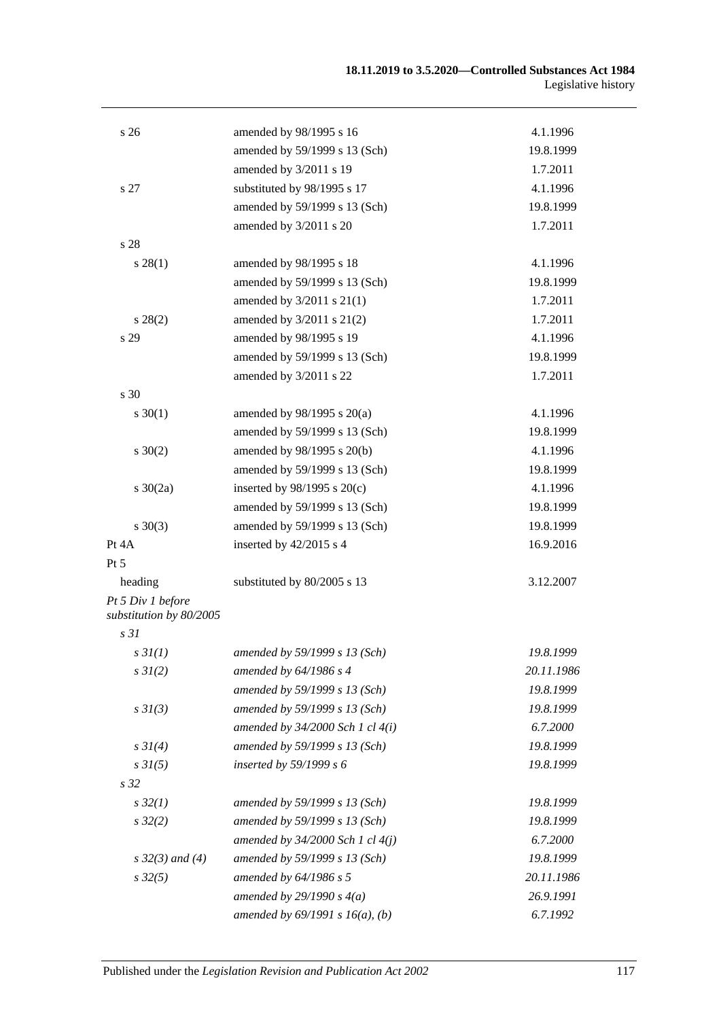| s <sub>26</sub>                              | amended by 98/1995 s 16              | 4.1.1996   |
|----------------------------------------------|--------------------------------------|------------|
|                                              | amended by 59/1999 s 13 (Sch)        | 19.8.1999  |
|                                              | amended by 3/2011 s 19               | 1.7.2011   |
| s 27                                         | substituted by 98/1995 s 17          | 4.1.1996   |
|                                              | amended by 59/1999 s 13 (Sch)        | 19.8.1999  |
|                                              | amended by 3/2011 s 20               | 1.7.2011   |
| s 28                                         |                                      |            |
| $s\,28(1)$                                   | amended by 98/1995 s 18              | 4.1.1996   |
|                                              | amended by 59/1999 s 13 (Sch)        | 19.8.1999  |
|                                              | amended by 3/2011 s 21(1)            | 1.7.2011   |
| $s\,28(2)$                                   | amended by 3/2011 s 21(2)            | 1.7.2011   |
| s 29                                         | amended by 98/1995 s 19              | 4.1.1996   |
|                                              | amended by 59/1999 s 13 (Sch)        | 19.8.1999  |
|                                              | amended by 3/2011 s 22               | 1.7.2011   |
| s 30                                         |                                      |            |
| $s \ 30(1)$                                  | amended by $98/1995$ s $20(a)$       | 4.1.1996   |
|                                              | amended by 59/1999 s 13 (Sch)        | 19.8.1999  |
| $s \ 30(2)$                                  | amended by 98/1995 s 20(b)           | 4.1.1996   |
|                                              | amended by 59/1999 s 13 (Sch)        | 19.8.1999  |
| $s \ 30(2a)$                                 | inserted by $98/1995$ s $20(c)$      | 4.1.1996   |
|                                              | amended by 59/1999 s 13 (Sch)        | 19.8.1999  |
| $s \ 30(3)$                                  | amended by 59/1999 s 13 (Sch)        | 19.8.1999  |
| Pt 4A                                        | inserted by 42/2015 s 4              | 16.9.2016  |
| Pt 5                                         |                                      |            |
| heading                                      | substituted by 80/2005 s 13          | 3.12.2007  |
| Pt 5 Div 1 before<br>substitution by 80/2005 |                                      |            |
| s <sub>31</sub>                              |                                      |            |
| s 3I(1)                                      | amended by 59/1999 s 13 (Sch)        | 19.8.1999  |
| $s \, 3I(2)$                                 | amended by 64/1986 s 4               | 20.11.1986 |
|                                              | amended by 59/1999 s 13 (Sch)        | 19.8.1999  |
| $s \frac{3I(3)}{3}$                          | amended by 59/1999 s 13 (Sch)        | 19.8.1999  |
|                                              | amended by $34/2000$ Sch 1 cl $4(i)$ | 6.7.2000   |
| $s \, 3I(4)$                                 | amended by 59/1999 s 13 (Sch)        | 19.8.1999  |
| $s \, 3I(5)$                                 | inserted by $59/1999 s 6$            | 19.8.1999  |
| s <sub>32</sub>                              |                                      |            |
| $s\,32(1)$                                   | amended by 59/1999 s 13 (Sch)        | 19.8.1999  |
| $s\,32(2)$                                   | amended by 59/1999 s 13 (Sch)        | 19.8.1999  |
|                                              | amended by $34/2000$ Sch 1 cl $4(j)$ | 6.7.2000   |
| $s \, 32(3)$ and (4)                         | amended by 59/1999 s 13 (Sch)        | 19.8.1999  |
| $s\,32(5)$                                   | amended by 64/1986 s 5               | 20.11.1986 |
|                                              | amended by $29/1990 s 4(a)$          | 26.9.1991  |
|                                              | amended by $69/1991 s 16(a)$ , (b)   | 6.7.1992   |
|                                              |                                      |            |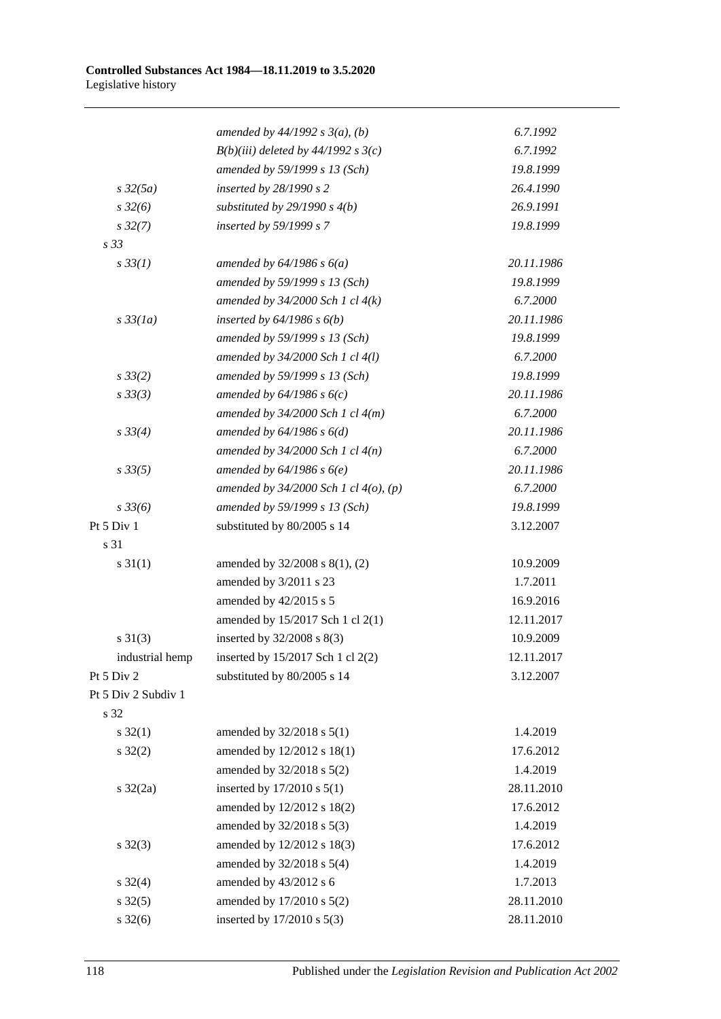|                     | amended by $44/1992 s 3(a)$ , (b)          | 6.7.1992   |
|---------------------|--------------------------------------------|------------|
|                     | $B(b)(iii)$ deleted by 44/1992 s 3(c)      | 6.7.1992   |
|                     | amended by 59/1999 s 13 (Sch)              | 19.8.1999  |
| $s\,32(5a)$         | inserted by 28/1990 s 2                    | 26.4.1990  |
| $s\,32(6)$          | substituted by $29/1990 s 4(b)$            | 26.9.1991  |
| $s\,32(7)$          | inserted by 59/1999 s 7                    | 19.8.1999  |
| s 33                |                                            |            |
| $s \, 33(1)$        | amended by $64/1986 s 6(a)$                | 20.11.1986 |
|                     | amended by 59/1999 s 13 (Sch)              | 19.8.1999  |
|                     | amended by $34/2000$ Sch 1 cl $4(k)$       | 6.7.2000   |
| $s\,33(1a)$         | inserted by $64/1986$ s $6(b)$             | 20.11.1986 |
|                     | amended by 59/1999 s 13 (Sch)              | 19.8.1999  |
|                     | amended by $34/2000$ Sch 1 cl $4(l)$       | 6.7.2000   |
| $s \frac{33}{2}$    | amended by 59/1999 s 13 (Sch)              | 19.8.1999  |
| $s \, 33(3)$        | amended by $64/1986 s 6(c)$                | 20.11.1986 |
|                     | amended by $34/2000$ Sch 1 cl $4(m)$       | 6.7.2000   |
| $s \, 33(4)$        | amended by $64/1986 s 6(d)$                | 20.11.1986 |
|                     | amended by $34/2000$ Sch 1 cl $4(n)$       | 6.7.2000   |
| $s \, 33(5)$        | amended by $64/1986 s 6(e)$                | 20.11.1986 |
|                     | amended by $34/2000$ Sch 1 cl $4(o)$ , (p) | 6.7.2000   |
| $s \frac{33}{6}$    | amended by 59/1999 s 13 (Sch)              | 19.8.1999  |
| Pt 5 Div 1          | substituted by 80/2005 s 14                | 3.12.2007  |
| s 31                |                                            |            |
| $s \, 31(1)$        | amended by 32/2008 s 8(1), (2)             | 10.9.2009  |
|                     | amended by 3/2011 s 23                     | 1.7.2011   |
|                     | amended by 42/2015 s 5                     | 16.9.2016  |
|                     | amended by 15/2017 Sch 1 cl 2(1)           | 12.11.2017 |
| $s \ 31(3)$         | inserted by 32/2008 s 8(3)                 | 10.9.2009  |
| industrial hemp     | inserted by 15/2017 Sch 1 cl 2(2)          | 12.11.2017 |
| Pt 5 Div 2          | substituted by 80/2005 s 14                | 3.12.2007  |
| Pt 5 Div 2 Subdiv 1 |                                            |            |
| s 32                |                                            |            |
| $s \, 32(1)$        | amended by 32/2018 s 5(1)                  | 1.4.2019   |
| $s \, 32(2)$        | amended by 12/2012 s 18(1)                 | 17.6.2012  |
|                     | amended by 32/2018 s 5(2)                  | 1.4.2019   |
| s $32(2a)$          | inserted by 17/2010 s 5(1)                 | 28.11.2010 |
|                     | amended by 12/2012 s 18(2)                 | 17.6.2012  |
|                     | amended by 32/2018 s 5(3)                  | 1.4.2019   |
| $s \, 32(3)$        | amended by 12/2012 s 18(3)                 | 17.6.2012  |
|                     | amended by 32/2018 s 5(4)                  | 1.4.2019   |
| $s \, 32(4)$        | amended by 43/2012 s 6                     | 1.7.2013   |
| $s \, 32(5)$        | amended by 17/2010 s 5(2)                  | 28.11.2010 |
| $s \, 32(6)$        | inserted by 17/2010 s 5(3)                 | 28.11.2010 |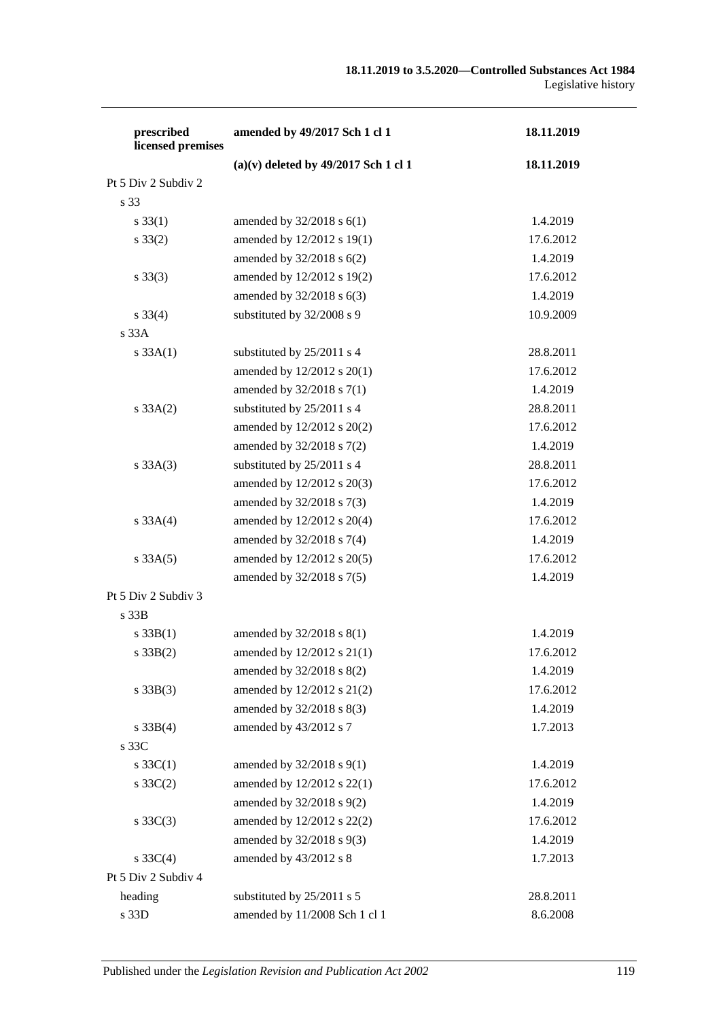| prescribed<br>licensed premises | amended by 49/2017 Sch 1 cl 1          | 18.11.2019 |
|---------------------------------|----------------------------------------|------------|
|                                 | $(a)(v)$ deleted by 49/2017 Sch 1 cl 1 | 18.11.2019 |
| Pt 5 Div 2 Subdiv 2             |                                        |            |
| s 33                            |                                        |            |
| $s \, 33(1)$                    | amended by $32/2018$ s $6(1)$          | 1.4.2019   |
| $s \, 33(2)$                    | amended by 12/2012 s 19(1)             | 17.6.2012  |
|                                 | amended by 32/2018 s 6(2)              | 1.4.2019   |
| $s \, 33(3)$                    | amended by 12/2012 s 19(2)             | 17.6.2012  |
|                                 | amended by 32/2018 s 6(3)              | 1.4.2019   |
| $s \, 33(4)$                    | substituted by 32/2008 s 9             | 10.9.2009  |
| s 33A                           |                                        |            |
| s 33A(1)                        | substituted by 25/2011 s 4             | 28.8.2011  |
|                                 | amended by 12/2012 s 20(1)             | 17.6.2012  |
|                                 | amended by 32/2018 s 7(1)              | 1.4.2019   |
| $s \, 33A(2)$                   | substituted by 25/2011 s 4             | 28.8.2011  |
|                                 | amended by 12/2012 s 20(2)             | 17.6.2012  |
|                                 | amended by 32/2018 s 7(2)              | 1.4.2019   |
| $s \, 33A(3)$                   | substituted by 25/2011 s 4             | 28.8.2011  |
|                                 | amended by 12/2012 s 20(3)             | 17.6.2012  |
|                                 | amended by 32/2018 s 7(3)              | 1.4.2019   |
| s 33A(4)                        | amended by 12/2012 s 20(4)             | 17.6.2012  |
|                                 | amended by 32/2018 s 7(4)              | 1.4.2019   |
| $s \, 33A(5)$                   | amended by 12/2012 s 20(5)             | 17.6.2012  |
|                                 | amended by 32/2018 s 7(5)              | 1.4.2019   |
| Pt 5 Div 2 Subdiv 3             |                                        |            |
| s 33B                           |                                        |            |
| $s \, 33B(1)$                   | amended by 32/2018 s 8(1)              | 1.4.2019   |
| $s \, 33B(2)$                   | amended by 12/2012 s 21(1)             | 17.6.2012  |
|                                 | amended by 32/2018 s 8(2)              | 1.4.2019   |
| $s \, 33B(3)$                   | amended by 12/2012 s 21(2)             | 17.6.2012  |
|                                 | amended by 32/2018 s 8(3)              | 1.4.2019   |
| $s \, 33B(4)$                   | amended by 43/2012 s 7                 | 1.7.2013   |
| s 33C                           |                                        |            |
| s $33C(1)$                      | amended by 32/2018 s 9(1)              | 1.4.2019   |
| $s \, 33C(2)$                   | amended by 12/2012 s 22(1)             | 17.6.2012  |
|                                 | amended by 32/2018 s 9(2)              | 1.4.2019   |
| $s \, 33C(3)$                   | amended by 12/2012 s 22(2)             | 17.6.2012  |
|                                 | amended by 32/2018 s 9(3)              | 1.4.2019   |
| s $33C(4)$                      | amended by 43/2012 s 8                 | 1.7.2013   |
| Pt 5 Div 2 Subdiv 4             |                                        |            |
| heading                         | substituted by 25/2011 s 5             | 28.8.2011  |
| s 33D                           | amended by 11/2008 Sch 1 cl 1          | 8.6.2008   |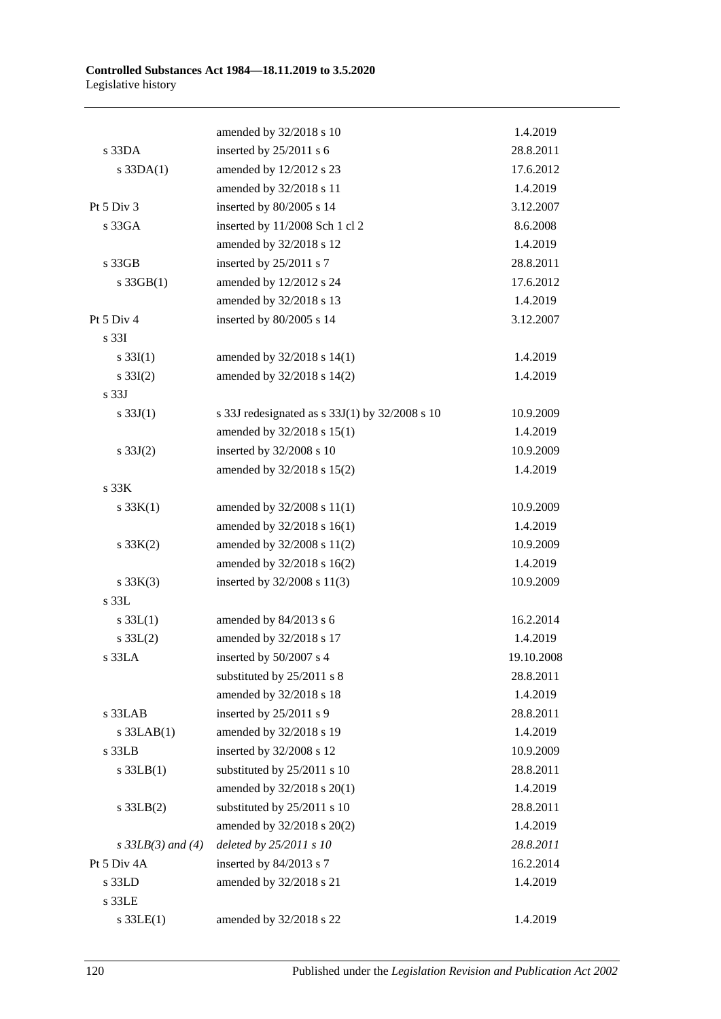|                     | amended by 32/2018 s 10                        | 1.4.2019   |
|---------------------|------------------------------------------------|------------|
| $s$ 33DA            | inserted by 25/2011 s 6                        | 28.8.2011  |
| $s$ 33DA $(1)$      | amended by 12/2012 s 23                        | 17.6.2012  |
|                     | amended by 32/2018 s 11                        | 1.4.2019   |
| Pt 5 Div 3          | inserted by 80/2005 s 14                       | 3.12.2007  |
| s 33GA              | inserted by 11/2008 Sch 1 cl 2                 | 8.6.2008   |
|                     | amended by 32/2018 s 12                        | 1.4.2019   |
| s 33GB              | inserted by $25/2011$ s 7                      | 28.8.2011  |
| $s$ 33GB $(1)$      | amended by 12/2012 s 24                        | 17.6.2012  |
|                     | amended by 32/2018 s 13                        | 1.4.2019   |
| Pt 5 Div 4          | inserted by 80/2005 s 14                       | 3.12.2007  |
| s 33I               |                                                |            |
| $s \, 33I(1)$       | amended by 32/2018 s 14(1)                     | 1.4.2019   |
| $s \, 33I(2)$       | amended by 32/2018 s 14(2)                     | 1.4.2019   |
| s 33J               |                                                |            |
| s $33J(1)$          | s 33J redesignated as s 33J(1) by 32/2008 s 10 | 10.9.2009  |
|                     | amended by 32/2018 s 15(1)                     | 1.4.2019   |
| $s \, 33J(2)$       | inserted by 32/2008 s 10                       | 10.9.2009  |
|                     | amended by 32/2018 s 15(2)                     | 1.4.2019   |
| s 33K               |                                                |            |
| s 33K(1)            | amended by 32/2008 s 11(1)                     | 10.9.2009  |
|                     | amended by 32/2018 s 16(1)                     | 1.4.2019   |
| $s \, 33K(2)$       | amended by 32/2008 s 11(2)                     | 10.9.2009  |
|                     | amended by 32/2018 s 16(2)                     | 1.4.2019   |
| $s \, 33K(3)$       | inserted by $32/2008$ s $11(3)$                | 10.9.2009  |
| s 33L               |                                                |            |
| $s \, 33L(1)$       | amended by 84/2013 s 6                         | 16.2.2014  |
| $s \, 33L(2)$       | amended by 32/2018 s 17                        | 1.4.2019   |
| $s$ 33LA            | inserted by 50/2007 s 4                        | 19.10.2008 |
|                     | substituted by 25/2011 s 8                     | 28.8.2011  |
|                     | amended by 32/2018 s 18                        | 1.4.2019   |
| s 33LAB             | inserted by 25/2011 s 9                        | 28.8.2011  |
| $s$ 33LAB $(1)$     | amended by 32/2018 s 19                        | 1.4.2019   |
| $s$ 33 $LB$         | inserted by 32/2008 s 12                       | 10.9.2009  |
| $s$ 33LB $(1)$      | substituted by 25/2011 s 10                    | 28.8.2011  |
|                     | amended by 32/2018 s 20(1)                     | 1.4.2019   |
| $s$ 33LB $(2)$      | substituted by 25/2011 s 10                    | 28.8.2011  |
|                     | amended by 32/2018 s 20(2)                     | 1.4.2019   |
| $s$ 33LB(3) and (4) | deleted by $25/2011 s 10$                      | 28.8.2011  |
| Pt 5 Div 4A         | inserted by 84/2013 s 7                        | 16.2.2014  |
| s 33LD              | amended by 32/2018 s 21                        | 1.4.2019   |
| s 33LE              |                                                |            |
| $s$ 33LE $(1)$      | amended by 32/2018 s 22                        | 1.4.2019   |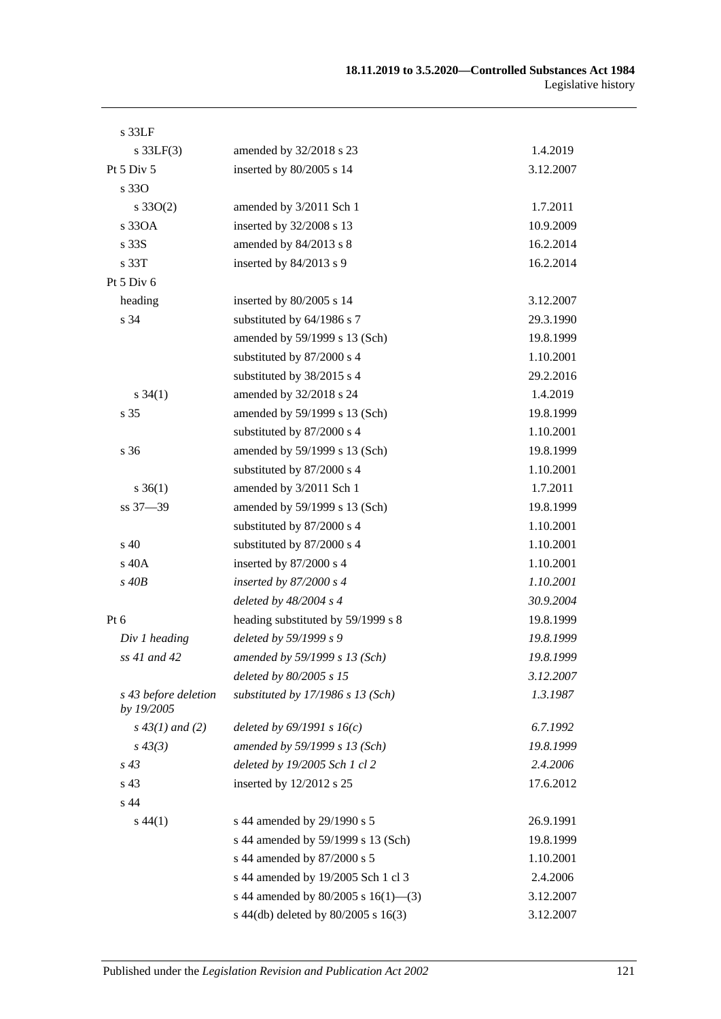| s 33LF                             |                                       |           |
|------------------------------------|---------------------------------------|-----------|
| $s$ 33LF(3)                        | amended by 32/2018 s 23               | 1.4.2019  |
| Pt $5$ Div $5$                     | inserted by 80/2005 s 14              | 3.12.2007 |
| s 330                              |                                       |           |
| $s \, 33O(2)$                      | amended by 3/2011 Sch 1               | 1.7.2011  |
| s 330A                             | inserted by 32/2008 s 13              | 10.9.2009 |
| s 33S                              | amended by 84/2013 s 8                | 16.2.2014 |
| s 33T                              | inserted by 84/2013 s 9               | 16.2.2014 |
| Pt 5 Div 6                         |                                       |           |
| heading                            | inserted by 80/2005 s 14              | 3.12.2007 |
| s 34                               | substituted by 64/1986 s 7            | 29.3.1990 |
|                                    | amended by 59/1999 s 13 (Sch)         | 19.8.1999 |
|                                    | substituted by 87/2000 s 4            | 1.10.2001 |
|                                    | substituted by 38/2015 s 4            | 29.2.2016 |
| $s \, 34(1)$                       | amended by 32/2018 s 24               | 1.4.2019  |
| s 35                               | amended by 59/1999 s 13 (Sch)         | 19.8.1999 |
|                                    | substituted by 87/2000 s 4            | 1.10.2001 |
| s 36                               | amended by 59/1999 s 13 (Sch)         | 19.8.1999 |
|                                    | substituted by 87/2000 s 4            | 1.10.2001 |
| $s \, 36(1)$                       | amended by 3/2011 Sch 1               | 1.7.2011  |
| ss 37-39                           | amended by 59/1999 s 13 (Sch)         | 19.8.1999 |
|                                    | substituted by 87/2000 s 4            | 1.10.2001 |
| $s\,40$                            | substituted by 87/2000 s 4            | 1.10.2001 |
| s 40A                              | inserted by 87/2000 s 4               | 1.10.2001 |
| $s$ 40 $B$                         | inserted by $87/2000 s4$              | 1.10.2001 |
|                                    | deleted by $48/2004$ s 4              | 30.9.2004 |
| $Pt\ 6$                            | heading substituted by 59/1999 s 8    | 19.8.1999 |
| Div 1 heading                      | deleted by 59/1999 s 9                | 19.8.1999 |
| ss 41 and 42                       | amended by 59/1999 s 13 (Sch)         | 19.8.1999 |
|                                    | deleted by 80/2005 s 15               | 3.12.2007 |
| s 43 before deletion<br>by 19/2005 | substituted by $17/1986$ s $13$ (Sch) | 1.3.1987  |
| $s\,43(1)$ and (2)                 | deleted by $69/1991 s 16(c)$          | 6.7.1992  |
| $s\,43(3)$                         | amended by 59/1999 s 13 (Sch)         | 19.8.1999 |
| $s\,43$                            | deleted by 19/2005 Sch 1 cl 2         | 2.4.2006  |
| s 43                               | inserted by $12/2012$ s 25            | 17.6.2012 |
| s 44                               |                                       |           |
| $s\,44(1)$                         | s 44 amended by 29/1990 s 5           | 26.9.1991 |
|                                    | s 44 amended by 59/1999 s 13 (Sch)    | 19.8.1999 |
|                                    | s 44 amended by 87/2000 s 5           | 1.10.2001 |
|                                    | s 44 amended by 19/2005 Sch 1 cl 3    | 2.4.2006  |
|                                    | s 44 amended by 80/2005 s 16(1)–(3)   | 3.12.2007 |
|                                    | s 44(db) deleted by 80/2005 s 16(3)   | 3.12.2007 |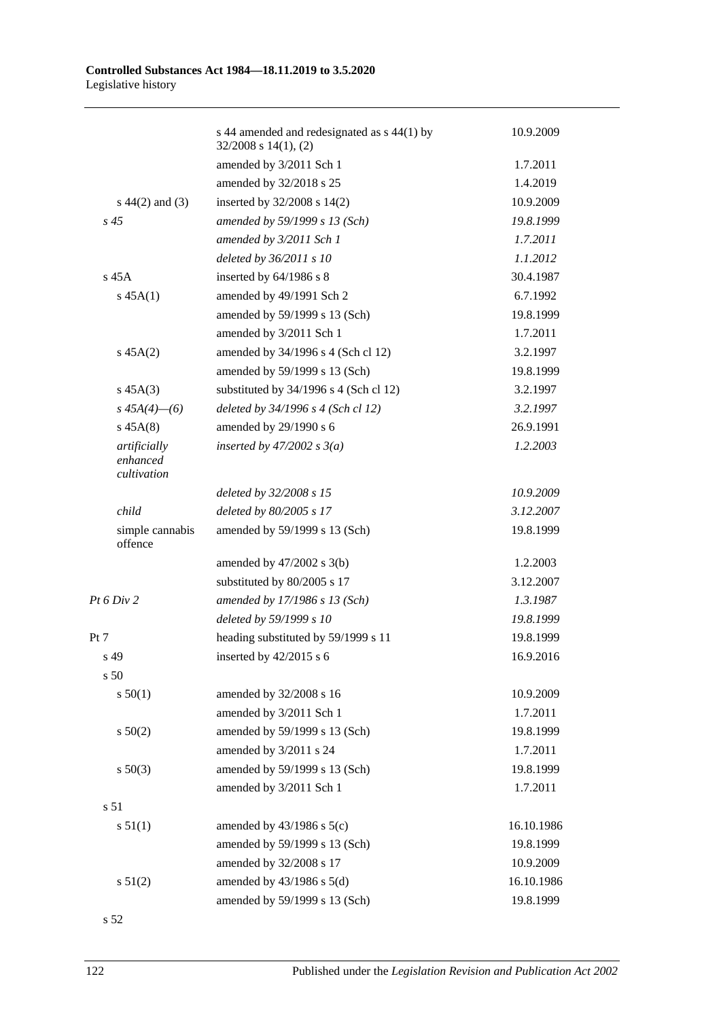|                                         | s 44 amended and redesignated as s 44(1) by<br>$32/2008$ s $14(1)$ , (2) | 10.9.2009  |
|-----------------------------------------|--------------------------------------------------------------------------|------------|
|                                         | amended by 3/2011 Sch 1                                                  | 1.7.2011   |
|                                         | amended by 32/2018 s 25                                                  | 1.4.2019   |
| $s\ 44(2)$ and (3)                      | inserted by 32/2008 s 14(2)                                              | 10.9.2009  |
| $s\,45$                                 | amended by 59/1999 s 13 (Sch)                                            | 19.8.1999  |
|                                         | amended by 3/2011 Sch 1                                                  | 1.7.2011   |
|                                         | deleted by 36/2011 s 10                                                  | 1.1.2012   |
| $s$ 45 $A$                              | inserted by 64/1986 s 8                                                  | 30.4.1987  |
| $s\,45A(1)$                             | amended by 49/1991 Sch 2                                                 | 6.7.1992   |
|                                         | amended by 59/1999 s 13 (Sch)                                            | 19.8.1999  |
|                                         | amended by 3/2011 Sch 1                                                  | 1.7.2011   |
| $s\,45A(2)$                             | amended by 34/1996 s 4 (Sch cl 12)                                       | 3.2.1997   |
|                                         | amended by 59/1999 s 13 (Sch)                                            | 19.8.1999  |
| $s\,45A(3)$                             | substituted by 34/1996 s 4 (Sch cl 12)                                   | 3.2.1997   |
| $s\,45A(4)$ - (6)                       | deleted by 34/1996 s 4 (Sch cl 12)                                       | 3.2.1997   |
| $s\,45A(8)$                             | amended by 29/1990 s 6                                                   | 26.9.1991  |
| artificially<br>enhanced<br>cultivation | inserted by $47/2002$ s $3(a)$                                           | 1.2.2003   |
|                                         | deleted by 32/2008 s 15                                                  | 10.9.2009  |
| child                                   | deleted by 80/2005 s 17                                                  | 3.12.2007  |
| simple cannabis<br>offence              | amended by 59/1999 s 13 (Sch)                                            | 19.8.1999  |
|                                         | amended by $47/2002$ s $3(b)$                                            | 1.2.2003   |
|                                         | substituted by 80/2005 s 17                                              | 3.12.2007  |
| Pt 6 Div 2                              | amended by 17/1986 s 13 (Sch)                                            | 1.3.1987   |
|                                         | deleted by 59/1999 s 10                                                  | 19.8.1999  |
| Pt 7                                    | heading substituted by 59/1999 s 11                                      | 19.8.1999  |
| s 49                                    | inserted by 42/2015 s 6                                                  | 16.9.2016  |
| s <sub>50</sub>                         |                                                                          |            |
| s 50(1)                                 | amended by 32/2008 s 16                                                  | 10.9.2009  |
|                                         | amended by 3/2011 Sch 1                                                  | 1.7.2011   |
| s 50(2)                                 | amended by 59/1999 s 13 (Sch)                                            | 19.8.1999  |
|                                         | amended by 3/2011 s 24                                                   | 1.7.2011   |
| $s\ 50(3)$                              | amended by 59/1999 s 13 (Sch)                                            | 19.8.1999  |
|                                         | amended by 3/2011 Sch 1                                                  | 1.7.2011   |
| s 51                                    |                                                                          |            |
| s 51(1)                                 | amended by $43/1986$ s $5(c)$                                            | 16.10.1986 |
|                                         | amended by 59/1999 s 13 (Sch)                                            | 19.8.1999  |
|                                         | amended by 32/2008 s 17                                                  | 10.9.2009  |
| s 51(2)                                 | amended by $43/1986$ s $5(d)$                                            | 16.10.1986 |
|                                         | amended by 59/1999 s 13 (Sch)                                            | 19.8.1999  |
|                                         |                                                                          |            |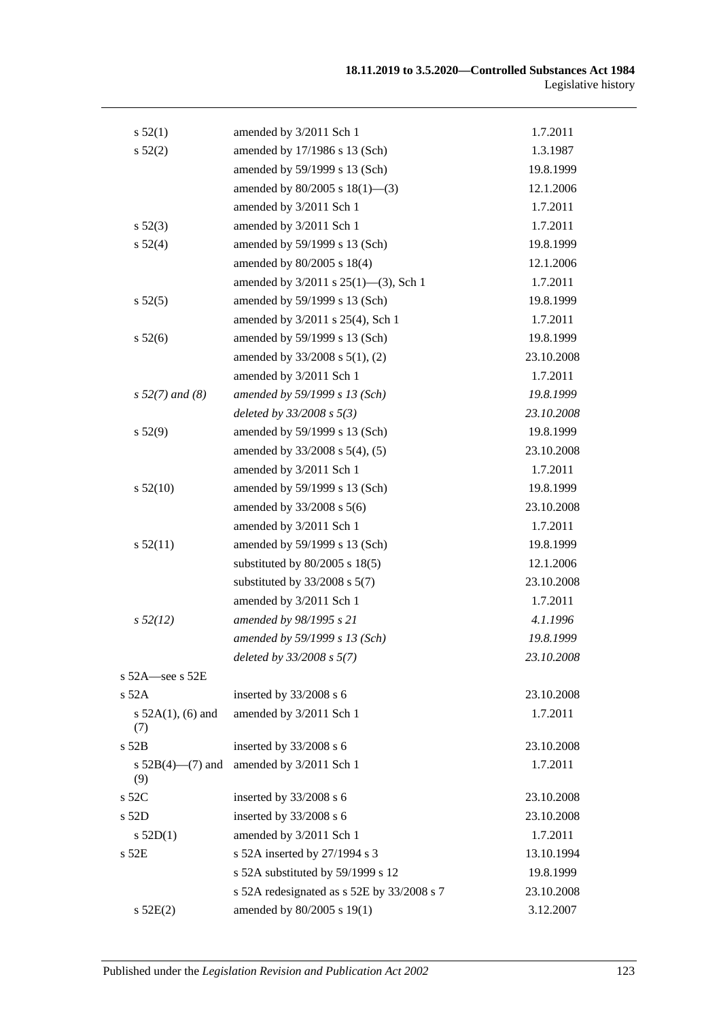| s 52(1)                       | amended by 3/2011 Sch 1                    | 1.7.2011   |
|-------------------------------|--------------------------------------------|------------|
| s 52(2)                       | amended by 17/1986 s 13 (Sch)              | 1.3.1987   |
|                               | amended by 59/1999 s 13 (Sch)              | 19.8.1999  |
|                               | amended by $80/2005$ s $18(1)$ —(3)        | 12.1.2006  |
|                               | amended by 3/2011 Sch 1                    | 1.7.2011   |
| $s\,52(3)$                    | amended by 3/2011 Sch 1                    | 1.7.2011   |
| s 52(4)                       | amended by 59/1999 s 13 (Sch)              | 19.8.1999  |
|                               | amended by 80/2005 s 18(4)                 | 12.1.2006  |
|                               | amended by 3/2011 s 25(1)-(3), Sch 1       | 1.7.2011   |
| s 52(5)                       | amended by 59/1999 s 13 (Sch)              | 19.8.1999  |
|                               | amended by 3/2011 s 25(4), Sch 1           | 1.7.2011   |
| $s\,52(6)$                    | amended by 59/1999 s 13 (Sch)              | 19.8.1999  |
|                               | amended by 33/2008 s 5(1), (2)             | 23.10.2008 |
|                               | amended by 3/2011 Sch 1                    | 1.7.2011   |
| $s 52(7)$ and (8)             | amended by 59/1999 s 13 (Sch)              | 19.8.1999  |
|                               | deleted by $33/2008 s 5(3)$                | 23.10.2008 |
| s 52(9)                       | amended by 59/1999 s 13 (Sch)              | 19.8.1999  |
|                               | amended by 33/2008 s 5(4), (5)             | 23.10.2008 |
|                               | amended by 3/2011 Sch 1                    | 1.7.2011   |
| $s\,52(10)$                   | amended by 59/1999 s 13 (Sch)              | 19.8.1999  |
|                               | amended by $33/2008$ s $5(6)$              | 23.10.2008 |
|                               | amended by 3/2011 Sch 1                    | 1.7.2011   |
| s 52(11)                      | amended by 59/1999 s 13 (Sch)              | 19.8.1999  |
|                               | substituted by $80/2005$ s $18(5)$         | 12.1.2006  |
|                               | substituted by $33/2008$ s $5(7)$          | 23.10.2008 |
|                               | amended by 3/2011 Sch 1                    | 1.7.2011   |
| $s\,52(12)$                   | amended by 98/1995 s 21                    | 4.1.1996   |
|                               | amended by 59/1999 s 13 (Sch)              | 19.8.1999  |
|                               | deleted by $33/2008 s 5(7)$                | 23.10.2008 |
| s $52A$ -see s $52E$          |                                            |            |
| $s$ 52A                       | inserted by 33/2008 s 6                    | 23.10.2008 |
| s $52A(1)$ , (6) and<br>(7)   | amended by 3/2011 Sch 1                    | 1.7.2011   |
| s 52B                         | inserted by 33/2008 s 6                    | 23.10.2008 |
| s $52B(4)$ — $(7)$ and<br>(9) | amended by 3/2011 Sch 1                    | 1.7.2011   |
| s 52C                         | inserted by 33/2008 s 6                    | 23.10.2008 |
| s 52D                         | inserted by 33/2008 s 6                    | 23.10.2008 |
| $s$ 52D(1)                    | amended by 3/2011 Sch 1                    | 1.7.2011   |
| s 52E                         | s 52A inserted by 27/1994 s 3              | 13.10.1994 |
|                               | s 52A substituted by 59/1999 s 12          | 19.8.1999  |
|                               | s 52A redesignated as s 52E by 33/2008 s 7 | 23.10.2008 |
| s 52E(2)                      | amended by 80/2005 s 19(1)                 | 3.12.2007  |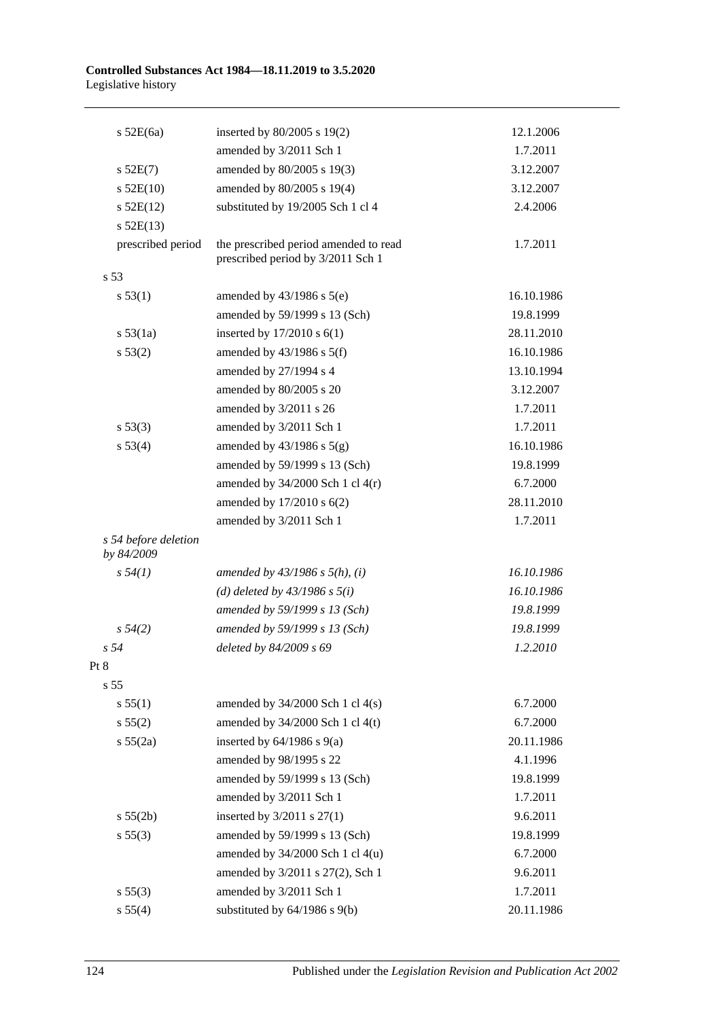| $s$ 52E(6a)                        | inserted by 80/2005 s 19(2)                                                | 12.1.2006  |
|------------------------------------|----------------------------------------------------------------------------|------------|
|                                    | amended by 3/2011 Sch 1                                                    | 1.7.2011   |
| $s$ 52E(7)                         | amended by 80/2005 s 19(3)                                                 | 3.12.2007  |
| $s$ 52E(10)                        | amended by 80/2005 s 19(4)                                                 | 3.12.2007  |
| $s$ 52E(12)                        | substituted by 19/2005 Sch 1 cl 4                                          | 2.4.2006   |
| $s$ 52E(13)                        |                                                                            |            |
| prescribed period                  | the prescribed period amended to read<br>prescribed period by 3/2011 Sch 1 | 1.7.2011   |
| s <sub>53</sub>                    |                                                                            |            |
| s 53(1)                            | amended by $43/1986$ s $5(e)$                                              | 16.10.1986 |
|                                    | amended by 59/1999 s 13 (Sch)                                              | 19.8.1999  |
| s 53(1a)                           | inserted by $17/2010$ s $6(1)$                                             | 28.11.2010 |
| s 53(2)                            | amended by $43/1986$ s $5(f)$                                              | 16.10.1986 |
|                                    | amended by 27/1994 s 4                                                     | 13.10.1994 |
|                                    | amended by 80/2005 s 20                                                    | 3.12.2007  |
|                                    | amended by 3/2011 s 26                                                     | 1.7.2011   |
| s 53(3)                            | amended by 3/2011 Sch 1                                                    | 1.7.2011   |
| s 53(4)                            | amended by $43/1986$ s $5(g)$                                              | 16.10.1986 |
|                                    | amended by 59/1999 s 13 (Sch)                                              | 19.8.1999  |
|                                    | amended by $34/2000$ Sch 1 cl $4(r)$                                       | 6.7.2000   |
|                                    | amended by 17/2010 s 6(2)                                                  | 28.11.2010 |
|                                    | amended by 3/2011 Sch 1                                                    | 1.7.2011   |
| s 54 before deletion<br>by 84/2009 |                                                                            |            |
| $s\,54(1)$                         | amended by $43/1986$ s $5(h)$ , (i)                                        | 16.10.1986 |
|                                    | (d) deleted by $43/1986$ s $5(i)$                                          | 16.10.1986 |
|                                    | amended by 59/1999 s 13 (Sch)                                              | 19.8.1999  |
| $s\,54(2)$                         | amended by 59/1999 s 13 (Sch)                                              | 19.8.1999  |
| s <sub>54</sub>                    | deleted by 84/2009 s 69                                                    | 1.2.2010   |
| Pt 8                               |                                                                            |            |
| s 55                               |                                                                            |            |
| s 55(1)                            | amended by $34/2000$ Sch 1 cl $4(s)$                                       | 6.7.2000   |
| s 55(2)                            | amended by 34/2000 Sch 1 cl 4(t)                                           | 6.7.2000   |
| s 55(2a)                           | inserted by $64/1986$ s $9(a)$                                             | 20.11.1986 |
|                                    | amended by 98/1995 s 22                                                    | 4.1.1996   |
|                                    | amended by 59/1999 s 13 (Sch)                                              | 19.8.1999  |
|                                    | amended by 3/2011 Sch 1                                                    | 1.7.2011   |
| s 55(2b)                           | inserted by $3/2011$ s $27(1)$                                             | 9.6.2011   |
| s 55(3)                            | amended by 59/1999 s 13 (Sch)                                              | 19.8.1999  |
|                                    | amended by 34/2000 Sch 1 cl 4(u)                                           | 6.7.2000   |
|                                    | amended by 3/2011 s 27(2), Sch 1                                           | 9.6.2011   |
| s 55(3)                            | amended by 3/2011 Sch 1                                                    | 1.7.2011   |
| s 55(4)                            | substituted by $64/1986$ s $9(b)$                                          | 20.11.1986 |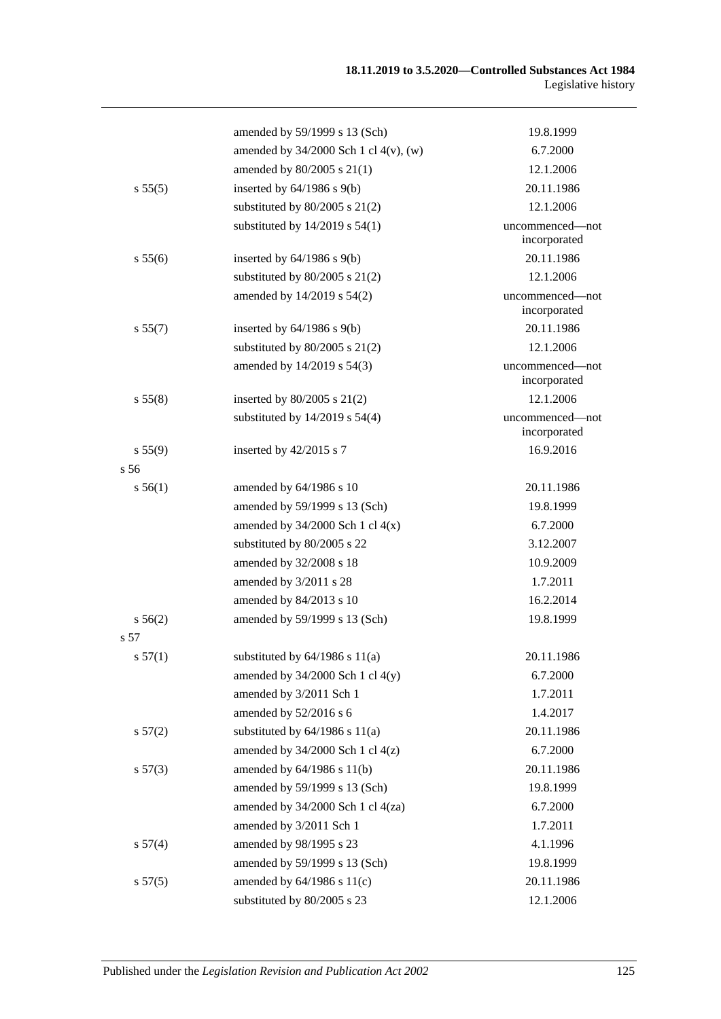|         | amended by 59/1999 s 13 (Sch)              | 19.8.1999                       |
|---------|--------------------------------------------|---------------------------------|
|         | amended by $34/2000$ Sch 1 cl $4(v)$ , (w) | 6.7.2000                        |
|         | amended by 80/2005 s 21(1)                 | 12.1.2006                       |
| s 55(5) | inserted by $64/1986$ s $9(b)$             | 20.11.1986                      |
|         | substituted by $80/2005$ s 21(2)           | 12.1.2006                       |
|         | substituted by $14/2019$ s $54(1)$         | uncommenced-not<br>incorporated |
| s 55(6) | inserted by $64/1986$ s $9(b)$             | 20.11.1986                      |
|         | substituted by $80/2005$ s 21(2)           | 12.1.2006                       |
|         | amended by 14/2019 s 54(2)                 | uncommenced—not<br>incorporated |
| s 55(7) | inserted by $64/1986$ s $9(b)$             | 20.11.1986                      |
|         | substituted by $80/2005$ s $21(2)$         | 12.1.2006                       |
|         | amended by 14/2019 s 54(3)                 | uncommenced—not<br>incorporated |
| s 55(8) | inserted by $80/2005$ s $21(2)$            | 12.1.2006                       |
|         | substituted by $14/2019$ s $54(4)$         | uncommenced-not<br>incorporated |
| s 55(9) | inserted by 42/2015 s 7                    | 16.9.2016                       |
| s56     |                                            |                                 |
| s 56(1) | amended by 64/1986 s 10                    | 20.11.1986                      |
|         | amended by 59/1999 s 13 (Sch)              | 19.8.1999                       |
|         | amended by $34/2000$ Sch 1 cl $4(x)$       | 6.7.2000                        |
|         | substituted by 80/2005 s 22                | 3.12.2007                       |
|         | amended by 32/2008 s 18                    | 10.9.2009                       |
|         | amended by 3/2011 s 28                     | 1.7.2011                        |
|         | amended by 84/2013 s 10                    | 16.2.2014                       |
| s 56(2) | amended by 59/1999 s 13 (Sch)              | 19.8.1999                       |
| s 57    |                                            |                                 |
| s 57(1) | substituted by $64/1986$ s $11(a)$         | 20.11.1986                      |
|         | amended by $34/2000$ Sch 1 cl $4(y)$       | 6.7.2000                        |
|         | amended by 3/2011 Sch 1                    | 1.7.2011                        |
|         | amended by 52/2016 s 6                     | 1.4.2017                        |
| s 57(2) | substituted by $64/1986$ s $11(a)$         | 20.11.1986                      |
|         | amended by $34/2000$ Sch 1 cl $4(z)$       | 6.7.2000                        |
| s 57(3) | amended by $64/1986$ s $11(b)$             | 20.11.1986                      |
|         | amended by 59/1999 s 13 (Sch)              | 19.8.1999                       |
|         | amended by 34/2000 Sch 1 cl 4(za)          | 6.7.2000                        |
|         | amended by 3/2011 Sch 1                    | 1.7.2011                        |
| s 57(4) | amended by 98/1995 s 23                    | 4.1.1996                        |
|         | amended by 59/1999 s 13 (Sch)              | 19.8.1999                       |
| s 57(5) | amended by $64/1986$ s $11(c)$             | 20.11.1986                      |
|         | substituted by 80/2005 s 23                | 12.1.2006                       |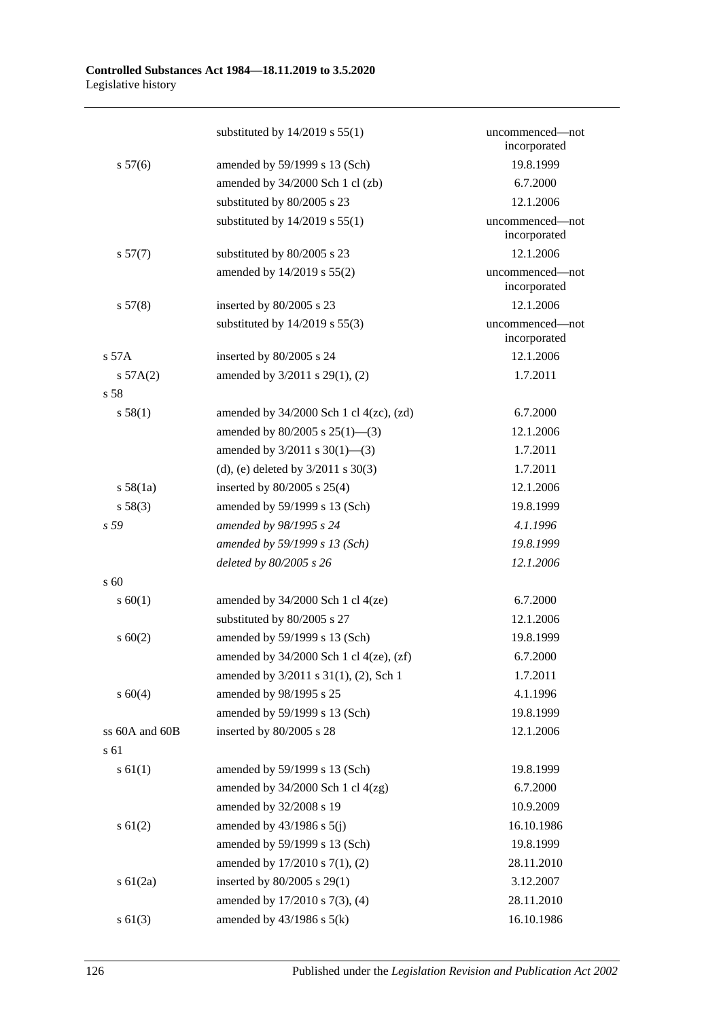|                | substituted by $14/2019$ s $55(1)$             | uncommenced—not<br>incorporated |
|----------------|------------------------------------------------|---------------------------------|
| s 57(6)        | amended by 59/1999 s 13 (Sch)                  | 19.8.1999                       |
|                | amended by 34/2000 Sch 1 cl (zb)               | 6.7.2000                        |
|                | substituted by 80/2005 s 23                    | 12.1.2006                       |
|                | substituted by $14/2019$ s $55(1)$             | uncommenced-not<br>incorporated |
| s 57(7)        | substituted by 80/2005 s 23                    | 12.1.2006                       |
|                | amended by 14/2019 s 55(2)                     | uncommenced-not<br>incorporated |
| s 57(8)        | inserted by 80/2005 s 23                       | 12.1.2006                       |
|                | substituted by $14/2019$ s $55(3)$             | uncommenced-not<br>incorporated |
| s 57A          | inserted by 80/2005 s 24                       | 12.1.2006                       |
| s 57A(2)       | amended by 3/2011 s 29(1), (2)                 | 1.7.2011                        |
| s 58           |                                                |                                 |
| s 58(1)        | amended by $34/2000$ Sch 1 cl $4(zc)$ , $(zd)$ | 6.7.2000                        |
|                | amended by $80/2005$ s $25(1)$ —(3)            | 12.1.2006                       |
|                | amended by $3/2011$ s $30(1)$ —(3)             | 1.7.2011                        |
|                | (d), (e) deleted by $3/2011$ s $30(3)$         | 1.7.2011                        |
| s 58(1a)       | inserted by $80/2005$ s $25(4)$                | 12.1.2006                       |
| s 58(3)        | amended by 59/1999 s 13 (Sch)                  | 19.8.1999                       |
| s 59           | amended by 98/1995 s 24                        | 4.1.1996                        |
|                | amended by 59/1999 s 13 (Sch)                  | 19.8.1999                       |
|                | deleted by 80/2005 s 26                        | 12.1.2006                       |
| s 60           |                                                |                                 |
| s 60(1)        | amended by $34/2000$ Sch 1 cl $4(ze)$          | 6.7.2000                        |
|                | substituted by 80/2005 s 27                    | 12.1.2006                       |
| s 60(2)        | amended by 59/1999 s 13 (Sch)                  | 19.8.1999                       |
|                | amended by $34/2000$ Sch 1 cl $4(ze)$ , $(zf)$ | 6.7.2000                        |
|                | amended by 3/2011 s 31(1), (2), Sch 1          | 1.7.2011                        |
| s 60(4)        | amended by 98/1995 s 25                        | 4.1.1996                        |
|                | amended by 59/1999 s 13 (Sch)                  | 19.8.1999                       |
| ss 60A and 60B | inserted by 80/2005 s 28                       | 12.1.2006                       |
| s 61           |                                                |                                 |
| s 61(1)        | amended by 59/1999 s 13 (Sch)                  | 19.8.1999                       |
|                | amended by $34/2000$ Sch 1 cl $4(zg)$          | 6.7.2000                        |
|                | amended by 32/2008 s 19                        | 10.9.2009                       |
| $s \ 61(2)$    | amended by $43/1986$ s $5(j)$                  | 16.10.1986                      |
|                | amended by 59/1999 s 13 (Sch)                  | 19.8.1999                       |
|                | amended by 17/2010 s 7(1), (2)                 | 28.11.2010                      |
| $s \ 61(2a)$   | inserted by $80/2005$ s $29(1)$                | 3.12.2007                       |
|                | amended by 17/2010 s 7(3), (4)                 | 28.11.2010                      |
| $s \ 61(3)$    | amended by $43/1986$ s $5(k)$                  | 16.10.1986                      |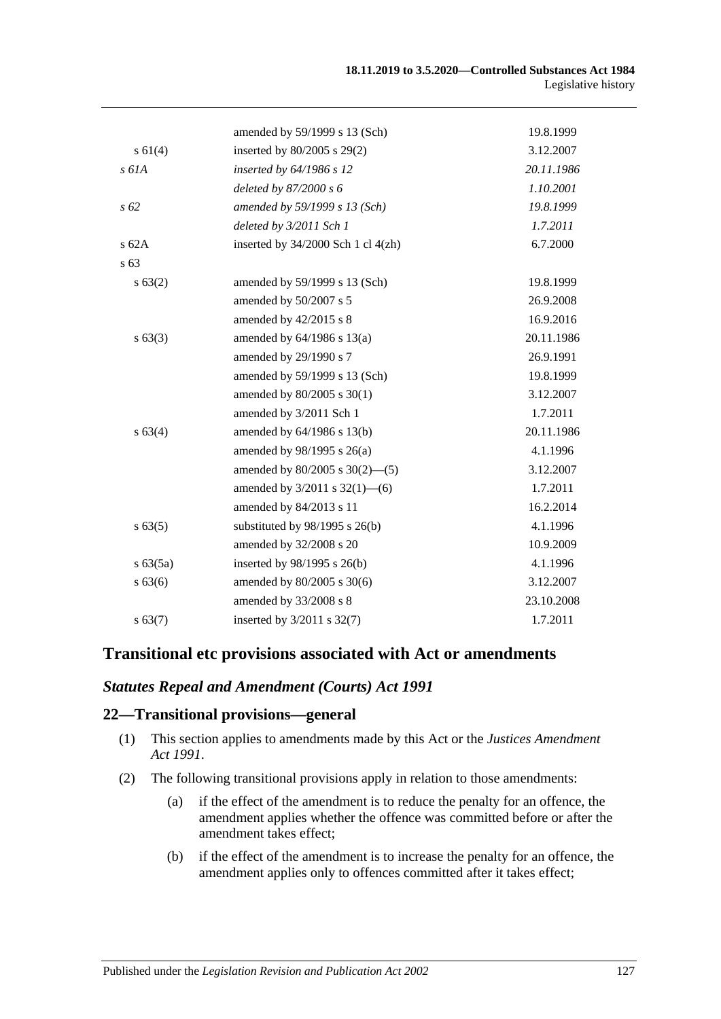|              | amended by 59/1999 s 13 (Sch)          | 19.8.1999  |
|--------------|----------------------------------------|------------|
| $s \, 61(4)$ | inserted by $80/2005$ s $29(2)$        | 3.12.2007  |
| $s$ 61A      | inserted by 64/1986 s 12               | 20.11.1986 |
|              | deleted by 87/2000 s 6                 | 1.10.2001  |
| $s\,62$      | amended by 59/1999 s 13 (Sch)          | 19.8.1999  |
|              | deleted by 3/2011 Sch 1                | 1.7.2011   |
| s62A         | inserted by $34/2000$ Sch 1 cl $4(zh)$ | 6.7.2000   |
| s 63         |                                        |            |
| s 63(2)      | amended by 59/1999 s 13 (Sch)          | 19.8.1999  |
|              | amended by 50/2007 s 5                 | 26.9.2008  |
|              | amended by 42/2015 s 8                 | 16.9.2016  |
| $s\,63(3)$   | amended by $64/1986$ s $13(a)$         | 20.11.1986 |
|              | amended by 29/1990 s 7                 | 26.9.1991  |
|              | amended by 59/1999 s 13 (Sch)          | 19.8.1999  |
|              | amended by 80/2005 s 30(1)             | 3.12.2007  |
|              | amended by 3/2011 Sch 1                | 1.7.2011   |
| s 63(4)      | amended by $64/1986$ s $13(b)$         | 20.11.1986 |
|              | amended by 98/1995 s 26(a)             | 4.1.1996   |
|              | amended by $80/2005$ s $30(2)$ —(5)    | 3.12.2007  |
|              | amended by $3/2011$ s $32(1)$ —(6)     | 1.7.2011   |
|              | amended by 84/2013 s 11                | 16.2.2014  |
| s 63(5)      | substituted by $98/1995$ s $26(b)$     | 4.1.1996   |
|              | amended by 32/2008 s 20                | 10.9.2009  |
| $s\,63(5a)$  | inserted by $98/1995$ s $26(b)$        | 4.1.1996   |
| s 63(6)      | amended by 80/2005 s 30(6)             | 3.12.2007  |
|              | amended by 33/2008 s 8                 | 23.10.2008 |
| s 63(7)      | inserted by $3/2011$ s $32(7)$         | 1.7.2011   |
|              |                                        |            |

# **Transitional etc provisions associated with Act or amendments**

### *Statutes Repeal and Amendment (Courts) Act 1991*

### **22—Transitional provisions—general**

- (1) This section applies to amendments made by this Act or the *[Justices Amendment](http://www.legislation.sa.gov.au/index.aspx?action=legref&type=act&legtitle=Justices%20Amendment%20Act%201991)  Act [1991](http://www.legislation.sa.gov.au/index.aspx?action=legref&type=act&legtitle=Justices%20Amendment%20Act%201991)*.
- (2) The following transitional provisions apply in relation to those amendments:
	- (a) if the effect of the amendment is to reduce the penalty for an offence, the amendment applies whether the offence was committed before or after the amendment takes effect;
	- (b) if the effect of the amendment is to increase the penalty for an offence, the amendment applies only to offences committed after it takes effect;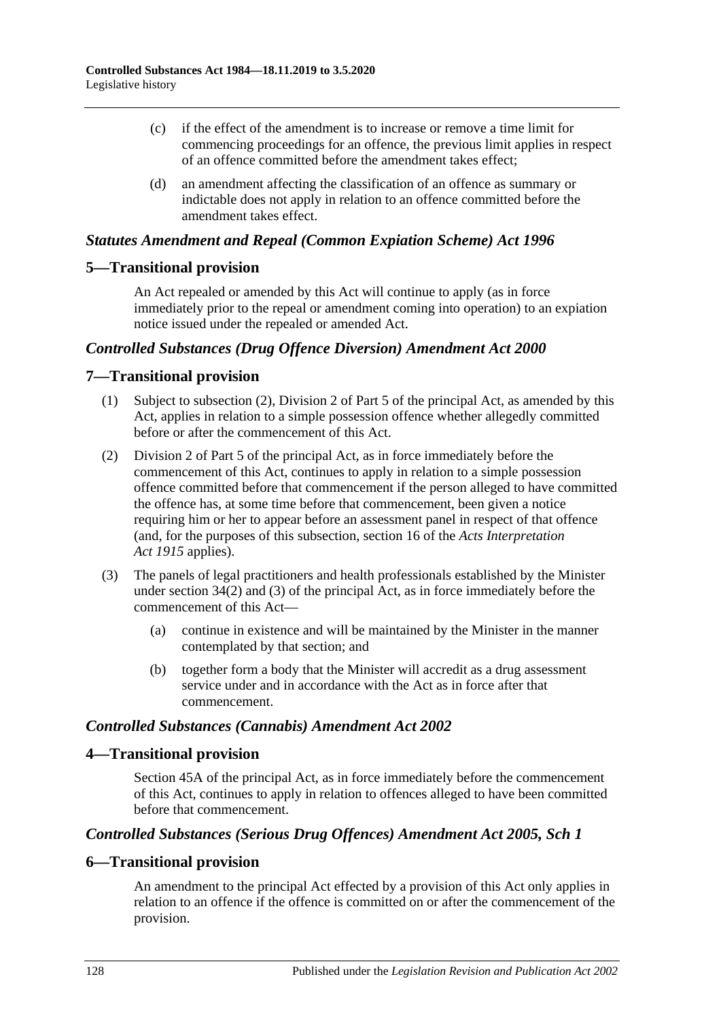- (c) if the effect of the amendment is to increase or remove a time limit for commencing proceedings for an offence, the previous limit applies in respect of an offence committed before the amendment takes effect;
- (d) an amendment affecting the classification of an offence as summary or indictable does not apply in relation to an offence committed before the amendment takes effect.

### *Statutes Amendment and Repeal (Common Expiation Scheme) Act 1996*

# **5—Transitional provision**

An Act repealed or amended by this Act will continue to apply (as in force immediately prior to the repeal or amendment coming into operation) to an expiation notice issued under the repealed or amended Act.

# *Controlled Substances (Drug Offence Diversion) Amendment Act 2000*

### **7—Transitional provision**

- (1) Subject to subsection (2), Division 2 of Part 5 of the principal Act, as amended by this Act, applies in relation to a simple possession offence whether allegedly committed before or after the commencement of this Act.
- (2) Division 2 of Part 5 of the principal Act, as in force immediately before the commencement of this Act, continues to apply in relation to a simple possession offence committed before that commencement if the person alleged to have committed the offence has, at some time before that commencement, been given a notice requiring him or her to appear before an assessment panel in respect of that offence (and, for the purposes of this subsection, section 16 of the *[Acts Interpretation](http://www.legislation.sa.gov.au/index.aspx?action=legref&type=act&legtitle=Acts%20Interpretation%20Act%201915)  Act [1915](http://www.legislation.sa.gov.au/index.aspx?action=legref&type=act&legtitle=Acts%20Interpretation%20Act%201915)* applies).
- (3) The panels of legal practitioners and health professionals established by the Minister under section 34(2) and (3) of the principal Act, as in force immediately before the commencement of this Act—
	- (a) continue in existence and will be maintained by the Minister in the manner contemplated by that section; and
	- (b) together form a body that the Minister will accredit as a drug assessment service under and in accordance with the Act as in force after that commencement.

### *Controlled Substances (Cannabis) Amendment Act 2002*

### **4—Transitional provision**

Section 45A of the principal Act, as in force immediately before the commencement of this Act, continues to apply in relation to offences alleged to have been committed before that commencement.

### *Controlled Substances (Serious Drug Offences) Amendment Act 2005, Sch 1*

### **6—Transitional provision**

An amendment to the principal Act effected by a provision of this Act only applies in relation to an offence if the offence is committed on or after the commencement of the provision.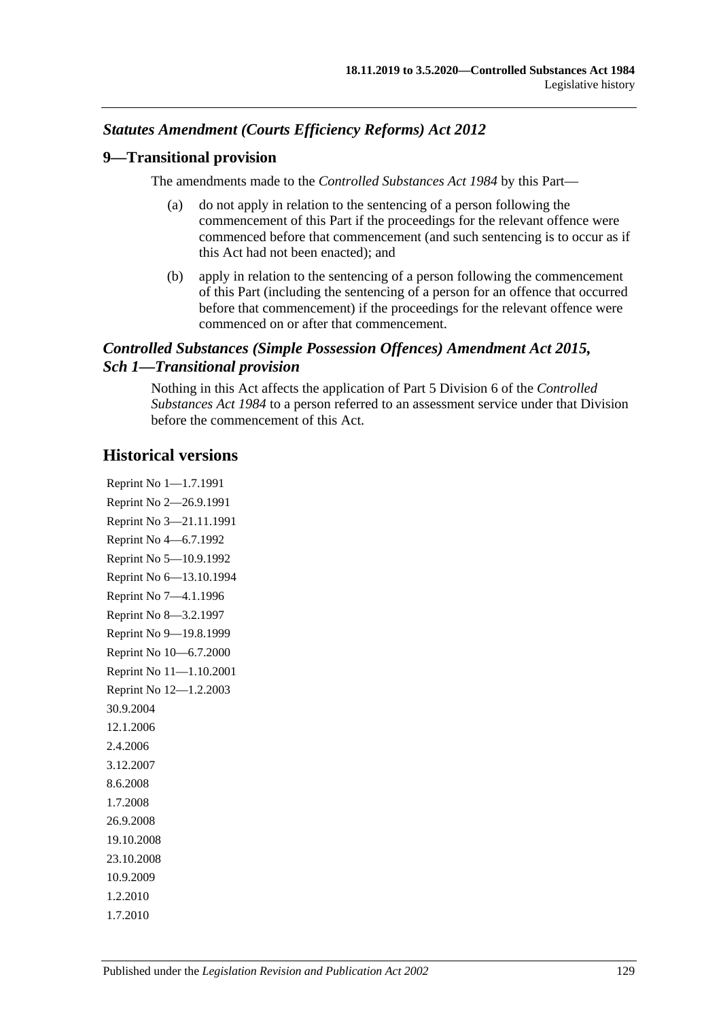# *Statutes Amendment (Courts Efficiency Reforms) Act 2012*

### **9—Transitional provision**

The amendments made to the *[Controlled Substances Act](http://www.legislation.sa.gov.au/index.aspx?action=legref&type=act&legtitle=Controlled%20Substances%20Act%201984) 1984* by this Part—

- (a) do not apply in relation to the sentencing of a person following the commencement of this Part if the proceedings for the relevant offence were commenced before that commencement (and such sentencing is to occur as if this Act had not been enacted); and
- (b) apply in relation to the sentencing of a person following the commencement of this Part (including the sentencing of a person for an offence that occurred before that commencement) if the proceedings for the relevant offence were commenced on or after that commencement.

# *Controlled Substances (Simple Possession Offences) Amendment Act 2015, Sch 1—Transitional provision*

Nothing in this Act affects the application of Part 5 Division 6 of the *[Controlled](http://www.legislation.sa.gov.au/index.aspx?action=legref&type=act&legtitle=Controlled%20Substances%20Act%201984)  [Substances Act](http://www.legislation.sa.gov.au/index.aspx?action=legref&type=act&legtitle=Controlled%20Substances%20Act%201984) 1984* to a person referred to an assessment service under that Division before the commencement of this Act.

# **Historical versions**

Reprint No 1—1.7.1991 Reprint No 2—26.9.1991 Reprint No 3—21.11.1991 Reprint No 4—6.7.1992 Reprint No 5—10.9.1992 Reprint No 6—13.10.1994 Reprint No 7—4.1.1996 Reprint No 8—3.2.1997 Reprint No 9—19.8.1999 Reprint No 10—6.7.2000 Reprint No 11—1.10.2001 Reprint No 12—1.2.2003 30.9.2004 12.1.2006 2.4.2006 3.12.2007 8.6.2008 1.7.2008 26.9.2008 19.10.2008 23.10.2008 10.9.2009 1.2.2010 1.7.2010